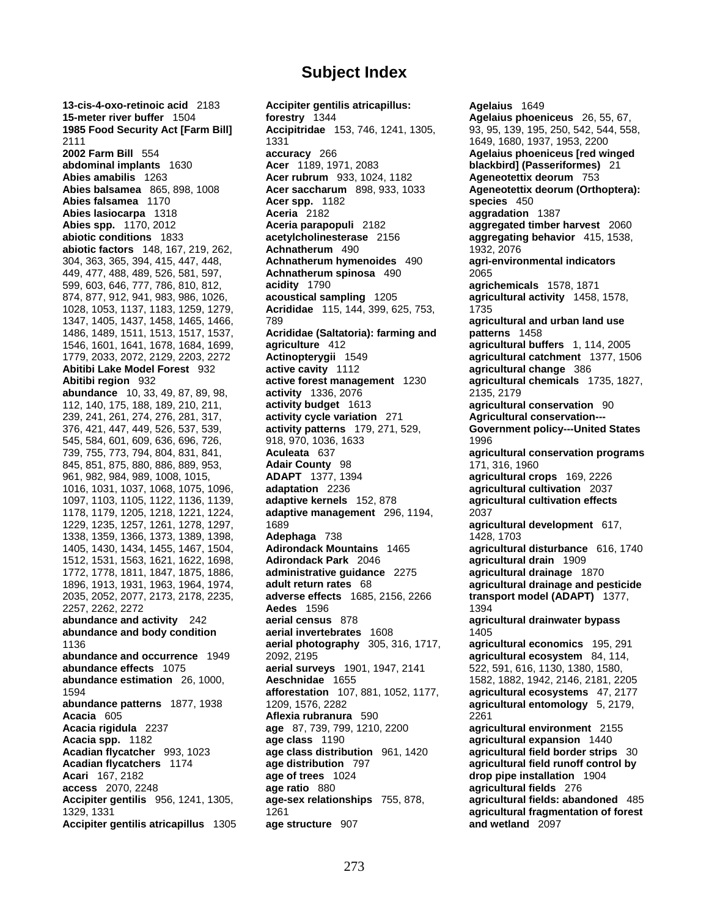**13-cis-4-oxo-retinoic acid** 2183 **Accipiter gentilis atricapillus: Agelaius** 1649 **15-meter river buffer** 1504 **forestry** 1344 **Agelaius phoeniceus** 26, 55, 67, **1985 Food Security Act [Farm Bill] Accipitridae** 153, 746, 1241, 1305, 93, 95, 139, 195, 250, 542, 544, 558, 2111 1331 1649, 1680, 1937, 1953, 2200 **2002 Farm Bill** 554 **accuracy** 266 **Agelaius phoeniceus [red winged abdominal implants** 1630 **Acer** 1189, 1971, 2083 **blackbird] (Passeriformes)** 21 **Abies amabilis** 1263 **Acer rubrum** 933, 1024, 1182 **Ageneotettix deorum** 753 **Abies falsamea** 1170 **Acer spp.** 1182 **species** 450 **Abies lasiocarpa** 1318 **Aceria** 2182 **aggradation** 1387 **Abies spp.** 1170, 2012 **Aceria parapopuli** 2182 **aggregated timber harvest** 2060 **abiotic conditions** 1833 **acetylcholinesterase** 2156 **aggregating behavior** 415, 1538, **abiotic factors** 148, 167, 219, 262, **Achnatherum** 490 1932, 2076 304, 363, 365, 394, 415, 447, 448, **Achnatherum hymenoides** 490 **agri-environmental indicators** 449, 477, 488, 489, 526, 581, 597, **Achnatherum spinosa** 490 2065 599, 603, 646, 777, 786, 810, 812, **acidity** 1790 **agrichemicals** 1578, 1871 874, 877, 912, 941, 983, 986, 1026, **acoustical sampling** 1205 **agricultural activity** 1458, 1578, 1028, 1053, 1137, 1183, 1259, 1279, **Acrididae** 115, 144, 399, 625, 753, 1735 1347, 1405, 1437, 1458, 1465, 1466, 789 **agricultural and urban land use**  1486, 1489, 1511, 1513, 1517, 1537, **Acrididae (Saltatoria): farming and patterns** 1458 1546, 1601, 1641, 1678, 1684, 1699, **agriculture** 412 **agricultural buffers** 1, 114, 2005 1779, 2033, 2072, 2129, 2203, 2272 **Actinopterygii** 1549 **agricultural catchment** 1377, 1506 **Abitibi Lake Model Forest** 932 **active cavity** 1112 **agricultural change** 386 **Abitibi region** 932 **active forest management** 1230 **agricultural chemicals** 1735, 1827, **abundance** 10, 33, 49, 87, 89, 98, **activity** 1336, 2076 2135, 2179 112, 140, 175, 188, 189, 210, 211, **activity budget** 1613 **agricultural conservation** 90 239, 241, 261, 274, 276, 281, 317, **activity cycle variation** 271 **Agricultural conservation---** 545, 584, 601, 609, 636, 696, 726, 918, 970, 1036, 1633 1996 739, 755, 773, 794, 804, 831, 841, **Aculeata** 637 **agricultural conservation programs** 845, 851, 875, 880, 886, 889, 953, **Adair County** 98 171, 316, 1960 961, 982, 984, 989, 1008, 1015, **ADAPT** 1377, 1394 **agricultural crops** 169, 2226 1016, 1031, 1037, 1068, 1075, 1096, **adaptation** 2236 **agricultural cultivation** 2037 1097, 1103, 1105, 1122, 1136, 1139, **adaptive kernels** 152, 878 **agricultural cultivation effects** 1178, 1179, 1205, 1218, 1221, 1224, **adaptive management** 296, 1194, 2037 1229, 1235, 1257, 1261, 1278, 1297, 1689 **agricultural development** 617, 1338, 1359, 1366, 1373, 1389, 1398, **Adephaga** 738 1428, 1703 1405, 1430, 1434, 1455, 1467, 1504, **Adirondack Mountains** 1465 **agricultural disturbance** 616, 1740 1512, 1531, 1563, 1621, 1622, 1698, **Adirondack Park** 2046 **agricultural drain** 1909 1772, 1778, 1811, 1847, 1875, 1886, **administrative guidance** 2275<br>1896, 1913, 1931, 1963, 1964, 1974, **adult return rates** 68 2035, 2052, 2077, 2173, 2178, 2235, **adverse effects** 1685, 2156, 2266 **transport model (ADAPT)** 1377, 2257, 2262, 2272 **Aedes** 1596 1394 **abundance and activity** 242 **aerial census** 878 **agricultural drainwater bypass abundance and body condition aerial invertebrates** 1608 1405 1136 **aerial photography** 305, 316, 1717, **agricultural economics** 195, 291 **abundance and occurrence** 1949 2092, 2195 **agricultural ecosystem** 84, 114, **abundance effects** 1075 **aerial surveys** 1901, 1947, 2141 522, 591, 616, 1130, 1380, 1580, **abundance estimation** 26, 1000, **Aeschnidae** 1655 1582, 1882, 1942, 2146, 2181, 2205 1594 **afforestation** 107, 881, 1052, 1177, **agricultural ecosystems** 47, 2177 **abundance patterns** 1877, 1938 1209, 1576, 2282 **agricultural entomology** 5, 2179, **Acacia** 605 **Aflexia rubranura** 590 2261 **Acacia rigidula** 2237 **age** 87, 739, 799, 1210, 2200 **agricultural environment** 2155 **Acacia spp.** 1182 **age class** 1190 **agricultural expansion** 1440 **Acadian flycatcher** 993, 1023 **age class distribution** 961, 1420 **agricultural field border strips** 30 **Acadian flycatchers** 1174 **age distribution** 797 **agricultural field runoff control by Acari** 167, 2182 **age of trees** 1024 **drop pipe installation** 1904 **Accipiter gentilis** 956, 1241, 1305, **age-sex relationships** 755, 878, **agricultural fields: abandoned** 485 1329, 1331 1261 **agricultural fragmentation of forest Accipiter gentilis atricapillus** 1305 **age structure** 907 **and wetland** 2097

**Acer saccharum** 898, 933, 1033 **Ageneotettix deorum (Orthoptera):** 376, 421, 447, 449, 526, 537, 539, **activity patterns** 179, 271, 529, **Government policy---United States** 1896, 1913, 1931, 1963, 1964, 1974, **adult return rates** 68 **agricultural drainage and pesticide age ratio** 880 **agricultural fields** 276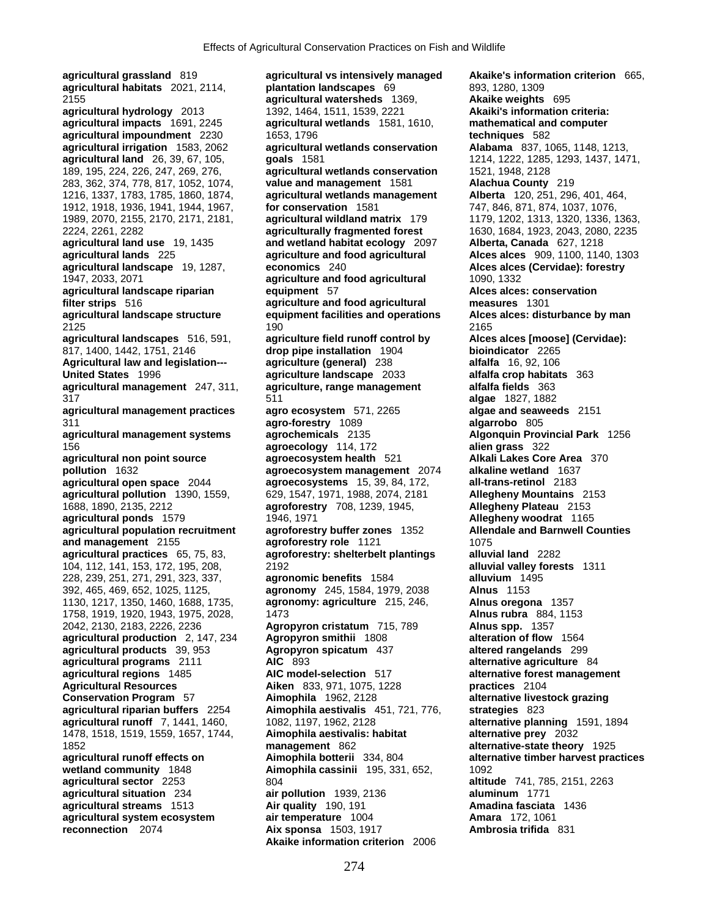**agricultural grassland** 819 **agricultural vs intensively managed Akaike's information criterion** 665, **agricultural habitats** 2021, 2114, **plantation landscapes** 69 893, 1280, 1309 2155 **agricultural watersheds** 1369, **Akaike weights** 695 **agricultural hydrology** 2013 1392, 1464, 1511, 1539, 2221 **Akaiki's information criteria: agricultural impacts** 1691, 2245 **agricultural wetlands** 1581, 1610, **mathematical and computer agricultural impoundment** 2230 1653, 1796 **agricultural irrigation** 1583, 2062 **agricultural wetlands conservation Alabama** 837, 1065, 1148, 1213, **agricultural land** 26, 39, 67, 105, **goals** 1581 1214, 1222, 1285, 1293, 1437, 1471, 283, 362, 374, 778, 817, 1052, 1074, **value and management** 1581 **Alachua County** 219 1216, 1337, 1783, 1785, 1860, 1874, **agricultural wetlands management Alberta** 120, 251, 296, 401, 464, 1912, 1918, 1936, 1941, 1944, 1967, **for conservation** 1581 747, 846, 871, 874, 1037, 1076, 1989, 2070, 2155, 2170, 2171, 2181, **agricultural wildland matrix** 179 1179, 1202, 1313, 1320, 1336, 1363, 2224, 2261, 2282 **agriculturally fragmented forest** 1630, 1684, 1923, 2043, 2080, 2235 **agricultural land use** 19, 1435 **and wetland habitat ecology** 2097 **Alberta, Canada** 627, 1218 **agricultural lands** 225 **agriculture and food agricultural Alces alces** 909, 1100, 1140, 1303 **agricultural landscape** 19, 1287, **economics** 240 **Alces alces (Cervidae): forestry** 1947, 2033, 2071 **agriculture and food agricultural** 1090, 1332 **agricultural landscape riparian by algorithment** 57 **filter strips** 516 **agriculture and food agricultural measures** 1301 **agricultural landscape structure equipment facilities and operations Alces alces: disturbance by man** 2125 190 2165 **agricultural landscapes** 516, 591, **agriculture field runoff control by Alces alces [moose] (Cervidae):**  817, 1400, 1442, 1751, 2146 **drop pipe installation** 1904 **bioindicator** 2265 **Agricultural law and legislation--- agriculture (general)** 238 **alfalfa** 16, 92, 106 **United States** 1996 **agriculture landscape** 2033 **alfalfa crop habitats** 363 **agricultural management** 247, 311, **agriculture, range management alfalfa fields** 363 317 511 **algae** 1827, 1882 **agricultural management practices agro ecosystem** 571, 2265 **algae and seaweeds** 2151 311 **agro-forestry** 1089 **algarrobo** 805 **agricultural management systems agrochemicals** 2135 **Algonquin Provincial Park** 1256 156 **agroecology** 114, 172 **alien grass** 322 **agricultural non point source <b>agroecosystem health** 521 **pollution** 1632 **agroecosystem management** 2074 **alkaline wetland** 1637 **agricultural open space** 2044 **agroecosystems** 15, 39, 84, 172, **all-trans-retinol** 2183 **agricultural pollution** 1390, 1559, 629, 1547, 1971, 1988, 2074, 2181 **Allegheny Mountains** 2153 1688, 1890, 2135, 2212 **agroforestry** 708, 1239, 1945, **Allegheny Plateau** 2153 **agricultural ponds** 1579 1946, 1971 **Allegheny woodrat** 1165 **agricultural population recruitment agroforestry buffer zones** 1352 **Allendale and Barnwell Counties and management** 2155 **agroforestry role** 1121 **1075 agricultural practices** 65, 75, 83, **agroforestry: shelterbelt plantings alluvial land** 2282 104, 112, 141, 153, 172, 195, 208, 2192 **alluvial valley forests** 1311 228, 239, 251, 271, 291, 323, 337, **agronomic benefits** 1584 **alluvium** 1495 392, 465, 469, 652, 1025, 1125, **agronomy** 245, 1584, 1979, 2038 **Alnus** 1153 1130, 1217, 1350, 1460, 1688, 1735, **agronomy: agriculture** 215, 246, **Alnus oregona** 1357 1758, 1919, 1920, 1943, 1975, 2028, 1473 **Alnus rubra** 884, 1153 2042, 2130, 2183, 2226, 2236 **Agropyron cristatum** 715, 789 **Alnus spp.** 1357 **agricultural production** 2, 147, 234 **Agropyron smithii** 1808 **alteration of flow** 1564 **agricultural products** 39, 953 **Agropyron spicatum** 437 **altered rangelands** 299 **agricultural programs** 2111 **AIC** 893 **alternative agriculture** 84 **agricultural regions** 1485 **AIC model-selection** 517 **alternative forest management Agricultural Resources Aiken** 833, 971, 1075, 1228 **practices** 2104 **Conservation Program** 57 **Aimophila** 1962, 2128 **alternative livestock grazing agricultural riparian buffers** 2254 **Aimophila aestivalis** 451, 721, 776, **strategies** 823 **agricultural runoff** 7, 1441, 1460, 1082, 1197, 1962, 2128 **alternative planning** 1591, 1894 1478, 1518, 1519, 1559, 1657, 1744, **Aimophila aestivalis: habitat alternative prey** 2032 1852 **management** 862 **alternative-state theory** 1925 **agricultural runoff effects on Aimophila botterii** 334, 804 **alternative timber harvest practices wetland community** 1848 **Aimophila cassinii** 195, 331, 652, 1092<br>**agricultural sector** 2253 804 **altitu agricultural situation** 234 **air pollution** 1939, 2136 **aluminum** 1771 **agricultural streams** 1513 **Air quality** 190, 191 **Amadina fasciata** 1436 **agricultural system ecosystem air temperature** 1004 **Amara** 172, 1061

189, 195, 224, 226, 247, 269, 276, **agricultural wetlands conservation** 1521, 1948, 2128 **agricultural sector** 2253 804 **altitude** 741, 785, 2151, 2263 **reconnection** 2074 **Aix sponsa** 1503, 1917 **Ambrosia trifida** 831 **Akaike information criterion** 2006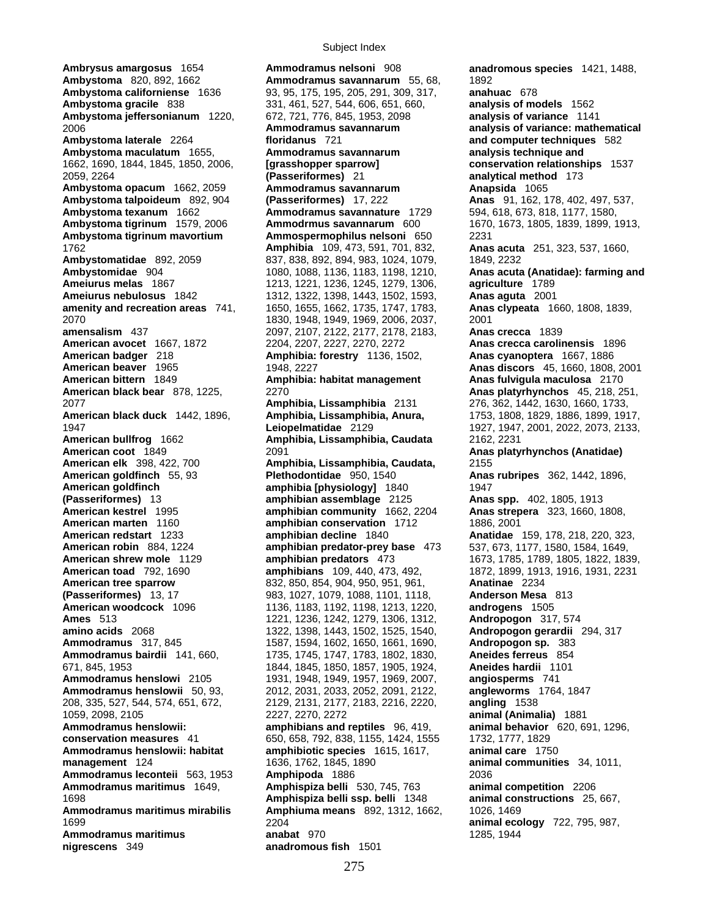**Ambrysus amargosus** 1654 **Ammodramus nelsoni** 908 **anadromous species** 1421, 1488, **Ambystoma gracile** 838 331, 461, 527, 544, 606, 651, 660, **American bittern** 1849 **Amphibia: habitat management nigrescens** 349 **anadromous fish** 1501

**Ambystoma** 820, 892, 1662 **Ammodramus savannarum** 55, 68, 1892 **Ambystoma californiense** 1636 93, 95, 175, 195, 205, 291, 309, 317, **anahuac** 678 **Ambystoma jeffersonianum** 1220, 672, 721, 776, 845, 1953, 2098 **analysis of variance** 1141 2006 **Ammodramus savannarum analysis of variance: mathematical Ambystoma laterale** 2264 **floridanus** 721 **and computer techniques** 582 **Ambystoma maculatum** 1655, **Ammodramus savannarum analysis technique and**  1662, 1690, 1844, 1845, 1850, 2006, **[grasshopper sparrow] conservation relationships** 1537 2059, 2264 **(Passeriformes)** 21 **analytical method** 173 **Ambystoma opacum** 1662, 2059 **Ammodramus savannarum Anapsida** 1065 **Ambystoma talpoideum** 892, 904 **(Passeriformes)** 17, 222 **Anas** 91, 162, 178, 402, 497, 537, **Ambystoma texanum** 1662 **Ammodramus savannature** 1729 594, 618, 673, 818, 1177, 1580, **Ambystoma tigrinum mavortium Ammospermophilus nelsoni** 650 2231 1762 **Amphibia** 109, 473, 591, 701, 832, **Anas acuta** 251, 323, 537, 1660, **Ambystomatidae** 892, 2059 837, 838, 892, 894, 983, 1024, 1079, 1849, 2232 **Ambystomidae** 904 1080, 1088, 1136, 1183, 1198, 1210, **Anas acuta (Anatidae): farming and Ameiurus melas** 1867 1213, 1221, 1236, 1245, 1279, 1306, **agriculture** 1789 **Ameiurus nebulosus** 1842 1312, 1322, 1398, 1443, 1502, 1593, **Anas aguta** 2001 **amenity and recreation areas** 741, 1650, 1655, 1662, 1735, 1747, 1783, **Anas clypeata** 1660, 1808, 1839, 2070 1830, 1948, 1949, 1969, 2006, 2037, 2001 **amensalism** 437 2097, 2107, 2122, 2177, 2178, 2183, **Anas crecca** 1839 **American avocet** 1667, 1872 2204, 2207, 2227, 2270, 2272 **Anas crecca carolinensis** 1896 **American badger** 218 **Amphibia: forestry** 1136, 1502, **Anas cyanoptera** 1667, 1886 **American beaver** 1965 1948, 2227 **Anas discors** 45, 1660, 1808, 2001 **American black bear** 878, 1225, 2270 **Anas platyrhynchos** 45, 218, 251, 2077 **Amphibia, Lissamphibia** 2131 276, 362, 1442, 1630, 1660, 1733, **American black duck** 1442, 1896, **Amphibia, Lissamphibia, Anura,** 1753, 1808, 1829, 1886, 1899, 1917, 1947 **Leiopelmatidae** 2129 1927, 1947, 2001, 2022, 2073, 2133, **American bullfrog** 1662 **Amphibia, Lissamphibia, Caudata** 2162, 2231 **American coot** 1849 2091 **Anas platyrhynchos (Anatidae) American elk** 398, 422, 700 **Amphibia, Lissamphibia, Caudata,** 2155 **American goldfinch** 55, 93 **Plethodontidae** 950, 1540 **Anas rubripes** 362, 1442, 1896, **American goldfinch amphibia [physiology]** 1840 1947 **(Passeriformes)** 13 **amphibian assemblage** 2125 **Anas spp.** 402, 1805, 1913 **American kestrel** 1995 **amphibian community** 1662, 2204 **Anas strepera** 323, 1660, 1808, **American marten** 1160 **amphibian conservation** 1712 1886, 2001 **American redstart** 1233 **amphibian decline** 1840 **Anatidae** 159, 178, 218, 220, 323, **American robin** 884, 1224 **amphibian predator-prey base** 473 537, 673, 1177, 1580, 1584, 1649, **American shrew mole** 1129 **amphibian predators** 473 1673, 1785, 1789, 1805, 1822, 1839, 1805, 1822, 1839, 1810, 1839, 1810, 1931, 2231 **American toad** 792, 1690 **amphibians** 109, 440, 473, 492, 1872, 1899, 1913, 1916, 1931, 2231 **American tree sparrow** 832, 850, 854, 904, 950, 951, 961, **Anatinae** 2234 **(Passeriformes)** 13, 17 983, 1027, 1079, 1088, 1101, 1118, **Anderson Mesa** 813 **American woodcock** 1096 1136, 1183, 1192, 1198, 1213, 1220, **androgens** 1505 **Ames** 513 1221, 1236, 1242, 1279, 1306, 1312, **Andropogon** 317, 574 **amino acids** 2068 1322, 1398, 1443, 1502, 1525, 1540, **Andropogon gerardii** 294, 317 **Ammodramus** 317, 845 1587, 1594, 1602, 1650, 1661, 1690, **Andropogon sp.** 383 **Ammodramus bairdii** 141, 660, 1735, 1745, 1747, 1783, 1802, 1830, **Aneides ferreus** 854 671, 845, 1953 1844, 1845, 1850, 1857, 1905, 1924, **Aneides hardii** 1101 **Ammodramus henslowi** 2105 1931, 1948, 1949, 1957, 1969, 2007, **angiosperms** 741 **Ammodramus henslowii** 50, 93, 2012, 2031, 2033, 2052, 2091, 2122, **angleworms** 1764, 1847 208, 335, 527, 544, 574, 651, 672, 2129, 2131, 2177, 2183, 2216, 2220, **angling** 1538 1059, 2098, 2105 2227, 2270, 2272 **animal (Animalia)** 1881 **Ammodramus henslowii: amphibians and reptiles** 96, 419, **animal behavior** 620, 691, 1296, **conservation measures** 41 650, 658, 792, 838, 1155, 1424, 1555 1732, 1777, 1829 **Ammodramus henslowii: habitat amphibiotic species** 1615, 1617, **animal care** 1750 **management** 124 1636, 1762, 1845, 1890 **animal communities** 34, 1011, **Ammodramus leconteii** 563, 1953 **Amphipoda** 1886 2036 **Ammodramus maritimus** 1649, **Amphispiza belli** 530, 745, 763 **animal competition** 2206 1698 **Amphispiza belli ssp. belli** 1348 **animal constructions** 25, 667, **Ammodramus maritimus mirabilis Amphiuma means** 892, 1312, 1662, 1026, 1469 1699 2204 **animal ecology** 722, 795, 987, **Ammodramus maritimus 1285, 1944 anabat** 970 1285, 1944

**Ambystoma tigrinum** 1579, 2006 **Ammodrmus savannarum** 600 1670, 1673, 1805, 1839, 1899, 1913,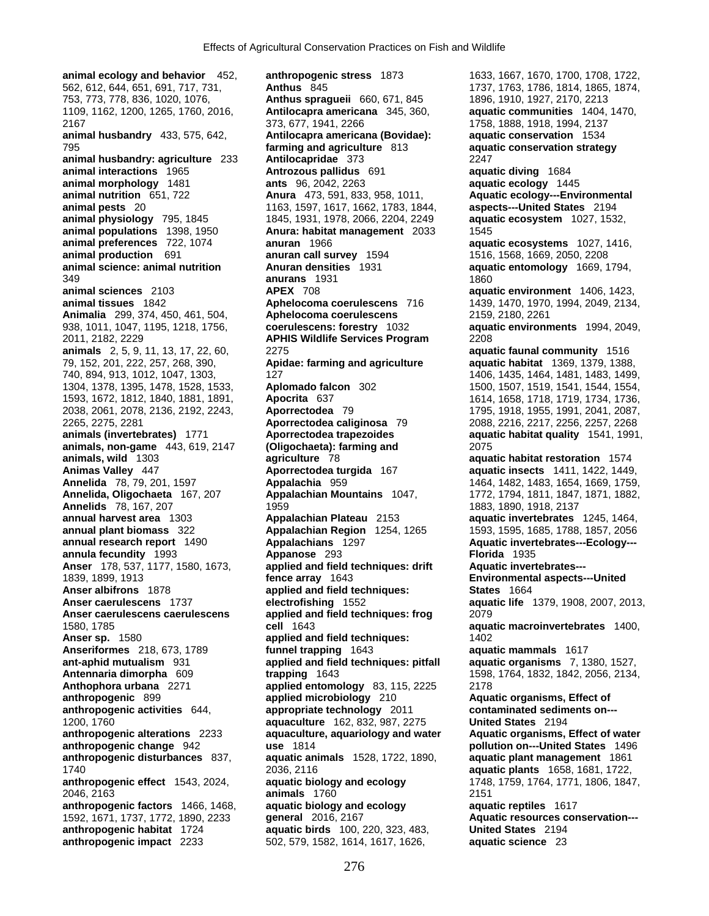562, 612, 644, 651, 691, 717, 731, **Anthus** 845 1737, 1763, 1786, 1814, 1865, 1874, 753, 773, 778, 836, 1020, 1076, **Anthus spragueii** 660, 671, 845 1896, 1910, 1927, 2170, 2213 1109, 1162, 1200, 1265, 1760, 2016, **Antilocapra americana** 345, 360, **aquatic communities** 1404, 1470, 2167 373, 677, 1941, 2266 1758, 1888, 1918, 1994, 2137 **animal husbandry** 433, 575, 642, **Antilocapra americana (Bovidae): aquatic conservation** 1534 795 **farming and agriculture** 813 **aquatic conservation strategy animal husbandry: agriculture** 233 **Antilocapridae** 373 2247 **animal interactions** 1965 **Antrozous pallidus** 691 **aquatic diving** 1684 **animal morphology** 1481 **ants** 96, 2042, 2263 **aquatic ecology** 1445 **animal nutrition** 651, 722 **Anura** 473, 591, 833, 958, 1011, **Aquatic ecology---Environmental animal pests** 20 1163, 1597, 1617, 1662, 1783, 1844, **aspects---United States** 2194 **animal physiology** 795, 1845 1845, 1931, 1978, 2066, 2204, 2249 **aquatic ecosystem** 1027, 1532, **animal populations** 1398, 1950 **Anura: habitat management** 2033 1545 **animal preferences** 722, 1074 **anuran** 1966 **animal production** 691 **anuran call survey** 1594 1516, 1568, 1669, 2050, 2208 **animal science: animal nutrition Anuran densities** 1931 **aquatic entomology** 1669, 1794, 349 **anurans** 1931 1860 **animal sciences** 2103 **APEX** 708 **aquatic environment** 1406, 1423, **animal tissues** 1842 **Aphelocoma coerulescens** 716 1439, 1470, 1970, 1994, 2049, 2134, **Animalia** 299, 374, 450, 461, 504, **Aphelocoma coerulescens** 2159, 2180, 2261 938, 1011, 1047, 1195, 1218, 1756, **coerulescens: forestry** 1032 **aquatic environments** 1994, 2049, 2011, 2182, 2229 **APHIS Wildlife Services Program** 2208 **animals** 2, 5, 9, 11, 13, 17, 22, 60, 2275 **aquatic faunal community** 1516 79, 152, 201, 222, 257, 268, 390, **Apidae: farming and agriculture aquatic habitat** 1369, 1379, 1388, 740, 894, 913, 1012, 1047, 1303, 127 1406, 1435, 1464, 1481, 1483, 1499, 1304, 1378, 1395, 1478, 1528, 1533, **Aplomado falcon** 302 1500, 1507, 1519, 1541, 1544, 1554, 1593, 1672, 1812, 1840, 1881, 1891, **Apocrita** 637 1614, 1658, 1718, 1719, 1734, 1736, 2038, 2061, 2078, 2136, 2192, 2243, **Aporrectodea** 79 1795, 1918, 1955, 1991, 2041, 2087, 2265, 2275, 2281 **Aporrectodea caliginosa** 79 2088, 2216, 2217, 2256, 2257, 2268 **animals (invertebrates)** 1771 **Aporrectodea trapezoides aquatic habitat quality** 1541, 1991, **animals, non-game** 443, 619, 2147 **(Oligochaeta): farming and** 2075 **animals, wild** 1303 **agriculture** 78 **aquatic habitat restoration** 1574 **Animas Valley** 447 **Aporrectodea turgida** 167 **aquatic insects** 1411, 1422, 1449, **Annelida** 78, 79, 201, 1597 **Appalachia** 959 1464, 1482, 1483, 1654, 1669, 1759, **Annelida, Oligochaeta** 167, 207 **Appalachian Mountains** 1047, 1772, 1794, 1811, 1847, 1871, 1882, **Annelids** 78, 167, 207 1959 1883, 1890, 1918, 2137 **annual harvest area** 1303 **Appalachian Plateau** 2153 **aquatic invertebrates** 1245, 1464, **annual plant biomass** 322 **Appalachian Region** 1254, 1265 1593, 1595, 1685, 1788, 1857, 2056 **annual research report** 1490 **Appalachians** 1297 **Aquatic invertebrates---Ecology-- annula fecundity** 1993 **Appanose** 293 **Florida** 1935 1839, 1899, 1913 **fence array** 1643 **Environmental aspects---United Anser caerulescens** 1737 **electrofishing** 1552 **aquatic life** 1379, 1908, 2007, 2013, **Anser caerulescens caerulescens applied and field techniques: frog** 2079 1580, 1785 **cell** 1643 **aquatic macroinvertebrates** 1400, **Anser sp.** 1580 **applied and field techniques:** 1402 **Anseriformes** 218, 673, 1789 **funnel trapping** 1643 **aquatic mammals** 1617 **ant-aphid mutualism** 931 **applied and field techniques: pitfall aquatic organisms** 7, 1380, 1527, **Antennaria dimorpha** 609 **trapping** 1643 1598, 1764, 1832, 1842, 2056, 2134, **Anthophora urbana** 2271 **applied entomology** 83, 115, 2225 2178 **anthropogenic** 899 **applied microbiology** 210 **Aquatic organisms, Effect of anthropogenic activities** 644, **appropriate technology** 2011 **contaminated sediments on---** 1200, 1760 **aquaculture** 162, 832, 987, 2275 **anthropogenic alterations** 2233 **aquaculture, aquariology and water Aquatic organisms, Effect of water anthropogenic change** 942 **use** 1814 **pollution on---United States** 1496 **anthropogenic disturbances** 837, **aquatic animals** 1528, 1722, 1890, **aquatic plant management** 1861 1740 2036, 2116 **aquatic plants** 1658, 1681, 1722, **anthropogenic effect** 1543, 2024, **aquatic biology and ecology** 1748, 1759, 1764, 1771, 1806, 1847, 2046, 2163 **animals** 1760 2151 **anthropogenic factors** 1466, 1468, **aquatic biology and ecology aquatic reptiles** 1617 1592, 1671, 1737, 1772, 1890, 2233 **general** 2016, 2167 **Aquatic resources conservation-- anthropogenic habitat** 1724 **aquatic birds** 100, 220, 323, 483, **United States** 2194 **anthropogenic impact** 2233 502, 579, 1582, 1614, 1617, 1626, **aquatic science** 23

**animal ecology and behavior** 452, **anthropogenic stress** 1873 1633, 1667, 1670, 1700, 1708, 1722, applied and field techniques: drift **Aquatic invertebrates---Anser albifrons** 1878 **applied and field techniques: States** 1664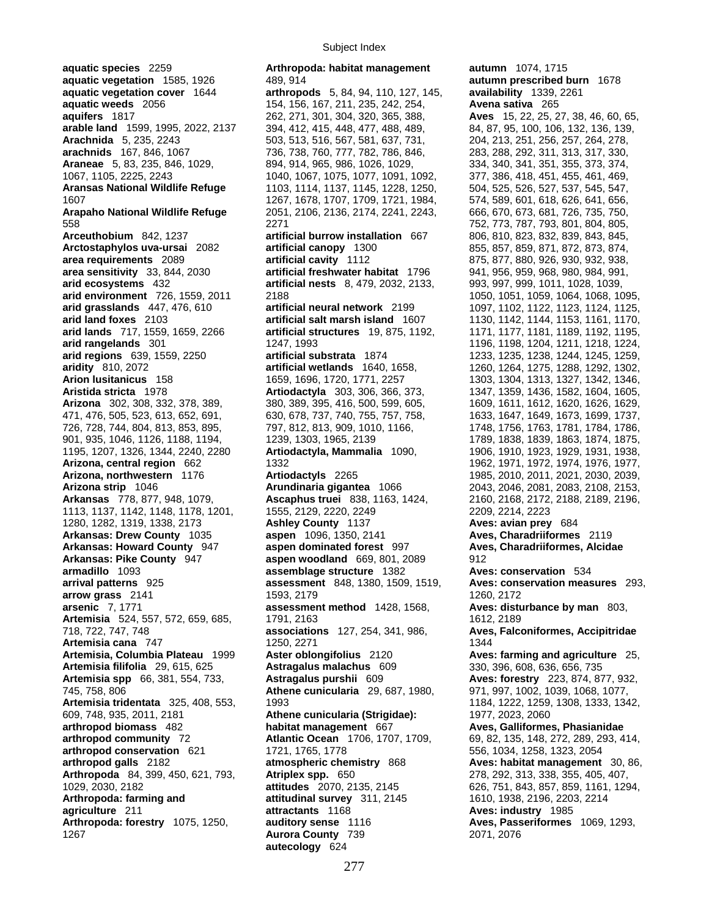**aquatic species** 2259 **Arthropoda: habitat management autumn** 1074, 1715 **aquatic vegetation** 1585, 1926 489, 914 **autumn prescribed burn** 1678 **aquatic vegetation cover** 1644 **arthropods** 5, 84, 94, 110, 127, 145, **availability** 1339, 2261 **aquatic weeds** 2056 154, 156, 167, 211, 235, 242, 254, **Avena sativa** 265 **aquifers** 1817 262, 271, 301, 304, 320, 365, 388, **Aves** 15, 22, 25, 27, 38, 46, 60, 65, **arable land** 1599, 1995, 2022, 2137 394, 412, 415, 448, 477, 488, 489, 84, 87, 95, 100, 106, 132, 136, 139, **Arachnida** 5, 235, 2243 503, 513, 516, 567, 581, 637, 731, 204, 213, 251, 256, 257, 264, 278, **arachnids** 167, 846, 1067 736, 738, 760, 777, 782, 786, 846, 283, 288, 292, 311, 313, 317, 330, **Araneae** 5, 83, 235, 846, 1029, 894, 914, 965, 986, 1026, 1029, 334, 340, 341, 351, 355, 373, 374, 1067, 1105, 2225, 2243 1040, 1067, 1075, 1077, 1091, 1092, 377, 386, 418, 451, 455, 461, 469, **Aransas National Wildlife Refuge** 1103, 1114, 1137, 1145, 1228, 1250, 504, 525, 526, 527, 537, 545, 547, 1607 1267, 1678, 1707, 1709, 1721, 1984, 574, 589, 601, 618, 626, 641, 656, **Arapaho National Wildlife Refuge** 2051, 2106, 2136, 2174, 2241, 2243, 666, 670, 673, 681, 726, 735, 750, 558 2271 752, 773, 787, 793, 801, 804, 805, **Arceuthobium** 842, 1237 **artificial burrow installation** 667 806, 810, 823, 832, 839, 843, 845, **Arctostaphylos uva-ursai** 2082 **artificial canopy** 1300 855, 857, 859, 871, 872, 873, 874, **area requirements** 2089 **artificial cavity** 1112 875, 877, 880, 926, 930, 932, 938, **area sensitivity** 33, 844, 2030 **artificial freshwater habitat** 1796 941, 956, 959, 968, 980, 984, 991, **arid ecosystems** 432 **artificial nests** 8, 479, 2032, 2133, 993, 997, 999, 1011, 1028, 1039, **arid environment** 726, 1559, 2011 2188 1095, 2010 2018 1050, 1051, 1050, 1051, 1059, 1064, 1068, 1095, **arid grasslands** 447, 476, 610 **artificial neural network** 2199 1097, 1102, 1122, 1123, 1124, 1125, **arid land foxes** 2103 **artificial salt marsh island** 1607 1130, 1142, 1144, 1153, 1161, 1170, **arid lands** 717, 1559, 1659, 2266 **artificial structures** 19, 875, 1192, 1171, 1177, 1181, 1189, 1192, 1195, **arid rangelands** 301 1247, 1993 1196, 1198, 1204, 1211, 1218, 1224, **arid regions** 639, 1559, 2250 **artificial substrata** 1874 1233, 1235, 1238, 1244, 1245, 1259, **aridity** 810, 2072 **artificial wetlands** 1640, 1658, 1260, 1264, 1275, 1288, 1292, 1302, **Arion lusitanicus** 158 1659, 1696, 1720, 1771, 2257 1303, 1304, 1313, 1327, 1342, 1346, **Aristida stricta** 1978 **Artiodactyla** 303, 306, 366, 373, 1347, 1359, 1436, 1582, 1604, 1605, **Arizona** 302, 308, 332, 378, 389, 380, 389, 395, 416, 500, 599, 605, 1609, 1611, 1612, 1620, 1626, 1629, 471, 476, 505, 523, 613, 652, 691, 630, 678, 737, 740, 755, 757, 758, 1633, 1647, 1649, 1673, 1699, 1737, 726, 728, 744, 804, 813, 853, 895, 797, 812, 813, 909, 1010, 1166, 1748, 1756, 1763, 1781, 1784, 1786, 901, 935, 1046, 1126, 1188, 1194, 1239, 1303, 1965, 2139 1789, 1838, 1839, 1863, 1874, 1875, 1195, 1207, 1326, 1344, 2240, 2280 **Artiodactyla, Mammalia** 1090, 1906, 1910, 1923, 1929, 1931, 1938, **Arizona, central region** 662 1332 1962, 1971, 1972, 1974, 1976, 1977, **Arizona, northwestern** 1176 **Artiodactyls** 2265 1985, 2010, 2011, 2021, 2030, 2039, **Arizona strip** 1046 **Arundinaria gigantea** 1066 2043, 2046, 2081, 2083, 2108, 2153, **Arkansas** 778, 877, 948, 1079, **Ascaphus truei** 838, 1163, 1424, 2160, 2168, 2172, 2188, 2189, 2196, 1113, 1137, 1142, 1148, 1178, 1201, 1555, 2129, 2220, 2249 2209, 2214, 2223 1280, 1282, 1319, 1338, 2173 **Ashley County** 1137 **Aves: avian prey** 684 **Arkansas: Drew County** 1035 **aspen** 1096, 1350, 2141 **Aves, Charadriiformes** 2119 **Arkansas: Howard County** 947 **aspen dominated forest** 997 **Aves, Charadriiformes, Alcidae Arkansas: Pike County** 947 **aspen woodland** 669, 801, 2089 912 **armadillo** 1093 **assemblage structure** 1382 **Aves: conservation** 534 **arrival patterns** 925 **assessment** 848, 1380, 1509, 1519, **Aves: conservation measures** 293, **arrow grass** 2141 1593, 2179 1260, 2172 **arsenic** 7, 1771 **assessment method** 1428, 1568, **Aves: disturbance by man** 803, **Artemisia** 524, 557, 572, 659, 685, 1791, 2163 1612, 1791, 2163 718, 722, 747, 748 **associations** 127, 254, 341, 986, **Aves, Falconiformes, Accipitridae Artemisia cana** 747 1250, 2271 **Artemisia, Columbia Plateau** 1999 **Aster oblongifolius** 2120 **Aves: farming and agriculture** 25, **Artemisia filifolia** 29, 615, 625 **Astragalus malachus** 609 330, 396, 608, 636, 656, 735 **Artemisia spp** 66, 381, 554, 733, **Astragalus purshii** 609 **Aves: forestry** 223, 874, 877, 932, 745, 758, 806 **Athene cunicularia** 29, 687, 1980, 971, 997, 1002, 1039, 1068, 1077, **Artemisia tridentata** 325, 408, 553, 1993 1847**; 1993 1184, 1222, 1259, 1308, 1333, 1342, 1977**, 2023, 2060<br>609, 748, 935, 2011, 2181 **Athene cunicularia (Strigidae):** 1977, 2023, 2060 609, 748, 935, 2011, 2181 **Athene cunicularia (Strigidae):** 1977, 2023, 2060 **arthropod biomass** 482 **habitat management** 667 **Aves, Galliformes, Phasianidae arthropod community** 72 **Atlantic Ocean** 1706, 1707, 1709, 69, 82, 135, 148, 272, 289, 293, 414, **arthropod conservation** 621 1721, 1765, 1778 556, 1034, 1258, 1323, 2054 **arthropod galls** 2182 **atmospheric chemistry** 868 **Aves: habitat management** 30, 86, **Arthropoda** 84, 399, 450, 621, 793, **Atriplex spp.** 650 278, 292, 313, 338, 355, 405, 407, 1029, 2030, 2182 **attitudes** 2070, 2135, 2145 626, 751, 843, 857, 859, 1161, 1294, **Arthropoda: farming and attitudinal survey** 311, 2145 1610, 1938, 2196, 2203, 2214 **agriculture** 211 **attractants** 1168 **Aves: industry** 1985 **Arthropoda: forestry** 1075, 1250, **auditory sense** 1116 **Aves, Passeriformes** 1069, 1293,

1267 **Aurora County** 739 2071, 2076 **autecology** 624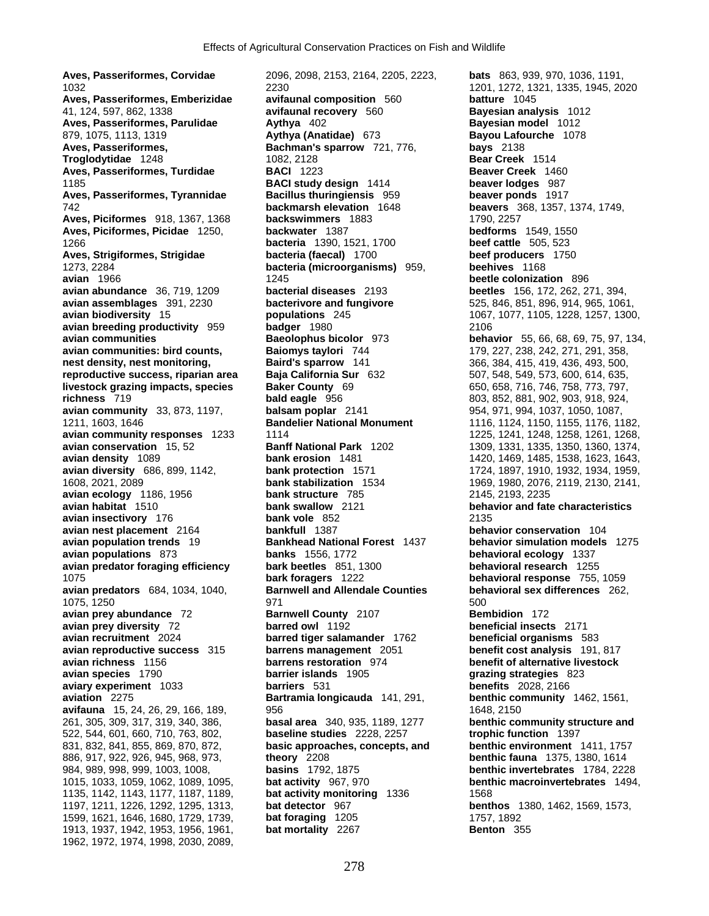**Aves, Passeriformes, Corvidae** 2096, 2098, 2153, 2164, 2205, 2223, **bats** 863, 939, 970, 1036, 1191, 1032 2230 1201, 1272, 1321, 1335, 1945, 2020 **Aves, Passeriformes, Emberizidae avifaunal composition** 560 **batture** 1045 **Aves, Passeriformes, Parulidae Aythya** 402 **Bayesian model** 1012 879, 1075, 1113, 1319 **Aythya (Anatidae)** 673 **Bayou Lafourche** 1078 **Aves, Passeriformes, Bachman's sparrow** 721, 776, **bays** 2138 **Troglodytidae** 1248 1082, 2128 **Bear Creek** 1514 **Aves, Passeriformes, Turdidae BACI** 1223 **Beaver Creek** 1460 1185 **BACI study design** 1414 **beaver lodges** 987 **Aves, Passeriformes, Tyrannidae Bacillus thuringiensis** 959 **beaver ponds** 1917 742 **backmarsh elevation** 1648 **beavers** 368, 1357, 1374, 1749, **Aves, Piciformes** 918, 1367, 1368 **backswimmers** 1883 1790, 2257 **Aves, Piciformes, Picidae** 1250, **backwater** 1387 1266 **bacteria** 1390, 1521, 1700 **beef cattle** 505, 523 **Aves, Strigiformes, Strigidae bacteria (faecal)** 1700 **beef producers** 1750 1273, 2284 **bacteria (microorganisms)** 959, **beehives** 1168 **avian abundance** 36, 719, 1209 **bacterial diseases** 2193 **beetles** 156, 172, 262, 271, 394, **avian assemblages** 391, 2230 **bacterivore and fungivore** 525, 846, 851, 896, 914, 965, 1061, **avian biodiversity** 15 **populations** 245 1067, 1077, 1105, 1228, 1257, 1300, **avian breeding productivity** 959 **badger** 1980 2106 **avian communities Baeolophus bicolor** 973 **behavior** 55, 66, 68, 69, 75, 97, 134, **avian communities: bird counts, Baiomys taylori** 744 179, 227, 238, 242, 271, 291, 358, **nest density, nest monitoring, Baird's sparrow** 141 366, 384, 415, 419, 436, 493, 500, **reproductive success, riparian area Baja California Sur** 632 507, 548, 549, 573, 600, 614, 635, **livestock grazing impacts, species Baker County** 69 650, 658, 716, 746, 758, 773, 797, 797, **richness** 719 **bald eagle** 956 803, 852, 881, 902, 903, 918, 924, 801, 902, 903, 818, 924, 801, 902, 903, 918, 924, 803, 818, 924, 1037, 1050, 1087, **avian community** 33, 873, 1197, **balsam poplar** 2141 954, 971, 994, 1037, 1050, 1087, 1211, 1603, 1646 **Bandelier National Monument** 1116, 1124, 1150, 1155, 1176, 1182, **avian conservation** 15, 52 **Banff National Park** 1202 1309, 1331, 1335, 1350, 1360, 1374, **avian density** 1089 **bank erosion** 1481 1420, 1469, 1485, 1538, 1623, 1643, **avian diversity** 686, 899, 1142, **bank protection** 1571 1724, 1897, 1910, 1932, 1934, 1959, 1608, 2021, 2089 **bank stabilization** 1534 1969, 1980, 2076, 2119, 2130, 2141, **avian ecology** 1186, 1956 **bank structure** 785 2145, 2193, 2235 **avian habitat** 1510 **behavior and fate avian insectivory** 176 **bank vole** 852 2135 **avian nest placement** 2164 **bankfull** 1387 **behavior conservation** 104 **avian population trends** 19 **Bankhead National Forest** 1437 **behavior simulation models** 1275 **avian populations** 873 **banks** 1556, 1772 **behavioral ecology** 1337 **avian predator foraging efficiency bark beetles** 851, 1300 **behavioral research** 1255 1075 **bark foragers** 1222 **behavioral response** 755, 1059 **avian predators** 684, 1034, 1040, 1075, 1250 971 500 **avian prey abundance** 72 **Barnwell County** 2107 **Bembidion** 172 **avian prey diversity** 72 **barred owl** 1192 **beneficial insects** 2171 **avian recruitment** 2024 **barred tiger salamander** 1762 **beneficial organisms** 583 **avian reproductive success** 315 **barrens management** 2051 **benefit cost analysis** 191, 817 **avian richness** 1156 **barrens restoration** 974 **benefit of alternative livestock avian species** 1790 **barrier islands** 1905 **grazing strategies** 823 **aviary experiment** 1033 **barriers** 531 **benefits** 2028, 2166 **aviation** 2275 **Bartramia longicauda** 141, 291, **benthic community** 1462, 1561, **avifauna** 15, 24, 26, 29, 166, 189, 956 1648, 956 261, 305, 309, 317, 319, 340, 386, **basal area** 340, 935, 1189, 1277 **benthic community structure and**  522, 544, 601, 660, 710, 763, 802, **baseline studies** 2228, 2257 **trophic function** 1397 831, 832, 841, 855, 869, 870, 872, **basic approaches, concepts, and benthic environment** 1411, 1757 886, 917, 922, 926, 945, 968, 973, **theory** 2208 **benthic fauna** 1375, 1380, 1614 984, 989, 998, 999, 1003, 1008, **basins** 1792, 1875 **benthic invertebrates** 1784, 2228 1015, 1033, 1059, 1062, 1089, 1095, **bat activity** 967, 970 **benthic macroinvertebrates** 1494, 1135, 1142, 1143, 1177, 1187, 1189, **bat activity monitoring** 1336 1568 1197, 1211, 1226, 1292, 1295, 1313, **bat detector** 967 **benthos** 1380, 1462, 1569, 1573, 1599, 1621, 1646, 1680, 1729, 1739, **bat foraging** 1205 1757, 1892 1913, 1937, 1942, 1953, 1956, 1961, **bat mortality** 2267 **Benton** 355 1962, 1972, 1974, 1998, 2030, 2089,

41, 124, 597, 862, 1338 **avifaunal recovery** 560 **Bayesian analysis** 1012 **avian** 1966 1245 **beetle colonization** 896 **avian habitat** 1510 **bank swallow** 2121 **behavior and fate characteristics**

**avian community responses** 1233 1114 1225, 1241, 1248, 1258, 1261, 1268,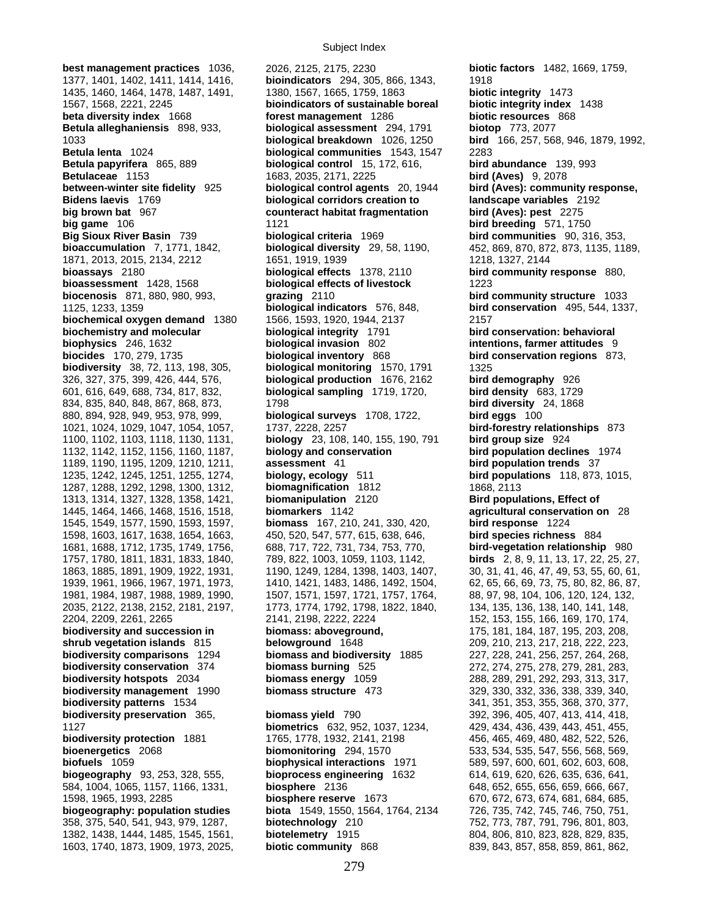1603, 1740, 1873, 1909, 1973, 2025, **biotic community** 868 839, 843, 857, 858, 859, 861, 862,

**best management practices** 1036, 2026, 2125, 2175, 2230 **biotic factors** 1482, 1669, 1759, 1377, 1401, 1402, 1411, 1414, 1416, **bioindicators** 294, 305, 866, 1343, 1918 1435, 1460, 1464, 1478, 1487, 1491, 1380, 1567, 1665, 1759, 1863 **biotic integrity** 1473 1567, 1568, 2221, 2245 **bioindicators of sustainable boreal biotic integrity index** 1438 **beta diversity index** 1668 **forest management** 1286 **biotic resources** 868 **Betula alleghaniensis** 898, 933, **biological assessment** 294, 1791 **biotop** 773, 2077 1033 **biological breakdown** 1026, 1250 **bird** 166, 257, 568, 946, 1879, 1992, **Betula lenta** 1024 **biological communities** 1543, 1547 2283 **Betula papyrifera** 865, 889 **biological control** 15, 172, 616, **bird abundance** 139, 993 **Betulaceae** 1153 1683, 2035, 2171, 2225 **bird (Aves)** 9, 2078 **between-winter site fidelity** 925 **biological control agents** 20, 1944 **bird (Aves): community response, Bidens laevis** 1769 **biological corridors creation to landscape variables** 2192 **big brown bat** 967 **counteract habitat fragmentation bird (Aves): pest** 2275 **big game** 106 **bird breeding** 571, 1750 **Big Sioux River Basin** 739 **biological criteria** 1969 **bird communities** 90, 316, 353, **bioaccumulation** 7, 1771, 1842, **biological diversity** 29, 58, 1190, 452, 869, 870, 872, 873, 1135, 1189, 1871, 2013, 2015, 2134, 2212 1651, 1919, 1939 1218, 1327, 2144 **bioassays** 2180 **biological effects** 1378, 2110 **bird community response** 880, **bioassessment** 1428, 1568 **biological effects of livestock** 1223 **biocenosis** 871, 880, 980, 993, **grazing** 2110 **bird community structure** 1033 1125, 1233, 1359 **biological indicators** 576, 848, **bird conservation** 495, 544, 1337, **biochemical oxygen demand** 1380 1566, 1593, 1920, 1944, 2137 2157 **biochemistry and molecular biological integrity** 1791 **bird conservation: behavioral biophysics** 246, 1632 **biological invasion** 802 **intentions, farmer attitudes** 9 **biocides** 170, 279, 1735 **biological inventory** 868 **bird conservation regions** 873, **biodiversity** 38, 72, 113, 198, 305, **biological monitoring** 1570, 1791 1325 326, 327, 375, 399, 426, 444, 576, **biological production** 1676, 2162 **bird demography** 926 601, 616, 649, 688, 734, 817, 832, **biological sampling** 1719, 1720, **bird density** 683, 1729 834, 835, 840, 848, 867, 868, 873, 1798 **bird diversity** 24, 1868 880, 894, 928, 949, 953, 978, 999, **biological surveys** 1708, 1722, **bird eggs** 100 1021, 1024, 1029, 1047, 1054, 1057, 1737, 2228, 2257 **bird-forestry relationships** 873 1100, 1102, 1103, 1118, 1130, 1131, **biology** 23, 108, 140, 155, 190, 791 **bird group size** 924 1132, 1142, 1152, 1156, 1160, 1187, **biology and conservation bird population declines** 1974 1189, 1190, 1195, 1209, 1210, 1211, **assessment** 41 **bird population trends** 37 1235, 1242, 1245, 1251, 1255, 1274, **biology, ecology** 511 **bird populations** 118, 873, 1015, 1287, 1288, 1292, 1298, 1300, 1312, **biomagnification** 1812 1868, 2113 1313, 1314, 1327, 1328, 1358, 1421, **biomanipulation** 2120 **Bird populations, Effect of**  1445, 1464, 1466, 1468, 1516, 1518, **biomarkers** 1142 **agricultural conservation on** 28 1545, 1549, 1577, 1590, 1593, 1597, **biomass** 167, 210, 241, 330, 420, **bird response** 1224 1598, 1603, 1617, 1638, 1654, 1663, 450, 520, 547, 577, 615, 638, 646, **bird species richness** 884 1681, 1688, 1712, 1735, 1749, 1756, 688, 717, 722, 731, 734, 753, 770, **bird-vegetation relationship** 980 1757, 1780, 1811, 1831, 1833, 1840, 789, 822, 1003, 1059, 1103, 1142, **birds** 2, 8, 9, 11, 13, 17, 22, 25, 27, 1863, 1885, 1891, 1909, 1922, 1931, 1190, 1249, 1284, 1398, 1403, 1407, 30, 31, 41, 46, 47, 49, 53, 55, 60, 61, 1939, 1961, 1966, 1967, 1971, 1973, 1410, 1421, 1483, 1486, 1492, 1504, 62, 65, 66, 69, 73, 75, 80, 82, 86, 87, 1981, 1984, 1987, 1988, 1989, 1990, 1507, 1571, 1597, 1721, 1757, 1764, 88, 97, 98, 104, 106, 120, 124, 132, 2035, 2122, 2138, 2152, 2181, 2197, 1773, 1774, 1792, 1798, 1822, 1840, 134, 135, 136, 138, 140, 141, 148, 2204, 2209, 2261, 2265 2141, 2198, 2222, 2224 152, 153, 155, 166, 169, 170, 174, **biodiversity and succession in biomass: aboveground,** 175, 181, 184, 187, 195, 203, 208, **shrub vegetation islands** 815 **belowground** 1648 209, 210, 213, 217, 218, 222, 223, **biodiversity comparisons** 1294 **biomass and biodiversity** 1885 227, 228, 241, 256, 257, 264, 268, **biodiversity conservation** 374 **biomass burning** 525 272, 274, 275, 278, 279, 281, 283, **biodiversity hotspots** 2034 **biomass energy** 1059 288, 289, 291, 292, 293, 313, 317, **biodiversity management** 1990 **biomass structure** 473 329, 330, 332, 336, 338, 339, 340, **biodiversity patterns** 1534 341, 351, 353, 355, 368, 370, 377, **biodiversity preservation** 365, **biomass yield** 790 392, 396, 405, 407, 413, 414, 418, 1127 **biometrics** 632, 952, 1037, 1234, 429, 434, 436, 439, 443, 451, 455, **biodiversity protection** 1881 1765, 1778, 1932, 2141, 2198 456, 465, 469, 480, 482, 522, 526, **bioenergetics** 2068 **biomonitoring** 294, 1570 533, 534, 535, 547, 556, 568, 569, **biofuels** 1059 **biophysical interactions** 1971 589, 597, 600, 601, 602, 603, 608, **biogeography** 93, 253, 328, 555, **bioprocess engineering** 1632 614, 619, 620, 626, 635, 636, 641, 584, 1004, 1065, 1157, 1166, 1331, **biosphere** 2136 648, 652, 655, 656, 659, 666, 667, 1598, 1965, 1993, 2285 **biosphere reserve** 1673 670, 672, 673, 674, 681, 684, 685, **biogeography: population studies biota** 1549, 1550, 1564, 1764, 2134 726, 735, 742, 745, 746, 750, 751, 358, 375, 540, 541, 943, 979, 1287, **biotechnology** 210 752, 773, 787, 791, 796, 801, 803, 1382, 1438, 1444, 1485, 1545, 1561, **biotelemetry** 1915 804, 806, 810, 823, 828, 829, 835,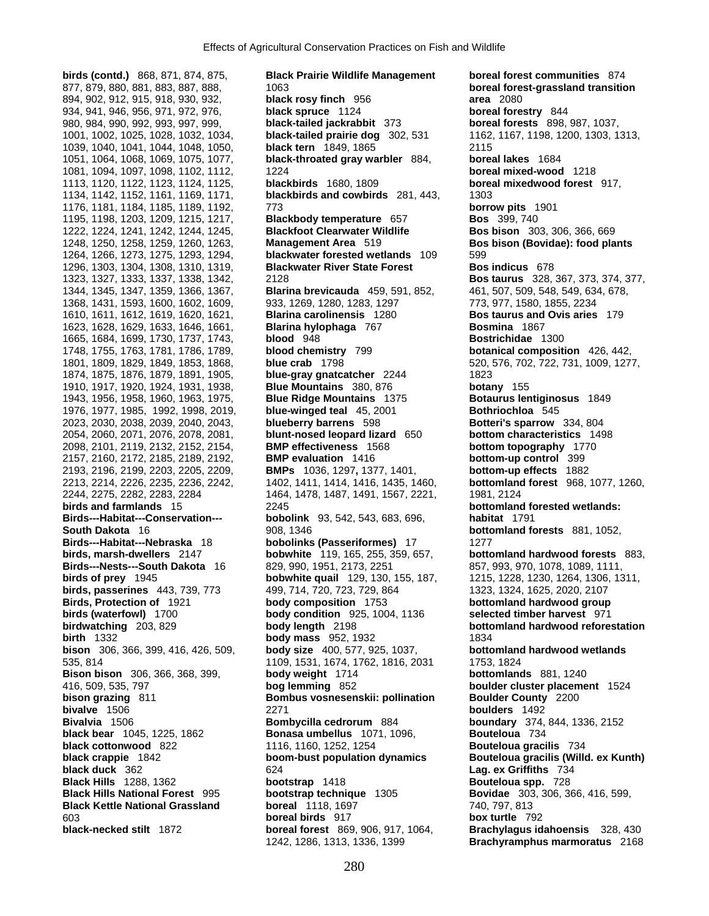2157, 2160, 2172, 2185, 2189, 2192, **BMP evaluation** 1416 **bottom-up control** 399 **black bear** 1045, 1225, 1862 **Bonasa umbellus** 1071, 1096,

**birds (contd.)** 868, 871, 874, 875, **Black Prairie Wildlife Management boreal forest communities** 874 877, 879, 880, 881, 883, 887, 888, 1063 **boreal forest-grassland transition**  894, 902, 912, 915, 918, 930, 932, **black rosy finch** 956 **area** 2080 934, 941, 946, 956, 971, 972, 976, **black spruce** 1124 **boreal forestry** 844 980, 984, 990, 992, 993, 997, 999, **black-tailed jackrabbit** 373 **boreal forests** 898, 987, 1037, 1001, 1002, 1025, 1028, 1032, 1034, **black-tailed prairie dog** 302, 531 1162, 1167, 1198, 1200, 1303, 1313, 1039, 1040, 1041, 1044, 1048, 1050, **black tern** 1849, 1865 2115 1051, 1064, 1068, 1069, 1075, 1077, **black-throated gray warbler** 884, **boreal lakes** 1684 1081, 1094, 1097, 1098, 1102, 1112, 1224 **boreal mixed-wood** 1218 1113, 1120, 1122, 1123, 1124, 1125, **blackbirds** 1680, 1809 **boreal mixedwood forest** 917, 1134, 1142, 1152, 1161, 1169, 1171, **blackbirds and cowbirds** 281, 443, 1303 1176, 1181, 1184, 1185, 1189, 1192, 773 **borrow pits** 1901 1195, 1198, 1203, 1209, 1215, 1217, **Blackbody temperature** 657 **Bos** 399, 740 1222, 1224, 1241, 1242, 1244, 1245, **Blackfoot Clearwater Wildlife Bos bison** 303, 306, 366, 669 1248, 1250, 1258, 1259, 1260, 1263, **Management Area** 519 **Bos bison (Bovidae): food plants** 1264, 1266, 1273, 1275, 1293, 1294, **blackwater forested wetlands** 109 599 1296, 1303, 1304, 1308, 1310, 1319, **Blackwater River State Forest Bos indicus** 678 1323, 1327, 1333, 1337, 1338, 1342, 2128 **Bos taurus** 328, 367, 373, 374, 377, 1344, 1345, 1347, 1359, 1366, 1367, **Blarina brevicauda** 459, 591, 852, 461, 507, 509, 548, 549, 634, 678, 1368, 1431, 1593, 1600, 1602, 1609, 933, 1269, 1280, 1283, 1297 773, 977, 1580, 1855, 2234 1610, 1611, 1612, 1619, 1620, 1621, **Blarina carolinensis** 1280 **Bos taurus and Ovis aries** 179 1623, 1628, 1629, 1633, 1646, 1661, **Blarina hylophaga** 767 **Bosmina** 1867 1665, 1684, 1699, 1730, 1737, 1743, **blood** 948 **Bostrichidae** 1300 1748, 1755, 1763, 1781, 1786, 1789, **blood chemistry** 799 **botanical composition** 426, 442, 1801, 1809, 1829, 1849, 1853, 1868, **blue crab** 1798 520, 576, 702, 722, 731, 1009, 1277, 1874, 1875, 1876, 1879, 1891, 1905, **blue-gray gnatcatcher** 2244 1823 1910, 1917, 1920, 1924, 1931, 1938, **Blue Mountains** 380, 876 **botany** 155 1943, 1956, 1958, 1960, 1963, 1975, **Blue Ridge Mountains** 1375 **Botaurus lentiginosus** 1849 1976, 1977, 1985, 1992, 1998, 2019, **blue-winged teal** 45, 2001 **Bothriochloa** 545 2023, 2030, 2038, 2039, 2040, 2043, **blueberry barrens** 598 **Botteri's sparrow** 334, 804 2054, 2060, 2071, 2076, 2078, 2081, **blunt-nosed leopard lizard** 650 **bottom characteristics** 1498 2098, 2101, 2119, 2132, 2152, 2154, **BMP effectiveness** 1568 **bottom topography** 1770 2193, 2196, 2199, 2203, 2205, 2209, **BMPs** 1036, 1297**,** 1377, 1401, **bottom-up effects** 1882 2213, 2214, 2226, 2235, 2236, 2242, 1402, 1411, 1414, 1416, 1435, 1460, **bottomland forest** 968, 1077, 1260, 2244, 2275, 2282, 2283, 2284 1464, 1478, 1487, 1491, 1567, 2221, 1981, 2124 **birds and farmlands** 15 2245 **bottomland forested wetlands: Birds---Habitat---Conservation--- bobolink** 93, 542, 543, 683, 696, **habitat** 1791 **South Dakota** 16 908, 1346 **bottomland forests** 881, 1052, **Birds---Habitat---Nebraska** 18 **bobolinks (Passeriformes)** 17 1277 **birds, marsh-dwellers** 2147 **bobwhite** 119, 165, 255, 359, 657, **bottomland hardwood forests** 883, **Birds---Nests---South Dakota** 16 829, 990, 1951, 2173, 2251 857, 993, 970, 1078, 1089, 1111,<br>**birds of prey** 1945 **bobwhite quail** 129, 130, 155, 187, 1215, 1228, 1230, 1264, 1306, 13 **bobwhite quail** 129, 130, 155, 187, 1215, 1228, 1230, 1264, 1306, 1311, **birds, passerines** 443, 739, 773 499, 714, 720, 723, 729, 864 1323, 1324, 1625, 2020, 2107 **Birds, Protection of** 1921 **body composition** 1753 **bottomland hardwood group birds (waterfowl)** 1700 **body condition** 925, 1004, 1136 **selected timber harvest** 971 **birdwatching** 203, 829 **body length** 2198 **bottomland hardwood reforestation birth** 1332 **body mass** 952, 1932 1834 **bison** 306, 366, 399, 416, 426, 509, **body size** 400, 577, 925, 1037, **bottomland hardwood wetlands** 535, 814 1109, 1531, 1674, 1762, 1816, 2031 1753, 1824 **Bison bison** 306, 366, 368, 399, **body weight** 1714 **bottomlands** 881, 1240 416, 509, 535, 797 **bog lemming** 852 **boulder cluster placement** 1524 **bison grazing** 811 **Bombus vosnesenskii: pollination Boulder County** 2200 **bivalve** 1506 2271 **boulders** 1492 **Bivalvia** 1506 **Bombycilla cedrorum** 884 **boundary** 374, 844, 1336, 2152 **black cottonwood** 822 1116, 1160, 1252, 1254 **Bouteloua gracilis** 734<br> **black crappie** 1842 **boom-bust population dynamics Bouteloua gracilis (Wille black crappie** 1842 **boom-bust population dynamics Bouteloua gracilis (Willd. ex Kunth)**<br>**black duck** 362 **com-bust population dynamics black duck** 362 **black duck** 362 624 **Lag. ex Griffiths** 734 **Black Hills** 1288, 1362 **bootstrap** 1418 **Bouteloua spp.** 728 **Black Hills National Forest** 995 **bootstrap technique** 1305 **Bovidae** 303, 306, 366, 416, 599, **Black Kettle National Grassland boreal** 1118, 1697 740, 797, 813 603 **boreal birds** 917 **box turtle** 792 **black-necked stilt** 1872 **boreal forest** 869, 906, 917, 1064, **Brachylagus idahoensis** 328, 430 1242, 1286, 1313, 1336, 1399 **Brachyramphus marmoratus** 2168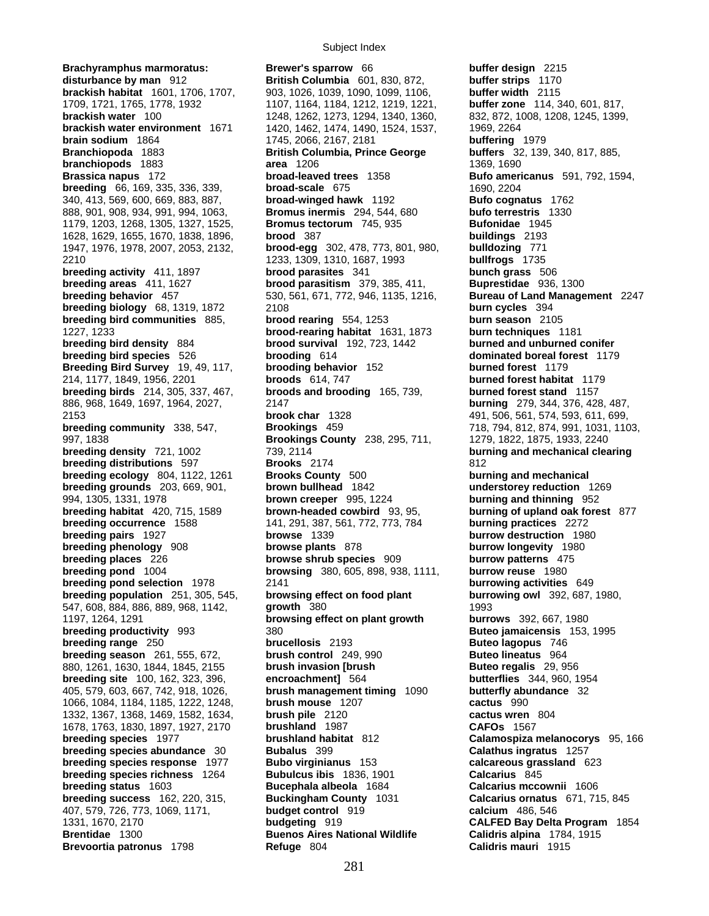**Brachyramphus marmoratus: Brewer's sparrow** 66 **buffer design** 2215 **disturbance by man** 912 **British Columbia** 601, 830, 872, **buffer strips** 1170 **disturbance by man** 912 **British Columbia** 601, 830, 872, **brackish habitat** 1601, 1706, 1707, 903, 1026, 1039, 1090, 1099, 1106, **buffer width** 2115 **brackish water** 100 1248, 1262, 1273, 1294, 1340, 1360, 832, 872, 1008, 1208, 1245, 1399, **brackish water environment** 1671 1420, 1462, 1474, 1490, 1524, 1537, 1969, 2264 **brain sodium** 1864 1745, 2066, 2167, 2181 **buffering** 1979 **Branchiopoda** 1883 **British Columbia, Prince George buffers** 32, 139, 340, 817, 885, **branchiopods** 1883 **area** 1206 1369, 1690 **Brassica napus** 172 **broad-leaved trees** 1358 **Bufo americanus** 591, 792, 1594, **breeding** 66, 169, 335, 336, 339, **broad-scale** 675 1690, 2204 340, 413, 569, 600, 669, 883, 887, **broad-winged hawk** 1192 **Bufo cognatus** 1762 888, 901, 908, 934, 991, 994, 1063, **Bromus inermis** 294, 544, 680 **bufo terrestris** 1330 1179, 1203, 1268, 1305, 1327, 1525, **Bromus tectorum** 745, 935 **Bufonidae** 1945 1628, 1629, 1655, 1670, 1838, 1896, **brood** 387 **buildings** 2193 1947, 1976, 1978, 2007, 2053, 2132, **brood-egg** 302, 478, 773, 801, 980, **bulldozing** 771 2210 1233, 1309, 1310, 1687, 1993 **bullfrogs** 1735 **breeding activity** 411, 1897 **brood parasites** 341 **bunch grass** 506 **breeding areas** 411, 1627 **brood parasitism** 379, 385, 411, **Buprestidae** 936, 1300 **breeding behavior** 457 530, 561, 671, 772, 946, 1135, 1216, **Bureau of Land Management** 2247 **breeding biology** 68, 1319, 1872 2108 **burn cycles** 394 **breeding bird communities** 885, **brood rearing** 554, 1253 **burn season** 2105 1227, 1233 **brood-rearing habitat** 1631, 1873 **burn techniques** 1181 **breeding bird density** 884 **brood survival** 192, 723, 1442 **burned and unburned conifer breeding bird species** 526 **brooding** 614 **dominated boreal forest** 1179 **Breeding Bird Survey** 19, 49, 117, **brooding behavior** 152 **burned forest** 1179 **Breeding Bird Survey** 19, 49, 117, **brooding behavior** 152 **burned forest** 1179 214, 1177, 1849, 1956, 2201 **broods** 614, 747 **burned forest habitat** 1179 **breeding birds** 214, 305, 337, 467, 886, 968, 1649, 1697, 1964, 2027, 2147 **burning** 279, 344, 376, 428, 487, **brook char** 1328 **brook char 1328** 491, 506, 561, 574, 593, 611, 699, **breeding community** 338, 547, **brookings** 459 **brookings** 459 718, 794, 812, 874, 991, 1031, 110 997, 1838 **Brookings County** 238, 295, 711, 1279, 1822, 1875, 1933, 2240 **breeding density** 721, 1002 739, 2114 **burning and mechanical clearing breeding distributions** 597 **Brooks** 2174 812 **breeding ecology** 804, 1122, 1261 **Brooks County** 500 **burning and mechanical breeding grounds** 203, 669, 901, **brown bullhead** 1842 **understorey reduction** 1269 994, 1305, 1331, 1978 **brown creeper** 995, 1224 **burning and thinning** 952 **breeding habitat** 420, 715, 1589 **brown-headed cowbird** 93, 95, **burning of upland oak forest** 877 **breeding occurrence** 1588 141, 291, 387, 561, 772, 773, 784 **burning practices** 2272<br>**browse** 1339 **browse** 1339 **burrow destruction** 198 **breeding pairs** 1927 **browse** 1339 **burrow destruction** 1980 **breeding phenology** 908 **browse plants** 878 **burrow longevity** 1980 **breeding places** 226 **browse shrub species** 909 **burrow patterns** 475<br> **browsing** 380, 605, 898, 938, 1111, **burrow reuse** 1980 **breeding pond selection** 1978 2141 **burrowing activities** 649 **breeding population** 251, 305, 545, **browsing effect on food plant burrowing owl** 392, 687, 1980, 547, 608, 884, 886, 889, 968, 1142, **growth** 380 1993 1197, 1264, 1291 **browsing effect on plant growth burrows** 392, 667, 1980 **breeding productivity** 993 380 380 **Buteo jamaicensis** 153, 1995 **breeding range** 250 **brucellosis** 2193 **Buteo lagopus** 746<br> **breeding season** 261, 555, 672, **brush control** 249, 990 **Buteo lineatus** 964 **breeding season** 261, 555, 672, **brush control** 249, 990 880, 1261, 1630, 1844, 1845, 2155 **brush invasion [brush | Buteo regalis** 29, 956<br> **breeding site** 100, 162, 323, 396, **breeding site 100, 162, 323, 396**, **beeding site 100, 162, 323, 396**, **breeding site** 100, 162, 323, 396, **encroachment]** 564 **butterflies** 344, 960, 1954 405, 579, 603, 667, 742, 918, 1026, **brush management timing** 1090 **butterfly abundance** 32 1066, 1084, 1184, 1185, 1222, 1248, **brush mouse** 1207 **cactus** 990 1332, 1367, 1368, 1469, 1582, 1634, **brush pile** 2120 **cactus wren** 804 1678, 1763, 1830, 1897, 1927, 2170 **brushland** 1987 **CAFOs** 1567 **breeding species** 1977 **brushland habitat** 812 **Calamospiza melanocorys** 95, 166 **breeding species abundance** 30 **Bubalus** 399 **Calathus ingratus** 1257 **breeding species response** 1977 **Bubo virginianus** 153 **calcareous grassland** 623 **breeding species richness** 1264 **Bubulcus ibis** 1836, 1901 **Calcarius** 845 **breeding status** 1603 **Bucephala albeola** 1684 **Calcarius mccownii** 1606 **breeding success** 162, 220, 315, **Buckingham County** 1031 **Calcarius ornatus** 671, 715, 845 407, 579, 726, 773, 1069, 1171, **budget control** 919 **calcium** 486, 546 1331, 1670, 2170 **budgeting** 919 **CALFED Bay Delta Program** 1854 **Brentidae** 1300 **Buenos Aires National Wildlife Brevoortia patronus** 1798 **Refuge** 804 **Calidris mauri** 1915

1709, 1721, 1765, 1778, 1932 1107, 1164, 1184, 1212, 1219, 1221, **buffer zone** 114, 340, 601, 817, **breeding community** 338, 547, **Brookings** 459 718, 794, 812, 874, 991, 1031, 1103, **breeding pond** 1004 **browsing** 380, 605, 898, 938, 1111, **burrow reuse** 1980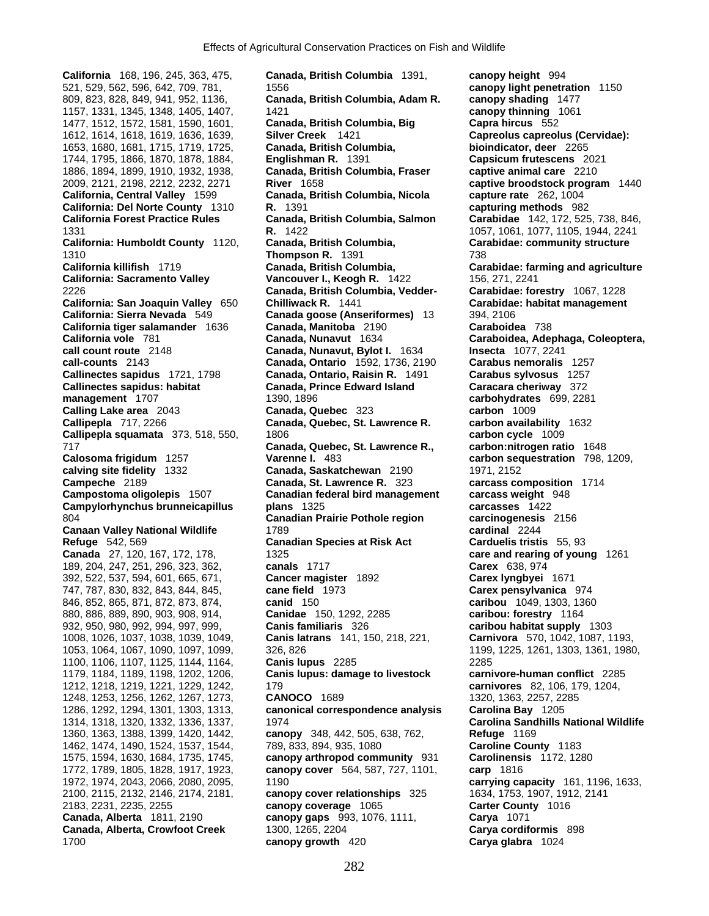**California** 168, 196, 245, 363, 475, **Canada, British Columbia** 1391, **canopy height** 994 1157, 1331, 1345, 1348, 1405, 1407, 1421 **canopy thinning** 1061 1744, 1795, 1866, 1870, 1878, 1884, **Englishman R.** 1391 **Capsicum frutescens** 2021

521, 529, 562, 596, 642, 709, 781, 1556 **canopy light penetration** 1150 809, 823, 828, 849, 941, 952, 1136, **Canada, British Columbia, Adam R. canopy shading** 1477 1477, 1512, 1572, 1581, 1590, 1601, **Canada, British Columbia, Big Capra hircus** 552 1612, 1614, 1618, 1619, 1636, 1639, **Silver Creek** 1421 **Capreolus capreolus (Cervidae):**  1653, 1680, 1681, 1715, 1719, 1725, **Canada, British Columbia, bioindicator, deer** 2265 1886, 1894, 1899, 1910, 1932, 1938, **Canada, British Columbia, Fraser captive animal care** 2210 2009, 2121, 2198, 2212, 2232, 2271 **River** 1658 **captive broodstock program** 1440 **California, Central Valley** 1599 **Canada, British Columbia, Nicola capture rate** 262, 1004 **California: Del Norte County** 1310 **R.** 1391 **capturing methods** 982 **California Forest Practice Rules Canada, British Columbia, Salmon Carabidae** 142, 172, 525, 738, 846, 1331 **R.** 1422 1057, 1061, 1077, 1105, 1944, 2241 **California: Humboldt County** 1120, **Canada, British Columbia, Carabidae: community structure** 1310 **Thompson R.** 1391 738 **California killifish** 1719 **Canada, British Columbia, Carabidae: farming and agriculture California: Sacramento Valley Vancouver I., Keogh R.** 1422 156, 271, 2241 2226 **Canada, British Columbia, Vedder- Carabidae: forestry** 1067, 1228 **California: San Joaquin Valley** 650 **Chilliwack R.** 1441 **Carabidae: habitat management California: Sierra Nevada** 549 **Canada goose (Anseriformes)** 13 394, 2106 **California tiger salamander** 1636 **Canada, Manitoba** 2190 **Caraboidea** 738 **California vole** 781 **Canada, Nunavut** 1634 **Caraboidea, Adephaga, Coleoptera, call count route** 2148 **Canada, Nunavut, Bylot I.** 1634 **Insecta** 1077, 2241 **call-counts** 2143 **Canada, Ontario** 1592, 1736, 2190 **Carabus nemoralis** 1257 **Callinectes sapidus** 1721, 1798 **Canada, Ontario, Raisin R.** 1491 **Carabus sylvosus** 1257 **Callinectes sapidus: habitat Canada, Prince Edward Island Caracara cheriway** 372 **management** 1707 1390, 1896 **carbohydrates** 699, 2281 **Calling Lake area** 2043 **Canada, Quebec** 323 **carbon** 1009 **Callipepla** 717, 2266 **Canada, Quebec, St. Lawrence R. carbon availability** 1632 **Callipepla squamata** 373, 518, 550, 1806 **carbon cycle** 1009 717 **Canada, Quebec, St. Lawrence R., carbon:nitrogen ratio** 1648 **Calosoma frigidum** 1257 **Varenne I.** 483 **carbon sequestration** 798, 1209, **calving site fidelity** 1332 **Canada, Saskatchewan** 2190 1971, 2152 **Campeche** 2189 **Canada, St. Lawrence R.** 323 **carcass composition** 1714 **Campostoma oligolepis** 1507 **Canadian federal bird management carcass weight** 948 **Campylorhynchus brunneicapillus plans** 1325 **carcasses** 1422 804 **Canadian Prairie Pothole region carcinogenesis** 2156 **Canaan Valley National Wildlife** 1789 **cardinal** 2244 **Refuge** 542, 569 **Canadian Species at Risk Act Carduelis tristis** 55, 93 **Canada 27, 1325 canada 2717 care and rearing of young** 1261 **canals** 1717 189, 204, 247, 251, 296, 323, 362, **canals** 1717 **Carex** 638, 974 392, 522, 537, 594, 601, 665, 671, **Cancer magister** 1892 **Carex lyngbyei** 1671 747, 787, 830, 832, 843, 844, 845, **cane field** 1973 **Carex pensylvanica** 974 846, 852, 865, 871, 872, 873, 874, **canid** 150 **caribou** 1049, 1303, 1360 880, 886, 889, 890, 903, 908, 914, **Canidae** 150, 1292, 2285 **caribou: forestry** 1164 932, 950, 980, 992, 994, 997, 999, **Canis familiaris** 326 **caribou habitat supply** 1303 1008, 1026, 1037, 1038, 1039, 1049, **Canis latrans** 141, 150, 218, 221, **Carnivora** 570, 1042, 1087, 1193, 1053, 1064, 1067, 1090, 1097, 1099, 326, 826 1199, 1225, 1261, 1303, 1361, 1980, 1100, 1106, 1107, 1125, 1144, 1164, **Canis lupus** 2285 2285 1179, 1184, 1189, 1198, 1202, 1206, **Canis lupus: damage to livestock carnivore-human conflict** 2285 1212, 1218, 1219, 1221, 1229, 1242, 179 **carnivores** 82, 106, 179, 1204, 1248, 1253, 1256, 1262, 1267, 1273, **CANOCO** 1689 1320, 1363, 2257, 2285 1286, 1292, 1294, 1301, 1303, 1313, **canonical correspondence analysis Carolina Bay** 1205 1314, 1318, 1320, 1332, 1336, 1337, 1974 **Carolina Sandhills National Wildlife**  1360, 1363, 1388, 1399, 1420, 1442, **canopy** 348, 442, 505, 638, 762, **Refuge** 1169 1462, 1474, 1490, 1524, 1537, 1544, 789, 833, 894, 935, 1080 **Caroline County** 1183 1575, 1594, 1630, 1684, 1735, 1745, **canopy arthropod community** 931 **Carolinensis** 1172, 1280 1772, 1789, 1805, 1828, 1917, 1923, **canopy cover** 564, 587, 727, 1101, **carp** 1816 1972, 1974, 2043, 2066, 2080, 2095, 1190 **carrying capacity** 161, 1196, 1633, 2100, 2115, 2132, 2146, 2174, 2181, **canopy cover relationships** 325 1634, 1753, 1907, 1912, 2141 2183, 2231, 2235, 2255 **canopy coverage** 1065 **Carter County** 1016 **Canada, Alberta** 1811, 2190 **canopy gaps** 993, 1076, 1111, **Carya** 1071 **Canada, Alberta, Crowfoot Creek** 1300, 1265, 2204 **Carya cordiformis** 898 1700 **canopy growth** 420 **Carya glabra** 1024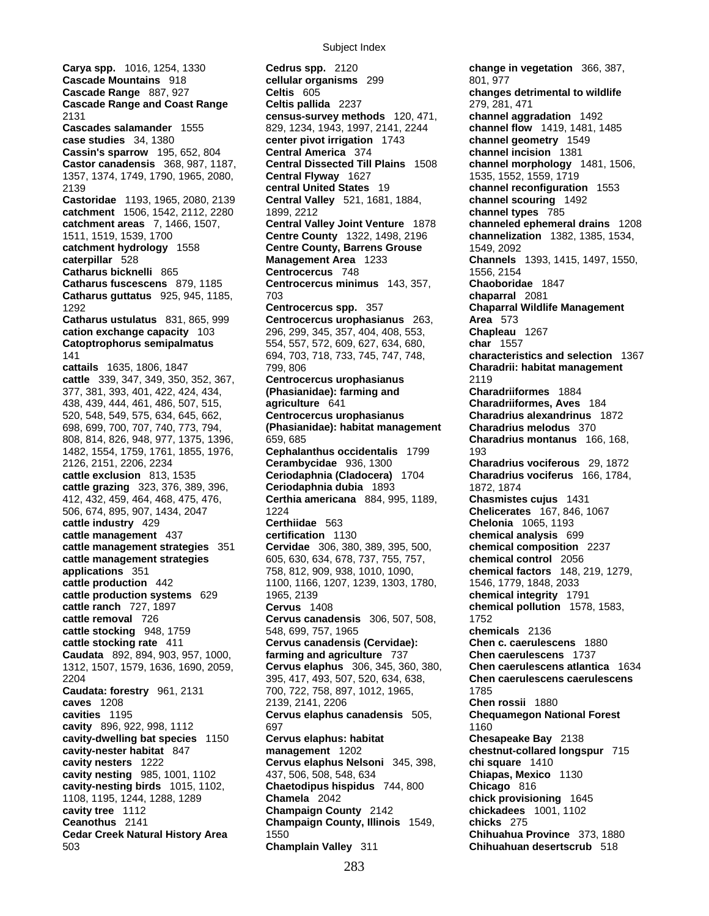**Carya spp.** 1016, 1254, 1330 **Cedrus spp.** 2120 **change in vegetation** 366, 387, **case studies** 34, 1380 **center pivot irrigation** 1743 377, 381, 393, 401, 422, 424, 434, **(Phasianidae): farming and Charadriiformes** 1884 1312, 1507, 1579, 1636, 1690, 2059, **Cervus elaphus** 306, 345, 360, 380, **Chen caerulescens atlantica** 1634

**Cascade Mountains** 918 **cellular organisms** 299 801, 977 **Cascade Range** 887, 927 **Celtis** 605 **changes detrimental to wildlife Cascade Range and Coast Range Celtis pallida** 2237 279, 281, 471 2131 **census-survey methods** 120, 471, **channel aggradation** 1492 **Cascades salamander** 1555 829, 1234, 1943, 1997, 2141, 2244 **channel flow** 1419, 1481, 1485<br> **case studies** 34, 1380 **center pivot irrigation** 1743 **channel geometry** 1549 **Cassin's sparrow** 195, 652, 804 **Central America** 374 **channel incision** 1381 **Castor canadensis** 368, 987, 1187, **Central Dissected Till Plains** 1508 **channel morphology** 1481, 1506, 1357, 1374, 1749, 1790, 1965, 2080, **Central Flyway** 1627 1535, 1552, 1559, 1719 2139 **central United States** 19 **channel reconfiguration** 1553 **Castoridae** 1193, 1965, 2080, 2139 **Central Valley** 521, 1681, 1884, **channel scouring** 1492 **catchment** 1506, 1542, 2112, 2280 1899, 2212 **channel types** 785 **catchment areas** 7, 1466, 1507, **Central Valley Joint Venture** 1878 **channeled ephemeral drains** 1208 1511, 1519, 1539, 1700 **Centre County** 1322, 1498, 2196 **channelization** 1382, 1385, 1534, **Centre County, Barrens Grouse 1549, 2092 caterpillar** 528 **Management Area** 1233 **Channels** 1393, 1415, 1497, 1550, **Catharus bicknelli** 865 **Centrocercus** 748 1556, 2154 **Catharus fuscescens** 879, 1185 **Centrocercus minimus** 143, 357, **Chaoboridae** 1847 **Catharus guttatus** 925, 945, 1185, 703 **chaparral** 2081 1292 **Centrocercus spp.** 357 **Chaparral Wildlife Management Catharus ustulatus** 831, 865, 999 **Centrocercus urophasianus** 263, **Area** 573 **cation exchange capacity** 103 296, 299, 345, 357, 404, 408, 553, **Chapleau** 1267 **Catoptrophorus semipalmatus** 554, 557, 572, 609, 627, 634, 680, **char** 1557 141 694, 703, 718, 733, 745, 747, 748, **characteristics and selection** 1367 **cattails** 1635, 1806, 1847 799, 806 **Charadrii: habitat management cattle** 339, 347, 349, 350, 352, 367, **Centrocercus urophasianus** 2119 438, 439, 444, 461, 486, 507, 515, **agriculture** 641 **Charadriiformes, Aves** 184 520, 548, 549, 575, 634, 645, 662, **Centrocercus urophasianus Charadrius alexandrinus** 1872 698, 699, 700, 707, 740, 773, 794, **(Phasianidae): habitat management Charadrius melodus** 370 808, 814, 826, 948, 977, 1375, 1396, 659, 685 **Charadrius montanus** 166, 168, 1482, 1554, 1759, 1761, 1855, 1976, **Cephalanthus occidentalis** 1799 193 2126, 2151, 2206, 2234 **Cerambycidae** 936, 1300 **Charadrius vociferous** 29, 1872 **cattle exclusion** 813, 1535 **Ceriodaphnia (Cladocera)** 1704 **Charadrius vociferus** 166, 1784, **cattle grazing** 323, 376, 389, 396, **Ceriodaphnia dubia** 1893 1872, 1874 412, 432, 459, 464, 468, 475, 476, **Certhia americana** 884, 995, 1189, **Chasmistes cujus** 1431 506, 674, 895, 907, 1434, 2047 1224 **Chelicerates** 167, 846, 1067 **cattle industry** 429 **Certhiidae** 563 **Chelonia** 1065, 1193 **cattle management** 437 **certification** 1130 **chemical analysis** 699 **cattle management strategies** 351 **Cervidae** 306, 380, 389, 395, 500, **chemical composition** 2237 **cattle management strategies** 605, 630, 634, 678, 737, 755, 757, **chemical control** 2056 **applications** 351 758, 812, 909, 938, 1010, 1090, **chemical factors** 148, 219, 1279, **cattle production** 442 1100, 1166, 1207, 1239, 1303, 1780, 1546, 1779, 1848, 2033 **cattle production systems** 629 1965, 2139 **chemical integrity** 1791 **cattle ranch** 727, 1897 **Cervus** 1408 **chemical pollution** 1578, 1583, **cattle removal** 726 **Cervus canadensis** 306, 507, 508, 1752 **cattle stocking** 948, 1759 548, 699, 757, 1965 **chemicals** 2136 **cattle stocking rate** 411 **Cervus canadensis (Cervidae): Chen c. caerulescens** 1880 **Caudata** 892, 894, 903, 957, 1000, **farming and agriculture** 737 **Chen caerulescens** 1737 2204 395, 417, 493, 507, 520, 634, 638, **Chen caerulescens caerulescens Caudata: forestry** 961, 2131 700, 722, 758, 897, 1012, 1965, 1785 **caves** 1208 2139, 2141, 2206 **Chen rossii** 1880 **cavities** 1195 **Cervus elaphus canadensis** 505, **Chequamegon National Forest cavity** 896, 922, 998, 1112 697 697 1160 **cavity-dwelling bat species** 1150 **Cervus elaphus: habitat Chesapeake Bay** 2138 **cavity-nester habitat** 847 **management** 1202 **chestnut-collared longspur** 715 **cavity nesters** 1222 **Cervus elaphus Nelsoni** 345, 398, **chi square** 1410 **cavity nesting** 985, 1001, 1102 437, 506, 508, 548, 634 **Chiapas, Mexico** 1130 **cavity-nesting birds** 1015, 1102, **Chaetodipus hispidus** 744, 800 **Chicago** 816 1108, 1195, 1244, 1288, 1289 **Chamela** 2042 **chick provisioning** 1645 **cavity tree** 1112 **Champaign County** 2142 **chickadees** 1001, 1102 **Champaign County, Illinois** 1549, **chicks** 275 **Cedar Creek Natural History Area** 1550 **Chihuahua Province** 373, 1880 503 **Champlain Valley** 311 **Chihuahuan desertscrub** 518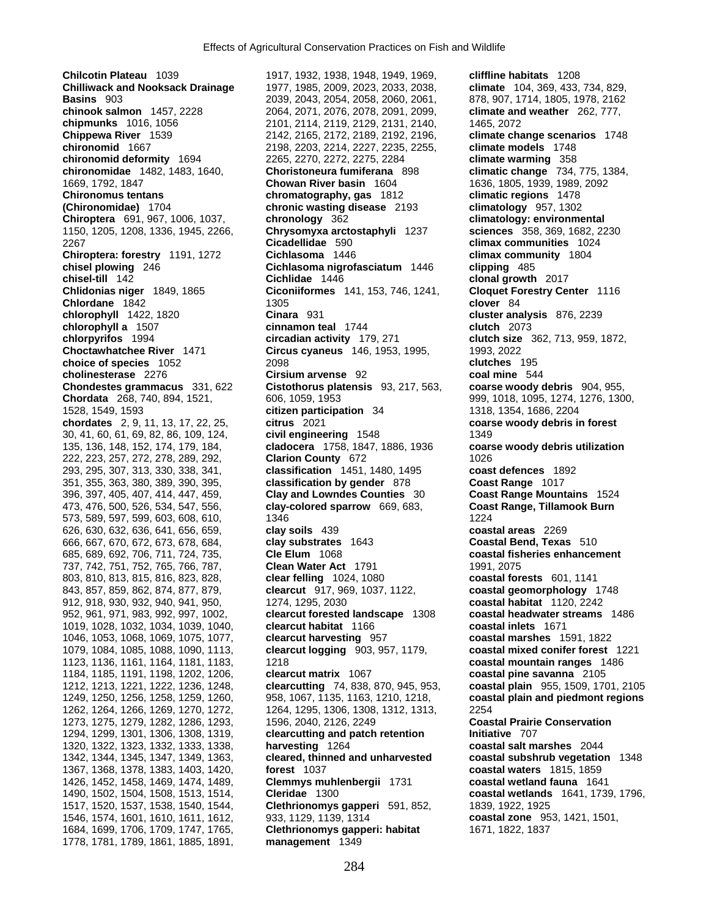**Chilcotin Plateau** 1039 1917, 1932, 1938, 1948, 1949, 1969, **cliffline habitats** 1208 **Chilliwack and Nooksack Drainage** 1977, 1985, 2009, 2023, 2033, 2038, **climate** 104, 369, 433, 734, 829, **Basins** 903 2039, 2043, 2054, 2058, 2060, 2061, 878, 907, 1714, 1805, 1978, 2162 **chinook salmon** 1457, 2228 2064, 2071, 2076, 2078, 2091, 2099, **climate and weather** 262, 777, **chipmunks** 1016, 1056 2101, 2114, 2119, 2129, 2131, 2140, 1465, 2072 **Chippewa River** 1539 2142, 2165, 2172, 2189, 2192, 2196, **climate change scenarios** 1748 **chironomid** 1667 2198, 2203, 2214, 2227, 2235, 2255, **climate models** 1748 **chironomid deformity** 1694 2265, 2270, 2272, 2275, 2284 **climate warming** 358 **chironomidae** 1482, 1483, 1640, **Choristoneura fumiferana** 898 **climatic change** 734, 775, 1384, 1669, 1792, 1847 **Chowan River basin** 1604 1636, 1805, 1939, 1989, 2092 **Chironomus tentans chromatography, gas** 1812 **climatic regions** 1478 **(Chironomidae)** 1704 **chronic wasting disease** 2193 **climatology** 957, 1302 **Chiroptera** 691, 967, 1006, 1037, **chronology** 362 **climatology: environmental**  1150, 1205, 1208, 1336, 1945, 2266, **Chrysomyxa arctostaphyli** 1237 **sciences** 358, 369, 1682, 2230 2267 **Cicadellidae** 590 **climax communities** 1024 **Chiroptera: forestry** 1191, 1272 **Cichlasoma** 1446 **climax community** 1804 **chisel plowing** 246 **Cichlasoma nigrofasciatum** 1446 **clipping** 485<br>**chisel-till** 142 **clipping Cichlidae** 1446 **clonal growth chisel-till** 142 **clonal growth** 2017<br>**Ciconiiformes** 141, 153, 746, 1241, **Cloquet Forestry Cer**<br>**Ciconiiformes** 141, 153, 746, 1241, **Cloquet Forestry Cer Chlordane** 1842 **chlordane** 1842 **chlordane** 1842 **chlordane** 1842 **chlordane** 1842 **chlorer** 1842 **chlorer** 1842 **chlorer** 1842 **chlorer** 1842 **chlorer** 1842 **chlorer** 1842 **chlorer 1842 chlorer 1842 chlorer 1842 c chlorophyll a** 1507 **cinnamon teal** 1744 **clutch** 2073 **chlorpyrifos** 1994 **circadian activity** 179, 271 **clutch size** 362, 713, 959, 1872, **Choctawhatchee River** 1471 **Circus cyaneus** 146, 1953, 1995, 1993, 2022 **choice of species** 1052 2098 **clutches** 195 **cholinesterase** 2276 **Cirsium arvense** 92 **coal mine** 544 **Chondestes grammacus** 331, 622 **Cistothorus platensis** 93, 217, 563, **coarse woody debris** 904, 955, **Chordata** 268, 740, 894, 1521, 606, 1059, 1953 999, 1018, 1095, 1274, 1276, 1300, 1528, 1549, 1593 **citizen participation** 34 1318, 1354, 1686, 2204 **chordates** 2, 9, 11, 13, 17, 22, 25, **citrus** 2021 **coarse woody debris in forest** 30, 41, 60, 61, 69, 82, 86, 109, 124, **civil engineering** 1548 1349 135, 136, 148, 152, 174, 179, 184, **cladocera** 1758, 1847, 1886, 1936 **coarse woody debris utilization** 222, 223, 257, 272, 278, 289, 292, **Clarion County** 672 1026 293, 295, 307, 313, 330, 338, 341, **classification** 1451, 1480, 1495 **coast defences** 1892 351, 355, 363, 380, 389, 390, 395, **classification by gender** 878 **Coast Range** 1017 396, 397, 405, 407, 414, 447, 459, **Clay and Lowndes Counties** 30 **Coast Range Mountains** 1524 473, 476, 500, 526, 534, 547, 556, **clay-colored sparrow** 669, 683, **Coast Range, Tillamook Burn** 573, 589, 597, 599, 603, 608, 610, 1346 1224 626, 630, 632, 636, 641, 656, 659, **clay soils** 439 **coastal areas** 2269 666, 667, 670, 672, 673, 678, 684, **clay substrates** 1643 **Coastal Bend, Texas** 510 685, 689, 692, 706, 711, 724, 735, **Cle Elum** 1068 **coastal fisheries enhancement** 737, 742, 751, 752, 765, 766, 787, **Clean Water Act** 1791 1991, 2075 803, 810, 813, 815, 816, 823, 828, **clear felling** 1024, 1080 **coastal forests** 601, 1141 843, 857, 859, 862, 874, 877, 879, **clearcut** 917, 969, 1037, 1122, **coastal geomorphology** 1748 912, 918, 930, 932, 940, 941, 950, 1274, 1295, 2030 **coastal habitat** 1120, 2242 952, 961, 971, 983, 992, 997, 1002, **clearcut forested landscape** 1308 **coastal headwater streams** 1486 1019, 1028, 1032, 1034, 1039, 1040, **clearcut habitat** 1166 **coastal inlets** 1671 1046, 1053, 1068, 1069, 1075, 1077, **clearcut harvesting** 957 **coastal marshes** 1591, 1822 1079, 1084, 1085, 1088, 1090, 1113, **clearcut logging** 903, 957, 1179, **coastal mixed conifer forest** 1221 1123, 1136, 1161, 1164, 1181, 1183, 1218 **coastal mountain ranges** 1486 1184, 1185, 1191, 1198, 1202, 1206, **clearcut matrix** 1067 **coastal pine savanna** 2105 1212, 1213, 1221, 1222, 1236, 1248, **clearcutting** 74, 838, 870, 945, 953, **coastal plain** 955, 1509, 1701, 2105 1249, 1250, 1256, 1258, 1259, 1260, 958, 1067, 1135, 1163, 1210, 1218, **coastal plain and piedmont regions** 1273, 1275, 1279, 1282, 1286, 1293, 1596, 2040, 2126, 2249 **Coastal Prairie Conservation**  1294, 1299, 1301, 1306, 1308, 1319, **clearcutting and patch retention initiative** 707<br>1320, 1322, 1323, 1332, 1333, 1338, **harvesting** 1264 1320, 1322, 1323, 1332, 1333, 1338, **harvesting** 1264 **coastal salt marshes** 2044 1342, 1344, 1345, 1347, 1349, 1363, **cleared, thinned and unharvested coastal subshrub vegetation** 1348 1367, 1368, 1378, 1383, 1403, 1420, **forest** 1037 **coastal waters** 1815, 1859 1426, 1452, 1458, 1469, 1474, 1489, **Clemmys muhlenbergii** 1731 **coastal wetland fauna** 1641 1490, 1502, 1504, 1508, 1513, 1514, **Cleridae** 1300 **coastal wetlands** 1641, 1739, 1796, 1517, 1520, 1537, 1538, 1540, 1544, **Clethrionomys gapperi** 591, 852, 1839, 1922, 1925 1546, 1574, 1601, 1610, 1611, 1612, 933, 1129, 1139, 1314 **coastal zone** 953, 1421, 1501, 1684, 1699, 1706, 1709, 1747, 1765, **Clethrionomys gapperi: habitat** 1671, 1822, 1837 1778, 1781, 1789, 1861, 1885, 1891, **management** 1349

**Chlidonias niger** 1849, 1865 **Ciconiiformes** 141, 153, 746, 1241, **Cloquet Forestry Center** 1116 **Cinara** 931 **cluster analysis** 876, 2239 1264, 1295, 1306, 1308, 1312, 1313, 2254<br>1596, 2040, 2126, 2249 **Coas**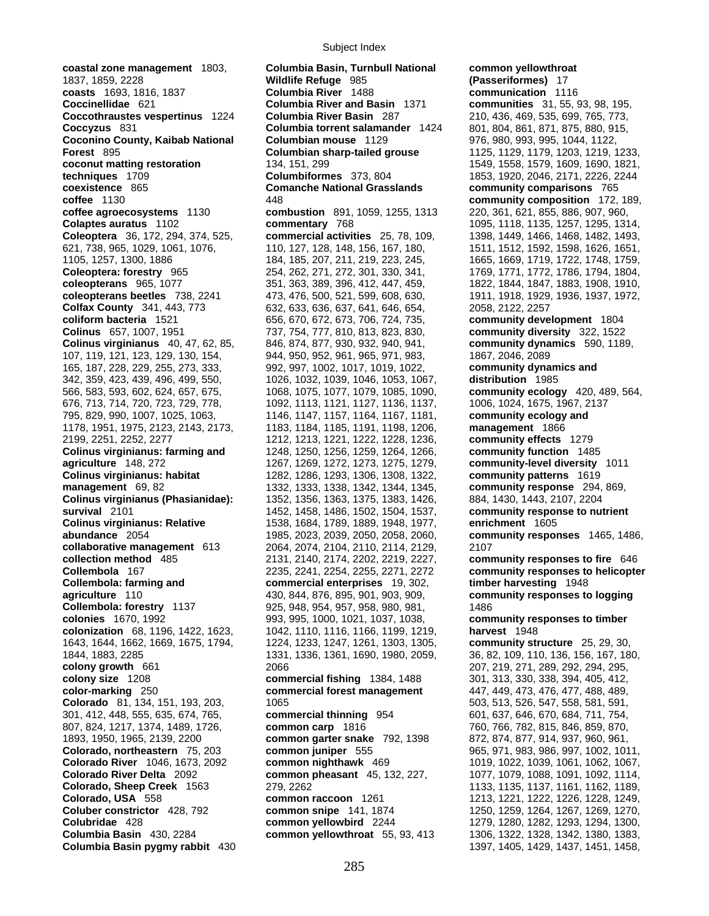1837, 1859, 2228 **Wildlife Refuge** 985 **(Passeriformes)** 17 **coasts** 1693, 1816, 1837 **Columbia River** 1488 **Coccinellidae** 621 **Columbia River and Basin** 1371 **communities** 31, 55, 93, 98, 195, **Coccothraustes vespertinus** 1224 **Columbia River Basin** 287 210, 436, 469, 535, 699, 765, 773, **Coccyzus** 831 **Columbia torrent salamander** 1424 801, 804, 861, 871, 875, 880, 915, **Coconino County, Kaibab National Columbian mouse** 1129 976, 980, 993, 995, 1044, 1122, **Forest** 895 **Columbian sharp-tailed grouse** 1125, 1129, 1179, 1203, 1219, 1233, **coconut matting restoration** 134, 151, 299 1549, 1549, 1558, 1579, 1609, 1690, 1821, **techniques** 1709 **Columbiformes** 373, 804 1853, 1920, 2046, 2171, 2226, 2244 **coexistence** 865 **Comanche National Grasslands community comparisons** 765 **coffee** 1130 448 **community composition** 172, 189, **coffee agroecosystems** 1130 **combustion** 891, 1059, 1255, 1313 220, 361, 621, 855, 886, 907, 960, **Colaptes auratus** 1102 **commentary** 768 1095, 1118, 1135, 1257, 1295, 1314, **Coleoptera** 36, 172, 294, 374, 525, **commercial activities** 25, 78, 109, 1398, 1449, 1466, 1468, 1482, 1493, 621, 738, 965, 1029, 1061, 1076, 110, 127, 128, 148, 156, 167, 180, 1511, 1512, 1592, 1598, 1626, 1651, 1105, 1257, 1300, 1886 184, 185, 207, 211, 219, 223, 245, 1665, 1669, 1719, 1722, 1748, 1759, **Coleoptera: forestry** 965 254, 262, 271, 272, 301, 330, 341, 1769, 1771, 1772, 1786, 1794, 1804, **coleopterans** 965, 1077 351, 363, 389, 396, 412, 447, 459, 1822, 1844, 1847, 1883, 1908, 1910, **coleopterans beetles** 738, 2241 473, 476, 500, 521, 599, 608, 630, 1911, 1918, 1929, 1936, 1937, 1972, **Colfax County** 341, 443, 773 632, 633, 636, 637, 641, 646, 654, 2058, 2122, 2257 **coliform bacteria** 1521 656, 670, 672, 673, 706, 724, 735, **community development** 1804 **Colinus** 657, 1007, 1951 737, 754, 777, 810, 813, 823, 830, **community diversity** 322, 1522 **Colinus virginianus** 40, 47, 62, 85, 846, 874, 877, 930, 932, 940, 941, **community dynamics** 590, 1189, 107, 119, 121, 123, 129, 130, 154, 944, 950, 952, 961, 965, 971, 983, 1867, 2046, 2089 165, 187, 228, 229, 255, 273, 333, 992, 997, 1002, 1017, 1019, 1022, **community dynamics and**  342, 359, 423, 439, 496, 499, 550, 1026, 1032, 1039, 1046, 1053, 1067, **distribution** 1985 566, 583, 593, 602, 624, 657, 675, 1068, 1075, 1077, 1079, 1085, 1090, **community ecology** 420, 489, 564, 676, 713, 714, 720, 723, 729, 778, 1092, 1113, 1121, 1127, 1136, 1137, 1006, 1024, 1675, 1967, 2137 795, 829, 990, 1007, 1025, 1063, 1146, 1147, 1157, 1164, 1167, 1181, **community ecology and**  1178, 1951, 1975, 2123, 2143, 2173, 1183, 1184, 1185, 1191, 1198, 1206, **management** 1866 2199, 2251, 2252, 2277 1212, 1213, 1221, 1222, 1228, 1236, **community effects** 1279 **Colinus virginianus: farming and** 1248, 1250, 1256, 1259, 1264, 1266, **community function** 1485 **agriculture** 148, 272 1267, 1269, 1272, 1273, 1275, 1279, **community-level diversity** 1011 **Colinus virginianus: habitat** 1282, 1286, 1293, 1306, 1308, 1322, **community patterns** 1619 **management** 69, 82 1332, 1333, 1338, 1342, 1344, 1345, **community response** 294, 869, **Colinus virginianus (Phasianidae):** 1352, 1356, 1363, 1375, 1383, 1426, 884, 1430, 1443, 2107, 2204 **survival** 2101 1452, 1458, 1486, 1502, 1504, 1537, **community response to nutrient Colinus virginianus: Relative 1538, 1684, 1789, 1889, 1948, 1977, abundance** 2054 1985, 2023, 2039, 2050, 2058, 2060, **community responses** 1465, 1486, **collaborative management** 613 2064, 2074, 2104, 2110, 2114, 2129, 2107 **collection method** 485 2131, 2140, 2174, 2202, 2219, 2227, **community responses to fire** 646 **Collembola** 167 2235, 2241, 2254, 2255, 2271, 2272 **community responses to helicopter Collembola: farming and commercial enterprises** 19, 302, **timber harvesting** 1948 **agriculture** 110 430, 844, 876, 895, 901, 903, 909, **community responses to logging Collembola: forestry** 1137 925, 948, 954, 957, 958, 980, 981, 1486 **colonies** 1670, 1992 993, 995, 1000, 1021, 1037, 1038, **community responses to timber colonization** 68, 1196, 1422, 1623, 1042, 1110, 1116, 1166, 1199, 1219, **harvest** 1948 1643, 1644, 1662, 1669, 1675, 1794, 1224, 1233, 1247, 1261, 1303, 1305, **community structure** 25, 29, 30, **colony growth** 661 2066 207, 219, 271, 289, 292, 294, 295, **colony size** 1208 **commercial fishing** 1384, 1488 301, 313, 330, 338, 394, 405, 412, **color-marking** 250 **commercial forest management** 447, 449, 473, 476, 477, 488, 489, **Colorado** 81, 134, 151, 193, 203, 1065 503, 503, 513, 526, 547, 558, 581, 591, 591, 301, 412, 448, 555, 635, 674, 765, **commercial thinning** 954 601, 637, 646, 670, 684, 711, 754, 807, 824, 1217, 1374, 1489, 1726, **common carp** 1816 760, 766, 782, 815, 846, 859, 870, 1893, 1950, 1965, 2139, 2200 **common garter snake** 792, 1398 872, 874, 877, 914, 937, 960, 961, **Colorado, northeastern** 75, 203 **common juniper** 555 965, 971, 983, 986, 997, 1002, 1011, **Colorado River** 1046, 1673, 2092 **common nighthawk** 469 1019, 1022, 1039, 1061, 1062, 1067, **Colorado River Delta** 2092 **common pheasant** 45, 132, 227, 1077, 1079, 1088, 1091, 1092, 1114, **Colorado, Sheep Creek** 1563 279, 2262 1133, 1135, 1137, 1161, 1162, 1189, **Colorado, USA** 558 **common raccoon** 1261 1213, 1221, 1222, 1226, 1228, 1249, **Coluber constrictor** 428, 792 **common snipe** 141, 1874 1250, 1259, 1264, 1267, 1269, 1270, **Colubridae** 428 **common yellowbird** 2244 1279, 1280, 1282, 1293, 1294, 1300, **Columbia Basin** 430, 2284 **common yellowthroat** 55, 93, 413 1306, 1322, 1328, 1342, 1380, 1383,

**coastal zone management** 1803, **Columbia Basin, Turnbull National common yellowthroat**  1844, 1883, 2285 1331, 1336, 1361, 1690, 1980, 2059, 36, 82, 109, 110, 136, 156, 167, 180, **color-marking** 250 **commercial forest management** 447, 449, 473, 476, 477, 488, 489,

**Columbia Basin pygmy rabbit** 430 1397, 1405, 1429, 1437, 1451, 1458,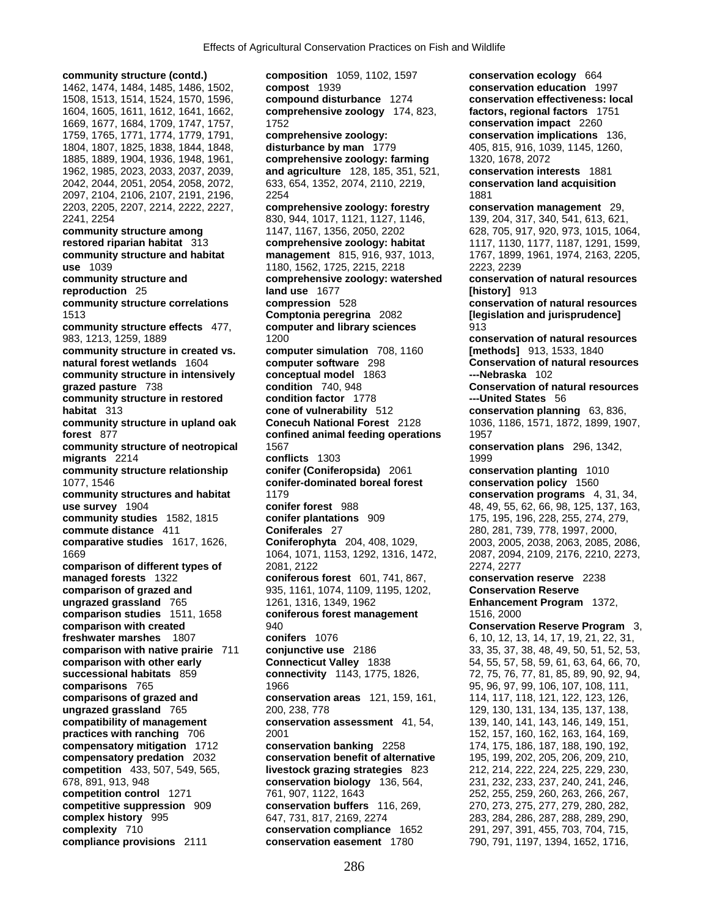**community structure (contd.) composition** 1059, 1102, 1597 **conservation ecology** 664

1462, 1474, 1484, 1485, 1486, 1502, **compost** 1939 **conservation education** 1997 1508, 1513, 1514, 1524, 1570, 1596, **compound disturbance** 1274 **conservation effectiveness: local**  1604, 1605, 1611, 1612, 1641, 1662, **comprehensive zoology** 174, 823, **factors, regional factors** 1751 1669, 1677, 1684, 1709, 1747, 1757, 1752 **conservation impact** 2260 1759, 1765, 1771, 1774, 1779, 1791, **comprehensive zoology: conservation implications** 136, 1804, 1807, 1825, 1838, 1844, 1848, **disturbance by man** 1779 405, 815, 916, 1039, 1145, 1260, 1885, 1889, 1904, 1936, 1948, 1961, **comprehensive zoology: farming** 1320, 1678, 2072 1962, 1985, 2023, 2033, 2037, 2039, **and agriculture** 128, 185, 351, 521, **conservation interests** 1881 2042, 2044, 2051, 2054, 2058, 2072, 633, 654, 1352, 2074, 2110, 2219, **conservation land acquisition** 2097, 2104, 2106, 2107, 2191, 2196, 2254 1881 2203, 2205, 2207, 2214, 2222, 2227, **comprehensive zoology: forestry conservation management** 29, 2241, 2254 830, 944, 1017, 1121, 1127, 1146, 139, 204, 317, 340, 541, 613, 621, **community structure among 1147, 1167, 1167, 1356, 2050, 2202** 628, 705, 917, 920, 973, 1015, 1064, **restored riparian habitat** 313 **comprehensive zoology: habitat** 1117, 1130, 1177, 1187, 1291, 1599, **community structure and habitat management** 815, 916, 937, 1013, 1767, 1899, 1961, 1974, 2163, 2205, **use** 1039 **1180, 1562, 1725, 2215, 2218 2223, 2239 community structure and comprehensive zoology: watershed conservation of natural resources reproduction** 25 **land use** 1677 **[history]** 913 **community structure correlations compression** 528 **conservation of natural resources**  1513 **Comptonia peregrina** 2082 **[legislation and jurisprudence] community structure effects** 477, **computer and library sciences** 913 983, 1213, 1259, 1889 1200 **conservation of natural resources community structure in created vs. computer simulation** 708, 1160 **[methods]** 913, 1533, 1840 **natural forest wetlands** 1604 **computer software** 298 **Conservation of natural resources community structure in intensively conceptual model** 1863 **---Nebraska** 102 **grazed pasture** 738 **condition** 740, 948 **Conservation of natural resources community structure in restored condition factor** 1778 **---United States** 56 **habitat** 313 **cone of vulnerability** 512 **conservation planning** 63, 836, **community structure in upland oak Conecuh National Forest** 2128 1036, 1186, 1571, 1872, 1899, 1907, **forest** 877 **confined animal feeding operations** 1957 **community structure of neotropical** 1567 **conservation plans** 296, 1342, **migrants** 2214 **conflicts** 1303 1999 **community structure relationship conifer (Coniferopsida)** 2061 **conservation planting** 1010 1077, 1546 **conifer-dominated boreal forest conservation policy** 1560 **community structures and habitat** 1179 **conservation programs** 4, 31, 34, **use survey** 1904 **conifer forest** 988 48, 49, 55, 62, 66, 98, 125, 137, 163, 49, 55, 62, 66, 98, 125, 137, 163, **community studies** 1582, 1815 **conifer plantations** 909 175, 195, 196, 228, 255, 274, 279, **commute distance** 411 **Coniferales** 27 280, 281, 739, 778, 1997, 2000, **comparative studies** 1617, 1626, **Coniferophyta** 204, 408, 1029, 2003, 2005, 2038, 2063, 2085, 2086, 1669 1064, 1071, 1153, 1292, 1316, 1472, 2087, 2094, 2109, 2176, 2210, 2273, **comparison of different types of 2081, 2122 2274, 2274, 2277 managed forests** 1322 **coniferous forest** 601, 741, 867, **conservation reserve** 2238 **comparison of grazed and** 935, 1161, 1074, 1109, 1195, 1202, **Conservation Reserve ungrazed grassland** 765 1261, 1316, 1349, 1962 **Enhancement Program** 1372, **comparison studies** 1511, 1658 **coniferous forest management** 1516, 2000 **comparison with created 100 minutes and 940 comparison Reserve Program** 3, **Conservation Reserve Program** 3, **freshwater marshes** 1807 **conifers** 1076 6, 10, 12, 13, 14, 17, 19, 21, 22, 31, **comparison with native prairie** 711 **conjunctive use** 2186 33, 35, 37, 38, 48, 49, 50, 51, 52, 53, **comparison with other early Connecticut Valley** 1838 54, 55, 57, 58, 59, 61, 63, 64, 66, 70, **successional habitats** 859 **connectivity** 1143, 1775, 1826, 72, 75, 76, 77, 81, 85, 89, 90, 92, 94, **comparisons** 765 1966 1966 1966 1966 1966 1967 1966 197, 99, 99, 99, 99, 106, 107, 108, 111, **comparisons of grazed and conservation areas** 121, 159, 161, 114, 117, 118, 121, 122, 123, 126, **ungrazed grassland** 765 200, 238, 778 129, 130, 131, 134, 135, 137, 138, 137, 138, **compatibility of management conservation assessment** 41, 54, 139, 140, 141, 143, 146, 149, 151, **practices with ranching** 706 2001 2001 2001 2001 2005 2005 2006 2007 152, 167, 160, 162, 163, 164, 169, 2006 20<br>**conservation banking** 2258 2074, 175, 186, 187, 188, 190, 192, **compensatory mitigation** 1712 **conservation banking** 2258 174, 175, 186, 187, 188, 190, 192, **compensatory predation** 2032 **conservation benefit of alternative** 195, 199, 202, 205, 206, 209, 210, **competition** 433, 507, 549, 565, **livestock grazing strategies** 823 212, 214, 222, 224, 225, 229, 230, 678, 891, 913, 948 **conservation biology** 136, 564, 231, 232, 233, 237, 240, 241, 246, **competition control** 1271 761, 907, 1122, 1643 252, 255, 259, 260, 263, 266, 267, **competitive suppression** 909 **conservation buffers** 116, 269, 270, 273, 275, 277, 279, 280, 282, **complex history** 995 647, 731, 817, 2169, 2274 283, 284, 286, 287, 288, 289, 290, **complexity** 710 **conservation compliance** 1652 291, 297, 391, 455, 703, 704, 715, **compliance provisions** 2111 **conservation easement** 1780 790, 791, 1197, 1394, 1652, 1716,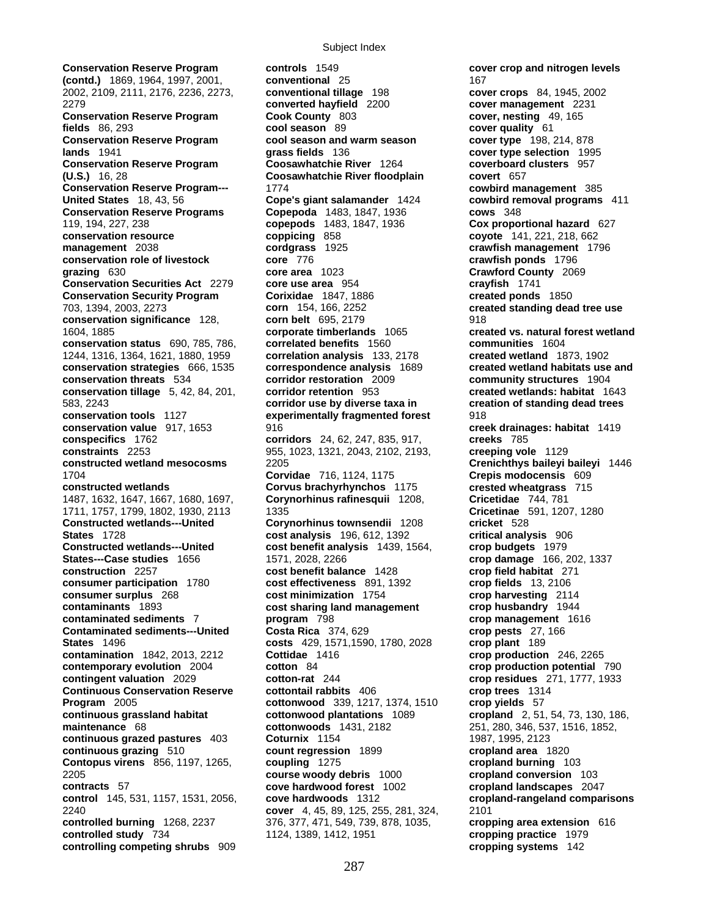**(contd.)** 1869, 1964, 1997, 2001, **conventional** 25 **167 167 1681**<br>2002. 2109. 2111. 2176. 2236. 2273. **conventional tillage** 198 **cov** 2002, 2109, 2111, 2176, 2236, 2273, **conventional tillage** 198 **cover crops** 84, 1945, 2002 2279 **converted hayfield** 2200 **cover management** 2231 **Conservation Reserve Program Cook County** 803 **cover, nesting** 49, 165 **fields** 86, 293 **cool season** 89 **cover quality** 61 **Conservation Reserve Program cool season and warm season cover type** 198, 214, 878 **lands** 1941 **grass fields** 136 **cover type selection** 1995 **Conservation Reserve Program Coosawhatchie River** 1264 **(U.S.)** 16, 28 **Coosawhatchie River floodplain covert** 657 **Conservation Reserve Program---** 1774 **cowbird management** 385 **United States** 18, 43, 56 **Cope's giant salamander** 1424 **cowbird removal programs** 411 **Conservation Reserve Programs Copepoda** 1483, 1847, 1936 **cows** 348 119, 194, 227, 238 **copepods** 1483, 1847, 1936 **Cox proportional hazard** 627 **conservation resource coppicing** 858 **coyote** 141, 221, 218, 662 **management** 2038 **cordgrass** 1925 **crawfish management** 1796 **conservation role of livestock core** 776 **crawfish ponds** 1796 **grazing** 630 **core area** 1023 **Crawford County** 2069 **Conservation Securities Act** 2279 **core use area** 954 **crayfish** 1741 **Conservation Security Program Corixidae** 1847, 1886 **created ponds** 1850 703, 1394, 2003, 2273 **corn** 154, 166, 2252 **created standing dead tree use conservation significance** 128, **corn belt** 695, 2179 918 1604, 1885 **corporate timberlands** 1065 **created vs. natural forest wetland conservation status** 690, 785, 786, **correlated benefits** 1560 **communities** 1604 1244, 1316, 1364, 1621, 1880, 1959 **correlation analysis** 133, 2178<br>**conservation strategies** 666, 1535 **correspondence analysis** 1689 **conservation strategies** 666, 1535 **correspondence analysis** 1689 **created wetland habitats use and conservation threats** 534 **corridor restoration** 2009 **community structures** 1904 **conservation tillage** 5, 42, 84, 201, **corridor retention** 953 **created wetlands: habitat** 1643 583, 2243 **corridor use by diverse taxa in creation of standing dead trees conservation tools** 1127 **experimentally fragmented forest** 918 **conservation value** 917, 1653 916 917 916 **creek drainages: habitat** 1419 **conspecifics** 1762 **corridors** 24, 62, 247, 835, 917, **creeks** 785 **constraints** 2253 955, 1023, 1321, 2043, 2102, 2193, **creeping vole** 1129 **constructed wetland mesocosms** 2205 **Crenichthys baileyi baileyi** 1446 1704 **Corvidae** 716, 1124, 1175 **Crepis modocensis** 609 **constructed wetlands Corvus brachyrhynchos** 1175 **crested wheatgrass** 715 1487, 1632, 1647, 1667, 1680, 1697, **Corynorhinus rafinesquii** 1208, **Cricetidae** 744, 781 1711, 1757, 1799, 1802, 1930, 2113 1335 **Constructed wetlands---United Corynorhinus townsendii** 1208 **cricket** 528 **States** 1728 **cost analysis** 196, 612, 1392 **critical analysis** 906 **States---Case studies** 1656 **1571, 2028, 2266** 1428 **crop damage** 166, 202, 1337 **construction** 2257 **construction** 2257 **construction** 2257 **cost benefit balance** 1428 **consumer participation** 1780 **cost effectiveness** 891, 1392 **crop fields** 13, 2106 **consumer surplus** 268 **cost minimization** 1754 **crop harvesting** 2114 **contaminants** 1893 **cost sharing land management crop husbandry** 1944 **contaminated sediments 7 program** 798 **crop management** 1616<br> **Contaminated sediments---United Costa Rica** 374, 629 **crop pests** 27, 166 **Contaminated sediments---United Costa Rica** 374, 629 **States** 1496 **costs** 429, 1571,1590, 1780, 2028 **crop plant** 189 **contamination** 1842, 2013, 2212 **Cottidae** 1416 **contamination** 246, 2265<br>**contemporary evolution** 2004 **cotton** 84 **contamination crop production potential contingent valuation** 2029 **cotton-rat** 244 **crop residues** 271, 1777, 1933 **Continuous Conservation Reserve cottontail rabbits** 406 **crop trees** 1314 **Program** 2005 **cottonwood** 339, 1217, 1374, 1510 **crop yields** 57 **continuous grassland habitat cottonwood plantations** 1089 **cropland** 2, 51, 54, 73, 130, 186, **maintenance** 68 **cottonwoods** 1431, 2182 251, 280, 346, 537, 1516, 1852, **continuous grazed pastures** 403 **Coturnix** 1154 1987, 1997, 1995, 2123 **continuous grazing** 510 **count regression** 1899 **cropland area** 1820 **Contopus virens** 856, 1197, 1265, **coupling** 1275 **cropland burning** 103 2205 **course woody debris** 1000 **cropland conversion** 103 **contracts** 57 **cove hardwood forest** 1002 **cropland landscapes** 2047 **control** 145, 531, 1157, 1531, 2056, **cove hardwoods** 1312 **cropland-rangeland comparisons** 2240 **cover** 4, 45, 89, 125, 255, 281, 324, 2101 **controlled burning** 1268, 2237 376, 377, 471, 549, 739, 878, 1035, **cropping area extension** 616 **controlled study** 734 1124, 1389, 1412, 1951 **cropping practice** 1979 **controlling competing shrubs** 909 **cropping systems** 142

**Conservation Reserve Program controls** 1549 **cover crop and nitrogen levels cost benefit analysis** 1439, 1564, **crop budgets** 1979 **cotton** 84 **crop production potential** 790<br>**cotton-rat** 244 **crop residues** 271, 1777, 1933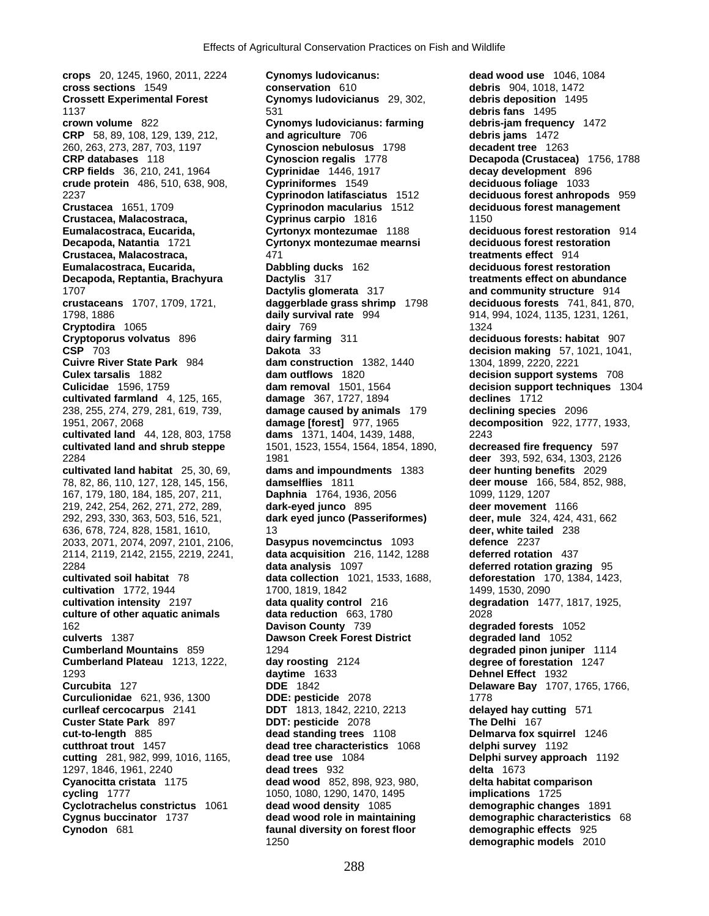**crops** 20, 1245, 1960, 2011, 2224 **Cynomys ludovicanus: dead wood use** 1046, 1084 **cross sections** 1549 **conservation** 610 **debris** 904, 1018, 1472 **Crossett Experimental Forest Cynomys ludovicianus** 29, 302, **debris deposition** 1495 1137 531 **debris fans** 1495 **CRP** 58, 89, 108, 129, 139, 212, **and agriculture** 706 **debris jams** 1472 260, 263, 273, 287, 703, 1197 **Cynoscion nebulosus** 1798 **decadent tree** 1263 **CRP databases** 118 **Cynoscion regalis** 1778 **Decapoda (Crustacea)** 1756, 1788 **CRP fields** 36, 210, 241, 1964 **crude protein** 486, 510, 638, 908, **Cypriniformes** 1549 **deciduous foliage** 1033 2237 **Cyprinodon latifasciatus** 1512 **deciduous forest anhropods** 959 **Crustacea** 1651, 1709 **Cyprinodon macularius** 1512 **deciduous forest management Crustacea, Malacostraca, Cyprinus carpio** 1816 1150 **Eumalacostraca, Eucarida, Cyrtonyx montezumae** 1188 **deciduous forest restoration** 914 **Decapoda, Natantia** 1721 **Cyrtonyx montezumae mearnsi** deciduous forest restoration **Crustacea** Malacostraca. 471 **Crustacea, Malacostraca,** 471 **treatments effect** 914 **Eumalacostraca, Eucarida, Communisty Eumalacostraca, Eucarida, Communisty Communisty Formation Communisty Formation** *Dactylis* **317 Decapoda, Reptantia, Brachyura Dactylis** 317 **treatments effect on abundance Dactylis glomerata** 317 **https://www.pracklandiance.community structure** 914 1707 **Dactylis glomerata** 317 **and community structure** 914 **crustaceans** 1707, 1709, 1721, **daggerblade grass shrimp** 1798 **deciduous forests** 741, 841, 870, 1798, 1886 **daily survival rate** 994 914, 994, 1024, 1135, 1231, 1261, **Cryptodira** 1065 **dairy** 769 1324 **Cryptoporus volvatus** 896 **dairy farming** 311 **deciduous forests: habitat** 907 **CSP** 703 **Dakota** 33 **decision making** 57, 1021, 1041, **Cuivre River State Park** 984 **dam construction** 1382, 1440 1304, 1899, 2220, 2221 **Culex tarsalis** 1882 **dam outflows** 1820 **decision support systems** 708 **Culicidae** 1596, 1759 **dam removal** 1501, 1564 **decision support techniques** 1304 **cultivated farmland** 4, 125, 165, **damage** 367, 1727, 1894 **declines** 1712 238, 255, 274, 279, 281, 619, 739, **damage caused by animals** 179 **declining species** 2096 1951, 2067, 2068 **damage [forest]** 977, 1965 **decomposition** 922, 1777, 1933, **cultivated land** 44, 128, 803, 1758 **dams** 1371, 1404, 1439, 1488, 2243 **cultivated land and shrub steppe** 1501, 1523, 1554, 1564, 1854, 1890, 2284 1981 **deer** 393, 592, 634, 1303, 2126 **cultivated land habitat** 25, 30, 69, **dams and impoundments** 1383 **deer hunting benefits** 2029 78, 82, 86, 110, 127, 128, 145, 156, **damselflies** 1811 **deer mouse** 166, 584, 852, 988, 167, 179, 180, 184, 185, 207, 211, **Daphnia** 1764, 1936, 2056 1099, 1129, 1207 219, 242, 254, 262, 271, 272, 289, **dark-eyed junco** 895 **deer movement** 1166 292, 293, 330, 363, 503, 516, 521, **dark eyed junco (Passeriformes) deer, mule** 324, 424, 431, 662 636, 678, 724, 828, 1581, 1610, 13 **deer, white tailed** 238 2033, 2071, 2074, 2097, 2101, 2106, **Dasypus novemcinctus** 1093 **defence** 2237 2114, 2119, 2142, 2155, 2219, 2241, **data acquisition** 216, 1142, 1288 **deferred rotation** 437 2284 **data analysis** 1097 **deferred rotation grazing** 95 **cultivated soil habitat** 78 **data collection** 1021, 1533, 1688, **cultivation** 1772, 1944 1700, 1819, 1842 1499, 1530, 2090 **cultivation intensity** 2197 **data quality control** 216 **degradation** 1477, 1817, 1925, **culture of other aquatic animals data reduction** 663, 1780 2028 162 **Davison County** 739 **degraded forests** 1052 **culverts** 1387 **Dawson Creek Forest District degraded land** 1052 **Cumberland Mountains** 859 1294 **degraded pinon juniper** 1114 **Cumberland Plateau** 1213, 1222, **day roosting** 2124 **degree of forestation** 1247 1293 **daytime** 1633 **Dehnel Effect** 1932 **Curculionidae** 621, 936, 1300 **DDE: pesticide** 2078 1778 **curlleaf cercocarpus** 2141 **DDT** 1813, 1842, 2210, 2213 **delayed hay cutting** 571 **Custer State Park** 897 **DDT: pesticide** 2078 **cut-to-length** 885 **dead standing trees** 1108 **Delmarva fox squirrel** 1246 **cutthroat trout** 1457 **dead tree characteristics** 1068 **delphi survey** 1192 **cutting** 281, 982, 999, 1016, 1165, **dead tree use** 1084 **Delphi survey approach** 1192 1297, 1846, 1961, 2240 **dead trees** 932 **delta** 1673 **Cyanocitta cristata** 1175 **dead wood** 852, 898, 923, 980, **delta habitat comparison cycling** 1777 1050, 1080, 1290, 1470, 1495 **implications** 1725 **Cyclotrachelus constrictus** 1061 **dead wood density** 1085 **demographic changes** 1891 **Cygnus buccinator** 1737 **dead wood role in maintaining demographic characteristics** 68 **Cynodon** 681 **faunal diversity on forest floor demographic effects** 925

**Cynomys ludovicianus: farming debris-jam frequency** 1472<br> **and agriculture** 706 **complement debris jams** 1472 **Curcubita** 127 **DDE** 1842 **Delaware Bay** 1707, 1765, 1766, 1250 **demographic models** 2010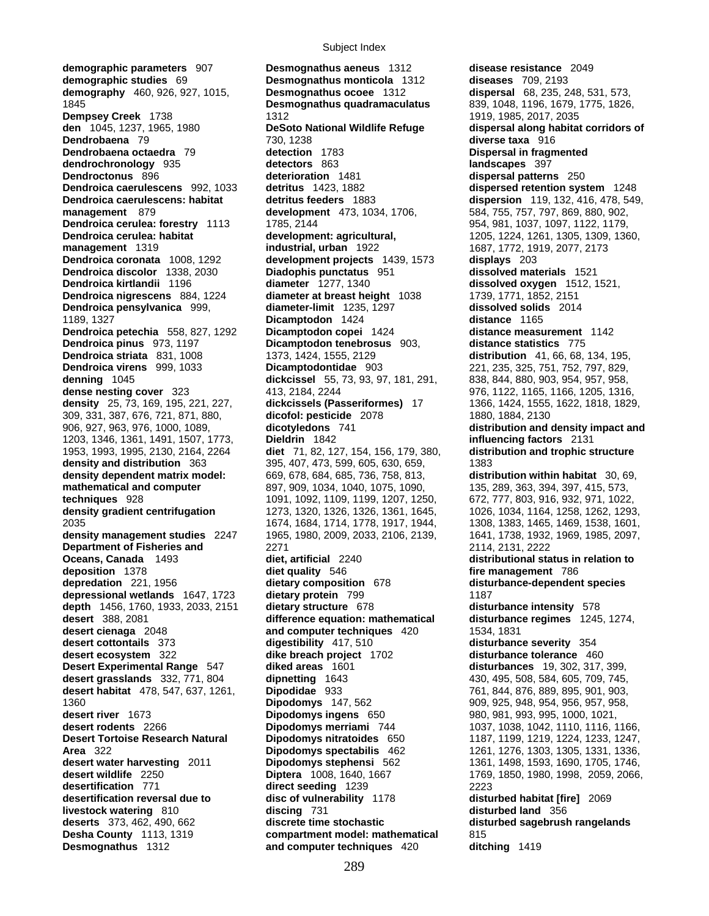**demographic studies** 69 **Desmognathus monticola** 1312 **diseases** 709, 2193 **demography** 460, 926, 927, 1015, 1845 **Desmognathus quadramaculatus** 839, 1048, 1196, 1679, 1775, 1826, **Dempsey Creek** 1738 1312 1919, 1985, 2017, 2035 **den** 1045, 1237, 1965, 1980 **DeSoto National Wildlife Refuge dispersal along habitat corridors of Dendrobaena** 79 730, 1238 **diverse taxa** 916 **Dendrobaena octaedra** 79 **detection** 1783 **Dispersal in fragmented dendrochronology** 935 **detectors** 863 **landscapes** 397 **Dendroctonus** 896 **deterioration** 1481 **dispersal patterns** 250 **Dendroica caerulescens** 992, 1033 **detritus** 1423, 1882 **dispersed retention system** 1248 **Dendroica caerulescens: habitat detritus feeders** 1883 **dispersion** 119, 132, 416, 478, 549, **management** 879 **development** 473, 1034, 1706, 584, 755, 757, 797, 869, 880, 902, **Dendroica cerulea: forestry** 1113 1785, 2144 954, 981, 1037, 1097, 1122, 1179, **Dendroica cerulea: habitat development: agricultural,** 1205, 1224, 1261, 1305, 1309, 1360, **management** 1319 **industrial, urban** 1922 1687, 1772, 1919, 2077, 2173 **Dendroica coronata** 1008, 1292 **development projects** 1439, 1573 **displays** 203 **Dendroica discolor** 1338, 2030 **Diadophis punctatus** 951 **dissolved materials** 1521 **Dendroica kirtlandii** 1196 **diameter** 1277, 1340 **dissolved oxygen** 1512, 1521, **Dendroica nigrescens** 884, 1224 **diameter at breast height** 1038 1739, 1771, 1852, 2151 **Dendroica pensylvanica** 999, **diameter-limit** 1235, 1297 **dissolved solids** 2014 1189, 1327 **Dicamptodon** 1424 **distance** 1165 **Dendroica petechia** 558, 827, 1292 **Dicamptodon copei** 1424 **distance measurement** 1142 **Dendroica pinus** 973, 1197 **Dicamptodon tenebrosus** 903, **distance statistics** 775 **Dendroica striata** 831, 1008 1373, 1424, 1555, 2129 **distribution** 41, 66, 68, 134, 195, **Dendroica virens** 999, 1033 **Dicamptodontidae** 903 221, 235, 325, 751, 752, 797, 829, **denning** 1045 **dickcissel** 55, 73, 93, 97, 181, 291, 838, 844, 880, 903, 954, 957, 958, **dense nesting cover** 323 413, 2184, 2244 976, 1122, 1165, 1166, 1205, 1316, **density** 25, 73, 169, 195, 221, 227, **dickcissels (Passeriformes)** 17 1366, 1424, 1555, 1622, 1818, 1829, 309, 331, 387, 676, 721, 871, 880, **dicofol: pesticide** 2078 1880, 1884, 2130 906, 927, 963, 976, 1000, 1089, **dicotyledons** 741 **distribution and density impact and**  1203, 1346, 1361, 1491, 1507, 1773, **Dieldrin** 1842 **influencing factors** 2131 1953, 1993, 1995, 2130, 2164, 2264 **diet** 71, 82, 127, 154, 156, 179, 380, **distribution and trophic structure density and distribution** 363 395, 407, 473, 599, 605, 630, 659, 1383 **density dependent matrix model:** 669, 678, 684, 685, 736, 758, 813, **distribution within habitat** 30, 69, **mathematical and computer** 897, 909, 1034, 1040, 1075, 1090, 135, 289, 363, 394, 397, 415, 573, **techniques** 928 1091, 1092, 1109, 1199, 1207, 1250, 672, 777, 803, 916, 932, 971, 1022, **density gradient centrifugation** 1273, 1320, 1326, 1326, 1361, 1645, 1026, 1034, 1164, 1258, 1262, 1293, 2035 1674, 1684, 1714, 1778, 1917, 1944, 1308, 1383, 1465, 1469, 1538, 1601, **density management studies** 2247 1965, 1980, 2009, 2033, 2106, 2139, 1641, 1738, 1932, 1969, 1985, 2097, **Department of Fisheries and 2271 2114, 2131, 2222 Oceans, Canada** 1493 **diet, artificial** 2240 **distributional status in relation to deposition** 1378 **diet quality** 546 **fire management** 786 **depredation** 221, 1956 **dietary composition** 678 **disturbance-dependent species depressional wetlands** 1647, 1723 **dietary protein** 799 1187 **depth** 1456, 1760, 1933, 2033, 2151 **dietary structure** 678 **disturbance intensity** 578 **desert** 388, 2081 **difference equation: mathematical disturbance regimes** 1245, 1274, **desert cienaga** 2048 **and computer techniques** 420 1534, 1831 **desert cottontails** 373 **digestibility** 417, 510 **disturbance severity** 354 **desert ecosystem** 322 **dike breach project** 1702 **disturbance tolerance** 460 **Desert Experimental Range** 547 **diked areas** 1601 **disturbances** 19, 302, 317, 399, **desert grasslands** 332, 771, 804 **dipnetting** 1643 430, 495, 508, 584, 605, 709, 745, **desert habitat** 478, 547, 637, 1261, **Dipodidae** 933 761, 844, 876, 889, 895, 901, 903, **desert habitat** 478, 547, 637, 1261, **Dipodidae** 933 761, 844, 876, 889, 895, 901, 903, 1360 **Dipodomys** 147, 562 909, 925, 948, 954, 956, 957, 958, **desert river** 1673 **Dipodomys ingens** 650 980, 981, 993, 995, 1000, 1021, **desert rodents** 2266 **Dipodomys merriami** 744 1037, 1038, 1042, 1110, 1116, 1166, **Desert Tortoise Research Natural Dipodomys nitratoides** 650 1187, 1199, 1219, 1224, 1233, 1247, **Area** 322 **Dipodomys spectabilis** 462 1261, 1276, 1303, 1305, 1331, 1336, **desert water harvesting** 2011 **Dipodomys stephensi** 562 1361, 1498, 1593, 1690, 1705, 1746, **desert wildlife** 2250 **Diptera** 1008, 1640, 1667 1769, 1850, 1980, 1998, 2059, 2066, **desertification** 771 **direct seeding** 1239 2223 desertification reversal due to disc of vulnerability 1178 disturbed habitat [fire] 2069<br>**disturbed land** 356 discing 731 disturbed land 356 **livestock watering** 810 **discing** 731 **deserts** 373, 462, 490, 662 **discrete time Desha County** 1113, 1319 **compartment model: mathematical** 815 **Desmognathus** 1312 **and computer techniques** 420 **ditching** 1419

**demographic parameters** 907 **Desmognathus aeneus** 1312 **disease resistance** 2049 discrete time stochastic disturbed sagebrush rangelands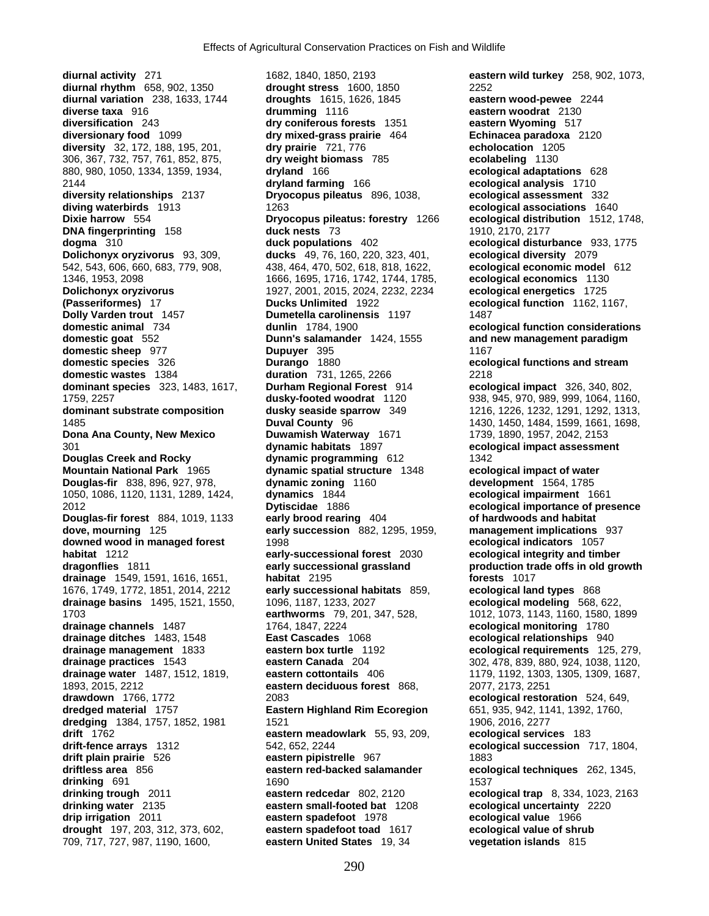**diurnal activity** 271 1682, 1840, 1850, 2193 **eastern wild turkey** 258, 902, 1073, **diurnal rhythm** 658, 902, 1350 **drought stress** 1600, 1850 2252 **diurnal variation** 238, 1633, 1744 **droughts** 1615, 1626, 1845 **eastern wood-pewee** 2244 **diversification** 243 **dry coniferous forests** 1351 **eastern Wyoming** 517 **diversionary food** 1099 **dry mixed-grass prairie** 464 **Echinacea paradoxa** 2120 **diversity** 32, 172, 188, 195, 201, **dry prairie** 721, 776 **echolocation** 1205 306, 367, 732, 757, 761, 852, 875, **dry weight biomass** 785 **ecolabeling** 1130 880, 980, 1050, 1334, 1359, 1934, **dryland** 166 **ecological adaptations** 628 2144 **dryland farming** 166 **ecological analysis** 1710 **diversity relationships** 2137 **Dryocopus pileatus** 896, 1038, **ecological assessment** 332 **diving waterbirds** 1913 **and 1263** 1263 **ecological associations** 1640 **Dixie harrow** 554 **Dryocopus pileatus: forestry** 1266 **ecological distribution** 1512, 1748, **DNA fingerprinting** 158 **duck nests** 73 1910, 2170, 2177 **dogma** 310 **duck populations** 402 **ecological disturbance** 933, 1775 **Dolichonyx oryzivorus** 93, 309, **ducks** 49, 76, 160, 220, 323, 401, **ecological diversity** 2079 542, 543, 606, 660, 683, 779, 908, 438, 464, 470, 502, 618, 818, 1622, **ecological economic model** 612 1346, 1953, 2098 1666, 1695, 1716, 1742, 1744, 1785, **ecological economics** 1130 **Dolichonyx oryzivorus** 1927, 2001, 2015, 2024, 2232, 2234 **ecological energetics** 1725 **(Passeriformes)** 17 **Ducks Unlimited** 1922 **ecological function** 1162, 1167, **Dolly Varden trout** 1457 **Dumetella carolinensis** 1197 1487 **domestic animal** 734 **dunlin** 1784, 1900 **ecological function considerations domestic goat** 552 **Dunn's salamander** 1424, 1555 **and new management paradigm domestic sheep** 977 **Dupuyer** 395 **1167 domestic species** 326 **Durango** 1880 **ecological functions and stream domestic wastes** 1384 **duration** 731, 1265, 2266 2218 **dominant species** 323, 1483, 1617, **Durham Regional Forest** 914 **ecological impact** 326, 340, 802, 1759, 2257 **dusky-footed woodrat** 1120 938, 945, 970, 989, 999, 1064, 1160, **dominant substrate composition dusky seaside sparrow** 349 1216, 1226, 1232, 1291, 1292, 1313, 1485 **Duval County** 96 1430, 1450, 1484, 1599, 1661, 1698, **Dona Ana County, New Mexico Duwamish Waterway** 1671 1739, 1890, 1957, 2042, 2153 301 **dynamic habitats** 1897 **ecological impact assessment Douglas Creek and Rocky dynamic programming** 612 1342 **Mountain National Park** 1965 **dynamic spatial structure** 1348 **ecological impact of water Douglas-fir** 838, 896, 927, 978, **dynamic zoning** 1160 **development** 1564, 1785 1050, 1086, 1120, 1131, 1289, 1424, **dynamics** 1844 **ecological impairment** 1661 2012 **Dytiscidae** 1886 **ecological importance of presence Douglas-fir forest** 884, 1019, 1133 **early brood rearing** 404 **of hardwoods and habitat dove, mourning** 125 **early succession** 882, 1295, 1959, **management implications** 937 **downed wood in managed forest** 1998<br>**habitat** 1212 **early-successional forest** 2030 **ecological integrity and timl dragonflies** 1811 **early successional grassland production trade offs in old growth drainage** 1549, 1591, 1616, 1651, **habitat** 2195 **forests** 1017 1676, 1749, 1772, 1851, 2014, 2212 **early successional habitats** 859, **ecological land types** 868 **drainage basins** 1495, 1521, 1550, 1096, 1187, 1233, 2027 **ecological modeling** 568, 622, 1703 **earthworms** 79, 201, 347, 528, 1012, 1073, 1143, 1160, 1580, 1899 **drainage channels** 1487 1764, 1847, 2224 **ecological monitoring** 1780 **drainage ditches** 1483, 1548 **East Cascades** 1068 **ecological relationships** 940 **drainage management** 1833 **eastern box turtle** 1192 **ecological requirements** 125, 279, **drainage practices** 1543 **eastern Canada** 204 302, 478, 839, 880, 924, 1038, 1120, **drainage water** 1487, 1512, 1819, **eastern cottontails** 406 1179, 1192, 1303, 1305, 1309, 1687, 1893, 2015, 2212 **eastern deciduous forest** 868, 2077, 2173, 2251 **drawdown** 1766, 1772 2083 **ecological restoration** 524, 649, **dredged material** 1757 **Eastern Highland Rim Ecoregion** 651, 935, 942, 1141, 1392, 1760, **dredging** 1384, 1757, 1852, 1981 1521 1521 1521 1906, 2016, 2277 **drift** 1762 **eastern meadowlark** 55, 93, 209, **ecological services** 183 **drift plain prairie** 526 **eastern pipistrelle** 967 1883 **driftless area** 856 **eastern red-backed salamander ecological techniques** 262, 1345, **drinking** 691 **1690** 1690 **1690** 1691 1537 **drinking trough** 2011 **eastern redcedar** 802, 2120 **ecological trap** 8, 334, 1023, 2163 **drinking water** 2135 **eastern small-footed bat** 1208 **ecological uncertainty** 2220 **drip irrigation** 2011 **eastern spadefoot** 1978 **ecological value** 1966 **drought** 197, 203, 312, 373, 602, **eastern spadefoot toad** 1617 **ecological value of shrub** 

**habitat** 1212 **early-successional forest** 2030 **ecological integrity and timber drift-fence arrays** 1312 542, 652, 2244 **ecological succession** 717, 1804, 709, 717, 727, 987, 1190, 1600, **eastern United States** 19, 34 **vegetation islands** 815

**eastern woodrat** 2130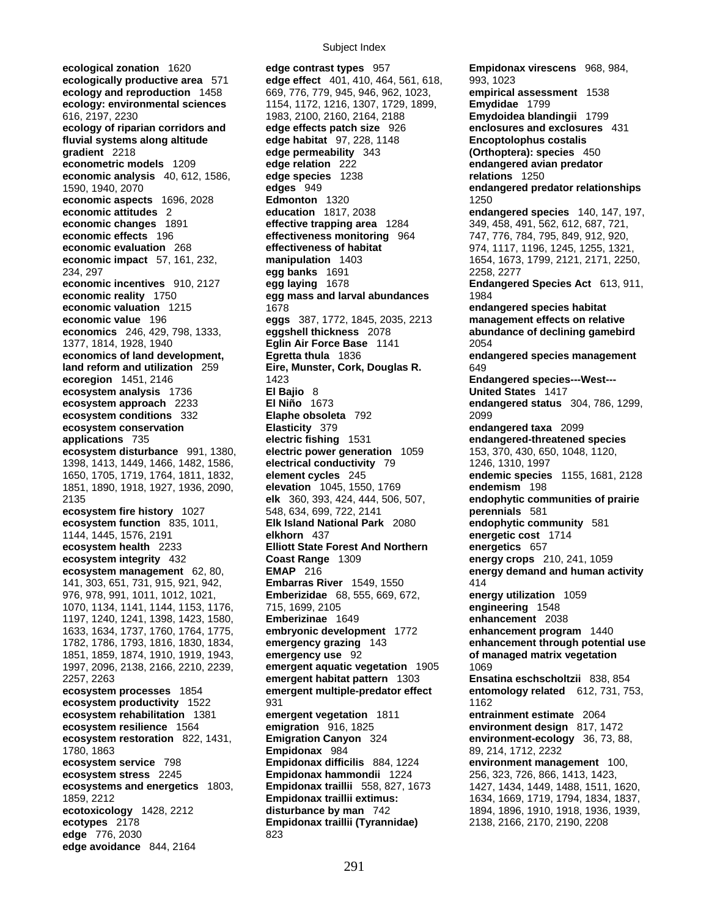**ecological zonation** 1620 **edge contrast types** 957 **Empidonax virescens** 968, 984, **ecosystem analysis** 1736 **edge** 776, 2030 823 **edge avoidance** 844, 2164

**ecologically productive area** 571 **edge effect** 401, 410, 464, 561, 618, 993, 1023 **ecology and reproduction** 1458 669, 776, 779, 945, 946, 962, 1023, **empirical assessment** 1538 **ecology: environmental sciences** 1154, 1172, 1216, 1307, 1729, 1899, **Emydidae** 1799 616, 2197, 2230 1983, 2100, 2160, 2164, 2188 **Emydoidea blandingii** 1799 **ecology of riparian corridors and edge effects patch size** 926 **enclosures and exclosures** 431 **fluvial systems along altitude edge habitat** 97, 228, 1148 **Encoptolophus costalis gradient** 2218 **edge permeability** 343 **(Orthoptera): species** 450 **econometric models** 1209 **edge relation** 222 **endangered avian predator economic analysis** 40, 612, 1586, **edge species** 1238 **relations** 1250 1590, 1940, 2070 **edges** 949 **endangered predator relationships economic aspects** 1696, 2028 **Edmonton** 1320 **Edmonton** 1320 1250<br>**economic attitudes** 2 **education** 1817, 2038 **economic attitudes** 2 **education** 1817, 2038 **endangered species** 140, 147, 197, **economic changes** 1891 **effective trapping area** 1284 349, 458, 491, 562, 612, 687, 721, **economic effects** 196 **effectiveness monitoring** 964 747, 776, 784, 795, 849, 912, 920, **economic evaluation** 268 **effectiveness of habitat** 974, 1117, 1196, 1245, 1255, 1321, **economic impact** 57, 161, 232, **manipulation** 1403 1654, 1673, 1799, 2121, 2171, 2250, 234, 297 **egg banks** 1691 2258, 2277 **economic incentives** 910, 2127 **egg laying** 1678 **Endangered Species Act** 613, 911, **economic reality** 1750 **egg mass and larval abundances** 1984 **economic valuation** 1215 1678 **endangered species habitat endangered species habitat economic value** 196 **eggs** 387, 1772, 1845, 2035, 2213 **management effects on relative economics** 246, 429, 798, 1333, **eggshell thickness** 2078 **abundance of declining gamebird** 1377, 1814, 1928, 1940 **Eglin Air Force Base** 1141 2054 **economics of land development, Egretta thula** 1836 **endangered species management land reform and utilization** 259 **Eire, Munster, Cork, Douglas R.** 649 **ecoregion** 1451, 2146 **Endangered species---West---**<br> **El Bajio** 8 **El Cagnet de L'Onited States** 1417<br> **El Bajio** 8 **El Cagnet de L'Onited States** 1417 **ecosystem approach** 2233 **El Niño** 1673 **endangered status** 304, 786, 1299, **ecosystem conditions** 332 **Elaphe obsoleta** 792 2099 **ecosystem conservation Elasticity** 379 **endangered taxa** 2099 **applications** 735 **electric fishing** 1531 **endangered-threatened species ecosystem disturbance** 991, 1380, **electric power generation** 1059 153, 370, 430, 650, 1048, 1120, 1398, 1413, 1449, 1466, 1482, 1586, **electrical conductivity** 79 1246, 1310, 1997 1650, 1705, 1719, 1764, 1811, 1832, **element cycles** 245 **endemic species** 1155, 1681, 2128 1851, 1890, 1918, 1927, 1936, 2090, **elevation** 1045, 1550, 1769 **endemism** 198 2135 **elk** 360, 393, 424, 444, 506, 507, **endophytic communities of prairie ecosystem fire history** 1027 548, 634, 699, 722, 2141 **perennials** 581 **ecosystem function** 835, 1011, **Elk Island National Park** 2080 **endophytic community** 581 1144, 1445, 1576, 2191 **elkhorn** 437 **energetic cost** 1714 **ecosystem health** 2233 **Elliott State Forest And Northern energetics** 657 **ecosystem integrity** 432 **Coast Range** 1309 **energy crops** 210, 241, 1059 **ecosystem management** 62, 80, **EMAP** 216 **energy demand and human activity** 141, 303, 651, 731, 915, 921, 942, **Embarras River** 1549, 1550 414 976, 978, 991, 1011, 1012, 1021, **Emberizidae** 68, 555, 669, 672, **energy utilization** 1059 1070, 1134, 1141, 1144, 1153, 1176, 715, 1699, 2105 **engineering** 1548 1197, 1240, 1241, 1398, 1423, 1580, **Emberizinae** 1649 **enhancement** 2038 1633, 1634, 1737, 1760, 1764, 1775, **embryonic development** 1772 **enhancement program** 1440 1782, 1786, 1793, 1816, 1830, 1834, **emergency grazing** 143 **enhancement through potential use**  1851, 1859, 1874, 1910, 1919, 1943, **emergency use** 92 **of managed matrix vegetation** 1997, 2096, 2138, 2166, 2210, 2239, **emergent aquatic vegetation** 1905 1069 2257, 2263 **emergent habitat pattern** 1303 **Ensatina eschscholtzii** 838, 854 **ecosystem processes** 1854 **emergent multiple-predator effect entomology related** 612, 731, 753, **ecosystem productivity** 1522 931 931 **ecosystem rehabilitation** 1381 **emergent vegetation** 1811 **entrainment estimate** 2064 **ecosystem resilience** 1564 **emigration** 916, 1825 **environment design** 817, 1472 **ecosystem restoration** 822, 1431, **Emigration Canyon** 324 **environment-ecology** 36, 73, 88, 1780, 1863 **Empidonax** 984 89, 214, 1712, 2232 **ecosystem service** 798 **Empidonax difficilis** 884, 1224 **environment management** 100, **ecosystem stress** 2245 **Empidonax hammondii** 1224 256, 323, 726, 866, 1413, 1423, **ecosystems and energetics** 1803, **Empidonax traillii** 558, 827, 1673 1427, 1434, 1449, 1488, 1511, 1620, 1859, 2212 **Empidonax traillii extimus:** 1634, 1669, 1719, 1794, 1834, 1837, **ecotoxicology** 1428, 2212 **disturbance by man** 742 1894, 1896, 1910, 1918, 1936, 1939, **ecotypes** 2178 **Empidonax traillii (Tyrannidae)** 2138, 2166, 2170, 2190, 2208 **ecotypes** 2178 **Empidonax traillii (Tyrannidae)** 2138, 2166, 2170, 2190, 2208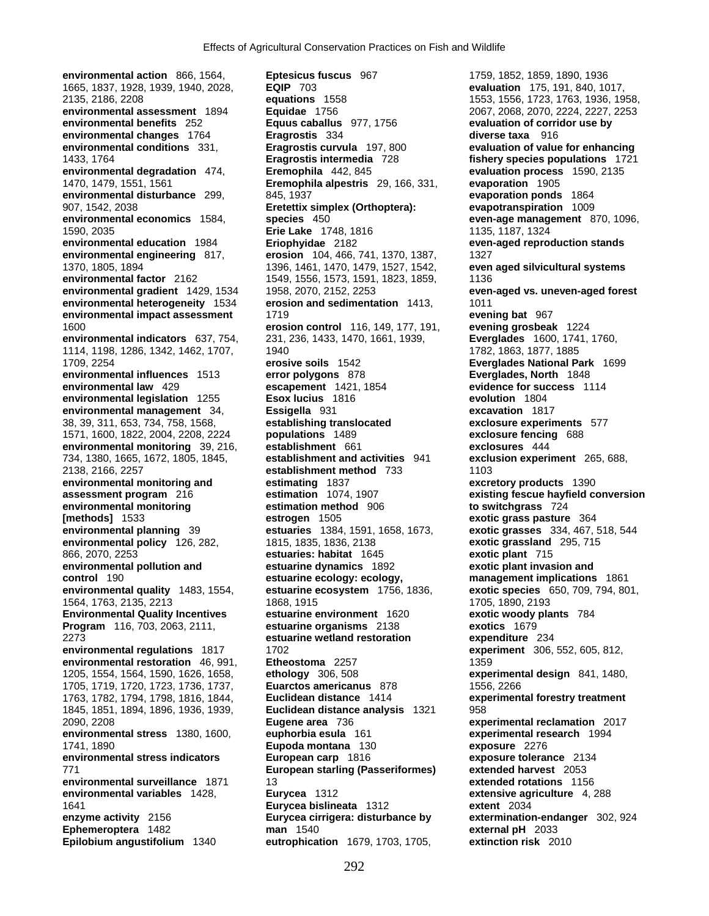**environmental changes** 1764 **Eragrostis** 334<br> **Eragrostis curvula** 197, 800<br> **Eragrostis curvula** 197, 800 1571, 1600, 1822, 2004, 2208, 2224 **populations** 1489 **exclosure fencing** 688 **environmental stress indicators <b>European carp** 1816

**environmental action** 866, 1564, **Eptesicus fuscus** 967 1759, 1852, 1859, 1890, 1936 1665, 1837, 1928, 1939, 1940, 2028, **EQIP** 703 **evaluation** 175, 191, 840, 1017, 2135, 2186, 2208 **equations** 1558 1553, 1556, 1723, 1763, 1936, 1958, **environmental assessment** 1894 **Equidae** 1756 2067, 2068, 2070, 2224, 2227, 2253 **environmental conditions** 331, **Eragrostis curvula** 197, 800 **evaluation of value for enhancing**  1433, 1764 **Eragrostis intermedia** 728 **fishery species populations** 1721 **environmental degradation** 474, **Eremophila** 442, 845 **evaluation process** 1590, 2135 1470, 1479, 1551, 1561 **Eremophila alpestris** 29, 166, 331, **evaporation** 1905 **environmental disturbance** 299, 845, 1937 **evaporation ponds** 1864 907, 1542, 2038 **Eretettix simplex (Orthoptera): evapotranspiration** 1009 **environmental economics** 1584, **species** 450 **even-age management** 870, 1096, 1590, 2035 **Erie Lake** 1748, 1816 1135, 1187, 1324 **environmental education** 1984 **Eriophyidae** 2182 **even-aged reproduction stands environmental engineering** 817, **erosion** 104, 466, 741, 1370, 1387, 1327 1370, 1805, 1894 1396, 1461, 1470, 1479, 1527, 1542, **even aged silvicultural systems environmental factor** 2162 1549, 1556, 1573, 1591, 1823, 1859, 1136<br> **environmental gradient** 1429, 1534 1958, 2070, 2152, 2253 **environmental gradient** 1429, 1534 1958, 2070, 2152, 2253 **even-aged vs. uneven-aged forest environmental heterogeneity 1534 erosion and sedimentation 1413, 1011 environmental impact assessment** 1719 **evening bat** 967 1600 **erosion control** 116, 149, 177, 191, **evening grosbeak** 1224 **environmental indicators** 637, 754, 231, 236, 1433, 1470, 1661, 1939, **Everglades** 1600, 1741, 1760, 1114, 1198, 1286, 1342, 1462, 1707, 1940 1782, 1863, 1877, 1885 1709, 2254 **erosive soils** 1542 **Everglades National Park** 1699 **environmental influences** 1513 **error polygons** 878 **Everglades, North** 1848 **environmental law** 429 **escapement** 1421, 1854 **evidence for success** 1114 **environmental legislation** 1255 **Esox lucius** 1816 **evolution** 1804 **environmental management** 34, **Essigella** 931 **excavation** 1817 38, 39, 311, 653, 734, 758, 1568, **establishing translocated exclosure experiments** 577 **environmental monitoring** 39, 216, **establishment** 661 **exclosures** 444 734, 1380, 1665, 1672, 1805, 1845, **establishment and activities** 941 **exclusion experiment** 265, 688, 2138, 2166, 2257 **establishment method** 733 1103 **environmental monitoring and estimating** 1837 **excretory products** 1390 **assessment program** 216 **estimation** 1074, 1907 **existing fescue hayfield conversion environmental monitoring estimation method** 906 **to switchgrass** 724 **[methods]** 1533 **estrogen** 1505 **exotic grass pasture** 364 **environmental planning** 39 **estuaries** 1384, 1591, 1658, 1673, **exotic grasses** 334, 467, 518, 544 **environmental policy** 126, 282, 1815, 1835, 1836, 2138 **exotic grassland** 295, 715 866, 2070, 2253 **estuaries: habitat** 1645 **exotic plant** 715 **environmental pollution and estuarine dynamics** 1892 **exotic plant invasion and control** 190 **estuarine ecology: ecology, management implications** 1861 **environmental quality** 1483, 1554, **estuarine ecosystem** 1756, 1836, **exotic species** 650, 709, 794, 801, 1564, 1763, 2135, 2213 1868, 1915 1705, 1890, 2193 **Environmental Quality Incentives estuarine environment** 1620 **exotic woody plants** 784 **Program** 116, 703, 2063, 2111, **estuarine organisms** 2138 **exotics** 1679 2273 **estuarine wetland restoration expenditure** 234 **environmental regulations** 1817 1702 **experiment** 306, 552, 605, 812, **environmental restoration** 46, 991, **Etheostoma** 2257 1359 1205, 1554, 1564, 1590, 1626, 1658, **ethology** 306, 508 **experimental design** 841, 1480, 1705, 1719, 1720, 1723, 1736, 1737, **Euarctos americanus** 878 1556, 2266 1763, 1782, 1794, 1798, 1816, 1844, **Euclidean distance** 1414 **experimental forestry treatment** 1845, 1851, 1894, 1896, 1936, 1939, **Euclidean distance analysis** 1321 958 2090, 2208 **Eugene area** 736 **experimental reclamation** 2017 **environmental stress** 1380, 1600, **euphorbia esula** 161 **experimental research** 1994 1741, 1890 **Eupoda montana** 130 **exposure** 2276 771 **European starling (Passeriformes) extended harvest** 2053 **environmental surveillance** 1871 13 **extended rotations** 1156 **environmental variables** 1428, **Eurycea** 1312 **extensive agriculture** 4, 288 1641 **Eurycea bislineata** 1312 **extent** 2034 **enzyme activity** 2156 **Eurycea cirrigera: disturbance by extermination-endanger** 302, 924 **Ephemeroptera** 1482 **man** 1540 **external pH** 2033 **Epilobium angustifolium** 1340 **eutrophication** 1679, 1703, 1705, **extinction risk** 2010

**evaluation of corridor use by diverse taxa** 916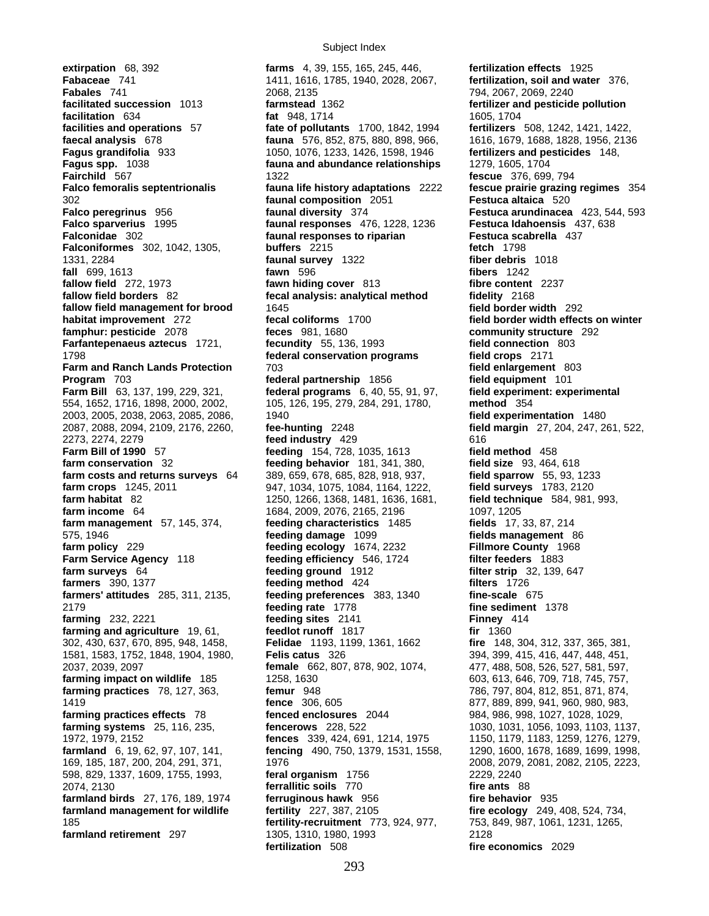**extirpation** 68, 392 **farms** 4, 39, 155, 165, 245, 446, **fertilization effects** 1925 **1798 <b>federal conservation programs** 2037, 2039, 2097 **female** 662, 807, 878, 902, 1074, 185 *fertility-recruitment* 773, 924, 977,

**Fabaceae** 741 1411, 1616, 1785, 1940, 2028, 2067, **fertilization, soil and water** 376, **Fabales** 741 2068, 2135 794, 2067, 2069, 2240 **facilitation** 634 **fat** 948, 1714 1605, 1704 **facilities and operations** 57 **fate of pollutants** 1700, 1842, 1994 **fertilizers** 508, 1242, 1421, 1422, **faecal analysis** 678 **fauna** 576, 852, 875, 880, 898, 966, 1616, 1679, 1688, 1828, 1956, 2136 **Fagus grandifolia** 933 1050, 1076, 1233, 1426, 1598, 1946 **fertilizers and pesticides** 148, **Fagus spp.** 1038 **fauna and abundance relationships** 1279, 1605, 1704 **Fairchild** 567 1322 **fescue** 376, 699, 794 **Falco femoralis septentrionalis fauna life history adaptations** 2222 **fescue prairie grazing regimes** 354 302 **faunal composition** 2051 **Festuca altaica** 520 **Falco peregrinus** 956 **faunal diversity** 374 **Festuca arundinacea** 423, 544, 593 **Falco sparverius** 1995 **faunal responses** 476, 1228, 1236 **Festuca Idahoensis** 437, 638 **Falconidae** 302 **faunal responses to riparian Festuca scabrella** 437 **Falconiformes** 302, 1042, 1305, **buffers** 2215 **fetch** 1798 1331, 2284 **faunal survey** 1322 **fiber debris** 1018 **fall** 699, 1613 **fawn** 596 **fibers** 1242 **fallow field** 272, 1973 **fawn hiding cover** 813 **fibre content** 2237 **fallow field borders** 82 **fecal analysis: analytical method fidelity** 2168 **fallow field management for brood** 1645 **field border width** 292 **habitat improvement** 272 **fecal coliforms** 1700 **field border width effects on winter famphur: pesticide** 2078 **feces** 981, 1680 **community structure** 292 **Farfantepenaeus aztecus** 1721, **fecundity** 55, 136, 1993 **field connection**<br>1798 **federal conservation programs** field crops 2171 **Farm and Ranch Lands Protection** 703 **field enlargement** 803 **Program** 703 **federal partnership** 1856 **field equipment** 101 **Farm Bill** 63, 137, 199, 229, 321, **federal programs** 6, 40, 55, 91, 97, **field experiment: experimental**  554, 1652, 1716, 1898, 2000, 2002, 105, 126, 195, 279, 284, 291, 1780, **method** 354 2003, 2005, 2038, 2063, 2085, 2086, 1940 **field experimentation** 1480 2087, 2088, 2094, 2109, 2176, 2260, **fee-hunting** 2248 **field margin** 27, 204, 247, 261, 522, 2273, 2274, 2279 **feed industry** 429 616 **Farm Bill of 1990** 57 **feeding** 154, 728, 1035, 1613 **field method** 458 **farm conservation** 32 **feeding behavior** 181, 341, 380, **field size** 93, 464, 618 **farm costs and returns surveys** 64 389, 659, 678, 685, 828, 918, 937, **field sparrow** 55, 93, 1233 **farm crops** 1245, 2011 947, 1034, 1075, 1084, 1164, 1222, **field surveys** 1783, 2120 **farm habitat** 82 1250, 1266, 1368, 1481, 1636, 1681, **field technique** 584, 981, 993, **farm income** 64 1684, 2009, 2076, 2165, 2196 1097, 1205 **farm management** 57, 145, 374, **feeding characteristics** 1485 **fields** 17, 33, 87, 214<br>575. 1946 **feeding damage** 1099 **fields management** 575, 1946 **feeding damage** 1099 **fields management** 86 **farm policy** 229 **feeding ecology** 1674, 2232 **Fillmore County** 1968 **Farm Service Agency** 118 **feeding efficiency** 546, 1724 **filter feeders** 1883 **farm surveys** 64 **feeding ground** 1912 **filter strip** 32, 139, 647 **farmers** 390, 1377 **feeding method** 424 **filters** 1726 **farmers' attitudes** 285, 311, 2135, **feeding preferences** 383, 1340 **fine-scale** 675 2179 **feeding rate** 1778 **fine sediment** 1378 **farming** 232, 2221 **feeding sites** 2141 **Finney** 414 **farming and agriculture** 19, 61, **feedlot runoff** 1817 **fir** 1360 302, 430, 637, 670, 895, 948, 1458, **Felidae** 1193, 1199, 1361, 1662 **fire** 148, 304, 312, 337, 365, 381, 1581, 1583, 1752, 1848, 1904, 1980, **Felis catus** 326 394, 399, 415, 416, 447, 448, 451, **farming impact on wildlife** 185 1258, 1630 603, 613, 646, 709, 718, 745, 757, **farming practices** 78, 127, 363, **femur** 948 786, 797, 804, 812, 851, 871, 874, 1419 **fence** 306, 605 877, 889, 899, 941, 960, 980, 983, **farming practices effects** 78 **fenced enclosures** 2044 984, 986, 998, 1027, 1028, 1029, **farming systems** 25, 116, 235, **fencerows** 228, 522 1030, 1031, 1056, 1093, 1103, 1137, 1972, 1979, 2152 **fences** 339, 424, 691, 1214, 1975 1150, 1179, 1183, 1259, 1276, 1279, **farmland** 6, 19, 62, 97, 107, 141, **fencing** 490, 750, 1379, 1531, 1558, 1290, 1600, 1678, 1689, 1699, 1998, 169, 185, 187, 200, 204, 291, 371, 1976 2008, 2079, 2081, 2082, 2105, 2223, 598, 829, 1337, 1609, 1755, 1993, **feral organism** 1756 2229, 2240 2074, 2130 **ferrallitic soils** 770 **fire ants** 88 **farmland birds** 27, 176, 189, 1974 **ferruginous hawk** 956 **fire behavior** 935 **farmland management for wildlife fertility** 227, 387, 2105 **fire ecology** 249, 408, 524, 734, **farmland retirement** 297 1305, 1310, 1980, 1993 2128 **fertilization** 508 **fire economics** 2029

**fertilizer and pesticide pollution**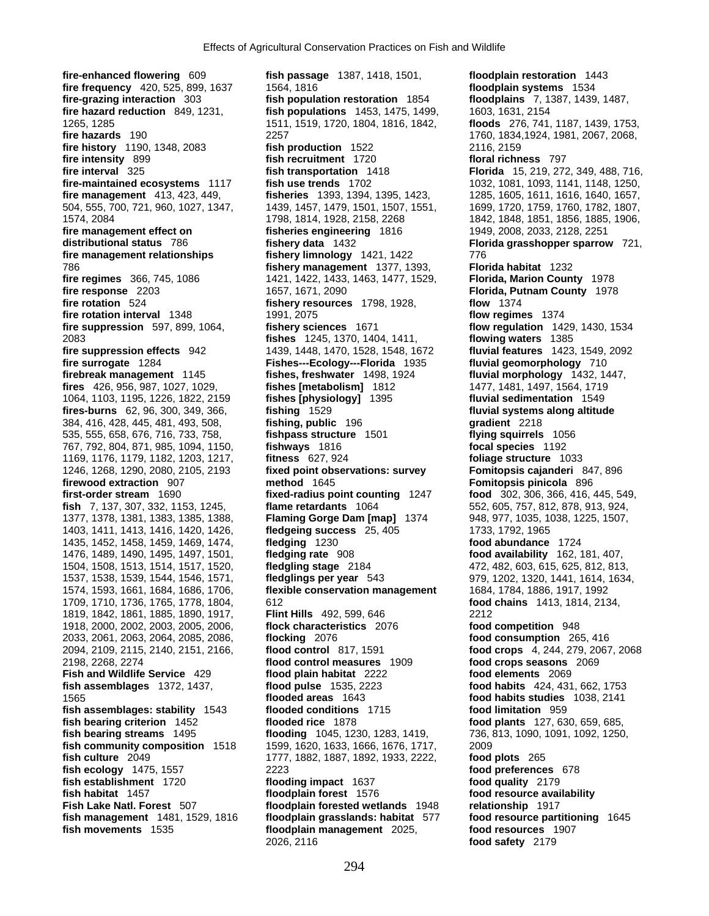**fire-enhanced flowering** 609 **fish passage** 1387, 1418, 1501, **floodplain restoration** 1443 **fire frequency** 420, 525, 899, 1637 1564, 1816 **floodplain systems** 1534 **fire-grazing interaction** 303 **fish population restoration** 1854 **floodplains** 7, 1387, 1439, 1487, **fire hazard reduction** 849, 1231, **fish populations** 1453, 1475, 1499, 1603, 1631, 2154<br>1511, 1519, 1720, 1804, 1816, 1842, **floods** 276, 741, 1265, 1285 1511, 1519, 1720, 1804, 1816, 1842, **floods** 276, 741, 1187, 1439, 1753, **fire history** 1190, 1348, 2083 **fish production** 1522 **fire intensity** 899 **fish recruitment** 1720 **floral richness** 797<br>**fire interval** 325 **fish transportation** 1418 **Florida** 15, 219, 272 **fire-maintained ecosystems** 1117 **fish use trends** 1702 1032, 1081, 1093, 1141, 1148, 1250, **fire management** 413, 423, 449, **fisheries** 1393, 1394, 1395, 1423, 1285, 1605, 1611, 1616, 1640, 1657, 504, 555, 700, 721, 960, 1027, 1347, 1439, 1457, 1479, 1501, 1507, 1551, 1699, 1720, 1759, 1760, 1782, 1807, 1574, 2084 1798, 1814, 1928, 2158, 2268 1842, 1848, 1851, 1856, 1885, 1906, **fire management effect on fisheries engineering** 1816 1949, 2008, 2033, 2128, 2251 **distributional status** 786 **fishery data** 1432 **Florida grasshopper sparrow** 721, **fire management relationships fishery limnology** 1421, 1422 776 786 **fishery management** 1377, 1393, **Florida habitat** 1232 **fire regimes** 366, 745, 1086 1421, 1422, 1433, 1463, 1477, 1529, **Florida, Marion County** 1978 **fire response** 2203 1657, 1671, 2090 **Florida, Putnam County** 1978 **fire rotation** 524 **fishery resources** 1798, 1928, **flow** 1374 **fire rotation interval** 1348 1991, 2075 **flow regimes** 1374 **fire suppression** 597, 899, 1064, **fishery sciences** 1671 **flow regulation** 1429, 1430, 1534 2083 **fishes** 1245, 1370, 1404, 1411, **flowing waters** 1385 **fire suppression effects** 942 1439, 1448, 1470, 1528, 1548, 1672 **fluvial features** 1423, 1549, 2092 **fire surrogate** 1284 **Fishes---Ecology---Florida** 1935 **fluvial geomorphology** 710 **firebreak management** 1145 **fishes, freshwater** 1498, 1924 **fluvial morphology** 1432, 1447, **fires** 426, 956, 987, 1027, 1029, **fishes [metabolism]** 1812 1477, 1481, 1497, 1564, 1719 1064, 1103, 1195, 1226, 1822, 2159 **fishes [physiology]** 1395 **fluvial sedimentation** 1549 **fires-burns** 62, 96, 300, 349, 366, **fishing** 1529 384, 416, 428, 445, 481, 493, 508, **fishing, public** 196 **gradient** 2218 535, 555, 658, 676, 716, 733, 758, **fishpass structure** 1501 **flying squirrels** 1056 767, 792, 804, 871, 985, 1094, 1150, **fishways** 1816 **focal species** 1192 1169, 1176, 1179, 1182, 1203, 1217, **fitness** 627, 924 **foliage structure** 1033 **firewood extraction** 907 **method** 1645 **Fomitopsis pinicola** 896 **first-order stream** 1690 **fixed-radius point counting** 1247 **food** 302, 306, 366, 416, 445, 549, **fish** 7, 137, 307, 332, 1153, 1245, **flame retardants** 1064 552, 605, 757, 812, 878, 913, 924, 1377, 1378, 1381, 1383, 1385, 1388, **Flaming Gorge Dam [map]** 1374 948, 977, 1035, 1038, 1225, 1507, 1403, 1411, 1413, 1416, 1420, 1426, **fledgeing success** 25, 405 1733, 1792, 1965 1435, 1452, 1458, 1459, 1469, 1474, **fledging** 1230 **food abundance** 1724 1476, 1489, 1490, 1495, 1497, 1501, **fledging rate** 908 **food availability** 162, 181, 407, 1504, 1508, 1513, 1514, 1517, 1520, **fledgling stage** 2184 472, 482, 603, 615, 625, 812, 813, 1537, 1538, 1539, 1544, 1546, 1571, **fledglings per year** 543 979, 1202, 1320, 1441, 1614, 1634, 1709, 1710, 1736, 1765, 1778, 1804, 612 **food chains** 1413, 1814, 2134, 1819, 1842, 1861, 1885, 1890, 1917, **Flint Hills** 492, 599, 646 2212 1918, 2000, 2002, 2003, 2005, 2006, **flock characteristics** 2076 **food competition** 948 2033, 2061, 2063, 2064, 2085, 2086, **flocking** 2076 **food consumption** 265, 416 2094, 2109, 2115, 2140, 2151, 2166, **flood control** 817, 1591 **food crops** 4, 244, 279, 2067, 2068 2198, 2268, 2274 **flood control measures** 1909 **food crops seasons** 2069 **Fish and Wildlife Service** 429 **flood plain habitat** 2222 **food elements** 2069 **fish assemblages** 1372, 1437, **flood pulse** 1535, 2223 **food habits** 424, 431, 662, 1753 1565 **flooded areas** 1643 **food habits studies** 1038, 2141 **fish assemblages: stability** 1543 **flooded conditions** 1715 **food limitation** 959 **fish bearing criterion** 1452 **flooded rice** 1878 **food plants** 127, 630, 659, 685, **fish bearing streams** 1495 **flooding** 1045, 1230, 1283, 1419, 736, 813, 1090, 1091, 1092, 1250, **fish community composition** 1518 1599, 1620, 1633, 1666, 1676, 1717, 2009 **fish culture** 2049 1777, 1882, 1887, 1892, 1933, 2222, **food plots** 265 **fish ecology** 1475, 1557 2223 **food preferences** 678 **fish establishment** 1720 **flooding impact** 1637 **food quality** 2179 **fish habitat** 1457 **floodplain forest** 1576 **food resource availability Fish Lake Natl. Forest** 507 **floodplain forested wetlands** 1948 **relationship** 1917 **fish management** 1481, 1529, 1816 **floodplain grasslands: habitat** 577 **food resource partitioning** 1645 **fish movements** 1535 **floodplain management** 2025, **food resources** 1907

**fire hazards** 190 2257 1760, 1834,1924, 1981, 2067, 2068, **fish transportation** 1418 **Florida** 15, 219, 272, 349, 488, 716, 1246, 1268, 1290, 2080, 2105, 2193 **fixed point observations: survey Fomitopsis cajanderi** 847, 896 1574, 1593, 1661, 1684, 1686, 1706, **flexible conservation management** 1684, 1784, 1886, 1917, 1992 2026, 2116 **food safety** 2179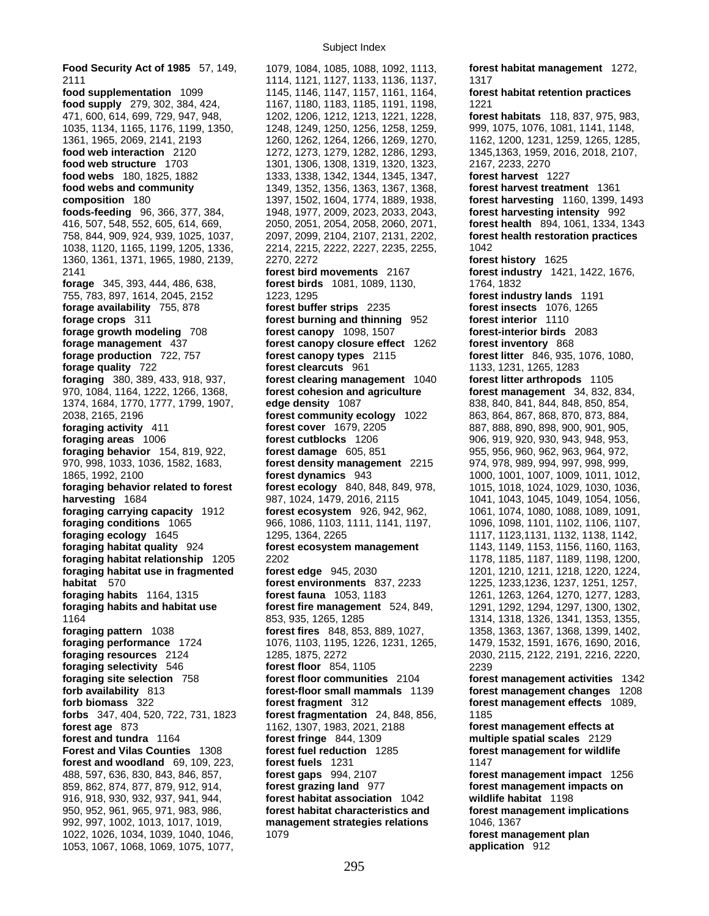2111 1114, 1121, 1127, 1133, 1136, 1137, 11317<br> **food supplementation** 1099 1145, 1146, 1147, 1157, 1161, 1164, **fores food supply** 279, 302, 384, 424, 1167, 1180, 1183, 1185, 1191, 1198, 1221 471, 600, 614, 699, 729, 947, 948, 1202, 1206, 1212, 1213, 1221, 1228, **forest habitats** 118, 837, 975, 983, 1035, 1134, 1165, 1176, 1199, 1350, 1248, 1249, 1250, 1256, 1258, 1259, 999, 1075, 1076, 1081, 1141, 1148, 1361, 1965, 2069, 2141, 2193 1260, 1262, 1264, 1266, 1269, 1270, 1162, 1200, 1231, 1259, 1265, 1285, **food web interaction** 2120 1272, 1273, 1279, 1282, 1286, 1293, 1345,1363, 1959, 2016, 2018, 2107, **food web structure** 1703 1301, 1306, 1308, 1319, 1320, 1323, 2167, 2233, 2270 **food webs** 180, 1825, 1882 1333, 1338, 1342, 1344, 1345, 1347, **forest harvest** 1227 **food webs and community** 1349, 1352, 1356, 1363, 1367, 1368, **forest harvest treatment** 1361 **composition** 180 1397, 1502, 1604, 1774, 1889, 1938, **forest harvesting** 1160, 1399, 1493 **foods-feeding** 96, 366, 377, 384, 1948, 1977, 2009, 2023, 2033, 2043, **forest harvesting intensity** 992 416, 507, 548, 552, 605, 614, 669, 2050, 2051, 2054, 2058, 2060, 2071, **forest health** 894, 1061, 1334, 1343 758, 844, 909, 924, 939, 1025, 1037, 2097, 2099, 2104, 2107, 2131, 2202, **forest health restoration practices** 1038, 1120, 1165, 1199, 1205, 1336, 2214, 2215, 2222, 2227, 2235, 2255, 1042 1360, 1361, 1371, 1965, 1980, 2139, 2270, 2272 **forest history** 1625 2141 **forest bird movements** 2167 **forest industry** 1421, 1422, 1676, **forage** 345, 393, 444, 486, 638, **forest birds** 1081, 1089, 1130, 1764, 1832 755, 783, 897, 1614, 2045, 2152 1223, 1295 **forest industry lands** 1191 **forage availability** 755, 878 **forest buffer strips** 2235 **forest insects** 1076, 1265 **forage crops** 311 **forest burning and thinning** 952 **forest interior** 1110 **forage growth modeling** 708 **forest canopy** 1098, 1507 **forest-interior birds** 2083 **forage management** 437 **forest canopy closure effect** 1262 **forest inventory** 868 **forage production** 722, 757 **forest canopy types** 2115 **forest litter** 846, 935, 1076, 1080, **foraging** 380, 389, 433, 918, 937, **forest clearing management** 1040<br>970, 1084, 1164, 1222, 1266, 1368, **forest cohesion and agriculture** 970, 1084, 1164, 1222, 1266, 1368, **forest cohesion and agriculture forest management** 34, 832, 834, 1374, 1684, 1770, 1777, 1799, 1907, **edge density** 1087 838, 840, 841, 844, 848, 850, 854, **foraging activity** 411 **forest cover** 1679, 2205 887, 888, 890, 898, 900, 901, 905, **foraging areas** 1006 **forest cutblocks** 1206 906, 919, 920, 930, 943, 948, 953, **foraging behavior** 154, 819, 922, **forest damage** 605, 851 955, 956, 960, 962, 963, 964, 972, 970, 998, 1033, 1036, 1582, 1683, **forest density management** 2215 974, 978, 989, 994, 997, 998, 999, 1865, 1992, 2100 **forest dynamics** 943 1000, 1001, 1007, 1009, 1011, 1012, **foraging behavior related to forest forest ecology** 840, 848, 849, 978, 1015, 1018, 1024, 1029, 1030, 1036, 1036, 10<br>harvesting 1684 1056, 1024, 1024, 1479, 2016, 2115 1041, 1043, 1045, 1049, 1054, 1056, **harvesting** 1684 987, 1024, 1479, 2016, 2115 1041, 1043, 1045, 1049, 1054, 1056, **foraging carrying capacity** 1912 **forest ecosystem** 926, 942, 962, 1061, 1074, 1080, 1088, 1089, 1091, **foraging conditions** 1065 966, 1086, 1103, 1111, 1141, 1197, 1096, 1098, 1101, 1102, 1106, 1107, **foraging ecology** 1645 1295, 1364, 2265 1117, 1123, 1131, 1132, 1138, 1142, **foraging habitat quality** 924 **forest ecosystem management** 1143, 1149, 1153, 1156, 1160, 1163, **foraging habitat relationship** 1205 2202 202 1178, 1185, 1185, 1187, 1189, 1198, 1200, 1210, 1210, 1211, 1218, 1220, 1224, 1200, 1224, **foraging habitat use in fragmented forest edge** 945, 2030 1201, 1210, 1210, 1211, 1218, 1220, 1224, **habitat** 570 **forest environments** 837, 2233 1225, 1233,1236, 1237, 1251, 1257, **foraging habits** 1164, 1315 **forest fauna** 1053, 1183 1261, 1263, 1264, 1270, 1277, 1283, **foraging habits and habitat use forest fire management** 524, 849, 1291, 1292, 1294, 1297, 1300, 1302, **foraging pattern** 1038 **forest fires** 848, 853, 889, 1027, 1358, 1363, 1367, 1368, 1399, 1402, **foraging performance** 1724 1076, 1103, 1195, 1226, 1231, 1265, 1479, 1532, 1591, 1676, 1690, 2016, **foraging resources** 2124 1285, 1875, 2272 2030, 2115, 2122, 2191, 2216, 2220, 191, 2216, 2220, **foraging selectivity** 546 **foraging selectivity** 546 **forest floor** 854, 1105 *foraging site selection 758* **forest floor communities** 2104 **fores foraging site selection** 758 **forest floor communities** 2104 **forest management activities** 1342 **forb availability** 813 **forest-floor small mammals** 1139 **forest management changes** 1208 **forbs** 347, 404, 520, 722, 731, 1823 **forest fragmentation** 24, 848, 856, 1185 **forest age** 873 1162, 1307, 1983, 2021, 2188 **forest management effects at forest and tundra** 1164 **forest fringe** 844, 1309 **multiple spatial scales** 2129 **Forest and Vilas Counties** 1308 **forest fuel reduction** 1285 **forest management for wildlife forest and woodland** 69, 109, 223, **forest fuels** 1231 1147 488, 597, 636, 830, 843, 846, 857, **forest gaps** 994, 2107 **forest management impact** 1256 859, 862, 874, 877, 879, 912, 914, **forest grazing land** 977 **forest management impacts on**  916, 918, 930, 932, 937, 941, 944, **forest habitat association** 1042 **wildlife habitat** 1198 950, 952, 961, 965, 971, 983, 986, **forest habitat characteristics and forest management implications** 992, 997, 1002, 1013, 1017, 1019, **management strategies relations** 1046, 1367 1022, 1026, 1034, 1039, 1040, 1046, 1079 **forest management plan**  1053, 1067, 1068, 1069, 1075, 1077, **application** 912

**Food Security Act of 1985** 57, 149, 1079, 1084, 1085, 1088, 1092, 1113, **forest habitat management** 1272, **food supplementation** 1099 1145, 1146, 1147, 1157, 1161, 1164, **forest habitat retention practices forest clearcuts** 961 1133, 1231, 1265, 1283<br>**forest clearing management** 1040 **forest litter arthropods** 1105 2038, 2165, 2196 **forest community ecology** 1022 863, 864, 867, 868, 870, 873, 884, 1164 853, 935, 1265, 1285 1314, 1318, 1326, 1341, 1353, 1355, **forest fragment** 312 **forest management effects** 1089,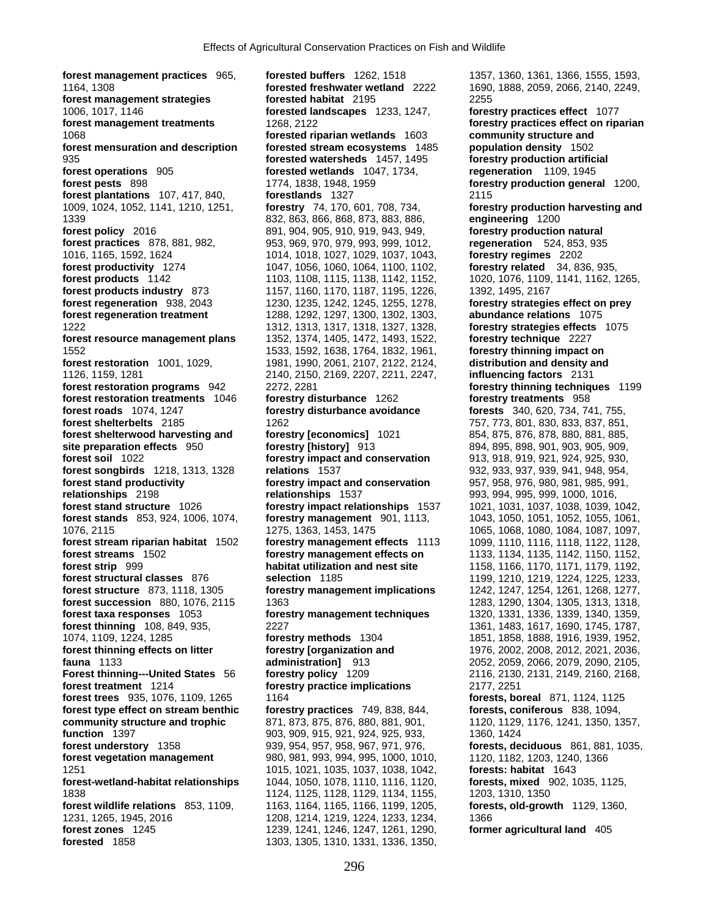**forest management practices** 965, **forested buffers** 1262, 1518 1357, 1360, 1361, 1366, 1555, 1593, 1164, 1308 **forested freshwater wetland** 2222 1690, 1888, 2059, 2066, 2140, 2249, **forest management strategies forested habitat** 2195 2255 1006, 1017, 1146 **forested landscapes** 1233, 1247, **forestry practices effect** 1077 **forest management treatments** 1268, 2122 **forestry practices effect on riparian**  1068 **forested riparian wetlands** 1603 **community structure and**  935 **forested watersheds** 1457, 1495 **forestry production artificial forest operations** 905 **forested wetlands** 1047, 1734, **regeneration** 1109, 1945 **forest pests** 898 1774, 1838, 1948, 1959 **forestry production general** 1200, **forest plantations** 107, 417, 840, **forestlands** 1327 2115 1009, 1024, 1052, 1141, 1210, 1251, **forestry** 74, 170, 601, 708, 734, **forestry production harvesting and**  1339 832, 863, 866, 868, 873, 883, 886, **engineering** 1200 **forest policy** 2016 891, 904, 905, 910, 919, 943, 949, **forestry production natural forest practices** 878, 881, 982, 953, 969, 970, 979, 993, 999, 1012, **regeneration** 524, 853, 935 1016, 1165, 1592, 1624 1014, 1018, 1027, 1029, 1037, 1043, **forestry regimes** 2202 **forest productivity** 1274 1047, 1056, 1060, 1064, 1100, 1102, **forest products** 1142 **1103**, 1108, 1115, 1138, 1142, 1152, 1020, 1076, 1109, 1141, 1162, 1265, 1168, 1162, 1265, 1167, 1167, 1187, 1187, 1187, 1187, 1226, 1392, 1495, 2167 **forest products industry** 873 1157, 1160, 1170, 1187, 1195, 1226, **forest regeneration** 938, 2043 1230, 1235, 1242, 1245, 1255, 1278, **forestry strategies effect on prey forest regeneration treatment** 1288, 1292, 1297, 1300, 1302, 1303, **abundance relations** 1075 1222 1312, 1313, 1317, 1318, 1327, 1328, **forestry strategies effects** 1075 **forest resource management plans** 1352, 1374, 1405, 1472, 1493, 1522, **forestry technique** 2227 1552 1533, 1592, 1638, 1764, 1832, 1961, **forestry thinning impact on forest restoration** 1001, 1029, 1981, 1990, 2061, 2107, 2122, 2124, **distribution and density and**  1126, 1159, 1281 2140, 2150, 2169, 2207, 2211, 2247, **influencing factors** 2131 **forest restoration programs** 942 2272, 2281 **forestry thinning techniques** 1199 **forest restoration treatments** 1046 **forestry disturbance** 1262 **forestry treatments** 958 **forest roads** 1074, 1247 **forestry disturbance avoidance forests** 340, 620, 734, 741, 755, **forest shelterbelts** 2185 1262 1262 757, 773, 801, 830, 833, 837, 851, **forest shelterwood harvesting and forestry [economics]** 1021 854, 875, 876, 878, 880, 881, 885, **site preparation effects** 950 **forestry [history]** 913 894, 895, 898, 901, 903, 905, 909, **forest soil** 1022 **forestry impact and conservation** 913, 918, 919, 921, 924, 925, 930, **forest songbirds** 1218, 1313, 1328 **relations** 1537 932, 933, 937, 939, 941, 948, 954, **forest stand productivity forestry impact and conservation** 957, 958, 976, 980, 981, 985, 991, **relationships** 2198 **relationships** 1537 993, 994, 995, 999, 1000, 1016, **forest stand structure** 1026 **forestry impact relationships** 1537 1021, 1031, 1037, 1038, 1039, 1042, **forest stands** 853, 924, 1006, 1074, **forestry management** 901, 1113, 1043, 1050, 1051, 1052, 1055, 1061, 1076, 2115 1275, 1363, 1453, 1475 1065, 1068, 1080, 1084, 1087, 1097, **forest stream riparian habitat** 1502 **forestry management effects** 1113 1099, 1110, 1116, 1118, 1122, 1128, **forest streams** 1502 **forestry management effects on** 1133, 1134, 1135, 1142, 1150, 1152, **forest strip** 999 **habitat utilization and nest site** 1158, 1166, 1170, 1171, 1179, 1192, **forest structural classes** 876 **selection** 1185 **1196** 1199, 1210, 1219, 1224, 1225, 1233, 1118, 1305 **forest structure** 873, 1118, 1305 **forestry management implications** 1242, 1247, 1254, 1261, 1268, 1277, **forest succession** 880, 1076, 2115 1363 1283, 1283, 1290, 1304, 1305, 1313, 1318, 1318, **forest taxa responses** 1053 **forestry management techniques** 1320, 1331, 1336, 1339, 1340, 1359, **forest thinning** 108, 849, 935, 2227 2227 1361, 1483, 1617, 1690, 1745, 1787, 1074, 1109, 1224, 1285 **forestry methods** 1304 1851, 1858, 1888, 1916, 1939, 1952, **fauna** 1133 **administration]** 913 2052, 2059, 2066, 2079, 2090, 2105, **Forest thinning---United States** 56 **forestry policy** 1209 2116, 2130, 2131, 2149, 2160, 2168, **forest treatment** 1214 **forestry practice implications** 2177, 2251 **forest trees** 935, 1076, 1109, 1265 1164 1698 1699 1699 1699 1699 1699 1699 1691, 1124, 1125 **forest type effect on stream benthic forestry practices** 749, 838, 844, **forests, coniferous** 838, 1094, **community structure and trophic** 871, 873, 875, 876, 880, 881, 901, 1120, 1129, 1176, 1241, 1350, 1357, **function** 1397 **903, 903, 909, 915, 921, 924, 925, 933,** 1360, 1424<br>**forest understory** 1358 **939, 954, 957, 958, 967, 971, 976, forests, de forest vegetation management** 980, 981, 993, 994, 995, 1000, 1010, 1120, 1182, 1203, 1240, 1366<br>1251 1025, 1021, 1025, 1037, 1038, 1042, **forests: habitat** 1643 1251 1015, 1021, 1035, 1037, 1038, 1042, **forests: habitat** 1643 **forest-wetland-habitat relationships** 1044, 1050, 1078, 1110, 1116, 1120, **forests, mixed** 902, 1035, 1125, 1838 1124, 1125, 1128, 1129, 1134, 1155, 1203, 1310, 1350 **forest wildlife relations** 853, 1109, 1163, 1164, 1165, 1166, 1199, 1205, **forests, old-growth** 1129, 1360, 1231, 1265, 1945, 2016 1208, 1214, 1219, 1224, 1233, 1234, 1366 **forest zones** 1245 1239, 1241, 1246, 1247, 1261, 1290, **former agricultural land** 405 **forested** 1858 **1303, 1305, 1310, 1331, 1336, 1350,** 

**forested stream ecosystems** 1485 **population density** 1502 **forestry management implications** 1242, 1247, 1254, 1261, 1268, 1277,

**forestry [organization and** 1976, 2002, 2008, 2012, 2021, 2036, **forest understory** 1358 939, 954, 957, 958, 967, 971, 976, **forests, deciduous** 861, 881, 1035,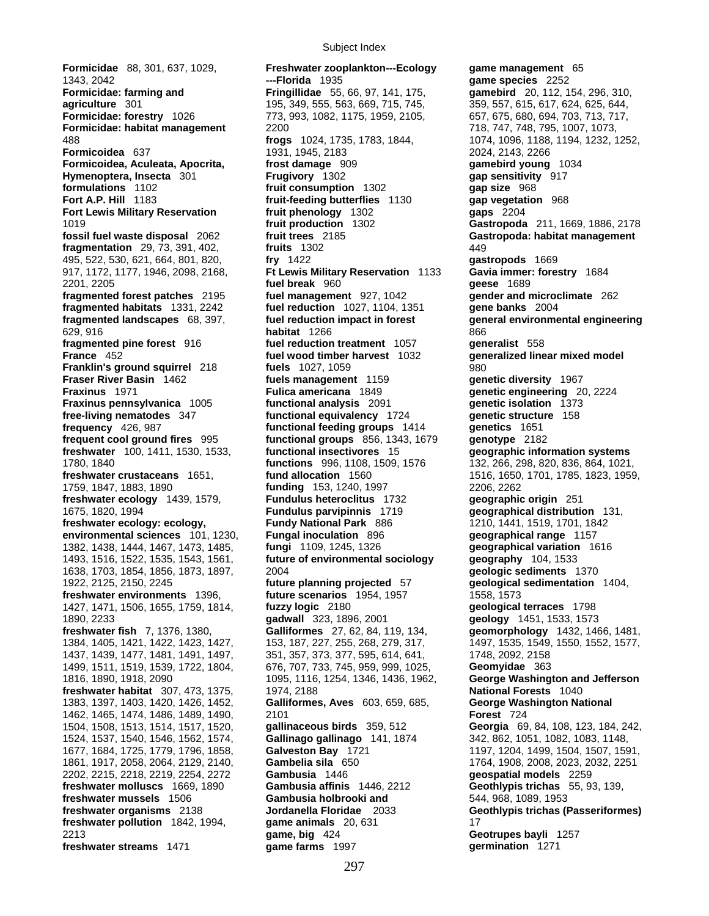**Formicidae: forestry** 1026 773, 993, 1082, 1175, 1959, 2105, 657, 675, 680, 694, 703, 713, 717, **Formicidae: habitat management** 2200 718, 747, 748, 795, 1007, 1073, **Formicoidea** 637 1931, 1945, 2183 2024, 2143, 2266 **Formicoidea, Aculeata, Apocrita, frost damage** 909 **gamebird young** 1034 **Hymenoptera, Insecta** 301 **Frugivory** 1302 **gap sensitivity** 917 **formulations** 1102 **fruit consumption** 1302 **gap size** 968 **Fort Lewis Military Reservation Fort Lewis Military Reservation Fruit phenology 1302<br><b>fruit production** 1302 **fossil fuel waste disposal** 2062 **fruit trees** 2185 **Gastropoda: habitat management fragmentation** 29, 73, 391, 402, **fruits** 1302 449 495, 522, 530, 621, 664, 801, 820, **fry** 1422 **gastropods** 1669 917, 1172, 1177, 1946, 2098, 2168, **Ft Lewis Military Reservation** 1133 **Gavia immer: forestry** 1684 2201, 2205 **fuel break** 960 **geese** 1689 **fragmented forest patches** 2195 **fuel management** 927, 1042 **gender and microclimate** 262 **fragmented habitats** 1331, 2242 **fuel reduction** 1027, 1104, 1351 **gene banks** 2004 629, 916 **habitat** 1266 866 **fragmented pine forest** 916 **fuel reduction treatment** 1057 **generalist** 558<br>**France** 452 **fuel wood timber harvest** 1032 **generalized line Franklin's ground squirrel** 218 **fuels** 1027, 1059 980 **Fraser River Basin** 1462 **fuels management** 1159 **genetic diversity** 1967 **Fraxinus** 1971 **Fulica americana** 1849 **genetic engineering** 20, 2224 **Fraxinus pennsylvanica** 1005 **functional analysis** 2091 **genetic isolation** 1373 **free-living nematodes** 347 **functional equivalency** 1724 **genetic structure** 158 **frequency** 426, 987 **functional feeding groups** 1414 **genetics** 1651 **frequent cool ground fires** 995 **functional groups** 856, 1343, 1679 **genotype** 2182 **freshwater** 100, 1411, 1530, 1533, **functional insectivores** 15 **geographic information systems** 1780, 1840 **functions** 996, 1108, 1509, 1576 132, 266, 298, 820, 836, 864, 1021, 1759, 1847, 1883, 1890 **funding** 153, 1240, 1997 2206, 2262 **freshwater ecology** 1439, 1579, **Fundulus heteroclitus** 1732 **geographic origin** 251 1675, 1820, 1994 **Fundulus parvipinnis** 1719 **geographical distribution** 131, **freshwater ecology: ecology, Fundy National Park** 886 1210, 1441, 1519, 1701, 1842 **environmental sciences** 101, 1230, **Fungal inoculation** 896 **geographical range** 1157 1382, 1438, 1444, 1467, 1473, 1485, **fungi** 1109, 1245, 1326 **geographical variation** 1616 1493, 1516, 1522, 1535, 1543, 1561, **future of environmental sociology geography** 104, 1533 1638, 1703, 1854, 1856, 1873, 1897, 2004 **geologic sediments** 1370 1922, 2125, 2150, 2245 **future planning projected** 57 **geological sedimentation** 1404, **freshwater environments** 1396, **future scenarios** 1954, 1957 1558, 1573 1427, 1471, 1506, 1655, 1759, 1814, **fuzzy logic** 2180 **geological terraces** 1798 1890, 2233 **gadwall** 323, 1896, 2001 **geology** 1451, 1533, 1573 1437, 1439, 1477, 1481, 1491, 1497, 1499, 1511, 1519, 1539, 1722, 1804, 676, 707, 733, 745, 959, 999, 1025, **Geomyidae** 363 **freshwater habitat** 307, 473, 1375, 1974, 2188 **National Forests** 1040 1383, 1397, 1403, 1420, 1426, 1452, **Galliformes, Aves** 603, 659, 685, **George Washington National**  1462, 1465, 1474, 1486, 1489, 1490, 2101 **Forest** 724 1524, 1537, 1540, 1546, 1562, 1574, **Gallinago gallinago** 141, 1874 1861, 1917, 2058, 2064, 2129, 2140, **Gambelia sila** 650 1764, 1908, 2008, 2023, 2032, 2251 2202, 2215, 2218, 2219, 2254, 2272 **Gambusia** 1446 **geospatial models** 2259 **freshwater molluscs** 1669, 1890 **Gambusia affinis** 1446, 2212 **Geothlypis trichas** 55, 93, 139, **freshwater mussels** 1506 **Gambusia holbrooki and** 544, 968, 1089, 1953 **freshwater pollution** 1842, 1994, **game animals** 20, 631 17 2213 **game, big** 424 **Geotrupes bayli** 1257 **freshwater streams** 1471 **game farms** 1997 **germination** 1271

**Formicidae** 88, 301, 637, 1029, **Freshwater zooplankton---Ecology game management** 65 1343, 2042 **---Florida** 1935 **game species** 2252 **Formicidae: farming and Fringillidae** 55, 66, 97, 141, 175, **gamebird** 20, 112, 154, 296, 310, **agriculture** 301 195, 349, 555, 563, 669, 715, 745, 359, 557, 615, 617, 624, 625, 644, **Fruit-feeding butterflies** 1130 **gap vegetation** 968<br> **fruit phenology** 1302 **gaps** 2204 fuel wood timber harvest 1032 **generalized linear mixed model** 

Subject Index

488 **frogs** 1024, 1735, 1783, 1844, 1074, 1096, 1188, 1194, 1232, 1252, 1019 **fruit production** 1302 **Gastropoda** 211, 1669, 1886, 2178 **fragmented landscapes** 68, 397, **fuel reduction impact in forest general environmental engineering freshwater crustaceans** 1651, **fund allocation** 1560 1516, 1650, 1701, 1785, 1823, 1959, **freshwater fish** 7, 1376, 1380, **Galliformes** 27, 62, 84, 119, 134, **geomorphology** 1432, 1466, 1481, 1384, 1405, 1421, 1422, 1423, 1427, 153, 187, 227, 255, 268, 279, 317, 1497, 1535, 1549, 1550, 1552, 1577, 1437, 1437, 1481, 1491, 1497, 1551, 1577, 1431, 1497, 1552, 1577, 1401, 1497, 1550, 1552, 1577, 1481, 1497, 1580, 1 1816, 1890, 1918, 2090 1095, 1116, 1254, 1346, 1436, 1962, **George Washington and Jefferson**  1504, 1508, 1513, 1514, 1517, 1520, **gallinaceous birds** 359, 512 **Georgia** 69, 84, 108, 123, 184, 242, 1677, 1684, 1725, 1779, 1796, 1858, **Galveston Bay** 1721 1197, 1204, 1499, 1504, 1507, 1591, **freshwater organisms** 2138 **Jordanella Floridae** 2033 **Geothlypis trichas (Passeriformes)**

297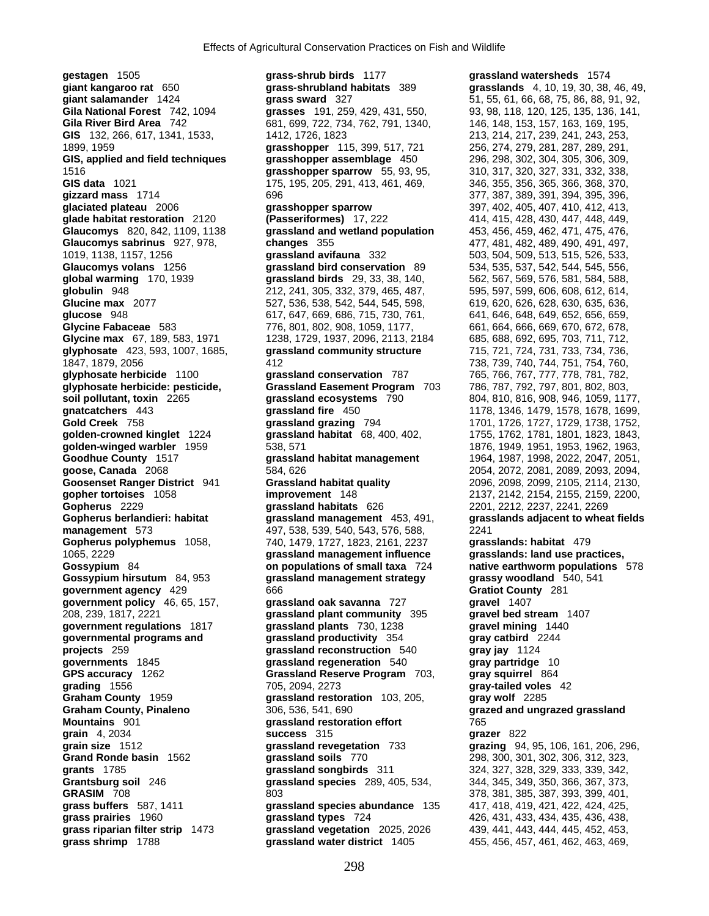**Glaucomys sabrinus** 927, 978, **changes** 355 **global warming** 170, 1939 **grassland birds** 29, 33, 38, 140,

**gestagen** 1505 **grass-shrub birds** 1177 **grassland watersheds** 1574 **giant salamander** 1424 **grass sward** 327 51, 55, 61, 66, 68, 75, 86, 88, 91, 92, **Gila National Forest** 742, 1094 **grasses** 191, 259, 429, 431, 550, 93, 98, 118, 120, 125, 135, 136, 141, Gila River Bird Area 742 681, 699, 722, 734, 762, 791, 1340, 146, 148, 153, 157, 163, 169, 195, **GIS** 132, 266, 617, 1341, 1533, 1412, 1726, 1823 213, 214, 217, 239, 241, 243, 253, 1899, 1959 **grasshopper** 115, 399, 517, 721 256, 274, 279, 281, 287, 289, 291, **GIS, applied and field techniques grasshopper assemblage** 450 296, 298, 302, 304, 305, 306, 309, 1516 **grasshopper sparrow** 55, 93, 95, 310, 317, 320, 327, 331, 332, 338, GIS data 1021 175, 195, 205, 291, 413, 461, 469, 346, 355, 356, 365, 366, 368, 370, **gizzard mass** 1714 696 377, 387, 389, 391, 394, 395, 396, **glaciated plateau** 2006 **grasshopper sparrow** 397, 402, 405, 407, 410, 412, 413, **glade habitat restoration** 2120 **(Passeriformes)** 17, 222 414, 415, 428, 430, 447, 448, 449, **Glaucomys** 820, 842, 1109, 1138 **grassland and wetland population** 453, 456, 459, 462, 471, 475, 476, 1019, 1138, 1157, 1256 **grassland avifauna** 332 503, 504, 509, 513, 515, 526, 533, **Glaucomys volans** 1256 **grassland bird conservation** 89 534, 535, 537, 542, 544, 545, 556, **globulin** 948 **212, 241, 305, 332, 379, 465, 487,** 595, 597, 599, 606, 608, 612, 614, Glucine max 2077 527, 536, 538, 542, 544, 545, 598, 619, 620, 626, 628, 630, 635, 636, 639, 635, 639, 639, 639, 6 **glucose** 948 617, 647, 669, 686, 715, 730, 761, 641, 646, 648, 649, 652, 656, 659, **Glycine Fabaceae** 583 776, 801, 802, 908, 1059, 1177, 661, 664, 666, 669, 670, 672, 678, **Glycine max** 67, 189, 583, 1971 1238, 1729, 1937, 2096, 2113, 2184 685, 688, 692, 695, 703, 711, 712, **glyphosate** 423, 593, 1007, 1685, **grassland community structure** 715, 721, 724, 731, 733, 734, 736, 1847, 1879, 2056 412 738, 739, 740, 744, 751, 754, 760, **glyphosate herbicide** 1100 **grassland conservation** 787 765, 766, 767, 777, 778, 781, 782, **glyphosate herbicide: pesticide, Grassland Easement Program** 703 786, 787, 792, 797, 801, 802, 803, **soil pollutant, toxin** 2265 **grassland ecosystems** 790 804, 810, 816, 908, 946, 1059, 1177, **gnatcatchers** 443 **grassland fire** 450 **1178, 1346, 1479, 1578, 1678, 1699,**<br> **Gold Creek** 758 **grassland grazing 794** 1701, 1726, 1727, 1729, 1738, 1752, grassland grazing 794 1701, 1726, 1727, 1729, 1738, 1752, **golden-crowned kinglet** 1224 **grassland habitat** 68, 400, 402, 1755, 1762, 1781, 1801, 1823, 1843, **golden-winged warbler** 1959 538, 571 538, 571 1876, 1949, 1951, 1953, 1962, 1963, 1962, 1963, **Goodhue County** 1517 **1888** and habitat management 1964, 1987, 1988, 2022, 2047, 2051, **Goodhue County** 1517 **grassland habitat management** 1964, 1987, 1998, 2022, 2047, 2051, **goose, Canada** 2068 584, 626 2054, 2072, 2081, 2089, 2093, 2094, **Goosenset Ranger District** 941 **Grassland habitat quality** 2096, 2098, 2099, 2105, 2114, 2130, **gopher tortoises** 1058 **improvement** 148 2137, 2142, 2154, 2155, 2159, 2200, **Gopherus** 2229 **grassland habitats** 626 2201, 2212, 2237, 2241, 2269 **management** 573 497, 538, 539, 540, 543, 576, 588, 2241 **Gopherus polyphemus** 1058, 740, 1479, 1727, 1823, 2161, 2237 **grasslands: habitat** 479 1065, 2229 **grassland management influence grasslands: land use practices, Gossypium hirsutum** 84, 953 **grassland management strategy grassy woodland** 540, 541 **government agency** 429 666 **Gratiot County** 281 **government policy** 46, 65, 157, **grassland oak savanna** 727 **gravel** 1407 208, 239, 1817, 2221 **grassland plant community** 395 **gravel bed stream** 1407 **government regulations** 1817 **grassland plants** 730, 1238 **gravel mining** 1440 **governmental programs and grassland productivity** 354 **gray catbird** 2244 **projects** 259 **grassland reconstruction** 540 **gray jay** 1124 **governments** 1845 **grassland regeneration** 540 **gray partridge** 10 **GPS accuracy** 1262 **Grassland Reserve Program** 703, **gray squirrel** 864 **grading** 1556 705, 2094, 2273 **gray-tailed voles** 42 **Graham County** 1959 **grassland restoration** 103, 205, **gray wolf** 2285 **Graham County, Pinaleno** 306, 536, 541, 690 **grazed and ungrazed grassland Mountains** 901 **grassland restoration effort** 765 **grain** 4, 2034 **success** 315 **grazer** 822 **grain size** 1512 **grassland revegetation** 733 **grazing** 94, 95, 106, 161, 206, 296, **Grand Ronde basin** 1562 **grassland soils** 770 298, 300, 301, 302, 306, 312, 323, **grants** 1785 **grassland songbirds** 311 324, 327, 328, 329, 333, 339, 342, **Grantsburg soil** 246 **grassland species** 289, 405, 534, 344, 345, 349, 350, 366, 367, 373, **GRASIM** 708 **803** 803 803 378, 381, 385, 387, 393, 399, 401, **grass buffers** 587, 1411 **grassland species abundance** 135 417, 418, 419, 421, 422, 424, 425, **grass prairies** 1960 **grassland types** 724 426, 431, 433, 434, 435, 436, 438, **grass riparian filter strip** 1473 **grassland vegetation** 2025, 2026 439, 441, 443, 444, 445, 452, 453, **grass shrimp** 1788 **grassland water district** 1405 455, 456, 457, 461, 462, 463, 469,

**giant kangaroo rat** 650 **grass-shrubland habitats** 389 **grasslands** 4, 10, 19, 30, 38, 46, 49, **Gopherus berlandieri: habitat grassland management** 453, 491, **grasslands adjacent to wheat fields Gossypium** 84 **on populations of small taxa** 724 **native earthworm populations** 578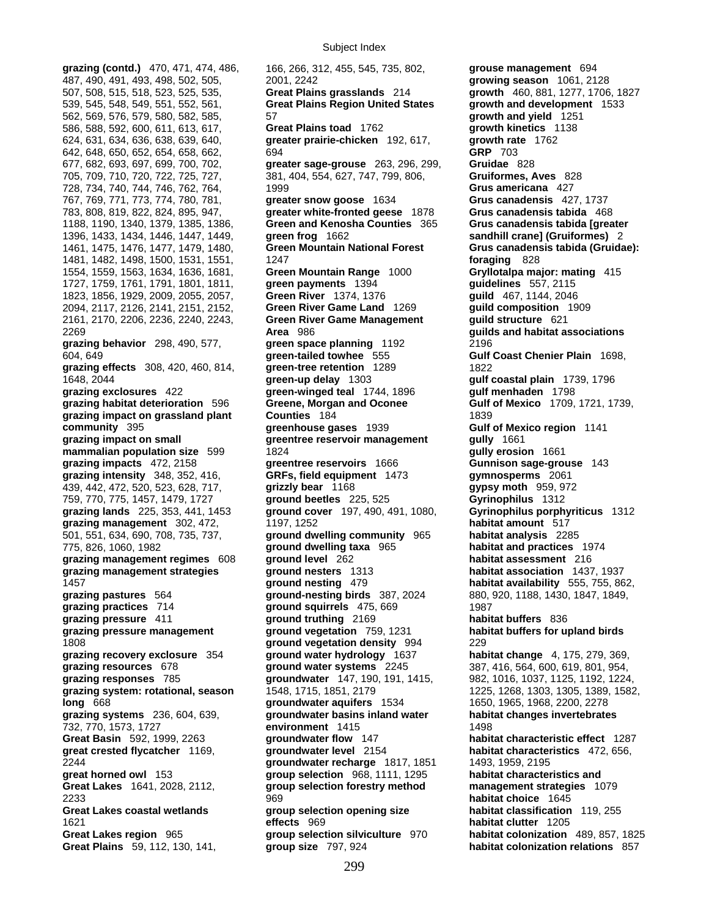507, 508, 515, 518, 523, 525, 535, **Great Plains grasslands** 214 **growth** 460, 881, 1277, 1706, 1827 539, 545, 548, 549, 551, 552, 561, **Great Plains Region United States growth and development** 1533 562, 569, 576, 579, 580, 582, 585, 57 **growth and yield** 1251 586, 588, 592, 600, 611, 613, 617, **Great Plains toad** 1762 **growth kinetics** 1138 624, 631, 634, 636, 638, 639, 640, **greater prairie-chicken** 192, 617, **growth rate** 1762 642, 648, 650, 652, 654, 658, 662, 694 **GRP** 703 677, 682, 693, 697, 699, 700, 702, **greater sage-grouse** 263, 296, 299, **Gruidae** 828 705, 709, 710, 720, 722, 725, 727, 381, 404, 554, 627, 747, 799, 806, **Gruiformes, Aves** 828 728, 734, 740, 744, 746, 762, 764, 1999 **Grus americana** 427 767, 769, 771, 773, 774, 780, 781, **greater snow goose** 1634 **Grus canadensis** 427, 1737 783, 808, 819, 822, 824, 895, 947, **greater white-fronted geese** 1878 **Grus canadensis tabida** 468 1188, 1190, 1340, 1379, 1385, 1386, **Green and Kenosha Counties** 365 **Grus canadensis tabida [greater**  1396, 1433, 1434, 1446, 1447, 1449, **green frog** 1662 **sandhill crane] (Gruiformes)** 2 1461, 1475, 1476, 1477, 1479, 1480, **Green Mountain National Forest Grus canadensis tabida (Gruidae):**  1481, 1482, 1498, 1500, 1531, 1551, 1247 **foraging** 828 1554, 1559, 1563, 1634, 1636, 1681, **Green Mountain Range** 1000 **Gryllotalpa major: mating** 415 1727, 1759, 1761, 1791, 1801, 1811, **green payments** 1394 **guidelines** 557, 2115 1823, 1856, 1929, 2009, 2055, 2057, **Green River** 1374, 1376 **guild** 467, 1144, 2046 2094, 2117, 2126, 2141, 2151, 2152, **Green River Game Land** 1269 **guild composition** 1909 2161, 2170, 2206, 2236, 2240, 2243, **Green River Game Management guild structure** 621 2269 **Area** 986 **guilds and habitat associations grazing behavior** 298, 490, 577, **green space planning** 1192 2196 604, 649 **green-tailed towhee** 555 **Gulf Coast Chenier Plain** 1698, **grazing effects** 308, 420, 460, 814, **green-tree retention** 1289 1822 1648, 2044 **green-up delay** 1303 **gulf coastal plain** 1739, 1796 **grazing exclosures** 422 **green-winged teal** 1744, 1896 **gulf menhaden** 1798 **grazing habitat deterioration** 596 **Greene, Morgan and Oconee Gulf of Mexico** 1709, 1721, 1739, **grazing impact on grassland plant Counties** 184 1839 **community** 395 **greenhouse gases** 1939 **Gulf of Mexico region** 1141 **grazing impact on small greentree reservoir management gully** 1661 **mammalian population size** 599 1824 **gully erosion** 1661 **grazing impacts** 472, 2158 **greentree reservoirs** 1666 **Gunnison sage-grouse** 143 **grazing intensity** 348, 352, 416, **GRFs, field equipment** 1473 **gymnosperms** 2061 439, 442, 472, 520, 523, 628, 717, **grizzly bear** 1168 **gypsy moth** 959, 972 759, 770, 775, 1457, 1479, 1727 **ground beetles** 225, 525 **Gyrinophilus** 1312 **grazing lands** 225, 353, 441, 1453 **ground cover** 197, 490, 491, 1080, **Gyrinophilus porphyriticus** 1312 **grazing management** 302, 472, 1197, 1252 **habitat amount** 517 501, 551, 634, 690, 708, 735, 737, **ground dwelling community** 965 **habitat analysis** 2285 775, 826, 1060, 1982 **ground dwelling taxa** 965 **habitat and practices** 1974 **grazing management regimes** 608 **ground level** 262 **habitat assessment** 216 **grazing management strategies ground nesters** 1313 **habitat association** 1437, 1937 1457 **ground nesting** 479 **habitat availability** 555, 755, 862, **grazing pastures** 564 **ground-nesting birds** 387, 2024 880, 920, 1188, 1430, 1847, 1849, **grazing practices** 714 **ground squirrels** 475, 669 1987 **grazing pressure** 411 **ground truthing** 2169 **habitat buffers** 836 **grazing pressure management ground vegetation** 759, 1231 **habitat buffers for upland birds** 1808 **ground vegetation density** 994 229 **grazing recovery exclosure** 354 **ground water hydrology** 1637 **habitat change** 4, 175, 279, 369, **grazing resources** 678 **ground water systems** 2245 387, 416, 564, 600, 619, 801, 954, **grazing responses** 785 **groundwater** 147, 190, 191, 1415, 982, 1016, 1037, 1125, 1192, 1224, **grazing system: rotational, season** 1548, 1715, 1851, 2179 1225, 1268, 1303, 1305, 1389, 1582, **long** 668 **groundwater aquifers** 1534 1650, 1965, 1968, 2200, 2278 **grazing systems** 236, 604, 639, **groundwater basins inland water habitat changes invertebrates** 732, 770, 1573, 1727 **environment** 1415 1498 **Great Basin** 592, 1999, 2263 **groundwater flow** 147 **habitat characteristic effect** 1287 **great crested flycatcher** 1169, **groundwater level** 2154 **habitat characteristics** 472, 656, 2244 **groundwater recharge** 1817, 1851 1493, 1959, 2195 **great horned owl** 153 **group selection** 968, 1111, 1295 **habitat characteristics and Great Lakes** 1641, 2028, 2112, **group selection forestry method management strategies** 1079 2233 969 **habitat choice** 1645 **Great Lakes coastal wetlands group selection opening size habitat classification** 119, 255 1621 **effects** 969 **habitat clutter** 1205 **Great Lakes region** 965 **group selection silviculture** 970

**grazing (contd.)** 470, 471, 474, 486, 166, 266, 312, 455, 545, 735, 802, **grouse management** 694 487, 490, 491, 493, 498, 502, 505, 2001, 2242 **growing season** 1061, 2128 **Great Plains** 59, 112, 130, 141, **group size** 797, 924 **habitat colonization relations** 857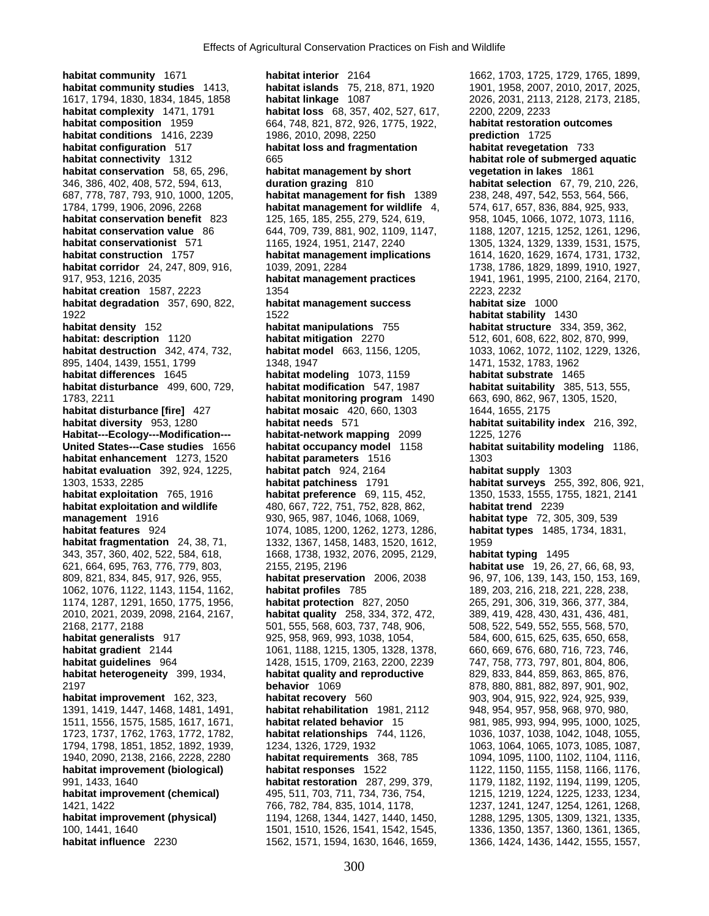**habitat community** 1671 **habitat interior** 2164 1662, 1703, 1725, 1729, 1765, 1899, **habitat community studies** 1413, **habitat islands** 75, 218, 871, 1920 1901, 1958, 2007, 2010, 2017, 2025, 1617, 1794, 1830, 1834, 1845, 1858 **habitat linkage** 1087 2026, 2031, 2113, 2128, 2173, 2185, **habitat complexity** 1471, 1791 **habitat loss** 68, 357, 402, 527, 617, 2200, 2209, 2233<br>**habitat composition** 1959 664, 748, 821, 872, 926, 1775, 1922, **habitat restoration outcomes habitat conditions** 1416, 2239 1986, 2010, 2098, 2250 **prediction** 1725 **habitat configuration** 517 **habitat loss and fragmentation habitat revegetation** 733 **habitat connectivity** 1312 665 **habitat role of submerged aquatic habitat conservation** 58, 65, 296, **habitat management by short vegetation in lakes** 1861 346, 386, 402, 408, 572, 594, 613, **duration grazing** 810 **habitat selection** 67, 79, 210, 226, 687, 778, 787, 793, 910, 1000, 1205, **habitat management for fish** 1389 238, 248, 497, 542, 553, 564, 566, 1784, 1799, 1906, 2096, 2268 **habitat management for wildlife** 4, 574, 617, 657, 836, 884, 925, 933, **habitat conservation benefit** 823 125, 165, 185, 255, 279, 524, 619, 958, 1045, 1066, 1072, 1073, 1116, habitat conservation value 86 644, 709, 739, 881, 902, 1109, 1147, 1188, 1207, 1215, 1252, 1261, 1296, **habitat conservationist** 571 1165, 1924, 1951, 2147, 2240 1305, 1324, 1329, 1339, 1531, 1575, **habitat construction** 1757 **habitat management implications** 1614, 1620, 1629, 1674, 1731, 1732, habitat corridor 24, 247, 809, 916, 1039, 2091, 2284 1738, 1738, 1786, 1829, 1899, 1910, 1927, 917, 953, 1216, 2035 **habitat management practices** 1941, 1961, 1995, 2100, 2164, 2170, **habitat creation** 1587, 2223 1354 1354 2223, 2232 **habitat degradation** 357, 690, 822, **habitat management success habitat size** 1000 1922 1522 **habitat stability** 1430 **habitat density** 152 **habitat manipulations** 755 **habitat structure** 334, 359, 362, **habitat: description** 1120 **habitat mitigation** 2270 512, 601, 608, 622, 802, 870, 999, **habitat destruction** 342, 474, 732, **habitat model** 663, 1156, 1205, 1033, 1062, 1072, 1102, 1229, 132 **habitat destruction** 342, 474, 732, **habitat model** 663, 1156, 1205, 1033, 1062, 1072, 1102, 1229, 1326, 895, 1404, 1439, 1551, 1799 1348, 1947 1348, 1947 1471, 1532, 1783, 1962 **habitat differences** 1645 **habitat modeling** 1073, 1159 **habitat substrate** 1465 **habitat disturbance** 499, 600, 729, **habitat modification** 547, 1987 **habitat suitability** 385, 513, 555, 1783, 2211 **habitat monitoring program** 1490 663, 690, 862, 967, 1305, 1520, **habitat disturbance [fire]** 427 **habitat mosaic** 420, 660, 1303 1644, 1655, 2175 **habitat diversity** 953, 1280 **habitat needs** 571 **habitat suitability index** 216, 392, **Habitat---Ecology---Modification--- habitat-network mapping** 2099 1225, 1276 **United States---Case studies** 1656 **habitat occupancy model** 1158 **habitat suitability modeling** 1186, **habitat enhancement** 1273, 1520 **habitat parameters** 1516 1303 **habitat evaluation** 392, 924, 1225, **habitat patch** 924, 2164 **habitat supply** 1303 1303, 1533, 2285 **habitat patchiness** 1791 **habitat surveys** 255, 392, 806, 921, **habitat exploitation** 765, 1916 **habitat preference** 69, 115, 452, 1350, 1533, 1555, 1755, 1821, 2141 **habitat exploitation and wildlife** 480, 667, 722, 751, 752, 828, 862, **habitat trend** 2239 **management** 1916 930, 965, 987, 1046, 1068, 1069, **habitat type** 72, 305, 309, 539 **habitat features** 924 1074, 1085, 1200, 1262, 1273, 1286, **habitat types** 1485, 1734, 1831, **habitat fragmentation** 24, 38, 71, 1332, 1367, 1458, 1483, 1520, 1612, 1959 343, 357, 360, 402, 522, 584, 618, 1668, 1738, 1932, 2076, 2095, 2129, **habitat typing** 1495 621, 664, 695, 763, 776, 779, 803, 2155, 2195, 2196 **habitat use** 19, 26, 27, 66, 68, 93, 809, 821, 834, 845, 917, 926, 955, **habitat preservation** 2006, 2038 96, 97, 106, 139, 143, 150, 153, 169, 1062, 1076, 1122, 1143, 1154, 1162, **habitat profiles** 785 189, 203, 216, 218, 221, 228, 238, 1174, 1287, 1291, 1650, 1775, 1956, **habitat protection** 827, 2050 265, 291, 306, 319, 366, 377, 384, 2010, 2021, 2039, 2098, 2164, 2167, **habitat quality** 258, 334, 372, 472, 389, 419, 428, 430, 431, 436, 481, 2168, 2177, 2188 501, 555, 568, 603, 737, 748, 906, 508, 522, 549, 552, 555, 568, 570, **habitat generalists** 917 925, 958, 969, 993, 1038, 1054, 584, 600, 615, 625, 635, 650, 658, **habitat gradient** 2144 1061, 1188, 1215, 1305, 1328, 1378, 660, 669, 676, 680, 716, 723, 746, **habitat guidelines** 964 1428, 1515, 1709, 2163, 2200, 2239 747, 758, 773, 797, 801, 804, 806, **habitat heterogeneity** 399, 1934, **habitat quality and reproductive** 829, 833, 844, 859, 863, 865, 876, 2197 **behavior** 1069 878, 880, 881, 882, 897, 901, 902, **habitat improvement** 162, 323, **habitat recovery** 560 903, 904, 915, 922, 924, 925, 939, 1391, 1419, 1447, 1468, 1481, 1491, **habitat rehabilitation** 1981, 2112 948, 954, 957, 958, 968, 970, 980, 1511, 1556, 1575, 1585, 1617, 1671, **habitat related behavior** 15 981, 985, 993, 994, 995, 1000, 1025, 1723, 1737, 1762, 1763, 1772, 1782, **habitat relationships** 744, 1126, 1036, 1037, 1038, 1042, 1048, 1055, 1794, 1798, 1851, 1852, 1892, 1939, 1234, 1326, 1729, 1932 1063, 1064, 1065, 1073, 1085, 1087, 1940, 2090, 2138, 2166, 2228, 2280 **habitat requirements** 368, 785 1094, 1095, 1100, 1102, 1104, 1116, **habitat improvement (biological) habitat responses** 1522 1122, 1150, 1155, 1158, 1166, 1176, 991, 1433, 1640 **habitat restoration** 287, 299, 379, 1179, 1182, 1192, 1194, 1199, 1205, **habitat improvement (chemical)** 495, 511, 703, 711, 734, 736, 754, 1215, 1219, 1224, 1225, 1233, 1234, 1421, 1422 766, 782, 784, 835, 1014, 1178, 1237, 1241, 1247, 1254, 1261, 1268, **habitat improvement (physical)** 1194, 1268, 1344, 1427, 1440, 1450, 1288, 1295, 1305, 1309, 1321, 1335, 100, 1441, 1640 1501, 1510, 1526, 1541, 1542, 1545, 1336, 1350, 1357, 1360, 1361, 1365,

**habitat composition** 1959 664, 748, 821, 872, 926, 1775, 1922, **habitat restoration outcomes** 

**habitat influence** 2230 1562, 1571, 1594, 1630, 1646, 1659, 1366, 1424, 1436, 1442, 1555, 1557,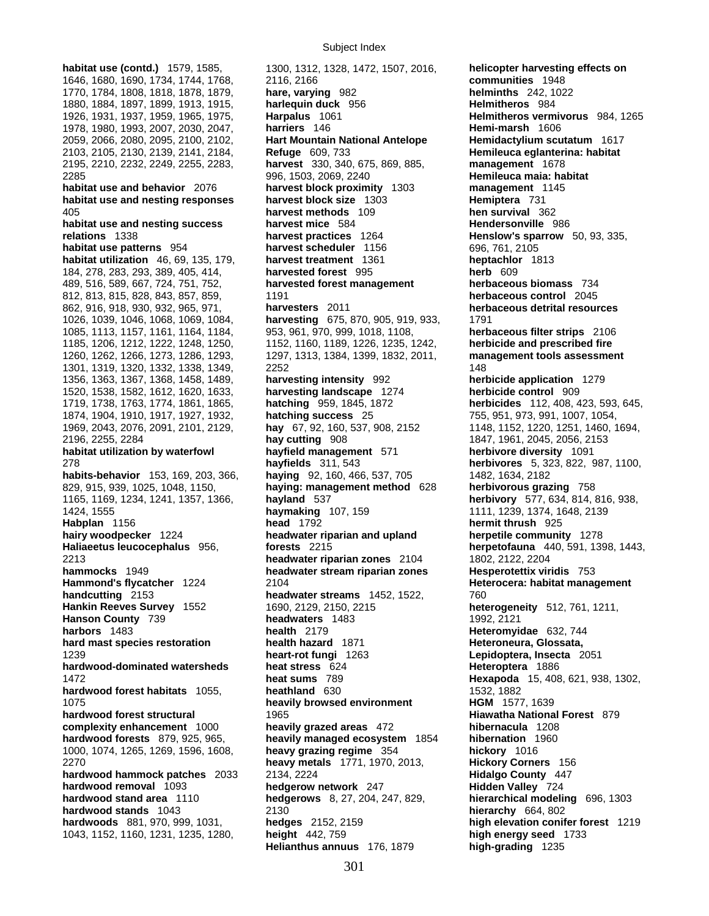1646, 1680, 1690, 1734, 1744, 1768, 2116, 2166<br>1770, 1784, 1808, 1818, 1878, 1879, **hare, varying** 982 1770, 1784, 1808, 1818, 1878, 1879, **hare, varying** 982 **helminths** 242, 1022 1880, 1884, 1897, 1899, 1913, 1915, **harlequin duck** 956 **Helmitheros** 984 1926, 1931, 1937, 1959, 1965, 1975, **Harpalus** 1061 **Helmitheros vermivorus** 984, 1265 1978, 1980, 1993, 2007, 2030, 2047, **harriers** 146 **Hemi-marsh** 1606 2059, 2066, 2080, 2095, 2100, 2102, **Hart Mountain National Antelope Hemidactylium scutatum** 1617 2103, 2105, 2130, 2139, 2141, 2184, **Refuge** 609, 733 **Hemileuca eglanterina: habitat**  2195, 2210, 2232, 2249, 2255, 2283, **harvest** 330, 340, 675, 869, 885, **management** 1678 2285 996, 1503, 2069, 2240 **Hemileuca maia: habitat habitat use and behavior** 2076 **harvest block proximity** 1303 **management** 1145 **habitat use and nesting responses harvest block size** 1303 **Hemiptera** 731 405 **harvest methods** 109 **hen survival** 362 **habitat use and nesting success harvest mice** 584 **Hendersonville** 986 **relations** 1338 **harvest practices** 1264 **Henslow's sparrow** 50, 93, 335, **habitat use patterns** 954 **harvest scheduler** 1156 696, 761, 2105 **habitat utilization** 46, 69, 135, 179, **harvest treatment** 1361 **heptachlor** 1813 184, 278, 283, 293, 389, 405, 414, **harvested forest** 995 **herb** 609 489, 516, 589, 667, 724, 751, 752, **harvested forest management herbaceous biomass** 734 812, 813, 815, 828, 843, 857, 859, 1191 **herbaceous control** 2045 862, 916, 918, 930, 932, 965, 971, **harvesters** 2011 **herbaceous detrital resources** 1026, 1039, 1046, 1068, 1069, 1084, **harvesting** 675, 870, 905, 919, 933, 1791 1085, 1113, 1157, 1161, 1164, 1184, 953, 961, 970, 999, 1018, 1108, **herbaceous filter strips** 2106 1185, 1206, 1212, 1222, 1248, 1250, 1152, 1160, 1189, 1226, 1235, 1242, **herbicide and prescribed fire**  1260, 1262, 1266, 1273, 1286, 1293, 1297, 1313, 1384, 1399, 1832, 2011, **management tools assessment** 1301, 1319, 1320, 1332, 1338, 1349, 2252 148 1356, 1363, 1367, 1368, 1458, 1489, **harvesting intensity** 992 **herbicide application** 1279 1520, 1538, 1582, 1612, 1620, 1633, **harvesting landscape** 1274 **herbicide control** 909 1719, 1738, 1763, 1774, 1861, 1865, **hatching** 959, 1845, 1872 **herbicides** 112, 408, 423, 593, 645, 1874, 1904, 1910, 1917, 1927, 1932, **hatching success** 25 755, 951, 973, 991, 1007, 1054, 1969, 2043, 2076, 2091, 2101, 2129, **hay** 67, 92, 160, 537, 908, 2152 1148, 1152, 1220, 1251, 1460, 1694, 2196, 2255, 2284 **hay cutting** 908 1847, 1961, 2045, 2056, 2153 **habitat utilization by waterfowl hayfield management** 571 **herbivore diversity** 1091 278 **hayfields** 311, 543 **herbivores** 5, 323, 822, 987, 1100, **habits-behavior** 153, 169, 203, 366, **haying** 92, 160, 466, 537, 705 1482, 1634, 2182 829, 915, 939, 1025, 1048, 1150, **haying: management method** 628 **herbivorous grazing** 758 1165, 1169, 1234, 1241, 1357, 1366, **hayland** 537 **herbivory** 577, 634, 814, 816, 938, 1424, 1555 **haymaking** 107, 159 1111, 1239, 1374, 1648, 2139 **Habplan** 1156 **head** 1792 **hermit thrush** 925 **hairy woodpecker** 1224 **headwater riparian and upland herpetile community** 1278 **Haliaeetus leucocephalus** 956, **forests** 2215 **herpetofauna** 440, 591, 1398, 1443, 2213 **headwater riparian zones** 2104 1802, 2122, 2204 **hammocks** 1949 **headwater stream riparian zones Hesperotettix viridis** 753 **Hammond's flycatcher** 1224 2104 **Heterocera: habitat management handcutting** 2153 **headwater streams** 1452, 1522, 760 **Hankin Reeves Survey** 1552 1690, 2129, 2150, 2215 heterogeneity 512, 761, 1211, **Hanson County 739 <b>headwaters** 1483 1992, 2121 **harbors** 1483 **health** 2179 **Heteromyidae** 632, 744 **hard mast species restoration health hazard** 1871 **Heteroneura, Glossata,** 1239 **heart-rot fungi** 1263 **Lepidoptera, Insecta** 2051 **hardwood-dominated watersheds heat stress** 624 **Heteroptera** 1886 1472 **heat sums** 789 **Hexapoda** 15, 408, 621, 938, 1302, **hardwood forest habitats** 1055, 1075 **heavily browsed environment HGM** 1577, 1639 **hardwood forest structural** 1965 **Hiawatha National Forest** 879 **complexity enhancement** 1000 **heavily grazed areas** 472 **hibernacula** 1208 **hardwood forests** 879, 925, 965, **heavily managed ecosystem** 1854 **hibernation** 1960 1000, 1074, 1265, 1269, 1596, 1608, **heavy grazing regime** 354 **hickory** 1016 2270 **heavy metals** 1771, 1970, 2013, **Hickory Corners** 156 **hardwood hammock patches** 2033 2134, 2224 **Hidalgo County** 447 **hardwood removal** 1093 **hedgerow network** 247 **Hidden Valley** 724 **hardwood stand area** 1110 **hedgerows** 8, 27, 204, 247, 829, **hierarchical modeling** 696, 1303 **hardwood stands** 1043 2130 **hierarchy** 664, 802 **hardwoods** 881, 970, 999, 1031, **hedges** 2152, 2159 **high elevation conifer forest** 1219 1043, 1152, 1160, 1231, 1235, 1280, **height** 442, 759 **high energy seed** 1733

**habitat use (contd.)** 1579, 1585, 1300, 1312, 1328, 1472, 1507, 2016, **helicopter harvesting effects on <br>1646. 1680. 1690, 1734, 1744, 1768, 2116, 2166 Helianthus annuus** 176, 1879 **high-grading** 1235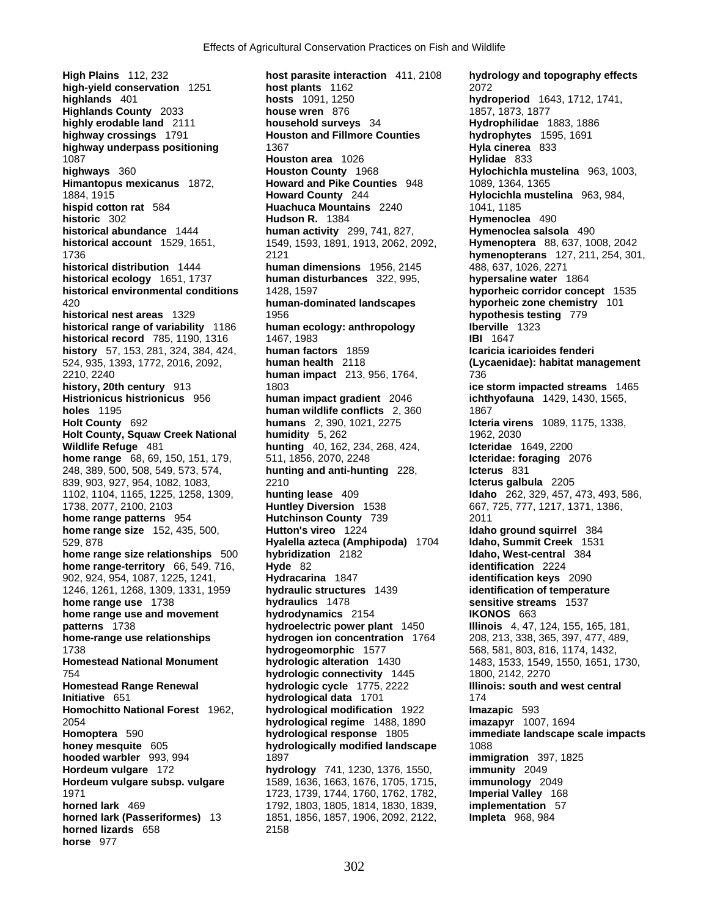**1087 Houston area** 1026 **historical distribution** 1444 **human dimensions** 1956, 2145<br> **human disturbances** 322, 995, 248, 389, 500, 508, 549, 573, 574, **hunting and anti-hunting** 228, **Icterus** 831 1246, 1261, 1268, 1309, 1331, 1959 **hydraulic structures** 1439 **identification of temperature Homochitto National Forest** 1962, **hydrological modification** 1922 **Hordeum vulgare** 172 **hydrology** 741, 1230, 1376, 1550, **horned lizards** 658 2158 **horse** 977

**High Plains** 112, 232 **host parasite interaction** 411, 2108 **hydrology and topography effects high-yield conservation** 1251 **host plants** 1162 **host plants** 1162 **host plants** 2072<br>**highlands** 401 **hosts** 1091, 1250 **hydro highlands** 401 **hosts** 1091, 1250 **hydroperiod** 1643, 1712, 1741, **Highlands County** 2033 **house wren** 876 **1857, 1873, 1877 highly erodable land** 2111 **household surveys** 34 **Hydrophilidae** 1883, 1886<br> **highway crossings** 1791 **Houston and Fillmore Counties hydrophytes** 1595, 1691 **highway crossings** 1791 **Houston and Fillmore Counties hydrophytes** 159<br>**highway underpass positioning** 1367 1367 **highway underpass positioning 1367**<br>1087 **Hylidae 833 Houston area** 1026 **Hylidae** 833 **highways** 360 **Houston County** 1968 **Hylochichla mustelina** 963, 1003, **Himantopus mexicanus** 1872, **Howard and Pike Counties** 948 1089, 1364, 1365 1884, 1915 **Howard County** 244 **Hylocichla mustelina** 963, 984, **hispid cotton rat** 584 **Huachuca Mountains** 2240 1041, 1185 **historic** 302 **Hudson R.** 1384 **Hymenoclea** 490 **historical abundance** 1444 **human activity** 299, 741, 827, **Hymenoclea salsola** 490 **historical account** 1529, 1651, 1549, 1593, 1891, 1913, 2062, 2092, **Hymenoptera** 88, 637, 1008, 2042 1736 2121 **hymenopterans** 127, 211, 254, 301, **historical ecology** 1651, 1737 **human disturbances** 322, 995, **hypersaline water** 1864 **historical environmental conditions** 1428, 1597 **hyporheic corridor concept** 1535 420 **human-dominated landscapes hyporheic zone chemistry** 101 **historical nest areas** 1329 1956 **hypothesis testing** 779 **historical range of variability** 1186 **human ecology: anthropology Iberville** 1323 **historical record** 785, 1190, 1316 1467, 1983 1467, 1989 1581 1647 **history** 57, 153, 281, 324, 384, 424, **human factors** 1859 **Icaricia icarioides fenderi**  524, 935, 1393, 1772, 2016, 2092, **human health** 2118 **(Lycaenidae): habitat management** 2210, 2240 **human impact** 213, 956, 1764, 736 **history, 20th century** 913 1803 **ice storm impacted streams** 1465 **Histrionicus histrionicus** 956 **human impact gradient** 2046 **ichthyofauna** 1429, 1430, 1565, **holes** 1195 **human wildlife conflicts** 2, 360 1867<br> **humans** 2, 390, 1021, 2275 **ctering Holt County** 692 **humans** 2, 390, 1021, 2275 **Icteria virens** 1089, 1175, 1338, **Holt County, Squaw Creek National humidity** 5, 262 1962, 2030 **Wildlife Refuge** 481 **hunting** 40, 162, 234, 268, 424, **Icteridae** 1649, 2200 **home range** 68, 69, 150, 151, 179, 511, 1856, 2070, 2248 **Interidae: foraging** 2076<br>248, 389, 500, 508, 549, 573, 574, **Interingande anti-hunting** 228, **Interus** 831 839, 903, 927, 954, 1082, 1083, 2210 **Icterus galbula** 2205 1102, 1104, 1165, 1225, 1258, 1309, **hunting lease** 409 **Idaho** 262, 329, 457, 473, 493, 586, 1738, 2077, 2100, 2103 **Huntley Diversion** 1538 667, 725, 777, 1217, 1371, 1386, **home range patterns** 954 **Hutchinson County** 739 2011 **home range size** 152, 435, 500, **Hutton's vireo** 1224 **Idaho ground squirrel 384**<br>**Hyalella azteca (Amphipoda) 1704 Idaho, Summit Creek 1531** 529, 878 **Hyalella azteca (Amphipoda)** 1704 **Idaho, Summit Creek** 1531 **home range size relationships** 500 **hybridization** 2182 **Idaho, West-central** 3224 **Idaho, West-central** 3224 **home range-territory** 66, 549, 716, **Hyde** 82 **identification** 2224 **identification** 2224 **1902**, 924, 954, 1087, 1225, 1241, **Hydracarina** 1847 **identification keys** 2090 902, 924, 954, 1087, 1225, 1241, **Hydracarina** 1847 **identification keys** 2090 **home range use** 1738 **hydraulics** 1478 **sensitive streams** 1537 **home range use and movement hydrodynamics** 2154 **IKONOS** 663 **patterns** 1738 **hydroelectric power plant** 1450 **Illinois** 4, 47, 124, 155, 165, 181, **home-range use relationships hydrogen ion concentration** 1764 208, 213, 338, 365, 397, 477, 489, 1738 **hydrogeomorphic** 1577 568, 581, 803, 816, 1174, 1432, **Homestead National Monument hydrologic alteration** 1430 1483, 1533, 1549, 1550, 1651, 1730, 754 **hydrologic connectivity** 1445 1800, 2142, 2270 **Homestead Range Renewal hydrologic cycle** 1775, 2222 **Illinois: south and west central Initiative** 651 **hydrological data** 1701 174 2054 **hydrological regime** 1488, 1890 **imazapyr** 1007, 1694 **Homoptera** 590 **hydrological response** 1805 **immediate landscape scale impacts hydrologically modified landscape** 1088 **hooded warbler** 993, 994 1897 **immigration** 397, 1825<br> **Hordeum vulgare** 172 **immunity** 2049 **Hordeum vulgare subsp. vulgare** 1589, 1636, 1663, 1676, 1705, 1715, **immunology** 2049 1971 1723, 1739, 1744, 1760, 1762, 1782, **Imperial Valley** 168 **horned lark** 469 1792, 1803, 1805, 1814, 1830, 1839, **implementation** 57 **horned lark (Passeriformes)** 13 1851, 1856, 1857, 1906, 2092, 2122, **Impleta** 968, 984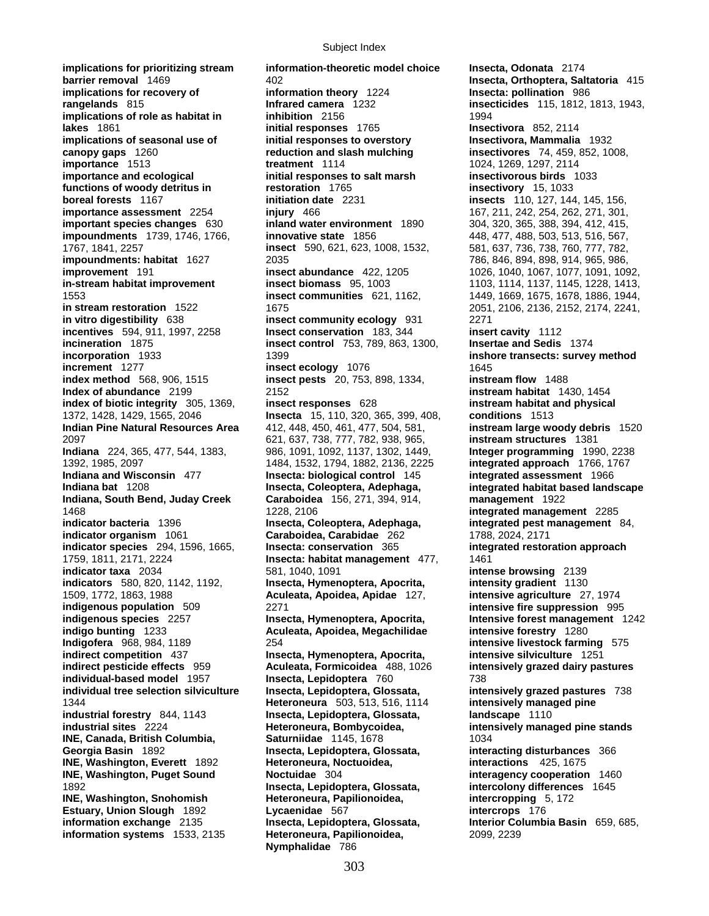**implications for prioritizing stream information-theoretic model choice Insecta, Odonata** 2174 **barrier removal** 1469 402 **Insecta, Orthoptera, Saltatoria** 415<br> **implications for recovery of information theory** 1224 **Insecta: pollination** 986 **implications for recovery of information theory** 1224 **Insecta: pollination** 986 **rangelands** 815 **Infrared camera** 1232 **insecticides** 115, 1812, 1813, 1943, **implications of role as habitat in inhibition** 2156 1994 **lakes** 1861 **initial responses** 1765 **Insectivora** 852, 2114 **implications of seasonal use of initial responses to overstory Insectivora, Mammalia** 1932 **canopy gaps** 1260 **reduction and slash mulching insectivores** 74, 459, 852, 1008, **importance** 1513 **treatment** 1114 1024, 1269, 1297, 2114 **importance and ecological initial responses to salt marsh insectivorous birds** 1033 **functions of woody detritus in functions of woody detritus in the restoration 1765 <b>insectivory** 15, 1033<br>**initiation date** 2231 **insects** 110, 127, 144 **importance assessment** 2254 **injury** 466 **independent 1890** 167, 211, 242, 254, 262, 271, 301, **important species changes** 630 **inland water environment** 1890 304, 320, 365, 388, 394, 412, 415, **important species changes** 630 **impoundments** 1739, 1746, 1766, **innovative state** 1856 448, 477, 488, 503, 513, 516, 567, 1767, 1841, 2257 **insect** 590, 621, 623, 1008, 1532, 581, 637, 736, 738, 760, 777, 782, **impoundments: habitat** 1627 2035 786, 846, 894, 898, 914, 965, 986, **improvement** 191 **insect abundance** 422, 1205 1026, 1040, 1067, 1077, 1091, 1092, **in-stream habitat improvement insect biomass** 95, 1003 1103, 1114, 1137, 1145, 1228, 1413, 1553 **insect communities** 621, 1162, 1449, 1669, 1675, 1678, 1886, 1944, **in stream restoration** 1522 1675 1675 2051, 206, 2136, 2136, 21374, 2241, **in vitro digestibility** 638 **insect community ecology** 931 2271 **incentives** 594, 911, 1997, 2258 **Insect conservation** 183, 344 **insert cavity** 1112 **incorporation** 1933 1399 1399 **inshore transects: survey method**<br> **increment** 1277 **insect ecology** 1076 1645 **increment** 1277 **insect ecology** 1076 1645 1645<br> **index method** 568, 906, 1515 **insect pests** 20, 753, 898, 1334, **instream flow** 1488 **Index of abundance** 2199 2152 **instream habitat** 1430, 1454 **index of biotic integrity** 305, 1369, **insect responses** 628 **instream habitat and physical**  1372, 1428, 1429, 1565, 2046 **Insecta** 15, 110, 320, 365, 399, 408, **conditions** 1513 **Indian Pine Natural Resources Area** 412, 448, 450, 461, 477, 504, 581, **instream large woody debris** 1520 2097 621, 637, 738, 777, 782, 938, 965, **instream structures** 1381 **Indiana** 224, 365, 477, 544, 1383, 986, 1091, 1092, 1137, 1302, 1449, **Integer programming** 1990, 2238 1392, 1985, 2097 1484, 1532, 1794, 1882, 2136, 2225 **integrated approach** 1766, 1767 **Indiana and Wisconsin** 477 **Insecta: biological control** 145 **integrated assessment** 1966 **Indiana bat** 1208 **Insecta, Coleoptera, Adephaga, integrated habitat based landscape Indiana, South Bend, Juday Creek Caraboidea** 156, 271, 394, 914, **management** 1922 1468 1228, 2106 **integrated management** 2285 **indicator bacteria** 1396 **Insecta, Coleoptera, Adephaga, integrated pest management** 84, **indicator organism** 1061 **Caraboidea, Carabidae** 262 1788, 2024, 2171 **indicator species** 294, 1596, 1665, **Insecta: conservation** 365 **integrated restoration approach** 1759, 1811, 2171, 2224 **Insecta: habitat management** 477, 1461 **indicator taxa** 2034 581, 1040, 1091 **intense browsing** 2139 **indicators** 580, 820, 1142, 1192, **Insecta, Hymenoptera, Apocrita, intensity gradient** 1130 1509, 1772, 1863, 1988 **Aculeata, Apoidea, Apidae** 127, **intensive agriculture** 27, 1974 **indigenous population** 509 2271 **intensive fire suppression** 995 **indigenous species** 2257 **Insecta, Hymenoptera, Apocrita, Intensive forest management** 1242 **indigo bunting** 1233 **Aculeata, Apoidea, Megachilidae intensive forestry** 1280 **Indigofera** 968, 984, 1189 254 **intensive livestock farming** 575 **indirect competition** 437 **Insecta, Hymenoptera, Apocrita, intensive silviculture** 1251 **individual-based model** 1957 **Insecta, Lepidoptera** 760 738 **individual tree selection silviculture Insecta, Lepidoptera, Glossata, intensively grazed pastures** 738 1344 **Heteroneura** 503, 513, 516, 1114 **intensively managed pine industrial forestry** 844, 1143 **Insecta, Lepidoptera, Glossata, landscape** 1110 **industrial sites** 2224 **Heteroneura, Bombycoidea, intensively managed pine stands INE, Canada, British Columbia, Saturniidae** 1145, 1678 1034 **Georgia Basin** 1892 **Insecta, Lepidoptera, Glossata, interacting disturbances** 366 **INE, Washington, Everett** 1892 **Heteroneura, Noctuoidea, interactions** 425, 1675 **INE, Washington, Puget Sound Noctuidae** 304 **interagency cooperation** 1460 1892 **Insecta, Lepidoptera, Glossata, intercolony differences** 1645 **INE, Washington, Snohomish Heteroneura, Papilionoidea, intercropping** 5, 172 **Estuary, Union Slough** 1892 **Lycaenidae** 567 **intercrops** 176 **information exchange** 2135 **Insecta, Lepidoptera, Glossata, Interior Columbia Basin** 659, 685, **information systems** 1533, 2135 **Heteroneura, Papilionoidea,** 2099, 2239

**incineration** 1875 **insect control** 753, 789, 863, 1300, **Insertae and Sedis** 1374 **insect pests** 20, 753, 898, 1334, **Nymphalidae** 786

**insects** 110, 127, 144, 145, 156, **intensively grazed dairy pastures**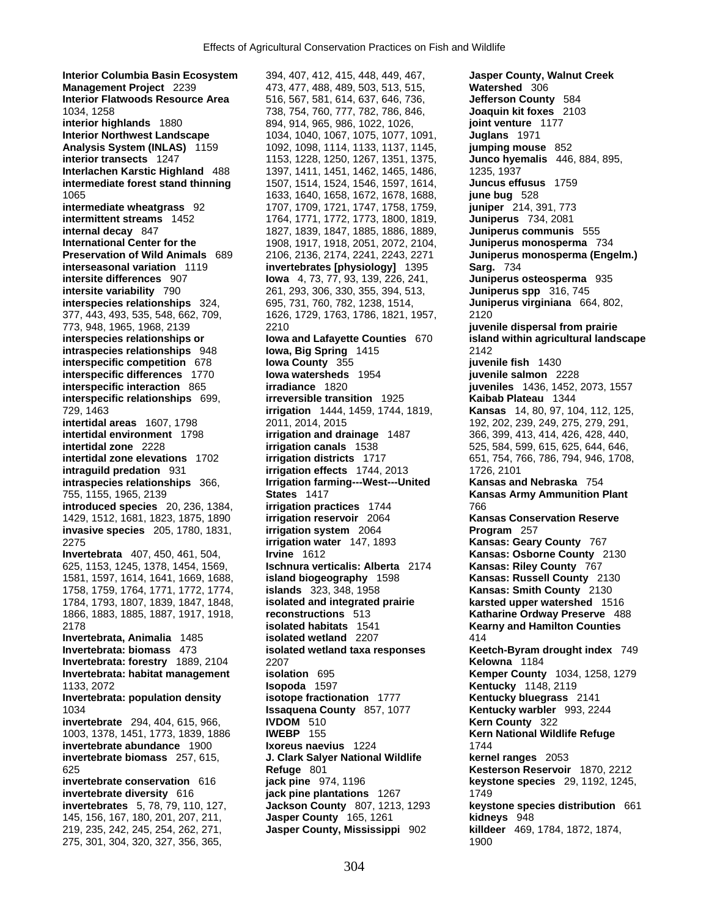**Interior Columbia Basin Ecosystem** 394, 407, 412, 415, 448, 449, 467, **Jasper County, Walnut Creek Management Project** 2239 473, 477, 488, 489, 503, 513, 515, **Watershed 306**<br> **Interior Flatwoods Resource Area** 516, 567, 581, 614, 637, 646, 736, Jefferson County 584 **Interior Flatwoods Resource Area** 516, 567, 581, 614, 637, 646, 736, 1034, 1258 738, 754, 760, 777, 782, 786, 846, **Joaquin kit foxes** 2103 **interior highlands** 1880 894, 914, 965, 986, 1022, 1026, **joint venture** 1177 **Interior Northwest Landscape** 1034, 1040, 1067, 1075, 1077, 1091, **Juglans** 1971 **Analysis System (INLAS)** 1159 1092, 1098, 1114, 1133, 1137, 1145, **jumping mouse** 852<br> **interior transects** 1247 1153, 1228, 1250, 1267, 1351, 1375, **Junco hyemalis** 446, 884, 895, **Interlachen Karstic Highland** 488 1397, 1411, 1451, 1462, 1465, 1486, 1235, 1937 **intermediate forest stand thinning** 1507, 1514, 1524, 1546, 1597, 1614, **Juncus effusus** 1759 1065 1633, 1640, 1658, 1672, 1678, 1688, **june bug** 528 **intermediate wheatgrass** 92 1707, 1709, 1721, 1747, 1758, 1759, **juniper** 214, 391, 773 **intermittent streams** 1452 1764, 1771, 1772, 1773, 1800, 1819, **Juniperus** 734, 2081 **internal decay** 847 1827, 1839, 1847, 1885, 1886, 1889, **Juniperus communis** 555 **International Center for the** 1908, 1917, 1918, 2051, 2072, 2104, **Juniperus monosperma** 734 **Preservation of Wild Animals** 689 2106, 2136, 2174, 2241, 2243, 2271 **Juniperus monosperma (Engelm.) interseasonal variation** 1119 **invertebrates [physiology]** 1395 **Sarg.** 734 **intersite variability** 790 261, 293, 306, 330, 355, 394, 513, **Juniperus spp** 316, 745 **interspecies relationships** 324, 695, 731, 760, 782, 1238, 1514, **Juniperus virginiana** 664, 802, 377, 443, 493, 535, 548, 662, 709, 1626, 1729, 1763, 1786, 1821, 1957, 2120 773, 948, 1965, 1968, 2139 2210 **juvenile dispersal from prairie intraspecies relationships** 948 **Iowa, Big Spring** 1415 2142 **interspecific competition** 678 **Iowa County** 355 **juvenile fish** 1430 **interspecific differences** 1770 **Iowa watersheds** 1954 **interspecific interaction** 865 **interspecific interaction** 865 **interaction interaction** 865 **interaction interaction interaction interaction interaction interspecific interaction** 865 **irradiance** 1820 **juveniles** 1436, 1452, 2073, 1557 **interspecific relationships** 699, **irreversible transition** 1925 **Kaibab Plateau** 1344 729, 1463 **irrigation** 1444, 1459, 1744, 1819, **Kansas** 14, 80, 97, 104, 112, 125, **intertidal areas** 1607, 1798 2011, 2014, 2015 2015 192, 202, 239, 249, 275, 279, 291, **intertidal environment** 1798 **irrigation and drainage** 1487 366, 399, 413, 414, 426, 428, 440, **intertidal zone elevations** 1702 **irrigation districts** 1717 651, 754, 766, 786, 794, 946, 1708, **intraguild predation** 931 **irrigation effects** 1744, 2013 1726, 2101 **intraspecies relationships** 366, **Irrigation farming---West---United Kansas and Nebraska** 754 755, 1155, 1965, 2139 **States** 1417 **Kansas Army Ammunition Plant introduced species** 20, 236, 1384, **irrigation practices** 1744 766 1429, 1512, 1681, 1823, 1875, 1890 **irrigation reservoir** 2064 **Kansas Conservation Reserve invasive species** 205, 1780, 1831, **irrigation system** 2064 **Program** 257 2275 **irrigation water** 147, 1893 **Kansas: Geary County** 767 **Invertebrata** 407, 450, 461, 504, **Irvine** 1612 **Kansas: Osborne County** 2130<br>625, 1153, 1245, 1378, 1454, 1569, **Ischnura verticalis: Alberta** 2174 **Kansas: Riley County** 767 625, 1153, 1245, 1378, 1454, 1569, **Ischnura verticalis: Alberta** 2174 **Kansas: Riley County** 767 1581, 1597, 1614, 1641, 1669, 1688, **island biogeography** 1598 **Kansas: Russell County** 2130 1758, 1759, 1764, 1771, 1772, 1774, **islands** 323, 348, 1958 **Kansas: Smith County** 2130 1784, 1793, 1807, 1839, 1847, 1848, **isolated and integrated prairie karsted upper watershed** 1516 1866, 1883, 1885, 1887, 1917, 1918, **reconstructions** 513 **Katharine Ordway Preserve** 488 2178 **isolated habitats** 1541 **Kearny and Hamilton Counties Invertebrata, Animalia** 1485 **isolated wetland** 2207 414 **Invertebrata: biomass** 473 **isolated wetland taxa responses Keetch-Byram drought index** 749 **Invertebrata: forestry** 1889, 2104 2207 **Kelowna** 1184 **Invertebrata: habitat management <b>isolation** 695 **Kemper County** 1034, 1258, 1279 1133, 2072 **Isopoda** 1597 **Kentucky** 1148, 2119 **Invertebrata: population density isotope fractionation** 1777 **Kentucky bluegrass** 2141 1034 **Issaquena County** 857, 1077 **Kentucky warbler** 993, 2244 **invertebrate** 294, 404, 615, 966, **IVDOM** 510 1003, 1378, 1451, 1773, 1839, 1886 **IWEBP** 155 **Kern National Wildlife Refuge invertebrate abundance** 1900 **Ixoreus naevius** 1224 1744 **invertebrate biomass** 257, 615, **J. Clark Salyer National Wildlife kernel ranges** 2053 625 **Refuge** 801 **Kesterson Reservoir** 1870, 2212 **invertebrate conservation** 616 **jack pine** 974, 1196 **keystone species** 29, 1192, 1245, **invertebrate diversity** 616 **jack pine plantations** 1267 1749 **invertebrates** 5, 78, 79, 110, 127, **Jackson County** 807, 1213, 1293 **keystone species distribution** 661 145, 156, 167, 180, 201, 207, 211, **Jasper County** 165, 1261 **kidneys** 948 219, 235, 242, 245, 254, 262, 271, **Jasper County, Mississippi** 902 **killdeer** 469, 1784, 1872, 1874, 275, 301, 304, 320, 327, 356, 365, 1900

**interior transects** 1247 1153, 1228, 1250, 1267, 1351, 1375, **Junco hyemalis** 446, 884, 895, **iowa** 4, 73, 77, 93, 139, 226, 241, **Juniperus osteosperma** 935 **irrigation canals** 1538 525, 584, 599, 615, 625, 644, 646,

**interspecies relationships or Iowa and Lafayette Counties** 670 **island within agricultural landscape**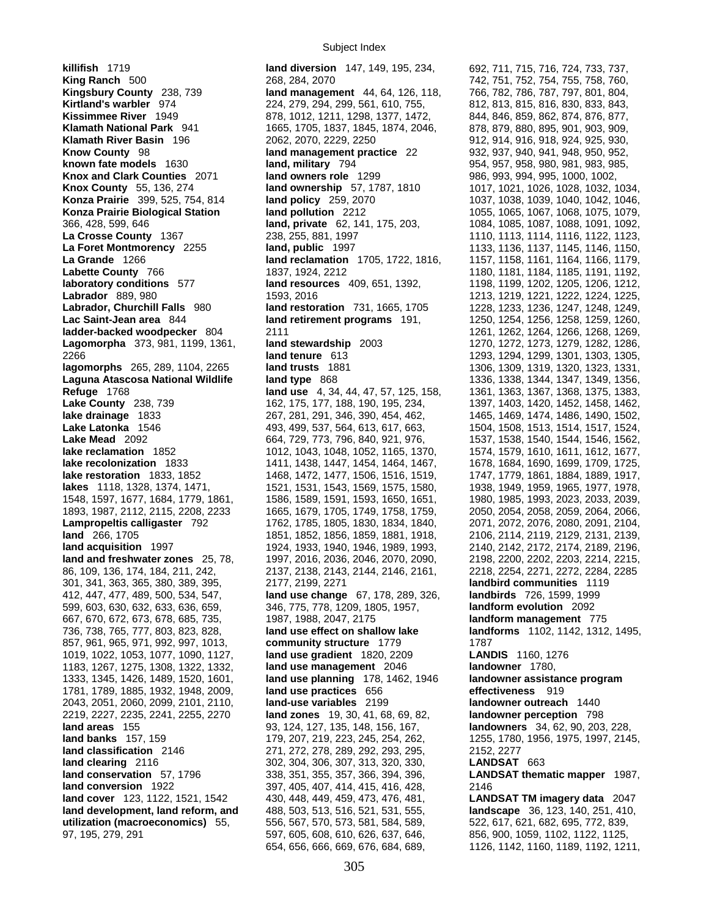**killifish** 1719 **land diversion** 147, 149, 195, 234, 692, 711, 715, 716, 724, 733, 737, **King Ranch** 500 268, 284, 2070 268, 284, 2070 742, 751, 752, 754, 755, 758, 760, 761, 108 **Kingsbury County** 238, 739 **158, 1604**, 201, 804, 201, 804, **Kirtland's warbler** 974 224, 279, 294, 299, 561, 610, 755, 812, 813, 815, 816, 830, 833, 843, **Kissimmee River** 1949 878, 1012, 1211, 1298, 1377, 1472, 844, 846, 859, 862, 874, 876, 877, **Klamath National Park** 941 1665, 1705, 1837, 1845, 1874, 2046, 878, 879, 880, 895, 901, 903, 909, **Klamath River Basin** 196 2062, 2070, 2229, 2250 912, 914, 916, 918, 924, 925, 930, **Know County** 98 **land management practice** 22 932, 937, 940, 941, 948, 950, 952, 952, **known fate models** 1630 **land, military** 794 954, 957, 958, 980, 981, 983, 985, **Knox and Clark Counties** 2071 **land owners role** 1299 986, 993, 994, 995, 1000, 1002, **Knox County** 55, 136, 274 **land ownership** 57, 1787, 1810 1017, 1021, 1026, 1028, 1032, 1034, **Konza Prairie** 399, 525, 754, 814 **land policy** 259, 2070 1037, 1038, 1039, 1040, 1042, 1046, **Konza Prairie Biological Station land pollution** 2212 1055, 1065, 1067, 1068, 1075, 1079, 366, 428, 599, 646 **land, private** 62, 141, 175, 203, 1084, 1085, 1087, 1088, 1091, 1092, **La Crosse County** 1367 238, 255, 881, 1997 1110, 1113, 1114, 1116, 1122, 1123, 1123, 1123, 1123, 1123, 1123, 11<br> **La Foret Montmorency** 2255 **1216, 1216, 1216, 1216, 1216, 1136, 1136**, 1137, 1145, 1146, 1150, **La Grande** 1266 **land reclamation** 1705, 1722, 1816, 1157, 1158, 1161, 1164, 1166, 1179, **Labette County** 766 1837, 1924, 2212 1180, 1180, 1181, 1184, 1185, 1191, 1192, **laboratory conditions** 577 **land resources** 409, 651, 1392, 1198, 1199, 1202, 1205, 1206, 1212, **Labrador** 889, 980 1593, 2016 1213, 1219, 1221, 1222, 1224, 1225, **Labrador, Churchill Falls** 980 **land restoration** 731, 1665, 1705 1228, 1233, 1236, 1247, 1248, 1249, **Lac Saint-Jean area** 844 **land retirement programs** 191, 1250, 1254, 1256, 1258, 1259, 1260, **ladder-backed woodpecker** 804 2111 2001, 2008, 2009, 2008, 2009, 2009, 2009, 2009, 2009, 2009, 2009, 2009, 2009, 2009, 2009, 2009, 2009, 2009, 2009, 2009, 2009, 2009, 2009, 2009, 2009, 2009, 2009, 2009, 2009, 2009, 2009, **Lagomorpha** 373, 981, 1199, 1361, **land stewardship** 2003 1270, 1272, 1273, 1279, 1282, 1286, 2266 **land tenure** 613 1293, 1294, 1299, 1301, 1303, 1305, **lagomorphs** 265, 289, 1104, 2265 **land trusts** 1881 1306, 1309, 1319, 1320, 1323, 1331, **Laguna Atascosa National Wildlife land type** 868 1338, 1338, 1338, 1344, 1347, 1349, 1356, **Refuge** 1768 **land use** 4, 34, 44, 47, 57, 125, 158, 1361, 1363, 1367, 1368, 1375, 1383, Lake County 238, 739 162, 175, 177, 188, 190, 195, 234, 1397, 1403, 1420, 1452, 1458, 1462, 1458, 1462, **lake drainage** 1833 267, 281, 291, 346, 390, 454, 462, 1465, 1469, 1474, 1486, 1490, 1502, **Lake Latonka** 1546 493, 499, 537, 564, 613, 617, 663, 1504, 1508, 1513, 1514, 1517, 1524, Lake Mead 2092 **664, 729, 773, 796, 840, 921, 976,** 1537, 1538, 1540, 1544, 1546, 1562, 1540, 1544, 1546, 1562, **lake reclamation** 1852 1012, 1043, 1048, 1052, 1165, 1370, 1574, 1579, 1610, 1611, 1612, 1677, **lake recolonization** 1833 1411, 1438, 1447, 1454, 1464, 1467, 1678, 1684, 1690, 1699, 1709, 1725, **lake restoration** 1833, 1852 1468, 1472, 1477, 1506, 1516, 1519, 1747, 1779, 1861, 1884, 1889, 1917, **lakes** 1118, 1328, 1374, 1471, 1521, 1531, 1543, 1569, 1575, 1580, 1938, 1949, 1959, 1965, 1977, 1978, 1548, 1597, 1677, 1684, 1779, 1861, 1586, 1589, 1591, 1593, 1650, 1651, 1980, 1985, 1993, 2023, 2033, 2039, 1893, 1987, 2112, 2115, 2208, 2233 1665, 1679, 1705, 1749, 1758, 1759, 2050, 2054, 2058, 2059, 2064, 2066, **Lampropeltis calligaster** 792 1762, 1785, 1805, 1830, 1834, 1840, 2071, 2072, 2076, 2080, 2091, 2104, 2110, 2129, 2131, 2139, 2139, 2139, 2139, 2139, 2139, 2139, 2139, 2139, 2139, 2000, 2001, 2002, 2114, 2119, 2129, 2131, **land acquisition** 1997 1924, 1933, 1940, 1946, 1989, 1993, 2140, 2142, 2172, 2174, 2189, 2196, **land and freshwater zones** 25, 78, 1997, 2016, 2036, 2046, 2070, 2090, 2198, 2200, 2202, 2203, 2214, 2215, 86, 109, 136, 174, 184, 211, 242, 2137, 2138, 2143, 2144, 2146, 2161, 2218, 2254, 2271, 2272, 2284, 2285 301, 341, 363, 365, 380, 389, 395, 2177, 2199, 2271 **landbird communities** 1119 412, 447, 477, 489, 500, 534, 547, **land use change** 67, 178, 289, 326, **landbirds** 726, 1599, 1999 599, 603, 630, 632, 633, 636, 659, 346, 775, 778, 1209, 1805, 1957, **landform evolution** 2092 667, 670, 672, 673, 678, 685, 735, 1987, 1988, 2047, 2175 **landform management** 775 736, 738, 765, 777, 803, 823, 828, **land use effect on shallow lake landforms** 1102, 1142, 1312, 1495, 857, 961, 965, 971, 992, 997, 1013, **community structure** 1779 1787 1019, 1022, 1053, 1077, 1090, 1127, **land use gradient** 1820, 2209 **LANDIS** 1160, 1276 1183, 1267, 1275, 1308, 1322, 1332, **land use management** 2046 **landowner** 1780, 1333, 1345, 1426, 1489, 1520, 1601, **land use planning** 178, 1462, 1946 **landowner assistance program**  1781, 1789, 1885, 1932, 1948, 2009, **land use practices** 656 **effectiveness** 919 2043, 2051, 2060, 2099, 2101, 2110, **land-use variables** 2199 **landowner outreach** 1440 2219, 2227, 2235, 2241, 2255, 2270 **land zones** 19, 30, 41, 68, 69, 82, **landowner perception** 798 **land areas** 155 93, 124, 127, 135, 148, 156, 167, **landowners** 34, 62, 90, 203, 228, **land banks** 157, 159 179, 207, 219, 223, 245, 254, 262, 1255, 1780, 1956, 1975, 1997, 2145, **land classification** 2146 271, 272, 278, 289, 292, 293, 295, 2152, 2277 **land clearing** 2116 302, 304, 306, 307, 313, 320, 330, **LANDSAT** 663 **land conservation** 57, 1796 338, 351, 355, 357, 366, 394, 396, **LANDSAT thematic mapper** 1987, **land conversion** 1922 397, 405, 407, 414, 415, 416, 428, 2146 **land cover** 123, 1122, 1521, 1542 430, 448, 449, 459, 473, 476, 481, **LANDSAT TM imagery data** 2047 **land development, land reform, and** 488, 503, 513, 516, 521, 531, 555, **landscape** 36, 123, 140, 251, 410, utilization (macroeconomics) 55, 556, 567, 570, 573, 581, 584, 589, 522, 617, 621, 682, 695, 772, 839, 97, 195, 279, 291 597, 605, 608, 610, 626, 637, 646, 856, 900, 1059, 1102, 1122, 1125,

**Kingsbury County** 238, 739 **land management** 44, 64, 126, 118, 766, 782, 786, 787, 797, 801, 804, **Land, public** 1997 1133, 1136, 1137, 1145, 1146, 1150, **land** 266, 1705 1851, 1852, 1856, 1859, 1881, 1918, 2106, 2114, 2119, 2129, 2131, 2139, 654, 656, 666, 669, 676, 684, 689, 1126, 1142, 1160, 1189, 1192, 1211,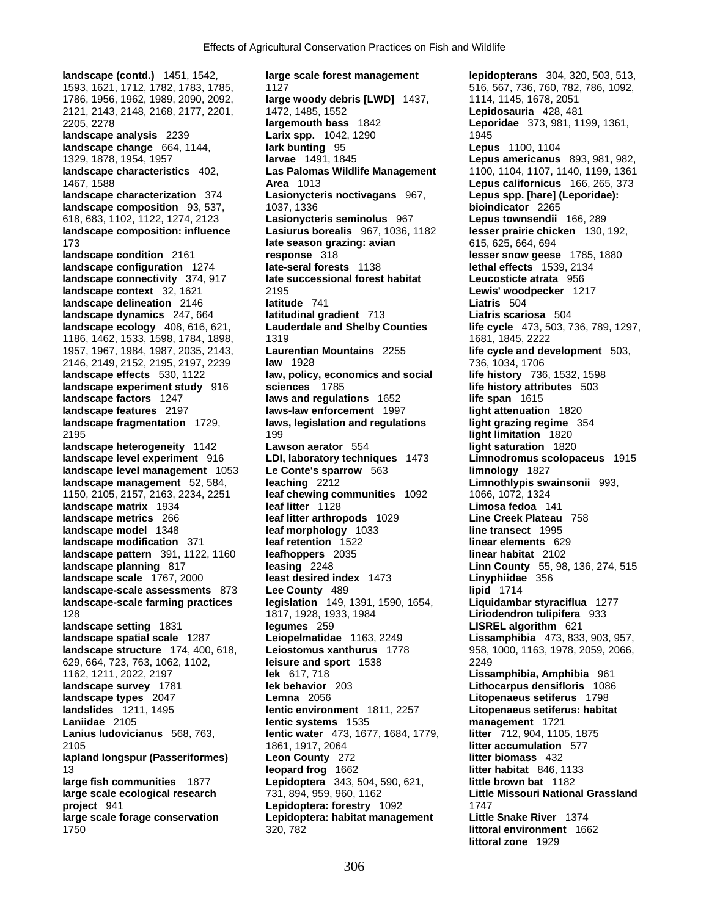**landscape characteristics** 402, **Las Palomas Wildlife Management landscape configuration** 1274 **late-seral forests** 1138<br>**landscape connectivity** 374, 917 **late successional forest habitat landscape factors** 1247 **laws and regulations** 1652 **landscape-scale assessments 873 Lee County 489** 

**landscape (contd.)** 1451, 1542, **large scale forest management lepidopterans** 304, 320, 503, 513, 1593, 1621, 1712, 1782, 1783, 1785, 1127 516, 567, 736, 760, 782, 786, 1092, 1786, 1956, 1962, 1989, 2090, 2092, **large woody debris [LWD]** 1437, 1114, 1145, 1678, 2051 2121, 2143, 2148, 2168, 2177, 2201, 1472, 1485, 1552 **Lepidosauria** 428, 481 2205, 2278 **largemouth bass** 1842 **Leporidae** 373, 981, 1199, 1361, **landscape analysis** 2239 **Larix spp.** 1042, 1290 1945<br> **landscape change** 664, 1144, **Lark bunting** 95 **landscape change** 664, 1144, **lark bunting** 95 **Lepus** 1100, 1104<br>1329, 1878, 1954, 1957 **Lepus** americanus 1329, 1878, 1954, 1957 **larvae** 1491, 1845 **Lepus americanus** 893, 981, 982, 1467, 1588 **Area** 1013 **Lepus californicus** 166, 265, 373 **landscape characterization** 374 **Lasionycteris noctivagans** 967, **Lepus spp. [hare] (Leporidae): landscape composition** 93, 537, 1037, 1336 **bioindicator** 2265 618, 683, 1102, 1122, 1274, 2123 **Lasionycteris seminolus** 967 **Lepus townsendii** 166, 289 **landscape composition: influence Lasiurus borealis** 967, 1036, 1182 **lesser prairie chicken** 130, 192, 173 **late season grazing: avian** 615, 625, 664, 694 **landscape condition** 2161 **response** 318 **lesser snow geese** 1785, 1880<br> **landscape configuration** 1274 **late-seral forests** 1138 **lethal effects** 1539, 2134 **landscape connectivity** 374, 917 **late successional forest habitat Leucosticte atrata** 956 **landscape context** 32, 1621 2195 **Lewis' woodpecker** 1217 **landscape delineation** 2146 **latitude** 741 **Liatris** 504 **landscape dynamics** 247, 664 **latitudinal gradient** 713 **Liatris scariosa** 504 **landscape ecology** 408, 616, 621, **Lauderdale and Shelby Counties life cycle** 473, 503, 736, 789, 1297, 1186, 1462, 1533, 1598, 1784, 1898, 1791, 1819 1681, 1845, 1846, 2222 1957, 1967, 1984, 1987, 2035, 2143, **Laurentian Mountains** 2255 **life cycle and development** 503, 2146, 2149, 2152, 2195, 2197, 2239 **law** 1928 736, 1034, 1706 **landscape effects** 530, 1122 **law, policy, economics and social life history** 736, 1532, 1598 **landscape experiment study** 916 **sciences** 1785 **life history attributes** 503 **landscape features** 2197 **laws-law enforcement** 1997 **light attenuation** 1820 **landscape fragmentation** 1729, **laws, legislation and regulations light grazing regime** 354 2195 199 **light limitation** 1820 **landscape heterogeneity** 1142 **Lawson aerator** 554 **light saturation** 1820 **landscape level experiment** 916 **LDI, laboratory techniques** 1473 **Limnodromus scolopaceus** 1915 **landscape level management** 1053 **Le Conte's sparrow** 563 **limnology** 1827 **landscape management** 52, 584, **leaching** 2212 **Limnothlypis swainsonii** 993, 1150, 2105, 2157, 2163, 2234, 2251 **leaf chewing communities** 1092 1066, 1072, 1324 **landscape matrix** 1934 **leaf litter** 1128 **Limosa fedoa** 141 **landscape metrics** 266 **leaf litter arthropods** 1029 **Line Creek Plateau** 758 **leaf morphology** 1033 **landscape modification** 371 **leaf retention** 1522 **linear elements** 629 **landscape pattern** 391, 1122, 1160 **leafhoppers** 2035 **linear habitat** 2102 **landscape planning** 817 **leasing** 2248 **Linn County** 55, 98, 136, 274, 515 **landscape scale** 1767, 2000 **least desired index** 1473 **Linyphiidae** 374 **Linyphiidae** 373 **Lee County** 489 **1714 landscape-scale farming practices legislation** 149, 1391, 1590, 1654, **Liquidambar styraciflua** 1277 128 1817, 1928, 1933, 1984 **Liriodendron tulipifera** 933 **landscape setting** 1831 **legumes** 259 **LISREL algorithm** 621 **landscape spatial scale** 1287 **Leiopelmatidae** 1163, 2249 **Lissamphibia** 473, 833, 903, 957, **landscape structure** 174, 400, 618, **Leiostomus xanthurus** 1778 958, 1000, 1163, 1978, 2059, 2066, 629, 664, 723, 763, 1062, 1102, **leisure and sport** 1538 2249 1162, 1211, 2022, 2197 **lek** 617, 718 **Lissamphibia, Amphibia** 961 **landscape survey** 1781 **lek behavior** 203 **Lithocarpus densifloris** 1086 **landscape types** 2047 **Lemna** 2056 **Litopenaeus setiferus** 1798 **landslides** 1211, 1495 **lentic environment** 1811, 2257 **Litopenaeus setiferus: habitat Laniidae** 2105 **lentic systems** 1535 **management** 1721 **lentic water** 473, 1677, 1684, 1779, **litter** 712, 904, 1105, 1875 2105 1861, 1917, 2064 **litter accumulation** 577 **lapland longspur (Passeriformes) Leon County** 272 **litter biomass** 432 13 **leopard frog** 1662 **litter habitat** 846, 1133 **large fish communities** 1877 **Lepidoptera** 343, 504, 590, 621, **little brown bat** 1182 **large scale ecological research** 731, 894, 959, 960, 1162 **Little Missouri National Grassland project** 941 **Lepidoptera: forestry** 1092 1747 **large scale forage conservation Lepidoptera: habitat management Little Snake River** 1374 1750 320, 782 **littoral environment** 1662

**littoral zone** 1929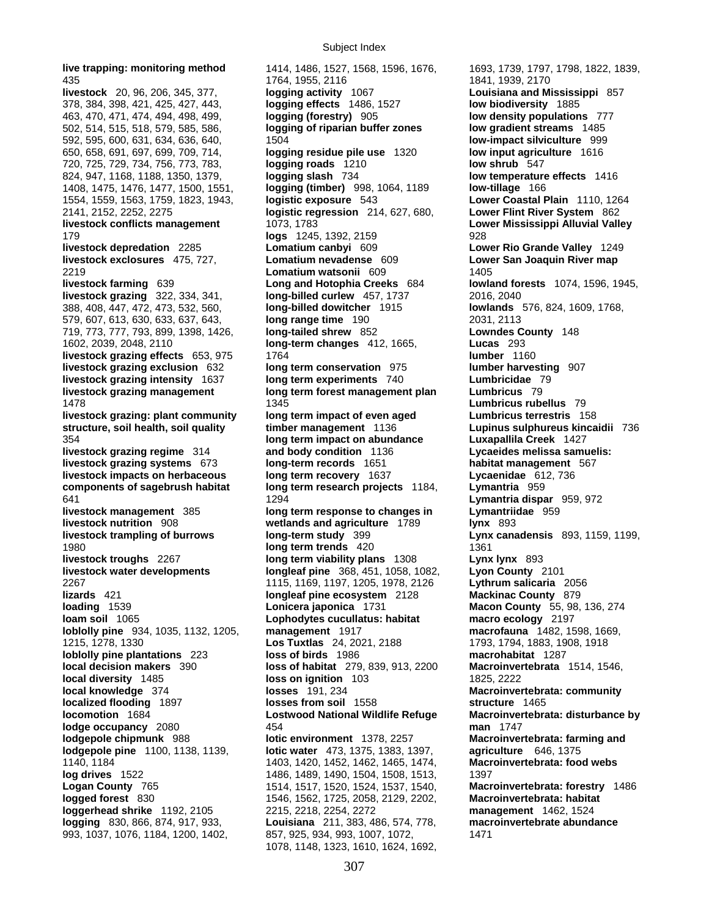435<br> **1764, 1955, 2116**<br> **1764, 1955, 2116**<br> **1841, 1939, 2170<br>
<b>1841, 1939, 2170**<br> **1764, 1955, 2116**<br> **1841, 1939, 2170<br>
<b>1841, 1939, 2170**<br> **1841, 1939, 2170**<br> **1841, 1939, 2170**<br> **1841, 1939, 2170**<br> **1841, 1939, 2170**<br> **livestock** 20, 96, 206, 345, 377, **logging activity** 1067 **Louisiana and Mississippi** 857 378, 384, 398, 421, 425, 427, 443, **logging effects** 1486, 1527 **low biodiversity** 1885 463, 470, 471, 474, 494, 498, 499, **logging (forestry)** 905 **low density populations** 777 502, 514, 515, 518, 579, 585, 586, **logging of riparian buffer zones low gradient streams** 1485 592, 595, 600, 631, 634, 636, 640, 1504 **low-impact silviculture** 999 650, 658, 691, 697, 699, 709, 714, **logging residue pile use** 1320 **low input agriculture** 1616 720, 725, 729, 734, 756, 773, 783, **logging roads** 1210 **low shrub** 547 824, 947, 1168, 1188, 1350, 1379, **logging slash** 734 **low temperature effects** 1416 1408, 1475, 1476, 1477, 1500, 1551, **logging (timber)** 998, 1064, 1189 **low-tillage** 166 1554, 1559, 1563, 1759, 1823, 1943, **logistic exposure** 543 **Lower Coastal Plain** 1110, 1264 2141, 2152, 2252, 2275 **logistic regression** 214, 627, 680, **Lower Flint River System** 862 **livestock conflicts management** 1073, 1783 **Lower Mississippi Alluvial Valley** 179 **logs** 1245, 1392, 2159 928 **livestock depredation** 2285 **Lomatium canbyi** 609 **Lower Rio Grande Valley** 1249 **livestock exclosures** 475, 727, **Lomatium nevadense** 609 **Lower San Joaquin River map** 2219 **Lomatium watsonii** 609 1405 **livestock farming** 639 **Long and Hotophia Creeks** 684 **lowland forests** 1074, 1596, 1945, **livestock grazing** 322, 334, 341, **long-billed curlew** 457, 1737 2016, 2040 388, 408, 447, 472, 473, 532, 560, **long-billed dowitcher** 1915 **lowlands** 576, 824, 1609, 1768, 579, 607, 613, 630, 633, 637, 643, **long range time** 190 2031, 2113 719, 773, 777, 793, 899, 1398, 1426, **long-tailed shrew** 852 **Lowndes County** 148 1602, 2039, 2048, 2110 **long-term changes** 412, 1665, **Lucas** 293 **livestock grazing effects** 653, 975 1764 **lumber** 1160 **livestock grazing exclusion** 632 **long term conservation** 975 **lumber harvesting** 907 **livestock grazing intensity** 1637 **long term experiments** 740 **Lumbricidae** 79 **livestock grazing management long term forest management plan** 1478 1345 **Lumbricus rubellus** 79 **livestock grazing: plant community long term impact of even aged Lumbricus terrestris** 158 **structure, soil health, soil quality timber management** 1136 **Lupinus sulphureus kincaidii** 736 354 **long term impact on abundance Luxapallila Creek** 1427 **livestock grazing regime** 314 **and body condition** 1136 **Lycaeides melissa samuelis: livestock grazing systems** 673 **long-term records** 1651 **habitat management** 567 **livestock impacts on herbaceous long term recovery** 1637 **Lycaenidae** 612, 736 **components of sagebrush habitat long term research projects** 1184, **Lymantria** 959 641 1294 **Lymantria dispar** 959, 972 **livestock management** 385 **long term response to changes in Lymantriidae** 959 **livestock nutrition** 908 **wetlands and agriculture** 1789 **lynx** 893 **livestock trampling of burrows long-term study** 399 **Lynx canadensis** 893, 1159, 1199, **1980 <b>long term trends** 420 **1361 livestock troughs** 2267 **long term viability plans** 1308 **Lynx lynx** 893 **livestock water developments longleaf pine** 368, 451, 1058, 1082, 2267 1115, 1169, 1197, 1205, 1978, 2126 **Lythrum salicaria** 2056 **lizards** 421 **longleaf pine ecosystem** 2128 **Mackinac County** 879 **loading** 1539 **Lonicera japonica** 1731 **Macon County** 55, 98, 136, 274 **loam soil** 1065 **Lophodytes cucullatus: habitat macro ecology** 2197 **loblolly pine** 934, 1035, 1132, 1205, **management** 1917 **macrofauna** 1482, 1598, 1669, 1215, 1278, 1330 **Los Tuxtlas** 24, 2021, 2188 1793, 1794, 1883, 1908, 1918 **loblolly pine plantations** 223 **loss of birds** 1986 **macrohabitat** 1287 **local decision makers** 390 **loss of habitat** 279, 839, 913, 2200 **Macroinvertebrata** 1514, 1546, **local diversity** 1485 **loss on ignition** 103 1825, 2222 **local knowledge** 374 **losses** 191, 234 **Macroinvertebrata: community localized flooding** 1897 **losses from soil** 1558 **structure** 1465 **locomotion**  $168\overline{4}$  **Lostwood National Wildlife Refuge lodge occupancy** 2080 454 **man** 1747 **lodgepole chipmunk** 988 **lotic environment** 1378, 2257 **Macroinvertebrata: farming and lodgepole pine** 1100, 1138, 1139, **lotic water** 473, 1375, 1383, 1397, **agriculture** 646, 1375 1140, 1184 1403, 1420, 1452, 1462, 1465, 1474, **Macroinvertebrata: food webs log drives** 1522 1486, 1486, 1489, 1490, 1504, 1508, 1513, 1397 **Logan County** 765 1514, 1517, 1520, 1524, 1537, 1540, **Macroinvertebrata: forestry** 1486 **logged forest** 830 1546, 1562, 1725, 2058, 2129, 2202, **Macroinvertebrata: habitat loggerhead shrike** 1192, 2105 2215, 2218, 2254, 2272 **management** 1462, 1524 **logging** 830, 866, 874, 917, 933, **Louisiana** 211, 383, 486, 574, 778, **macroinvertebrate abundance**

**live trapping: monitoring method** 1414, 1486, 1527, 1568, 1596, 1676, 1693, 1739, 1797, 1798, 1822, 1839, 993, 1037, 1076, 1184, 1200, 1402, 857, 925, 934, 993, 1007, 1072, 1471 1078, 1148, 1323, 1610, 1624, 1692,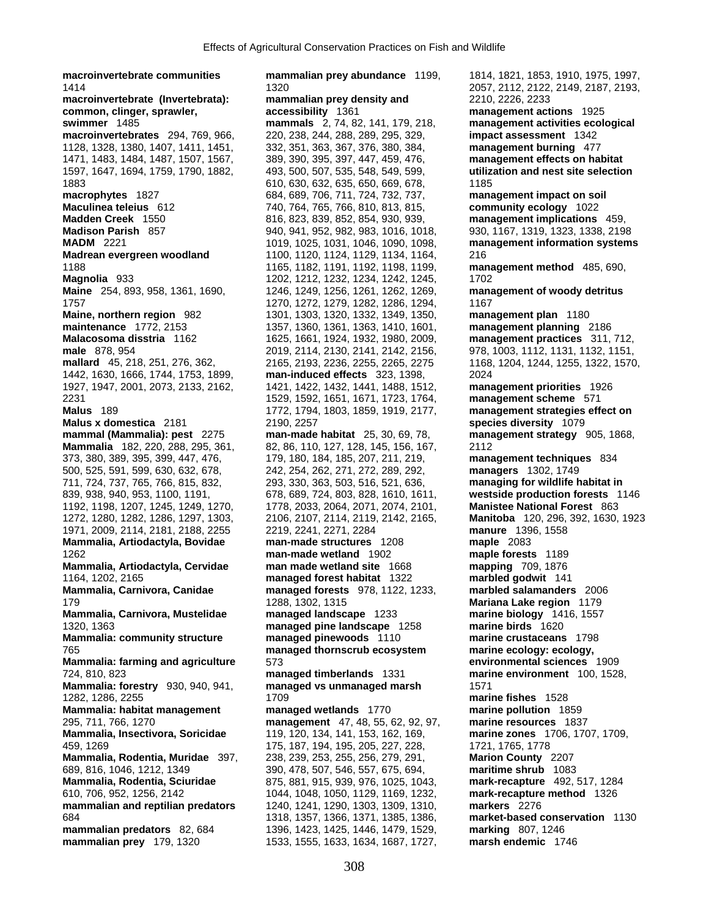**macroinvertebrate communities mammalian prey abundance** 1199, 1814, 1821, 1853, 1910, 1975, 1997, 1414 1320 2057, 2112, 2122, 2149, 2187, 2193, **macroinvertebrate (Invertebrata): mammalian prey density and** 2210, 2226, 2233 **common, clinger, sprawler, https://educert.org/common, clinger, sprawler, degreessibility** 1361 **management activities ecol**<br>management activities ecol management activities ecol **macroinvertebrates** 294, 769, 966, 220, 238, 244, 288, 289, 295, 329, **impact assessment** 1342 1128, 1328, 1380, 1407, 1411, 1451, 332, 351, 363, 367, 376, 380, 384, **management burning** 477 1471, 1483, 1484, 1487, 1507, 1567, 389, 390, 395, 397, 447, 459, 476, **management effects on habitat**  1597, 1647, 1694, 1759, 1790, 1882, 493, 500, 507, 535, 548, 549, 599, **utilization and nest site selection** 1883 610, 630, 632, 635, 650, 669, 678, 1185 **macrophytes** 1827 684, 689, 706, 711, 724, 732, 737, **management impact on soil Maculinea teleius** 612 740, 764, 765, 766, 810, 813, 815, **community ecology** 1022 **Madden Creek** 1550 816, 823, 839, 852, 854, 930, 939, **management implications** 459, **Madison Parish** 857 940, 941, 952, 982, 983, 1016, 1018, 930, 1167, 1319, 1323, 1338, 2198 **MADM** 2221 1019, 1019, 1025, 1031, 1046, 1090, 1098, **management information systems Madrean evergreen woodland** 1100, 1120, 1124, 1129, 1134, 1164, 216 1188 1165, 1182, 1191, 1192, 1198, 1199, **management method** 485, 690, **Magnolia** 933 1202, 1212, 1232, 1234, 1242, 1245, 1702 **Maine** 254, 893, 958, 1361, 1690, 1246, 1249, 1256, 1261, 1262, 1269, **management of woody detritus** 1757 1270, 1272, 1279, 1282, 1286, 1294, 1167 **Maine, northern region** 982 1301, 1303, 1320, 1332, 1349, 1350, **management plan** 1180 **maintenance** 1772, 2153 1357, 1360, 1361, 1363, 1410, 1601, **management planning** 2186 **Malacosoma disstria** 1162 1625, 1661, 1924, 1932, 1980, 2009, **management practices** 311, 712, **male** 878, 954 2019, 2114, 2130, 2141, 2142, 2156, 978, 1003, 1112, 1131, 1132, 1151, **mallard** 45, 218, 251, 276, 362, 2165, 2193, 2236, 2255, 2265, 2275 1168, 1204, 1244, 1255, 1322, 1570, 1442, 1630, 1666, 1744, 1753, 1899, **man-induced effects** 323, 1398, 2024 1927, 1947, 2001, 2073, 2133, 2162, 1421, 1422, 1432, 1441, 1488, 1512, **management priorities** 1926 2231 1529, 1592, 1651, 1671, 1723, 1764, **management scheme** 571 **Malus x domestica** 2181 2190, 2257 **species diversity** 1079 **mammal (Mammalia): pest** 2275 **man-made habitat** 25, 30, 69, 78, **management strategy** 905, 1868, **Mammalia** 182, 220, 288, 295, 361, 82, 86, 110, 127, 128, 145, 156, 167, 2112 373, 380, 389, 395, 399, 447, 476, 179, 180, 184, 185, 207, 211, 219, **management techniques** 834 500, 525, 591, 599, 630, 632, 678, 242, 254, 262, 271, 272, 289, 292, **managers** 1302, 1749 711, 724, 737, 765, 766, 815, 832, 293, 330, 363, 503, 516, 521, 636, **managing for wildlife habitat in**  839, 938, 940, 953, 1100, 1191, 678, 689, 724, 803, 828, 1610, 1611, **westside production forests** 1146 1192, 1198, 1207, 1245, 1249, 1270, 1778, 2033, 2064, 2071, 2074, 2101, **Manistee National Forest** 863 1272, 1280, 1282, 1286, 1297, 1303, 2106, 2107, 2114, 2119, 2142, 2165, **Manitoba** 120, 296, 392, 1630, 1923 1971, 2009, 2114, 2181, 2188, 2255 2219, 2241, 2271, 2284 **manure** 1396, 1558 **Mammalia, Artiodactyla, Bovidae man-made structures** 1208 **maple** 2083 1262 **man-made wetland** 1902 **maple forests** 1189 **Mammalia, Artiodactyla, Cervidae man made wetland site** 1668 **mapping** 709, 1876 1164, 1202, 2165 **managed forest habitat** 1322 **marbled godwit** 141 179 1288, 1302, 1315 **Mariana Lake region** 1179 **Mammalia, Carnivora, Mustelidae managed landscape** 1233 **marine biology** 1416, 1557 1320, 1363 **managed pine landscape** 1258 **marine birds** 1620 **Mammalia: community structure managed pinewoods** 1110 **marine crustaceans** 1798 765 **managed thornscrub ecosystem marine ecology: ecology, Mammalia: farming and agriculture** 573 **environmental sciences** 1909 724, 810, 823 **managed timberlands** 1331 **marine environment** 100, 1528, **Mammalia: forestry** 930, 940, 941, **managed vs unmanaged marsh** 1571 1282, 1286, 2255 1709 **marine fishes** 1528 **Mammalia: habitat management managed wetlands** 1770 **marine pollution** 1859 295, 711, 766, 1270 **management** 47, 48, 55, 62, 92, 97, **marine resources** 1837 **Mammalia, Insectivora, Soricidae** 119, 120, 134, 141, 153, 162, 169, **marine zones** 1706, 1707, 1709, **Mammalia, Rodentia, Muridae** 397, 238, 239, 253, 255, 256, 279, 291, **Marion County** 2207 689, 816, 1046, 1212, 1349 390, 478, 507, 546, 557, 675, 694, **maritime shrub** 1083 **Mammalia, Rodentia, Sciuridae** 875, 881, 915, 939, 976, 1025, 1043, **mark-recapture** 492, 517, 1284 610, 706, 952, 1256, 2142 1044, 1048, 1050, 1129, 1169, 1232, **mark-recapture method** 1326 **mammalian and reptilian predators** 1240, 1241, 1290, 1303, 1309, 1310, **markers** 2276 684 1318, 1357, 1366, 1371, 1385, 1386, **market-based conservation** 1130 **mammalian predators** 82, 684 1396, 1423, 1425, 1446, 1479, 1529, **marking** 807, 1246 **mammalian prey** 179, 1320 1533, 1555, 1633, 1634, 1687, 1727, **marsh endemic** 1746

**mammals** 2, 74, 82, 141, 179, 218, **management activities ecological Malus** 189 1772, 1794, 1803, 1859, 1919, 2177, **management strategies effect on Mammalia, Carnivora, Canidae managed forests** 978, 1122, 1233, **marbled salamanders** 2006 175, 187, 194, 195, 205, 227, 228, 1721, 1765, 1778<br>238, 239, 253, 255, 256, 279, 291, **Marion County** 2207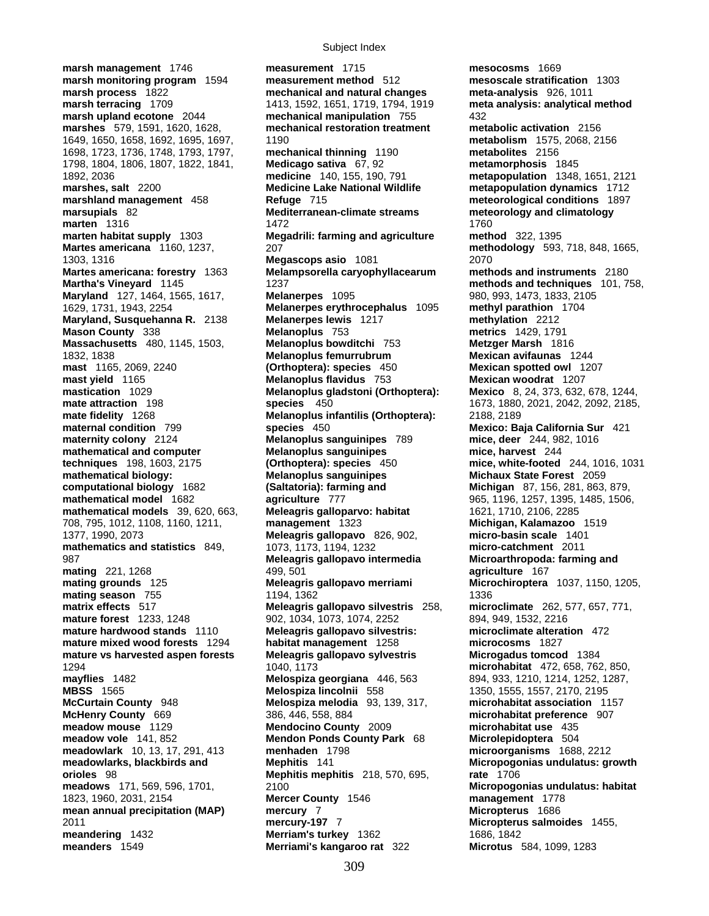**marsh management** 1746 **measurement** 1715 **mesocosms** 1669 **marsh monitoring program** 1594 **marsh process** 1822 **marsh terracing** 1709 1413, 1592, 1651, 1719, 1794, 1919 **meta analysis: analytical method marsh upland ecotone** 2044 **mechanical manipulation** 755 432 **marshes** 579, 1591, 1620, 1628, **mechanical restoration treatment metabolic activation** 2156 1649, 1650, 1658, 1692, 1695, 1697, 1190 **metabolism** 1575, 2068, 2156 1698, 1723, 1736, 1748, 1793, 1797, **mechanical thinning** 1190 **metabolites** 2156 1798, 1804, 1806, 1807, 1822, 1841, **Medicago sativa** 67, 92 **metamorphosis** 1845 1892, 2036 **medicine** 140, 155, 190, 791 **metapopulation** 1348, 1651, 2121 **marshes, salt** 2200 **Medicine Lake National Wildlife metapopulation dynamics** 1712 **marshland management** 458 **Refuge** 715 **meteorological conditions** 1897 **marsupials** 82 **Mediterranean-climate streams meteorology and climatology marten** 1316 1472 **marten** 1316 1760<br>**Megadrili: farming and agriculture** 1760 **Martes americana** 1160, 1237, 207 **methodology** 593, 718, 848, 1665, 1303, 1316 **Megascops asio** 1081 2070 **Martes americana: forestry** 1363 **Melampsorella caryophyllacearum methods and instruments** 2180 **Martha's Vineyard** 1145 1237 **methods and techniques** 101, 758, **Maryland** 127, 1464, 1565, 1617, **Melanerpes** 1095 **1095** 980, 993, 1473, 1833, 2105 1629, 1731, 1943, 2254 **Melanerpes erythrocephalus** 1095 **methyl parathion** 1704 **Maryland, Susquehanna R.** 2138 **Melanerpes lewis** 1217 **methylation** 2212 **Mason County** 338 **Melanoplus** 753 **metrics** 1429, 1791 **Massachusetts** 480, 1145, 1503, **Melanoplus bowditchi** 753 **Metzger Marsh** 1816 1832, 1838 **Melanoplus femurrubrum Mexican avifaunas** 1244 **mast** 1165, 2069, 2240 **(Orthoptera): species** 450 **Mexican spotted owl** 1207 **mast yield** 1165 **Melanoplus flavidus** 753 **Mexican woodrat** 1207 **mate attraction** 198 **species** 450 1673, 1880, 2021, 2042, 2092, 2185, **mate fidelity** 1268 **Melanoplus infantilis (Orthoptera):** 2188, 2189 **maternal condition** 799 **species** 450 **Mexico: Baja California Sur** 421 **maternity colony** 2124 **Melanoplus sanguinipes** 789 **mice, deer** 244, 982, 1016 **mathematical and computer Melanoplus sanguinipes mice, harvest** 244 **techniques** 198, 1603, 2175 **(Orthoptera): species** 450 **mice, white-footed** 244, 1016, 1031 **mathematical biology: Melanoplus sanguinipes Michaux State Forest** 2059 **computational biology** 1682 **(Saltatoria): farming and Michigan** 87, 156, 281, 863, 879, **mathematical model** 1682 **agriculture** 777 965, 1196, 1257, 1395, 1485, 1506, **mathematical models** 39, 620, 663, **Meleagris galloparvo: habitat** 1621, 1710, 2106, 2285 708, 795, 1012, 1108, 1160, 1211, **management** 1323 **Michigan, Kalamazoo** 1519 1377, 1990, 2073 **Meleagris gallopavo** 826, 902, **micro-basin scale** 1401 **mathematics and statistics** 849, 1073, 1173, 1194, 1232 **micro-catchment** 2011 987 **Meleagris gallopavo intermedia Microarthropoda: farming and mating** 221, 1268 499, 501 **agriculture** 167 **mating grounds** 125 **Meleagris gallopavo merriami Microchiroptera** 1037, 1150, 1205, **mating season** 755 1194, 1362 1194, 1362 **matrix effects** 517 **Meleagris gallopavo silvestris** 258, **microclimate** 262, 577, 657, 771, **mature forest** 1233, 1248 902, 1034, 1073, 1074, 2252 894, 949, 1532, 2216 **mature hardwood stands** 1110 **Meleagris gallopavo silvestris: microclimate alteration** 472 **mature mixed wood forests** 1294 habitat management 1258 **mature vs harvested aspen forests Meleagris gallopavo sylvestris Microgadus tomcod** 1384 **mayflies** 1482 **Melospiza georgiana** 446, 563 894, 933, 1210, 1214, 1252, 1287, **McCurtain County** 948 **Melospiza melodia** 93, 139, 317, **microhabitat association** 1157 **McHenry County** 669 386, 446, 558, 884 **microhabitat preference** 907 **meadow mouse** 1129 **Mendocino County** 2009 **microhabitat use** 435 **meadow vole** 141, 852 **Mendon Ponds County Park** 68 **Microlepidoptera** 504 **meadowlark** 10, 13, 17, 291, 413 **menhaden** 1798 **microorganisms** 1688, 2212 **meadowlarks, blackbirds and Mephitis** 141 **Micropogonias undulatus: growth orioles** 98 **Mephitis mephitis** 218, 570, 695, **rate** 1706 **meadows** 171, 569, 596, 1701, 2100 **Micropogonias undulatus: habitat**  1823, 1960, 2031, 2154 **Mercer County** 1546 **management** 1778 **mean annual precipitation (MAP) mercury** 7 **Micropterus** 1686 2011 **mercury-197** 7 **Micropterus salmoides** 1455, **meandering** 1432 **Merriam's turkey** 1362 1686, 1842

**mechanical and natural changes meta-analysis** 926, 1011 **Megadrili: farming and agriculture <b>method** 322, 1395 **Melanoplus gladstoni (Orthoptera): Mexico** 8, 24, 373, 632, 678, 1244, 1294 1040, 1173 **microhabitat** 472, 658, 762, 850, **meanders** 1549 **Merriami's kangaroo rat** 322 **Microtus** 584, 1099, 1283

**MBSS** 1565 **Melospiza lincolnii** 558 1350, 1555, 1557, 2170, 2195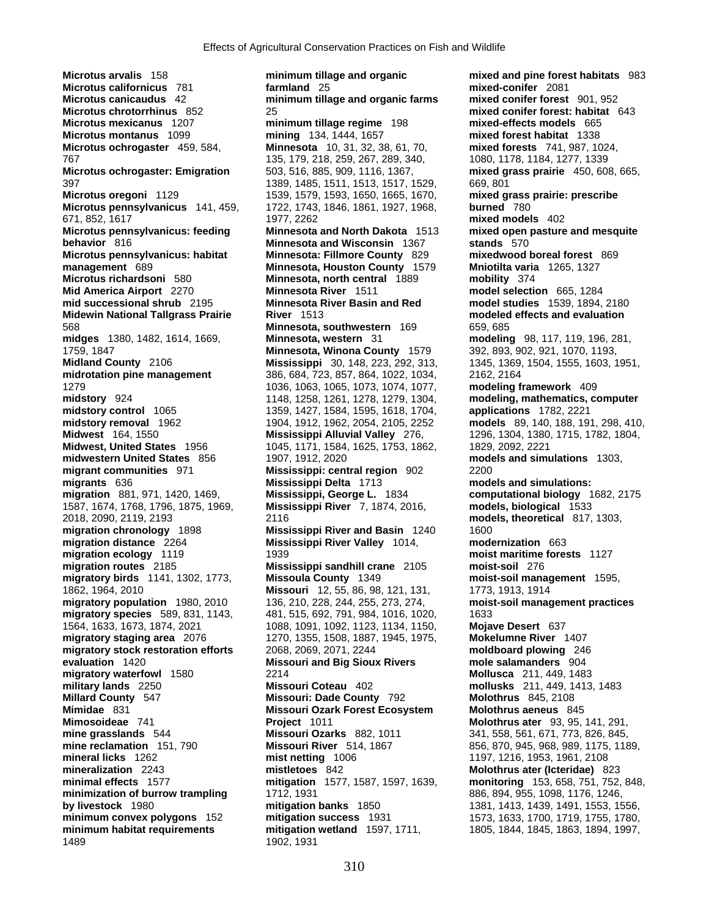**Microtus arvalis** 158 **minimum tillage and organic mixed and pine forest habitats** 983 **Microtus californicus** 781 **farmland** 25 **mixed-conifer** 2081 **Microtus canicaudus** 42 **minimum tillage and organic farms Microtus chrotorrhinus** 852 25 **mixed conifer forest: habitat** 643 **Microtus montanus** 1099 **mining** 134, 1444, 1657 **mixed forest habitat** 1338 **Microtus ochrogaster** 459, 584, **Minnesota** 10, 31, 32, 38, 61, 70, **mixed forests** 741, 987, 1024, 767 135, 179, 218, 259, 267, 289, 340, 1080, 1178, 1184, 1277, 1339 **Microtus ochrogaster: Emigration** 503, 516, 885, 909, 1116, 1367, **mixed grass prairie** 450, 608, 665, 397 1389, 1485, 1511, 1513, 1517, 1529, 669, 801 **Microtus oregoni** 1129 1539, 1579, 1579, 1593, 1650, 1665, 1670, **mixed grass prairie: prescribe mixed grass prairie: prescribe Microtus pennsylvanicus** 141, 459, 1722, 1743, 1846, 1861, 1927, 1968, **burned** 780 671, 852, 1617 1977, 2262 **mixed models** 402 **Microtus pennsylvanicus: feeding Minnesota and North Dakota** 1513 **mixed open pasture and mesquite behavior** 816 **Minnesota and Wisconsin** 1367 **stands** 570 **Microtus pennsylvanicus: habitat Minnesota: Fillmore County** 829 **mixedwood boreal forest** 869 **management** 689 **Minnesota, Houston County** 1579 **Mniotilta varia** 1265, 1327 **Microtus richardsoni** 580 **Minnesota, north central** 1889 **Mid America Airport** 2270 **Minnesota River** 1511 **model selection** 665, 1284 **mid successional shrub** 2195 **Minnesota River Basin and Red model studies** 1539, 1894, 2180 **Midewin National Tallgrass Prairie River** 1513 **modeled effects and evaluation** 568 **Minnesota, southwestern** 169 659, 685 **midges** 1380, 1482, 1614, 1669, **Minnesota, western** 31 **modeling** 98, 117, 119, 196, 281, 1759, 1847 **Minnesota, Winona County** 1579 392, 893, 902, 921, 1070, 1193, **Midland County** 2106 **Mississippi** 30, 148, 223, 292, 313, 1345, 1369, 1504, 1555, 1603, 1951, **midrotation pine management** 386, 684, 723, 857, 864, 1022, 1034, 2162, 2164 1279 1036, 1063, 1065, 1073, 1074, 1077, **modeling framework** 409 **midstory** 924 1148, 1258, 1261, 1278, 1279, 1304, **modeling, mathematics, computer midstory control** 1065 1359, 1427, 1584, 1595, 1618, 1704, **applications** 1782, 2221 **midstory removal** 1962 1904, 1912, 1962, 2054, 2105, 2252 **models** 89, 140, 188, 191, 298, 410, **Midwest** 164, 1550 **Mississippi Alluvial Valley** 276, 1296, 1304, 1380, 1715, 1782, 1804, **Midwest, United States** 1956 1045, 1171, 1584, 1625, 1753, 1862, 1829, 2092, 2221 **midwestern United States** 856 1907, 1912, 2020 **models and simulations** 1303, **migrant communities** 971 **Mississippi: central region** 902 2200 **migrants** 636 **Mississippi Delta** 1713 **models and simulations: migration** 881, 971, 1420, 1469, **Mississippi, George L.** 1834 **computational biology** 1682, 2175 1587, 1674, 1768, 1796, 1875, 1969, **Mississippi River** 7, 1874, 2016, **models, biological** 1533 2018, 2090, 2119, 2193 2116 **models, theoretical** 817, 1303, **migration chronology** 1898 **Mississippi River and Basin** 1240 1600 **migration distance** 2264 **Mississippi River Valley** 1014, **migration ecology** 1119 1939 **moist maritime forests** 1127 **migration routes** 2185 **Mississippi sandhill crane** 2105 **moist-soil** 276 **migratory birds** 1141, 1302, 1773, **Missoula County** 1349 **moist-soil management** 1595, **migratory population** 1980, 2010 136, 210, 228, 244, 255, 273, 274, **moist-soil management practices migratory species** 589, 831, 1143, 481, 515, 692, 791, 984, 1016, 1020, 1633 1564, 1633, 1673, 1874, 2021 1088, 1091, 1092, 1123, 1134, 1150, **Mojave Desert** 637 **migratory staging area** 2076 1270, 1355, 1508, 1887, 1945, 1975, **Mokelumne River** 1407 **migratory stock restoration efforts** 2068, 2069, 2071, 2244 **moldboard plowing** 246 **evaluation** 1420 **Missouri and Big Sioux Rivers mole salamanders** 904 **migratory waterfowl** 1580 2214 **Mollusca** 211, 449, 1483 **military lands** 2250 **Missouri Coteau** 402 **mollusks** 211, 449, 1413, 1483 **Millard County** 547 **Missouri: Dade County** 792 **Molothrus** 845, 2108 **Mimidae** 831 **Missouri Ozark Forest Ecosystem Molothrus aeneus** 845 **mine grasslands** 544 **Missouri Ozarks** 882, 1011 341, 558, 561, 671, 773, 826, 845, **mine reclamation** 151, 790 **Missouri River** 514, 1867 856, 870, 945, 968, 989, 1175, 1189, **mineral licks** 1262 **mist netting** 1006 1197, 1216, 1953, 1961, 2108 **mineralization** 2243 **mistletoes** 842 **Molothrus ater (Icteridae)** 823 **minimal effects** 1577 **mitigation** 1577, 1587, 1597, 1639, **monitoring** 153, 658, 751, 752, 848, **minimization of burrow trampling** 1712, 1931 886, 894, 955, 1098, 1176, 1246, **by livestock** 1980 **mitigation banks** 1850 1381, 1413, 1439, 1491, 1553, 1556, **minimum convex polygons** 152 **mitigation success** 1931 1573, 1633, 1700, 1719, 1755, 1780, **minimum habitat requirements mitigation wetland** 1597, 1711, 1805, 1844, 1845, 1863, 1894, 1997, 1489 1902, 1931

**Minimum tillage regime** 198 **mining** 134, 1444, 1657 Missouri 12, 55, 86, 98, 121, 131, 1773, 1913, 1914 **Mimosoideae** 741 **Project** 1011 **Molothrus ater** 93, 95, 141, 291,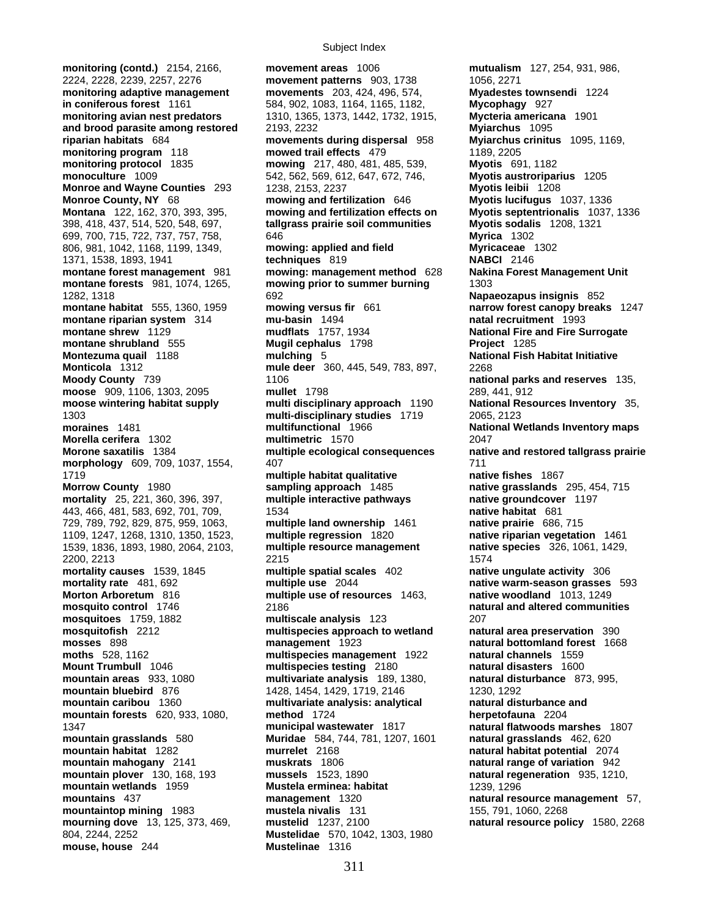**monitoring (contd.)** 2154, 2166, **movement areas** 1006 **mutualism** 127, 254, 931, 986, **moose** 909, 1106, 1303, 2095 1539, 1836, 1893, 1980, 2064, 2103, **multiple resource management native species** 326, 1061, 1429, 804, 2244, 2252 **Mustelidae** 570, 1042, 1303, 1980 **mouse, house** 244 **Mustelinae** 1316

2224, 2228, 2239, 2257, 2276 **movement patterns** 903, 1738 1056, 2271 **monitoring adaptive management movements** 203, 424, 496, 574, **Myadestes townsendi** 1224 **in coniferous forest** 1161 584, 902, 1083, 1164, 1165, 1182, **Mycophagy** 927 **monitoring avian nest predators** 1310, 1365, 1373, 1442, 1732, 1915, **Mycteria americana** 1901 **and brood parasite among restored** 2193, 2232 **Myiarchus** 1095 **riparian habitats** 684 **movements during dispersal** 958 **Myiarchus crinitus** 1095, 1169, **monitoring program** 118 **mowed trail effects** 479 1189, 2205<br>**monitoring protocol** 1835 **mowing** 217, 480, 481, 485, 539, **Myotis** 69 **monitoring protocol** 1835 **mowing** 217, 480, 481, 485, 539, **Myotis** 691, 1182 **monoculture** 1009 542, 562, 569, 612, 647, 672, 746, **Myotis austroriparius** 1205 **Monroe and Wayne Counties** 293 1238, 2153, 2237 **Myotis leibii** 1208 **Monroe County, NY** 68 **mowing and fertilization** 646 **Myotis lucifugus** 1037, 1336 **Montana** 122, 162, 370, 393, 395, **mowing and fertilization effects on Myotis septentrionalis** 1037, 1336 398, 418, 437, 514, 520, 548, 697, **tallgrass prairie soil communities Myotis sodalis** 1208, 1321 699, 700, 715, 722, 737, 757, 758, 646 **Myrica** 1302 806, 981, 1042, 1168, 1199, 1349, **mowing: applied and field Myricaceae** 1302 1371, 1538, 1893, 1941 **techniques** 819 **NABCI** 2146 **montane forest management** 981 **mowing: management method** 628 **Nakina Forest Management Unit montane forests** 981, 1074, 1265, **mowing prior to summer burning** 1303 1282, 1318 692 **Napaeozapus insignis** 852 **montane habitat** 555, 1360, 1959 **mowing versus fir** 661 **narrow forest canopy breaks** 1247 **montane riparian system** 314 **mu-basin** 1494 **natal recruitment** 1993 **montane shrew** 1129 **mudflats** 1757, 1934 **National Fire and Fire Surrogate montane shrubland** 555 **Mugil cephalus** 1798 **Project** 1285 **Montezuma quail** 1188 **mulching** 5 **National Fish Habitat Initiative Monticola** 1312 **mule deer** 360, 445, 549, 783, 897, 2268 **Moody County** 739 **1106 national parks and reserves** 135,<br> **noose** 909, 1106, 1303, 2095 **nullet** 1798 **noose** 289, 441, 912 **moose wintering habitat supply multi disciplinary approach** 1190 **National Resources Inventory** 35, 1303 **multi-disciplinary studies** 1719 2065, 2123 **moraines** 1481 **multifunctional** 1966 **National Wetlands Inventory maps Morella cerifera** 1302 **multimetric** 1570 2047 **Morone saxatilis** 1384 **multiple ecological consequences native and restored tallgrass prairie morphology** 609, 709, 1037, 1554, 407 407 407 407 1719 **multiple habitat qualitative native fishes** 1867 **Morrow County** 1980 **sampling approach** 1485 **native grasslands** 295, 454, 715 **mortality** 25, 221, 360, 396, 397, **multiple interactive pathways native groundcover** 1197 443, 466, 481, 583, 692, 701, 709, 1534 **native habitat** 681 729, 789, 792, 829, 875, 959, 1063, **multiple land ownership** 1461 **native prairie** 686, 715 1109, 1247, 1268, 1310, 1350, 1523, **multiple regression** 1820 **native riparian vegetation** 1461 2200, 2213 2215 1574 **mortality causes** 1539, 1845 **multiple spatial scales** 402 **native ungulate activity** 306 **mortality rate** 481, 692 **multiple use** 2044 **native warm-season grasses** 593 **Morton Arboretum** 816 **multiple use of resources** 1463, **native woodland** 1013, 1249 **mosquito control** 1746 2186 **natural and altered communities mosquitoes** 1759, 1882 **multiscale analysis** 123 207 **mosquitofish** 2212 **multispecies approach to wetland natural area preservation** 390 **management** 1923 **natural bottomland forest** 1668<br>multispecies management 1922 natural channels 1559 **moths** 528, 1162 **multispecies management** 1922 **natural channels** 1559 **multispecies testing** 2180 **mountain areas** 933, 1080 **multivariate analysis** 189, 1380, **natural disturbance** 873, 995, **mountain bluebird** 876 1428, 1454, 1429, 1719, 2146 1230, 1292 **mountain caribou** 1360 **multivariate analysis: analytical natural disturbance and mountain forests** 620, 933, 1080, **method** 1724 **herpetofauna** 2204 1347 **municipal wastewater** 1817 **natural flatwoods marshes** 1807 **mountain grasslands** 580 **Muridae** 584, 744, 781, 1207, 1601 **natural grasslands** 462, 620 **mountain habitat** 1282 **murrelet** 2168 **natural habitat potential** 2074 **mountain mahogany** 2141 **muskrats** 1806 **natural range of variation** 942 **mountain plover** 130, 168, 193 **mussels** 1523, 1890 **natural regeneration** 935, 1210, **mountain wetlands** 1959 **Mustela erminea: habitat** 1239, 1296 **mountains** 437 **management** 1320 **natural resource management** 57, **mountaintop mining** 1983 **mustela nivalis** 131 155, 791, 1060, 2268 **mourning dove** 13, 125, 373, 469, **mustelid** 1237, 2100 **natural resource policy** 1580, 2268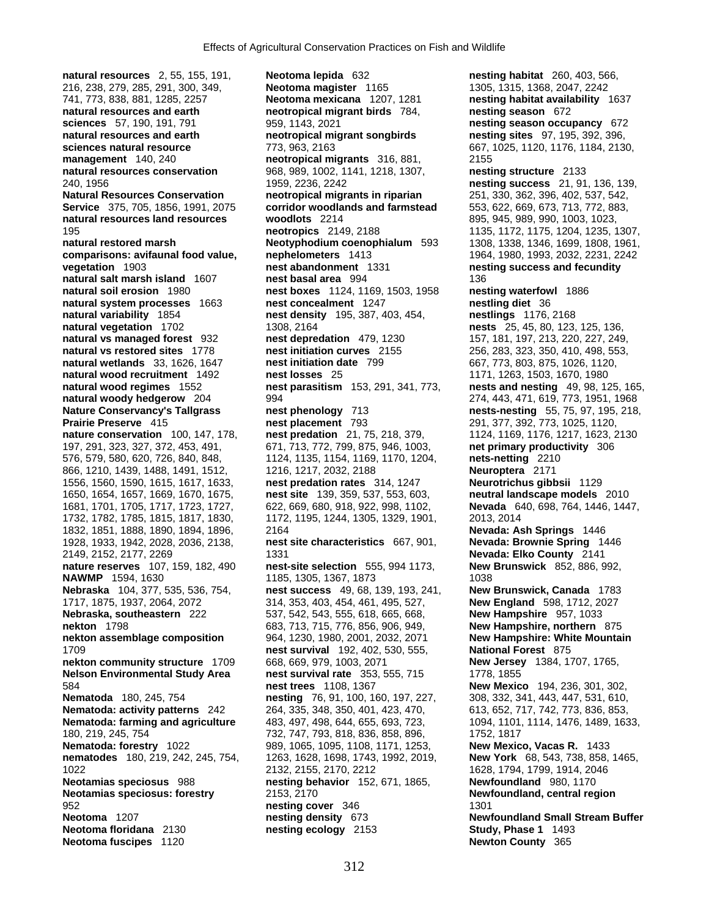**natural resources** 2, 55, 155, 191, **Neotoma lepida** 632 **nesting habitat** 260, 403, 566, 216, 238, 279, 285, 291, 300, 349, **Neotoma magister** 1165 1305, 1315, 1368, 2047, 2242 741, 773, 838, 881, 1285, 2257 **Neotoma mexicana** 1207, 1281 **nesting habitat availability** 1637 **sciences** 57, 190, 191, 791 959, 1143, 2021 **nesting season occupancy** 672 **natural resources and earth neotropical migrant songbirds nesting sites** 97, 195, 392, 396, **sciences natural resource** 773, 963, 2163 667, 1025, 1120, 1176, 1184, 2130, **management** 140, 240 **neotropical migrants** 316, 881, 2155 **natural resources conservation** 968, 989, 1002, 1141, 1218, 1307, **nesting structure** 2133 240, 1956 1959, 2236, 2242 **nesting success** 21, 91, 136, 139, **Natural Resources Conservation neotropical migrants in riparian** 251, 330, 362, 396, 402, 537, 542, **Service** 375, 705, 1856, 1991, 2075 **corridor woodlands and farmstead** 553, 622, 669, 673, 713, 772, 883, **natural resources land resources <b>woodlots** 2214 895, 945, 989, 990, 1003, 1023, 195 **neotropics** 2149, 2188 1135, 1172, 1175, 1204, 1235, 1307, **comparisons: avifaunal food value, nephelometers** 1413 1964, 1980, 1993, 2032, 2231, 2242 **vegetation** 1903 **nest abandonment** 1331 **nesting success and fecundity natural salt marsh island** 1607 **nest basal area** 994 136 **natural soil erosion** 1980 **nest boxes** 1124, 1169, 1503, 1958 **nesting waterfowl** 1886 **natural system processes** 1663 **nest concealment** 1247 **nestling diet** 36 **natural variability** 1854 **nest density** 195, 387, 403, 454, **nestlings** 1176, 2168 **natural vegetation** 1702 1308, 2164 **nests** 25, 45, 80, 123, 125, 136, **natural vs managed forest** 932 **nest depredation** 479, 1230 157, 181, 197, 213, 220, 227, 249, **natural vs restored sites** 1778 **nest initiation curves** 2155 256, 283, 323, 350, 410, 498, 553, **natural wetlands** 33, 1626, 1647 **nest initiation date** 799 667, 773, 803, 875, 1026, 1120, **natural wood recruitment** 1492 **nest losses** 25 1171, 1263, 1503, 1670, 1980 **natural wood regimes** 1552 **nest parasitism** 153, 291, 341, 773, **nests and nesting** 49, 98, 125, 165, **natural woody hedgerow** 204 994 274, 443, 471, 619, 773, 1951, 1968<br> **Nature Conservancy's Taligrass nest phenology** 713 **https://www.fragery.org/2018/2018 Nature Conservancy's Tallgrass and Schoology 713 conservancy's Tallgrass and Muslim Preserve 415 conservance in<br>Prairie Preserve 415 conservances and the strategies are placement 793 conservance 291, 377, 392, 773, 1025, Prairie Preserve** 415 **nest placement** 793 291, 377, 392, 773, 1025, 1120, **nature conservation** 100, 147, 178, **nest predation** 21, 75, 218, 379, 1124, 1169, 1176, 1217, 1623, 2130 197, 291, 323, 327, 372, 453, 491, 671, 713, 772, 799, 875, 946, 1003, **net primary productivity** 306 576, 579, 580, 620, 726, 840, 848, 1124, 1135, 1154, 1169, 1170, 1204, **nets-netting** 2210 866, 1210, 1439, 1488, 1491, 1512, 1216, 1217, 2032, 2188 1556, 1560, 1590, 1615, 1617, 1633, **nest predation rates** 314, 1247 **Neurotrichus gibbsii** 1129 1650, 1654, 1657, 1669, 1670, 1675, **nest site** 139, 359, 537, 553, 603, **neutral landscape models** 2010 1681, 1701, 1705, 1717, 1723, 1727, 622, 669, 680, 918, 922, 998, 1102, **Nevada** 640, 698, 764, 1446, 1447, 1732, 1782, 1785, 1815, 1817, 1830, 1172, 1195, 1244, 1305, 1329, 1901, 2013, 2014 1832, 1851, 1888, 1890, 1894, 1896, 2164 **Nevada: Ash Springs** 1446 2149, 2152, 2177, 2269 1331 **Nevada: Elko County** 2141 **nature reserves** 107, 159, 182, 490 **nest-site selection** 555, 994 1173, **New Brunswick** 852, 886, 992, **NAWMP** 1594, 1630<br>**Nebraska** 104, 377, 535, 536, 754, **nest success** 49, 68, 139, 193, 241, **New Brunswick, Canada** 1783 **Nebraska** 104, 377, 535, 536, 754, **nest success** 49, 68, 139, 193, 241, 1717, 1875, 1937, 2064, 2072 314, 353, 403, 454, 461, 495, 527, **New England** 598, 1712, 2027 **Nebraska, southeastern** 222 537, 542, 543, 555, 618, 665, 668, **New Hampshire** 957, 1033 **nekton** 1798 683, 713, 715, 776, 856, 906, 949, **New Hampshire, northern** 875 **nekton assemblage composition** 964, 1230, 1980, 2001, 2032, 2071 **New Hampshire: White Mountain**  1709 **nest survival** 192, 402, 530, 555, **National Forest** 875 **nekton community structure** 1709 668, 669, 979, 1003, 2071 **New Jersey** 1384, 1707, 1765, **Nelson Environmental Study Area <b>nest survival rate** 353, 555, 715 1778, 1855 584 **nest trees** 1108, 1367 **New Mexico** 194, 236, 301, 302, **Nematoda** 180, 245, 754 **nesting** 76, 91, 100, 160, 197, 227, 308, 332, 341, 443, 447, 531, 610, **Nematoda: activity patterns** 242 264, 335, 348, 350, 401, 423, 470, 613, 652, 717, 742, 773, 836, 853, **Nematoda: farming and agriculture** 483, 497, 498, 644, 655, 693, 723, 1094, 1101, 1114, 1476, 1489, 1633, 1633, 180, 219, 245, 754 793, 818, 836, 836, 858, 896, 1752, 1817 180, 219, 245, 754 732, 747, 793, 818, 836, 858, 896, 1085, 1108, 1171, 1253 **nematodes** 180, 219, 242, 245, 754, 1263, 1628, 1698, 1743, 1992, 2019, **New York** 68, 543, 738, 858, 1465, 1022 2132, 2155, 2170, 2212 1628, 1794, 1799, 1914, 2046 **Neotamias speciosus** 988 **nesting behavior** 152, 671, 1865, **Newfoundland** 980, 1170 **Neotamias speciosus: forestry** 2153, 2170 **Newfoundland, central region** 952 **nesting cover** 346 1301 **Neotoma** 1207 **nesting density** 673 **Newfoundland Small Stream Buffer Neotoma floridana** 2130 **nesting ecology** 2153 **Study, Phase 1** 1493 **Neotoma fuscipes** 1120 **Newton County** 365

**neotropical migrant birds** 784, **nesting season** 672 **Neotyphodium coenophialum 593** 1928, 1933, 1942, 2028, 2036, 2138, **nest site characteristics** 667, 901, **Nevada: Brownie Spring** 1446 **Nematoda: forestry** 1022 989, 1065, 1095, 1108, 1171, 1253, **New Mexico, Vacas R.** 1433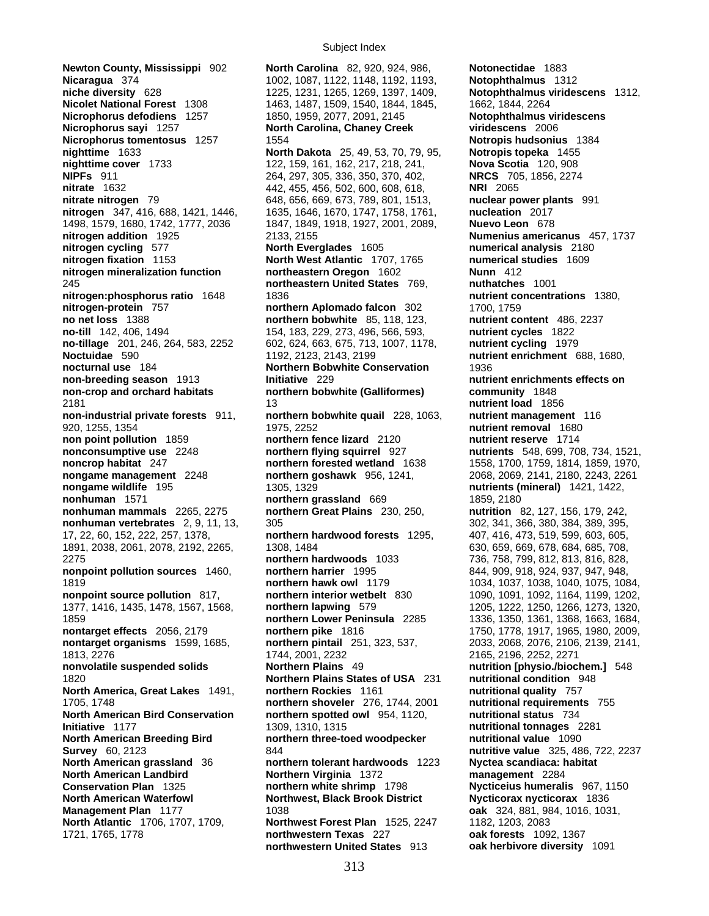**Newton County, Mississippi** 902 **North Carolina** 82, 920, 924, 986, **Notonectidae** 1883 **Nicaragua** 374 1002, 1087, 1122, 1148, 1192, 1193, **niche diversity** 628 1225, 1231, 1265, 1269, 1397, 1409, **Notophthalmus viridescens** 1312, **Nicolet National Forest** 1308 1463, 1487, 1509, 1540, 1844, 1845, 1662, 1844, 2264 **Nicrophorus defodiens** 1257 1850, 1959, 2077, 2091, 2145 **Notophthalmus viridescens Nicrophorus sayi** 1257 **North Carolina, Chaney Creek viridescens** 2006 **Nicrophorus tomentosus** 1257 1554 **Notropis hudsonius** 1384 **nighttime** 1633 **North Dakota** 25, 49, 53, 70, 79, 95, **Notropis topeka** 1455 **nighttime cover** 1733 122, 159, 161, 162, 217, 218, 241, **Nova Scotia** 120, 908 **NIPFs** 911 264, 297, 305, 336, 350, 370, 402, **NRCS** 705, 1856, 2274 **nitrate** 1632 442, 455, 456, 502, 600, 608, 618, **NRI** 2065 **nitrate nitrogen** 79 648, 656, 669, 673, 789, 801, 1513, **nuclear power plants** 991 **nitrogen** 347, 416, 688, 1421, 1446, 1635, 1646, 1670, 1747, 1758, 1761, **nucleation** 2017 1498, 1579, 1680, 1742, 1777, 2036 1847, 1849, 1918, 1927, 2001, 2089, **Nuevo Leon** 678 **nitrogen addition** 1925 2133, 2155 **Numenius americanus** 457, 1737 **nitrogen cycling** 577 **North Everglades** 1605 **numerical analysis** 2180 **nitrogen fixation** 1153 **North West Atlantic** 1707, 1765 **numerical studies** 1609 **nitrogen mineralization function northeastern Oregon** 1602 **Nunn** 412 245 **northeastern United States** 769, **nuthatches** 1001 **nitrogen:phosphorus ratio** 1648 1836 **nutrient concentrations** 1380, **nitrogen-protein** 757 **northern Aplomado falcon** 302 1700, 1759 **no net loss** 1388 **northern bobwhite** 85, 118, 123, **nutrient content** 486, 2237 **no-till** 142, 406, 1494 154, 183, 229, 273, 496, 566, 593, **nutrient cycles** 1822 **no-tillage** 201, 246, 264, 583, 2252 602, 624, 663, 675, 713, 1007, 1178, **nutrient cycling** 1979 **Noctuidae** 590 1192, 2123, 2143, 2199 **nutrient enrichment** 688, 1680, **nocturnal use** 184 **Northern Bobwhite Conservation** 1936 **non-breeding season** 1913 **Initiative** 229 **nutrient enrichments effects on <br>
<b>non-crop** and orchard habitats **independent or an about here** in the **independent on the community** 1848 **non-crop and orchard habitats northern bobwhite (Galliformes)** 2181 13 **nutrient load** 1856 **non-industrial private forests** 911, **northern bobwhite quail** 228, 1063, **nutrient management** 116 920, 1255, 1354 1975, 2252 **nutrient removal** 1680 **non point pollution** 1859 **northern fence lizard** 2120 **nutrient reserve** 1714 **nonconsumptive use** 2248 **northern flying squirrel** 927 **nutrients** 548, 699, 708, 734, 1521, **noncrop habitat** 247 **northern forested wetland** 1638 1558, 1700, 1759, 1814, 1859, 1970, **nongame management** 2248 **northern goshawk** 956, 1241, 2068, 2069, 2141, 2180, 2243, 2261 **nongame wildlife** 195 1305, 1329 **nutrients (mineral)** 1421, 1422, **nonhuman** 1571 **1859, 2180 northern grassland** 669 1859, 2180 **nonhuman mammals** 2265, 2275 **northern Great Plains** 230, 250, **nutrition** 82, 127, 156, 179, 242, **nonhuman vertebrates** 2, 9, 11, 13, 305 302, 341, 366, 380, 384, 389, 395, 17, 22, 60, 152, 222, 257, 1378, **northern hardwood forests** 1295, 407, 416, 473, 519, 599, 603, 605, 1891, 2038, 2061, 2078, 2192, 2265, 1308, 1484 630, 659, 669, 678, 684, 685, 708, 2275 **northern hardwoods** 1033 736, 758, 799, 812, 813, 816, 828, **nonpoint pollution sources** 1460, **northern harrier** 1995 844, 909, 918, 924, 937, 947, 948, 1819 **northern hawk owl** 1179 1034, 1037, 1038, 1040, 1075, 1084, **nonpoint source pollution** 817, **northern interior wetbelt** 830 1090, 1091, 1092, 1164, 1199, 1202, 1377, 1416, 1435, 1478, 1567, 1568, **northern lapwing** 579 1205, 1222, 1250, 1266, 1273, 1320, 1859 **northern Lower Peninsula** 2285 1336, 1350, 1361, 1368, 1663, 1684, **nontarget effects** 2056, 2179 **northern pike** 1816 1750, 1778, 1917, 1965, 1980, 2009, **nontarget organisms** 1599, 1685, **northern pintail** 251, 323, 537, 2033, 2068, 2076, 2106, 2139, 2141, 1813, 2276<br>
1744, 2001, 2232 2271<br>
19 nutrition [physio./bioc] Northern Plains 49 11/11/11/11/11/11/11/11/10/11/10/11/10 **nonvolatile suspended solids Northern Plains**  49 **nutrition [physio./biochem.]** 548<br>1820 **nutritional condition** 948 1820 **Northern Plains States of USA** 231 **nutritional condition**<br>**North America. Great Lakes** 1491, **northern Rockies** 1161 **nutritional quality** 757 **North America, Great Lakes** 1491, **northern Rockies** 1161 **nutritional quality** 757<br>1705. 1748 **northern shoveler** 276, 1744, 2001 **nutritional requirements** 755 1705, 1748 **northern shoveler** 276, 1744, 2001 **nutritional requirements** 755 **North American Bird Conservation northern spotted owl** 954, 1120, **nutritional status** 734 **Initiative** 1177 1309, 1310, 1315 **nutritional tonnages** 2281 **North American Breeding Bird northern three-toed woodpecker nutritional value** 1090 **Survey** 60, 2123 844 **nutritive value** 325, 486, 722, 2237 **North American grassland** 36 **northern tolerant hardwoods** 1223 **Nyctea scandiaca: habitat North American Landbird Northern Virginia** 1372 **management** 2284 **Conservation Plan** 1325 **northern white shrimp** 1798 **Nycticeius humeralis** 967, 1150 **North American Waterfowl Northwest, Black Brook District Nycticorax nycticorax** 1836 **Management Plan** 1177 1038 **oak** 324, 881, 984, 1016, 1031, **North Atlantic** 1706, 1707, 1709, **Northwest Forest Plan** 1525, 2247 1721, 1765, 1778 **northwestern Texas** 227 **oak forests** 1092, 1367

**northwestern United States** 913 **oak herbivore diversity** 1091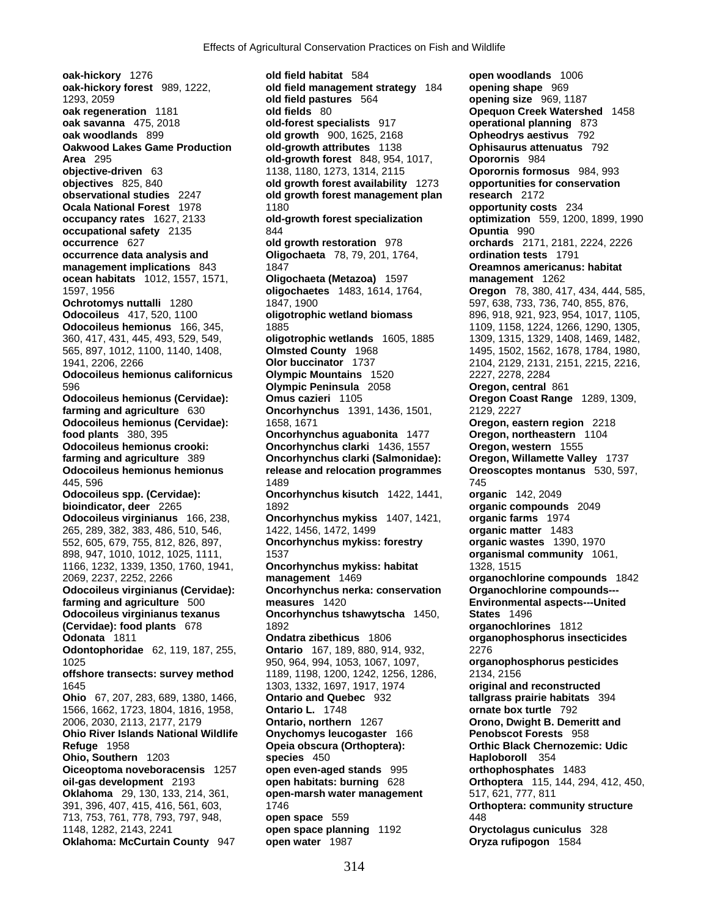**Area** 295 **old-growth forest** 848, 954, 1017, **objective-driven** 63 **contract** 1138, 1180, 1273, 1314, 2115 552, 605, 679, 755, 812, 826, 897, **Oncorhynchus mykiss: forestry organic wastes** 1390, 1970 **Oklahoma: McCurtain County** 947 **open water** 1987 **Oryza rufipogon** 1584

**oak-hickory** 1276 **old field habitat** 584 **open woodlands** 1006 **oak-hickory forest** 989, 1222, **old field management strategy** 184 **opening shape** 969 1293, 2059 **old field pastures** 564 **opening size** 969, 1187 **oak regeneration** 1181 **old fields** 80 **Opequon Creek Watershed** 1458 **oak savanna** 475, 2018 **old-forest specialists** 917 **operational planning** 873 **oak woodlands** 899 **old growth** 900, 1625, 2168 **Opheodrys aestivus** 792 **Oakwood Lakes Game Production old-growth attributes** 1138 **Ophisaurus attenuatus** 792 **objective-driven** 63 1138, 1180, 1273, 1314, 2115 **Oporornis formosus** 984, 993 **objectives** 825, 840 **old growth forest availability** 1273 **opportunities for conservation observational studies** 2247 **old growth forest management plan research** 2172 **Ocala National Forest** 1978 1180 **opportunity costs** 234 **occupancy rates** 1627, 2133 **old-growth forest specialization optimization** 559, 1200, 1899, 1990 **occupational safety** 2135 844 **Opuntia** 990 **occurrence** 627 **old growth restoration** 978 **orchards** 2171, 2181, 2224, 2226<br>**occurrence data analysis and Oligochaeta** 78, 79, 201, 1764, **ordination tests** 1791 **occurrence data analysis and Oligochaeta** 78, 79, 201, 1764, **ordination tests** 1791 **management implications** 843 1847 **1847** 1847 **Oreamnos americanus: habitat ocean habitats** 1012, 1557, 1571, **Oligochaeta (Metazoa)** 1597 **management** 1262 1597, 1956 **oligochaetes** 1483, 1614, 1764, **Oregon** 78, 380, 417, 434, 444, 585, **Ochrotomys nuttalli** 1280 1847, 1900 1847, 1900 597, 638, 733, 736, 740, 855, 876, **Odocoileus** 417, 520, 1100 **oligotrophic wetland biomass** 896, 918, 921, 923, 954, 1017, 1105, **Odocoileus hemionus** 166, 345, 1885 1109, 1109, 1158, 1224, 1266, 1290, 1305, 1305, 360, 417, 431, 445, 493, 529, 549, **oligotrophic wetlands** 1605, 1885 1309, 1315, 1329, 1408, 1469, 1482, 565, 897, 1012, 1100, 1140, 1408, **Olmsted County** 1968 1495, 1502, 1562, 1678, 1784, 1980, 1941, 2206, 2266 **Olor buccinator** 1737 2104, 2129, 2131, 2151, 2215, 2216, **Odocoileus hemionus californicus Olympic Mountains** 1520 2227, 2278, 2284 596 **Olympic Peninsula** 2058 **Oregon, central** 861 **Odocoileus hemionus (Cervidae): Omus cazieri** 1105 **Oregon Coast Range** 1289, 1309, **farming and agriculture** 630 **Oncorhynchus** 1391, 1436, 1501, 2129, 2227 **Odocoileus hemionus (Cervidae):** 1658, 1671 **Oregon, eastern region** 2218 **food plants** 380, 395 **Oncorhynchus aguabonita** 1477 **Oregon, northeastern** 1104 **Odocoileus hemionus crooki: Oncorhynchus clarki** 1436, 1557 **Oregon, western** 1555 **farming and agriculture** 389 **Oncorhynchus clarki (Salmonidae): Oregon, Willamette Valley** 1737 **Odocoileus hemionus hemionus release and relocation programmes Oreoscoptes montanus** 530, 597, 445, 596 1489 745 **Odocoileus spp. (Cervidae): Oncorhynchus kisutch** 1422, 1441, **organic** 142, 2049 **bioindicator, deer** 2265 1892 **organic compounds** 2049 **Odocoileus virginianus** 166, 238, **Oncorhynchus mykiss** 1407, 1421, **organic farms** 1974 265, 289, 382, 383, 486, 510, 546, 1422, 1456, 1472, 1499 **organic matter** 1483 898, 947, 1010, 1012, 1025, 1111, 1537 **organismal community** 1061, 1166, 1232, 1339, 1350, 1760, 1941, **Oncorhynchus mykiss: habitat** 1328, 1515 2069, 2237, 2252, 2266 **management** 1469 **organochlorine compounds** 1842 **Oncorhynchus nerka: conservation farming and agriculture** 500 **measures** 1420 **Environmental aspects---United Odocoileus virginianus texanus Oncorhynchus tshawytscha** 1450, **States** 1496 **(Cervidae): food plants** 678 1892 **organochlorines** 1812 **Odonata** 1811 **Ondatra zibethicus** 1806 **organophosphorus insecticides Odontophoridae** 62, 119, 187, 255, **Ontario** 167, 189, 880, 914, 932, 2276 1025 950, 964, 994, 1053, 1067, 1097, **organophosphorus pesticides offshore transects: survey method** 1189, 1198, 1200, 1242, 1256, 1286, 2134, 2156 1645 1303, 1332, 1697, 1917, 1974 **original and reconstructed Ohio** 67, 207, 283, 689, 1380, 1466, **Ontario and Quebec** 932 **tallgrass prairie habitats** 394 1566, 1662, 1723, 1804, 1816, 1958, **Ontario L.** 1748 **ornate box turtle** 792 2006, 2030, 2113, 2177, 2179 **Ontario, northern** 1267 **Orono, Dwight B. Demeritt and Ohio River Islands National Wildlife Onychomys leucogaster** 166 **Penobscot Forests** 958 **Refuge** 1958 **Opeia obscura (Orthoptera): Orthic Black Chernozemic: Udic Ohio, Southern** 1203 **species** 450 **Haploboroll** 354 **Oiceoptoma noveboracensis** 1257 **open even-aged stands** 995 **https://witk.org/community-org/community-org/community-org/community-org/community-org/community-org/commu Oiceoptoma noveboracensis** 1257 **open even-aged stands** 995 **orthophosphates** 1483 **oil-gas development** 2193 **open habitats: burning** 628 **Orthoptera** 115, 144, 294, 412, 450, **Oklahoma** 29, 130, 133, 214, 361, **open-marsh water management** 517, 621, 777, 811 391, 396, 407, 415, 416, 561, 603, 1746 **Orthoptera: community structure** 713, 753, 761, 778, 793, 797, 948, **open space** 559 448 1148, 1282, 2143, 2241 **open space planning** 1192 **Oryctolagus cuniculus** 328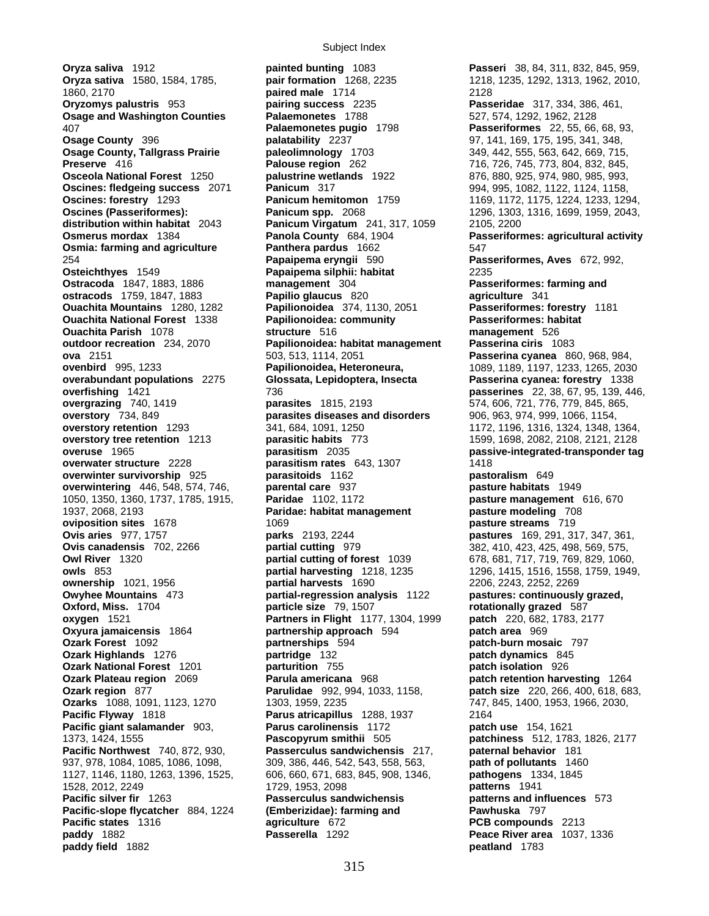**paddy field** 1882 **peatland** 1783

**Oryza saliva** 1912 **painted bunting** 1083 **Passeri** 38, 84, 311, 832, 845, 959, **Oryza sativa** 1580, 1584, 1785, **pair formation** 1268, 2235 1218, 1235, 1292, 1313, 1962, 2010, 1860, 2170 **paired male** 1714 2128 **Oryzomys palustris** 953 **pairing success** 2235 **Passeridae** 317, 334, 386, 461, **Osage and Washington Counties Falaemonetes** 1788 527, 574, 1292, 1962, 2128 407 **Palaemonetes pugio** 1798 **Passeriformes** 22, 55, 66, 68, 93, **Osage County** 396 **palatability** 2237 97, 141, 169, 175, 195, 341, 348, **Osage County, Tallgrass Prairie 19th paleolimnology** 1703 1994 1703 349, 442, 555, 563, 642, 669, 715, **Preserve** 416 **Palouse region** 262 716, 726, 745, 773, 804, 832, 845, **Osceola National Forest** 1250 **palustrine wetlands** 1922 876, 880, 925, 974, 980, 985, 993, **Oscines: fledgeing success** 2071 **Panicum** 317 994, 995, 1082, 1122, 1124, 1158, **Oscines: forestry** 1293 **Panicum hemitomon** 1759 1169, 1172, 1175, 1224, 1233, 1294, **Oscines (Passeriformes): Panicum spp.** 2068 1296, 1303, 1316, 1699, 1959, 2043, 1959, 2043, **distribution within habitat** 2043 **Panicum Virgatum** 241, 317, 1059 2105, 2200 **Osmerus mordax** 1384 **Panola County** 684, 1904 **Passeriformes: agricultural activity Osmia: farming and agriculture Panthera pardus** 1662 547 254 **Papaipema eryngii** 590 **Passeriformes, Aves** 672, 992, **Osteichthyes** 1549 **Papaipema silphii: habitat** 2235 **Ostracoda** 1847, 1883, 1886 **management** 304 **Passeriformes: farming and ostracods** 1759, 1847, 1883 **Papilio glaucus** 820 **agriculture** 341 **Ouachita Mountains** 1280, 1282 **Papilionoidea** 374, 1130, 2051 **Passeriformes: forestry** 1181 **Ouachita National Forest** 1338 **Papilionoidea: community Passeriformes: habitat Ouachita Parish** 1078 **structure** 516 **management** 526 **outdoor recreation** 234, 2070 **Papilionoidea: habitat management ova** 2151 503, 513, 1114, 2051 **Passerina cyanea** 860, 968, 984, **ovenbird** 995, 1233 **Papilionoidea, Heteroneura,** 1089, 1189, 1197, 1233, 1265, 2030 **overabundant populations** 2275 **Glossata, Lepidoptera, Insecta Passerina cyanea: forestry** 1338 **overfishing** 1421 736 **passerines** 22, 38, 67, 95, 139, 446, **overgrazing** 740, 1419 **parasites** 1815, 2193 **parasitering** 574, 606, 721, 776, 779, 845, 865, **overgrazing** 740, 1419 **parasites** 1815, 2193 574, 606, 721, 776, 779, 845, 865, **overstory** 734, 849 **parasites diseases and disorders** 906, 963, 974, 999, 1066, 1154, **overstory** 734, 849 **parasites diseases and disorders** 906, 963, 974, 999, 1066, 1154, **overstory retention** 1293 341, 684, 1091, 1250 1172, 1196, 1316, 1324, 1348, 1364, **overstory tree retention** 1213 **parasitic habits** 773 1599, 1698, 2082, 2108, 2121, 2128 **overuse** 1965 **parasitism** 2035 **passive-integrated-transponder tag overwater structure** 2228 **parasitism rates** 643, 1307 1418 **overwinter survivorship** 925 **parasitoids** 1162 **pastoralism** 649 **overwintering** 446, 548, 574, 746, **parental care** 937 **pasture habitats** 1949 1050, 1350, 1360, 1737, 1785, 1915, **Paridae** 1102, 1172 **pasture management** 616, 670 **Paridae: habitat management pasture modeling** 708 **oviposition sites** 1678 **parts** 1069 **pasture streams** 719 **Ovis aries** 977, 1757 **parks** 2193, 2244 **pastures** 169, 291, 317, 347, 361, **Ovis canadensis** 702, 2266 **partial cutting** 979 382, 410, 423, 425, 498, 569, 575, **Owl River** 1320 **partial cutting of forest** 1039 678, 681, 717, 719, 769, 829, 1060, **owls** 853 **partial harvesting** 1218, 1235 1296, 1415, 1516, 1558, 1759, 1949, **ownership** 1021, 1956 **partial harvests** 1690 2206, 2243, 2252, 2269 **Owyhee Mountains** 473 **partial-regression analysis** 1122 **pastures: continuously grazed, Oxford, Miss.** 1704 **particle size** 79, 1507 **rotationally grazed** 587 **oxygen** 1521 **Partners in Flight** 1177, 1304, 1999 **patch** 220, 682, 1783, 2177 **Oxyura jamaicensis** 1864 **partnership approach** 594 **patch area** 969 **Ozark Forest** 1092 **partnerships** 594 **patch-burn mosaic** 797 **Ozark Highlands** 1276 **partridge** 132 **patch dynamics** 845 **Ozark National Forest** 1201 **parturition** 755 **patch isolation** 926 **Ozark Plateau region** 2069 **Parula americana** 968 **patch retention harvesting** 1264 **Ozark region** 877 **Parulidae** 992, 994, 1033, 1158, **patch size** 220, 266, 400, 618, 683, **Ozarks** 1088, 1091, 1123, 1270 1303, 1959, 2235 747, 845, 1400, 1953, 1966, 2030, **Pacific Flyway** 1818 **Parus atricapillus** 1288, 1937 2164 **Pacific giant salamander** 903, **Parus carolinensis** 1172 **patch use** 154, 1621 1373, 1424, 1555 **Pascopyrum smithii** 505 **patchiness** 512, 1783, 1826, 2177 **Pacific Northwest** 740, 872, 930, **Passerculus sandwichensis** 217, **paternal behavior** 181 937, 978, 1084, 1085, 1086, 1098, 309, 386, 446, 542, 543, 558, 563, **path of pollutants** 1460 1127, 1146, 1180, 1263, 1396, 1525, 606, 660, 671, 683, 845, 908, 1346, **pathogens** 1334, 1845 1528, 2012, 2249 1729, 1953, 2098 **patterns** 1941 **Pacific silver fir** 1263 **Passerculus sandwichensis patterns and influences** 573 **Pacific-slope flycatcher** 884, 1224 **(Emberizidae): farming and Pawhuska** 797 **Pacific states** 1316 **agriculture** 672 **PCB compounds** 2213 **paddy** 1882 **Passerella** 1292 **Peace River area** 1037, 1336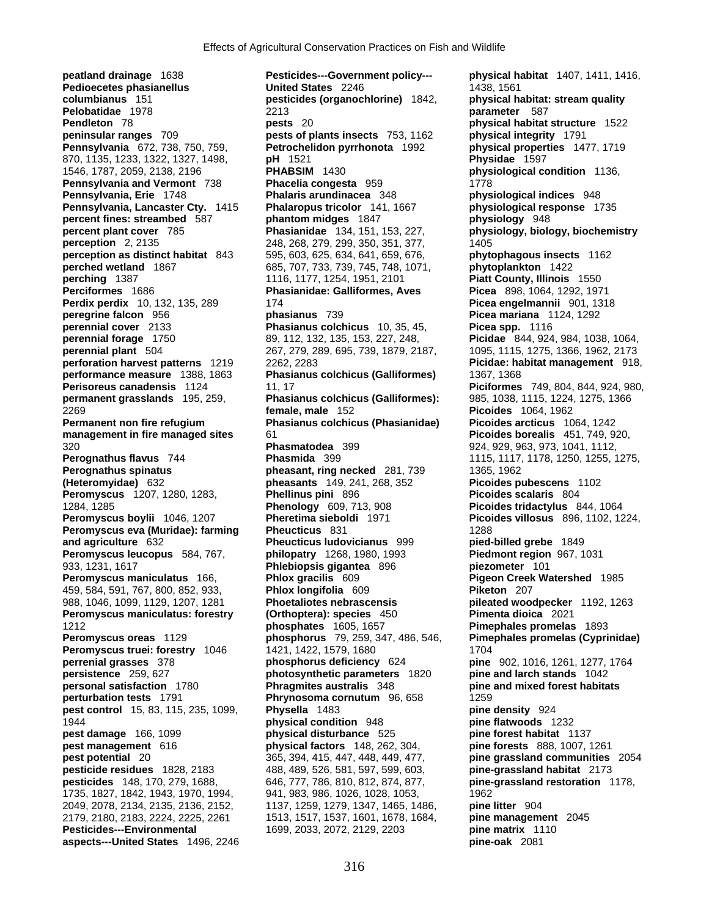**peatland drainage** 1638 **Pesticides---Government policy--- physical habitat** 1407, 1411, 1416, **Pedioecetes phasianellus Community Community Community United States** 2246 1438, 1561 1438, 1561 columbianus 151 **Pelobatidae** 1978 2213 **parameter** 587 **Pendleton** 78 **pests** 20 **pests** 20 **pendleton** 78 **physical habitat structure** 1522<br> **physical integrity** 1791 **Pennsylvania** 672, 738, 750, 759, **Petrochelidon pyrrhonota** 1992 **physical properties** 1477, 1719 870, 1135, 1233, 1322, 1327, 1498, **pH** 1521<br>1546, 1787, 2059, 2138, 2196 **PHABSIM Pennsylvania and Vermont** 738 **Phacelia congesta** 959 1778 **Pennsylvania, Erie** 1748 **Phalaris arundinacea** 348 **physiological indices** 948 **Pennsylvania, Lancaster Cty.** 1415 **Phalaropus tricolor** 141, 1667 **physiological response** 1735 **percent fines: streambed** 587 **phantom midges** 1847 **physiology** 948 **percent plant cover** 785 **Phasianidae** 134, 151, 153, 227, **physiology, biology, biochemistry perception** 2, 2135 248, 268, 279, 299, 350, 351, 377, **perception as distinct habitat** 843 595, 603, 625, 634, 641, 659, 676, **phytophagous insects** 1162<br> **perched wetland** 1867 685, 707, 733, 739, 745, 748, 1071, **phytoplankton** 1422 **perched wetland** 1867 685, 707, 733, 739, 745, 748, 1071, **phytoplankton** 1422<br>**perching** 1387 1116, 1177, 1254, 1951, 2101 **Piatt County, Illinois** 1550 **Perciformes** 1686 **Phasianidae: Galliformes, Aves Picea** 898, 1064, 1292, 1971 **Perdix perdix** 10, 132, 135, 289 174 **Picea engelmannii** 901, 1318 **peregrine falcon** 956 **phasianus** 739 **Picea mariana** 1124, 1292 **perennial cover** 2133 **Phasianus colchicus** 10, 35, 45, **Picea spp.** 1116 **perennial forage** 1750 89, 112, 132, 135, 153, 227, 248, **Picidae** 844, 924, 984, 1038, 1064, **perennial plant** 504 267, 279, 289, 695, 739, 1879, 2187, 1095, 1115, 1275, 1366, 1962, 2173 **perforation harvest patterns** 1219 2262, 2283 **Picidae: habitat management** 918, **performance measure** 1388, 1863 **Phasianus colchicus (Galliformes)** 1367, 1368 **Perisoreus canadensis** 1124 11, 17 **Piciformes** 749, 804, 844, 924, 980, **permanent grasslands** 195, 259, **Phasianus colchicus (Galliformes):** 985, 1038, 1115, 1224, 1275, 1366 2269 **female, male** 152 **Picoides** 1064, 1962 **Permanent non fire refugium Phasianus colchicus (Phasianidae) Picoides arcticus** 1064, 1242 **management in fire managed sites** 61 **Picoides borealis** 451, 749, 920, 320 **Phasmatodea** 399 924, 929, 963, 973, 1041, 1112, **Perognathus flavus** 744 **Phasmida** 399 1115, 1117, 1178, 1250, 1255, 1275, **Perognathus spinatus example 281, 739 1365, 1962 Perognathus spinatus (Heteromyidae)** 632 **pheasants** 149, 241, 268, 352 **Picoides pubescens** 1102 **Peromyscus** 1207, 1280, 1283, **Phellinus pini** 896 **Picoides scalaris** 804 1284, 1285 **Phenology** 609, 713, 908 **Picoides tridactylus** 844, 1064 **Peromyscus boylii** 1046, 1207 **Pheretima sieboldi** 1971 **Picoides villosus** 896, 1102, 1224, **Peromyscus eva (Muridae): farming Pheucticus** 831 1288 **and agriculture** 632 **Pheucticus ludovicianus** 999 **pied-billed grebe** 1849 **Peromyscus leucopus** 584, 767, **philopatry** 1268, 1980, 1993 **Piedmont region** 967, 1031 933, 1231, 1617 **Phlebiopsis gigantea** 896 **piezometer** 101 **Peromyscus maniculatus** 166, **Phlox gracilis** 609 **Pigeon Creek Watershed** 1985 459, 584, 591, 767, 800, 852, 933, **Phlox longifolia** 609 **Piketon** 207 988, 1046, 1099, 1129, 1207, 1281 **Phoetaliotes nebrascensis pileated woodpecker** 1192, 1263 **Peromyscus maniculatus: forestry (Orthoptera): species** 450 **Pimenta dioica** 2021 1212 **phosphates** 1605, 1657 **Pimephales promelas** 1893 **Peromyscus oreas** 1129 **phosphorus** 79, 259, 347, 486, 546, **Pimephales promelas (Cyprinidae) Peromyscus truei: forestry** 1046 1421, 1422, 1579, 1680 1704 **perrenial grasses** 378 **phosphorus deficiency** 624 **pine** 902, 1016, 1261, 1277, 1764 **persistence** 259, 627 **photosynthetic parameters** 1820 **pine and larch stands** 1042 **personal satisfaction** 1780 **Phragmites australis** 348 **pine and mixed forest habitats perturbation tests** 1791 **Phrynosoma cornutum** 96, 658 1259<br>**pest control** 15, 83, 115, 235, 1099, **Physella** 1483 **pine pest control** 15, 83, 115, 235, 1099, **Physella** 1483 **pine density** 924 1944 **physical condition** 948 **pine flatwoods** 1232 **pest damage** 166, 1099 **physical disturbance** 525 **pine forest habitat** 1137 **pest management** 616 **physical factors** 148, 262, 304, **pine forests** 888, 1007, 1261 **pest potential** 20 365, 394, 415, 447, 448, 449, 477, **pine grassland communities** 2054 **pesticide residues** 1828, 2183 488, 489, 526, 581, 597, 599, 603, **pine-grassland habitat** 2173 **pesticides** 148, 170, 279, 1688, 646, 777, 786, 810, 812, 874, 877, **pine-grassland restoration** 1178, 1735, 1827, 1842, 1943, 1970, 1994, 941, 983, 986, 1026, 1028, 1053, 1962 2049, 2078, 2134, 2135, 2136, 2152, 1137, 1259, 1279, 1347, 1465, 1486, **pine litter** 904 2179, 2180, 2183, 2224, 2225, 2261 1513, 1517, 1537, 1601, 1678, 1684, **pine management** 2045 **Pesticides---Environmental 1699, 2033, 2072, 2129, 2203 aspects---United States** 1496, 2246 **pine-oak** 2081

**columbianus** 151 **pesticides (organochlorine)** 1842, **physical habitat: stream quality pests of plants insects** 753, 1162 **physical integrity** 1791 **PHABSIM** 1430 **physiological condition** 1136, **perching** 1387 1116, 1177, 1254, 1951, 2101 **Piatt County, Illinois** 1550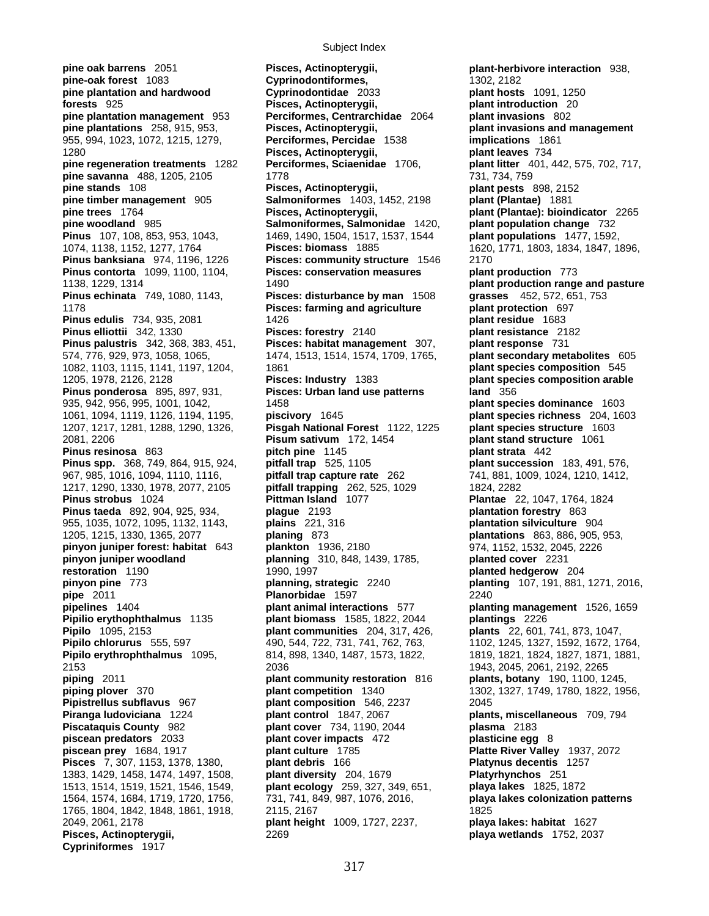**pine-oak forest** 1083 **Cyprinodontiformes,** 1302, 2182<br> **pine plantation and hardwood Cyprinodontidae** 2033 **plant hosts pine plantation and hardwood Cyprinodontidae** 2033 **plant hosts** 1091, 1250 **forests** 925 **Pisces, Actinopterygii, plant introduction** 20 **pine plantation management** 953 **Perciformes, Centrarchidae** 2064 **plant invasions** 802 **pine plantations** 258, 915, 953, **Pisces, Actinopterygii, plant invasions and management**  955, 994, 1023, 1072, 1215, 1279, **Perciformes, Percidae** 1538 **implications** 1861 1280 **Pisces, Actinopterygii, plant leaves** 734 **pine regeneration treatments** 1282 **Perciformes, Sciaenidae** 1706, **plant litter** 401, 442, 575, 702, 717, **pine savanna** 488, 1205, 2105 1778 1778 731, 734, 759 **pine stands** 108 **Pisces, Actinopterygii, plant pests** 898, 2152 **pine timber management** 905 **Salmoniformes** 1403, 1452, 2198 **plant (Plantae)** 1881 **pine trees** 1764 **Pisces, Actinopterygii, plant (Plantae): bioindicator** 2265 **pine woodland** 985 **Salmoniformes, Salmonidae** 1420, **plant population change** 732 **Pinus** 107, 108, 853, 953, 1043, 1469, 1490, 1504, 1517, 1537, 1544 **plant populations** 1477, 1592, 1074, 1138, 1152, 1277, 1764 **Pisces: biomass** 1885 1620, 1771, 1803, 1834, 1847, 1896, **Pinus banksiana** 974, 1196, 1226 **Pisces: community structure** 1546 2170 **Pinus contorta** 1099, 1100, 1104, **Pisces: conservation measures plant production** 773 1138, 1229, 1314 1490 **plant production range and pasture Pinus echinata** 749, 1080, 1143, **Pisces: disturbance by man** 1508 **grasses** 452, 572, 651, 753 1178 **Pisces: farming and agriculture plant protection** 697 **Pinus edulis** 734, 935, 2081 1426 1683 1426 **Pinus elliottii** 342, 1330 **Pisces: forestry** 2140 **plant resistance** 2182 **Pinus palustris** 342, 368, 383, 451, **Pisces: habitat management** 307, **plant response** 731 574, 776, 929, 973, 1058, 1065, 1474, 1513, 1514, 1574, 1709, 1765, **plant secondary metabolites** 605 1082, 1103, 1115, 1141, 1197, 1204, 1861 **plant species composition** 545 **Pinus ponderosa** 895, 897, 931, **Pisces: Urban land use patterns land** 356 935, 942, 956, 995, 1001, 1042, 1458 **plant species dominance** 1603 1061, 1094, 1119, 1126, 1194, 1195, **piscivory** 1645 **plant species richness** 204, 1603 1207, 1217, 1281, 1288, 1290, 1326, **Pisgah National Forest** 1122, 1225 **plant species structure** 1603 2081, 2206 **Pisum sativum** 172, 1454 **plant stand structure** 1061 **Pinus resinosa** 863 **pitch pine** 1145 **plant strata** 442 **Pinus spp.** 368, 749, 864, 915, 924, **pitfall trap** 525, 1105 **plant succession** 183, 491, 576, 967, 985, 1016, 1094, 1110, 1116, **pitfall trap capture rate** 262 741, 881, 1009, 1024, 1210, 1412, 1217, 1290, 1330, 1978, 2077, 2105 **pitfall trapping** 262, 525, 1029 1824, 2282 **Pinus strobus** 1024 **Pittman Island** 1077 **Plantae** 22, 1047, 1764, 1824 **Pinus taeda** 892, 904, 925, 934, **plague** 2193 **plantation forestry** 863 955, 1035, 1072, 1095, 1132, 1143, **plains** 221, 316 **plantation silviculture** 904 1205, 1215, 1330, 1365, 2077 **planing** 873 **plantations** 863, 886, 905, 953, **pinyon juniper forest: habitat** 643 **plankton** 1936, 2180 974, 1152, 1532, 2045, 2226 **pinyon juniper woodland planning** 310, 848, 1439, 1785, **planted cover** 2231 **restoration** 1190 1990, 1997 **planted hedgerow** 204 **pinyon pine** 773 **planning, strategic** 2240 **planting** 107, 191, 881, 1271, 2016, **pipe** 2011 **Planorbidae** 1597 2240 **pipelines** 1404 **plant animal interactions** 577 **planting management** 1526, 1659 **Pipilio erythophthalmus** 1135 **plant biomass** 1585, 1822, 2044 **plantings** 2226 **Pipilo** 1095, 2153 **plant communities** 204, 317, 426, **plants** 22, 601, 741, 873, 1047, **Pipilo chlorurus** 555, 597 490, 544, 722, 731, 741, 762, 763, 1102, 1245, 1327, 1592, 1672, 1764, **Pipilo erythrophthalmus** 1095, 814, 898, 1340, 1487, 1573, 1822, 1821, 1821, 1824, 1827, 1871, 1881, 2053<br>2005. 1943. 2045. 2061. 2192. 2265 **piping** 2011 **plant community restoration** 816 **plants, botany** 190, 1100, 1245, **piping plover** 370 **plant competition** 1340 **plant** 1302, 1327, 1749, 1780, 1822, 19 **Pipistrellus subflavus** 967 **plant composition** 546, 2237 2045 **Piranga ludoviciana** 1224 **plant control** 1847, 2067 **plants, miscellaneous** 709, 794 **Piscataquis County** 982 **plant cover** 734, 1190, 2044 **plasma** 2183 **piscean predators** 2033 **plant cover impacts** 472 **plasticine egg** 8 **piscean prey** 1684, 1917 **plant culture** 1785 **Platte River Valley** 1937, 2072 **Pisces** 7, 307, 1153, 1378, 1380, 1383, 1429, 1458, 1474, 1497, 1508, **plant diversity** 204, 1679 **Platyrhynchos** 251 1513, 1514, 1519, 1521, 1546, 1549, **plant ecology** 259, 327, 349, 651, **playa lakes** 1825, 1872 1564, 1574, 1684, 1719, 1720, 1756, 731, 741, 849, 987, 1076, 2016, **playa lakes colonization patterns** 1765, 1804, 1842, 1848, 1861, 1918, 2115, 2167 1825 2049, 2061, 2178 **plant height** 1009, 1727, 2237, **playa lakes: habitat** 1627 **Cypriniformes** 1917

**pine oak barrens** 2051 **Pisces, Actinopterygii, plant-herbivore interaction** 938, **Pisces, Actinopterygii,** 2269 **playa wetlands** 1752, 2037

1205, 1978, 2126, 2128 **Pisces: Industry** 1383 **plant species composition arable**  2153 2036 1943, 2045, 2061, 2192, 2265 **piping plover** 370 **plant competition** 1340 1302, 1327, 1749, 1780, 1822, 1956,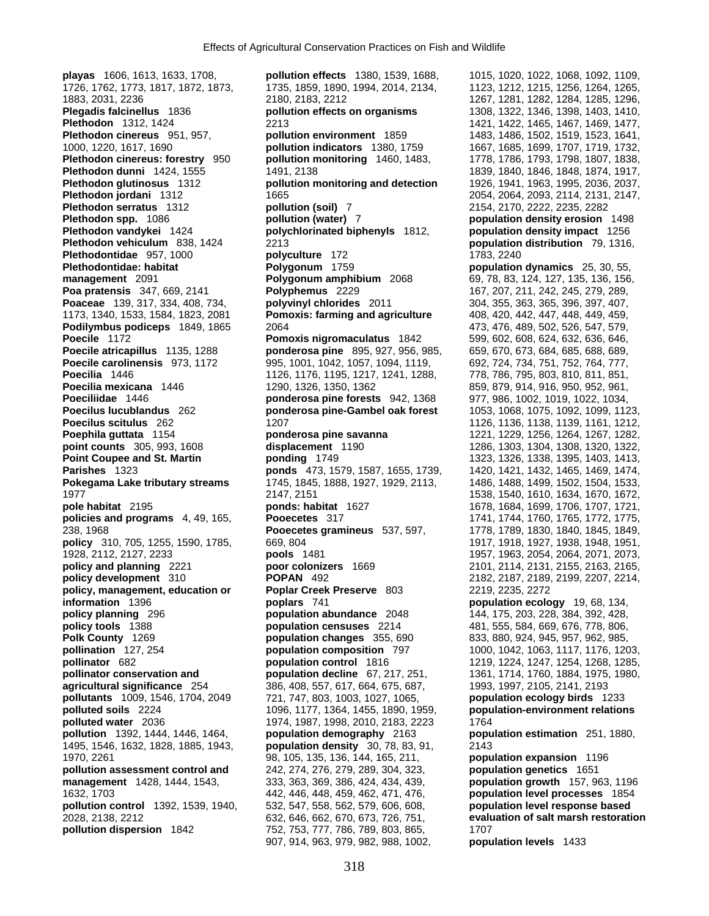**playas** 1606, 1613, 1633, 1708, **pollution effects** 1380, 1539, 1688, 1015, 1020, 1022, 1068, 1092, 1109, 1726, 1762, 1773, 1817, 1872, 1873, 1735, 1859, 1890, 1994, 2014, 2134, 1123, 1212, 1215, 1256, 1264, 1265, 1883, 2031, 2236 2180, 2183, 2212 1267, 1281, 1282, 1284, 1285, 1296, **Plegadis falcinellus** 1836 **pollution effects on organisms** 1308, 1322, 1346, 1398, 1403, 1410, **Plethodon cinereus** 951, 957, **pollution environment** 1859 1483, 1486, 1502, 1519, 1523, 1641, 1000, 1220, 1617, 1690 **pollution indicators** 1380, 1759 1667, 1685, 1699, 1707, 1719, 1732, **Plethodon cinereus: forestry** 950 **pollution monitoring** 1460, 1483, 1778, 1786, 1793, 1798, 1807, 1838, **Plethodon dunni** 1424, 1555 1491, 2138 1874, 1917, **Plethodon glutinosus** 1312 **pollution monitoring and detection** 1926, 1941, 1963, 1995, 2036, 2037, **Plethodon jordani** 1312 1665 1665 2054, 2064, 2093, 2114, 2131, 2147, **Plethodon serratus** 1312 **pollution (soil)** 7 2154, 2170, 2222, 2235, 2282 **Plethodon spp.** 1086 **pollution (water)** 7 **population density erosion** 1498 **Plethodon vandykei** 1424 **polychlorinated biphenyls** 1812, **population density impact** 1256 **Plethodon vehiculum** 838, 1424 2213 **population distribution** 79, 1316, **Plethodontidae** 957, 1000 **polyculture** 172 1783, 2240 **Plethodontidae: habitat Polygonum** 1759 **population dynamics** 25, 30, 55, **management** 2091 **Polygonum amphibium** 2068 69, 78, 83, 124, 127, 135, 136, 156, **Poaceae** 139, 317, 334, 408, 734, **polyvinyl chlorides** 2011 304, 355, 363, 365, 396, 397, 407, 1173, 1340, 1533, 1584, 1823, 2081 **Pomoxis: farming and agriculture** 408, 420, 442, 447, 448, 449, 459, **Podilymbus podiceps** 1849, 1865 2064 2064 2064 473, 476, 489, 502, 526, 547, 579, **Poecile** 1172 **Pomoxis nigromaculatus** 1842 599, 602, 608, 624, 632, 636, 646, **Poecile atricapillus** 1135, 1288 **ponderosa pine** 895, 927, 956, 985, 659, 670, 673, 684, 685, 688, 689, **Poecile carolinensis** 973, 1172 995, 1001, 1042, 1057, 1094, 1119, 692, 724, 734, 751, 752, 764, 777, **Poecilia** 1446 1126, 1176, 1176, 1195, 1217, 1241, 1288, 778, 786, 795, 803, 810, 811, 851, **Poecilia mexicana** 1446 1290, 1326, 1350, 1362 859, 879, 914, 916, 950, 952, 961, **Poeciliidae** 1446 **ponderosa pine forests** 942, 1368 977, 986, 1002, 1019, 1022, 1034, **Poecilus lucublandus** 262 **ponderosa pine-Gambel oak forest** 1053, 1068, 1075, 1092, 1099, 1123, **Poephila guttata** 1154 **ponderosa pine savanna** 1221, 1229, 1256, 1264, 1267, 1282, **point counts** 305, 993, 1608 **displacement** 1190 1286, 1303, 1304, 1308, 1320, 1322, **Point Coupee and St. Martin 1324 1325, 1326, 1338, 1395, 1403, 1413, 1403, 1413, 1403, 1403, 1403, 1413, 1403, 1508, 1508, 1508, 1508, 1508, 1508, 1508, 1508, 1508, 1508, 1508, 1508, 1508, 1508, 1508, 1508, 1508, 1508, 15 Parishes** 1323 **ponds** 473, 1579, 1587, 1655, 1739, 1420, 1421, 1432, 1465, 1469, 1474, **Pokegama Lake tributary streams** 1745, 1845, 1888, 1927, 1929, 2113, 1486, 1488, 1499, 1502, 1504, 1533, 1977 2147, 2151 1538, 1540, 1610, 1634, 1670, 1672, **pole habitat** 2195 **ponds: habitat** 1627 1678, 1684, 1699, 1706, 1707, 1721, **policies and programs** 4, 49, 165, **Pooecetes** 317 1741, 1744, 1760, 1765, 1772, 1775, 238, 1968 **Pooecetes gramineus** 537, 597, 1778, 1789, 1830, 1840, 1845, 1849, **policy** 310, 705, 1255, 1590, 1785, 669, 804 1928, 2112, 2127, 2233 **pools** 1481 1957, 1963, 2054, 2064, 2071, 2073, **policy and planning** 2221 **poor colonizers** 1669 2101, 2114, 2131, 2155, 2163, 2165, **policy development** 310 **POPAN** 492 2182, 2187, 2189, 2199, 2207, 2214, **policy, management, education or Poplar Creek Preserve** 803 2219, 2235, 2272 **information** 1396 **poplars** 741 **population ecology** 19, 68, 134, **policy planning** 296 **population abundance** 2048 144, 175, 203, 228, 384, 392, 428, **policy tools** 1388 **population censuses** 2214 481, 555, 584, 669, 676, 778, 806, **Polk County** 1269 **population changes** 355, 690 833, 880, 924, 945, 957, 962, 985, **pollination** 127, 254 **population composition** 797 1000, 1042, 1063, 1117, 1176, 1203, **pollinator** 682 **population control** 1816 1219, 1224, 1247, 1254, 1268, 1285, **pollinator conservation and** *population decline* 67, 217, 251, 1361, 1714, 1760, 1884, 1975, 1980, **agricultural significance** 254 386, 408, 557, 617, 664, 675, 687, 1993, 1997, 2105, 2141, 2193 **pollutants** 1009, 1546, 1704, 2049 721, 747, 803, 1003, 1027, 1065, **population ecology birds** 1233 **polluted soils** 2224 1096, 1177, 1364, 1455, 1890, 1959, **population-environment relations polluted water** 2036 1974, 1987, 1998, 2010, 2183, 2223 1764 **pollution** 1392, 1444, 1446, 1464, **population demography** 2163 **population estimation** 251, 1880, 1495, 1546, 1632, 1828, 1885, 1943, **population density** 30, 78, 83, 91, 2143 1970, 2261 98, 105, 135, 136, 144, 165, 211, **population expansion** 1196 **pollution assessment control and 242, 274, 276, 279, 289, 304, 323, management** 1428, 1444, 1543, 333, 363, 369, 386, 424, 434, 439, **population growth** 157, 963, 1196 1632, 1703 442, 446, 448, 459, 462, 471, 476, **population level processes** 1854 **pollution control** 1392, 1539, 1940, 532, 547, 558, 562, 579, 606, 608, **population level response based**  2028, 2138, 2212 632, 646, 662, 670, 673, 726, 751, **evaluation of salt marsh restoration pollution dispersion** 1842 752, 753, 777, 786, 789, 803, 865, 1707

**Plethodon** 1312, 1424 2213 1421, 1422, 1465, 1467, 1469, 1477, **Plethodon dunni** 1424, 1555 1491, 2138 1839, 1840, 1846, 1848, 1874, 1917, **Polyphemus** 2229 167, 207, 211, 242, 245, 279, 289, **Poecilus scitulus** 262 1207 1126, 1136, 1138, 1139, 1161, 1212, 907, 914, 963, 979, 982, 988, 1002, **population levels** 1433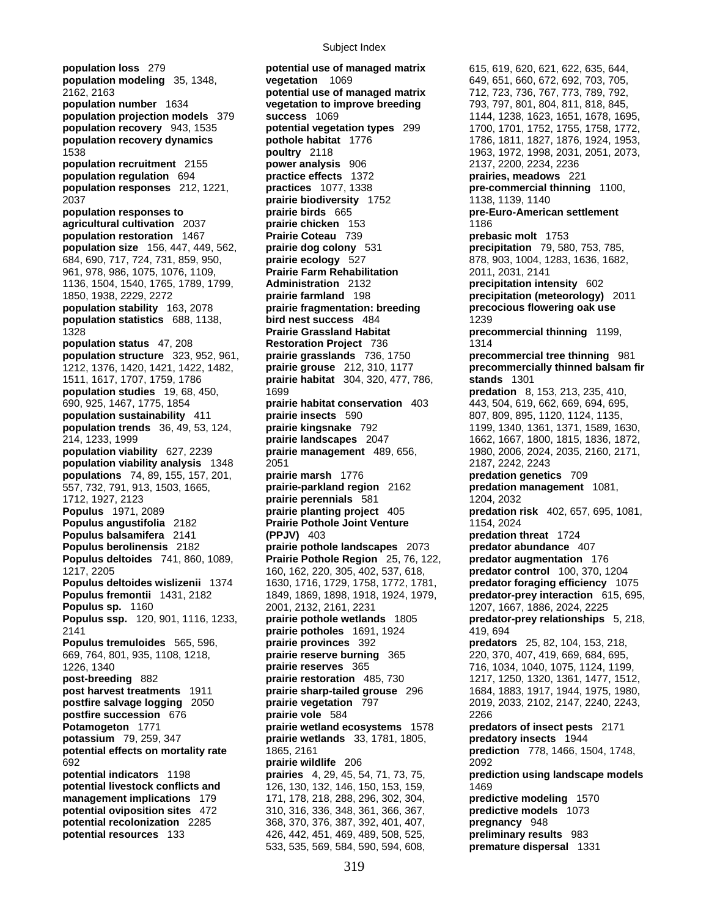**population loss** 279 **potential use of managed matrix** 615, 619, 620, 621, 622, 635, 644, **population modeling** 35, 1348, **vegetation** 1069 649, 651, 660, 672, 692, 703, 705, 2162, 2163 **potential use of managed matrix** 712, 723, 736, 767, 773, 789, 792, **population number** 1634 **vegetation to improve breeding** 793, 797, 801, 804, 811, 818, 845, **population projection models** 379 **success** 1069 **1144, 1238, 1623, 1651, 1678, 1695, population recovery** 943, 1535 **population recovery** 943, 1535 **population recovery** 943, 1535 **population recovery** 943, 1758 **population recovery** 943, 1535 **potential vegetation types** 299 1700, 1701, 1752, 1755, 1758, 1772, **population recovery dynamics pothole habitat** 1776 1786, 1811, 1827, 1876, 1924, 1953, 1538 **poultry** 2118 1963, 1972, 1998, 2031, 2051, 2073, **population recruitment** 2155 **power analysis** 906 2137, 2200, 2234, 2236 **population regulation** 694 **practice effects** 1372 **prairies, meadows** 221 **population responses** 212, 1221, **practices** 1077, 1338 **pre-commercial thinning** 1100, 2037 **prairie biodiversity** 1752 1138, 1139, 1140 **population responses to prairie birds** 665 **pre-Euro-American settlement agricultural cultivation** 2037 **prairie chicken** 153 1186 **population restoration** 1467 **Prairie Coteau** 739 **prebasic molt** 1753 **population size** 156, 447, 449, 562, **prairie dog colony** 531 **precipitation** 79, 580, 753, 785, 684, 690, 717, 724, 731, 859, 950, **prairie ecology** 527 878, 903, 1004, 1283, 1636, 1682, 961, 978, 986, 1075, 1076, 1109, **Prairie Farm Rehabilitation** 2011, 2031, 2141 1136, 1504, 1540, 1765, 1789, 1799, **Administration** 2132 **precipitation intensity** 602 1850, 1938, 2229, 2272 **prairie farmland** 198 **precipitation (meteorology)** 2011 **population stability** 163, 2078 **prairie fragmentation: breeding precocious flowering oak use population statistics** 688, 1138, **bird nest success** 484 1239 1328 **Prairie Grassland Habitat precommercial thinning** 1199, **population status** 47, 208 **Restoration Project** 736 1314 **population structure** 323, 952, 961, **prairie grasslands** 736, 1750 **precommercial tree thinning** 981 1212, 1376, 1420, 1421, 1422, 1482, **prairie grouse** 212, 310, 1177 **precommercially thinned balsam fir**  1511, 1617, 1707, 1759, 1786 **prairie habitat** 304, 320, 477, 786, **stands** 1301 690, 925, 1467, 1775, 1854 **prairie habitat conservation** 403 443, 504, 619, 662, 669, 694, 695, **population sustainability** 411 **prairie insects** 590 807, 809, 895, 1120, 1124, 1135, **population trends** 36, 49, 53, 124, **prairie kingsnake** 792 1199, 1340, 1361, 1371, 1589, 1630, 214, 1233, 1999 **prairie landscapes** 2047 1662, 1667, 1800, 1815, 1836, 1872, **population viability** 627, 2239 **prairie management** 489, 656, 1980, 2006, 2024, 2035, 2160, 2171, **population viability analysis** 1348 2051 2187, 2242, 2243 **populations** 74, 89, 155, 157, 201, **prairie marsh** 1776 **predation genetics** 709 557, 732, 791, 913, 1503, 1665, **prairie-parkland region** 2162 **predation management** 1081, 1712, 1927, 2123 **prairie perennials** 581 1204, 2032 **Populus** 1971, 2089 **prairie planting project** 405 **predation risk** 402, 657, 695, 1081, **Populus angustifolia** 2182 **Prairie Pothole Joint Venture** 1154, 2024<br> **Populus balsamifera** 2141 (PPJV) 403 **Propulus balsamifera** 2141 **Populus balsamifera** 2141 **(PPJV)** 403 **Populus berolinensis** 2182 **prairie pothole landscapes** 2073 **predator abundance** 407 **Populus deltoides** 741, 860, 1089, **Prairie Pothole Region** 25, 76, 122, **predator augmentation** 176 1217, 2205 160, 162, 220, 305, 402, 537, 618, **predator control** 100, 370, 1204 **Populus deltoides wislizenii** 1374 1630, 1716, 1729, 1758, 1772, 1781, **predator foraging efficiency** 1075 **Populus fremontii** 1431, 2182 1849, 1869, 1898, 1918, 1924, 1979, **predator-prey interaction** 615, 695, **Populus sp.** 1160 2001, 2132, 2161, 2231 2007, 1667, 1886, 2024, 2225 **Populus ssp.** 120, 901, 1116, 1233, **prairie pothole wetlands** 1805 **predator-prey relationships** 5, 218, 2141 **prairie potholes** 1691, 1924 419, 694 **Populus tremuloides** 565, 596, **prairie provinces** 392 **predators** 25, 82, 104, 153, 218, 669, 764, 801, 935, 1108, 1218, **prairie reserve burning** 365 220, 370, 407, 419, 669, 684, 695, **post-breeding** 882 **prairie restoration** 485, 730 1217, 1250, 1320, 1361, 1477, 1512, **post harvest treatments** 1911 **prairie sharp-tailed grouse** 296 1684, 1883, 1917, 1944, 1975, 1980, **post harvest treatments** 1911 **prairie sharp-tailed grouse** 296 1684, 1883, 1917, 1944, 1975, 1980, **postfire salvage logging** 2050 **prairie vegetation** 797 2019, 2033, 2102, 2147, 2240, 2243, **postfire succession** 676 **prairie vole** 584 2266 **Potamogeton** 1771 **prairie wetland ecosystems** 1578 **predators of insect pests** 2171 **potassium** 79, 259, 347 **prairie wetlands** 33, 1781, 1805, **predatory insects** 1944 **potential effects on mortality rate** 1865, 2161 **prediction** 778, 1466, 1504, 1748, 692 **prairie wildlife** 206 2092 **potential indicators** 1198 **prairies** 4, 29, 45, 54, 71, 73, 75, **prediction using landscape models potential livestock conflicts and <br>126, 130, 132, 146, 150, 153, 159, 1469 management implications** 179 171, 178, 218, 288, 296, 302, 304, **predictive modeling** 1570 **potential oviposition sites** 472 310, 316, 336, 348, 361, 366, 367, **predictive models** 1073 **potential recolonization** 2285 368, 370, 376, 387, 392, 401, 407, **pregnancy** 948 **potential resources** 133 426, 442, 451, 469, 489, 508, 525, **preliminary results** 983

**population studies** 19, 68, 450, 1699 **predation** 8, 153, 213, 235, 410, 1226, 1340 **prairie reserves** 365 716, 1034, 1040, 1075, 1124, 1199, 533, 535, 569, 584, 590, 594, 608, **premature dispersal** 1331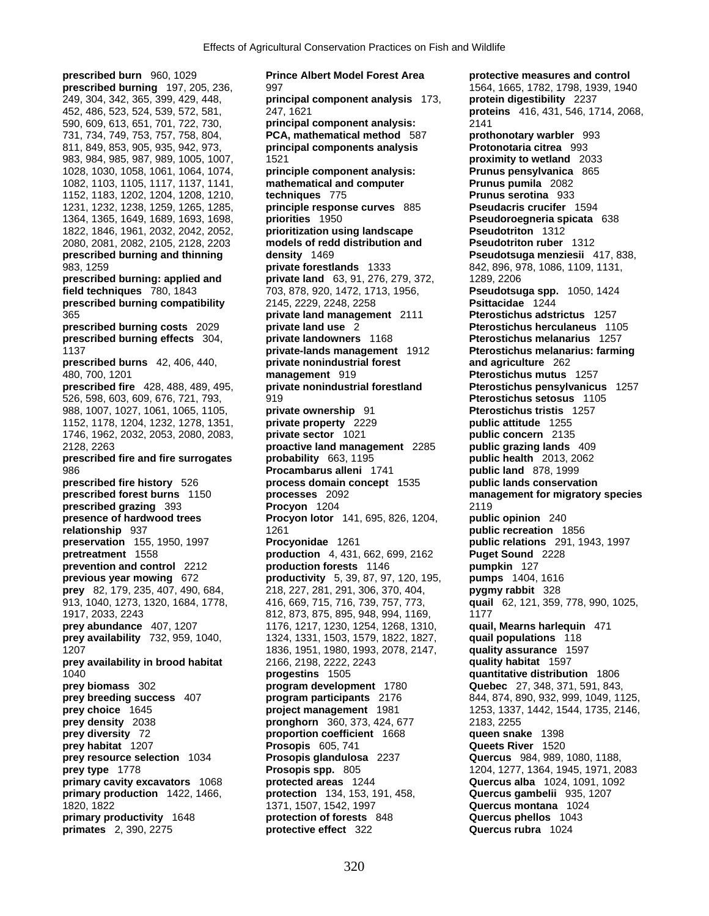590, 609, 613, 651, 701, 722, 730, **principal component analysis:** 2141 1152, 1178, 1204, 1232, 1278, 1351, **private property** 2229 **prey** 82, 179, 235, 407, 490, 684,

**prescribed burn** 960, 1029 **Prince Albert Model Forest Area protective measures and control prescribed burning** 197, 205, 236, 997 1564, 1665, 1782, 1798, 1939, 1940 249, 304, 342, 365, 399, 429, 448, **principal component analysis** 173, **protein digestibility** 2237 452, 486, 523, 524, 539, 572, 581, 247, 1621 **proteins** 416, 431, 546, 1714, 2068, 731, 734, 749, 753, 757, 758, 804, **PCA, mathematical method** 587 **prothonotary warbler** 993 811, 849, 853, 905, 935, 942, 973, **principal components analysis Protonotaria citrea** 993 983, 984, 985, 987, 989, 1005, 1007, 1521 **proximity to wetland** 2033 1028, 1030, 1058, 1061, 1064, 1074, **principle component analysis: Prunus pensylvanica** 865 1082, 1103, 1105, 1117, 1137, 1141, **mathematical and computer Prunus pumila** 2082 1152, 1183, 1202, 1204, 1208, 1210, **techniques** 775 **Prunus serotina** 933 1231, 1232, 1238, 1259, 1265, 1285, **principle response curves** 885 **Pseudacris crucifer** 1594 1364, 1365, 1649, 1689, 1693, 1698, **priorities** 1950 **Pseudoroegneria spicata** 638 1822, 1846, 1961, 2032, 2042, 2052, **prioritization using landscape Pseudotriton** 1312 2080, 2081, 2082, 2105, 2128, 2203 **models of redd distribution and Pseudotriton ruber** 1312 **prescribed burning and thinning density** 1469 **Pseudotsuga menziesii** 417, 838, 983, 1259 **private forestlands** 1333 842, 896, 978, 1086, 1109, 1131, **prescribed burning: applied and private land** 63, 91, 276, 279, 372, 1289, 2206<br>**field techniques** 780, 1843 703, 878, 920, 1472, 1713, 1956, **Pseudotsu field techniques** 780, 1843 703, 878, 920, 1472, 1713, 1956, **Pseudotsuga spp.** 1050, 1424 **prescribed burning compatibility** 2145, 2229, 2248, 2258 **Psittacidae** 1244 365 **private land management** 2111 **Pterostichus adstrictus** 1257 **prescribed burning costs** 2029 **private land use** 2 **Pterostichus herculaneus** 1105 **prescribed burning effects** 304, **private landowners** 1168 **Pterostichus melanarius** 1257 1137 **private-lands management** 1912 **Pterostichus melanarius: farming prescribed burns** 42, 406, 440, **private nonindustrial forest and agriculture** 262 480, 700, 1201 **management** 919 **Pterostichus mutus** 1257 **prescribed fire** 428, 488, 489, 495, **private nonindustrial forestland Pterostichus pensylvanicus** 1257 526, 598, 603, 609, 676, 721, 793, 919 **Pterostichus setosus** 1105 988, 1007, 1027, 1061, 1065, 1105, **private ownership** 91 **Pterostichus tristis** 1257 1746, 1962, 2032, 2053, 2080, 2083, **private sector** 1021 **public concern** 2135 2128, 2263 **proactive land management** 2285 **public grazing lands** 409 **prescribed fire and fire surrogates probability** 663, 1195 **public health** 2013, 2062 986 **Procambarus alleni** 1741 **public land** 878, 1999 **prescribed fire history** 526 **process domain concept** 1535 **public lands conservation prescribed forest burns** 1150 **processes** 2092 **management for migratory species prescribed grazing** 393 **Procyon** 1204 2119 **presence of hardwood trees Procyon lotor** 141, 695, 826, 1204, **public opinion** 240 **relationship** 937 1261 **public recreation** 1856 **preservation** 155, 1950, 1997 **Procyonidae** 1261 **public relations** 291, 1943, 1997<br>**production** 4, 431, 662, 699, 2162 **Puget Sound** 2228 **production** 4, 431, 662, 699, 2162 **Puget Sound** 2228 **prevention and control** 2212 **production forests** 1146 **pumpkin** 127 **previous year mowing** 672 **productivity** 5, 39, 87, 97, 120, 195, **pumps** 1404, 1616 913, 1040, 1273, 1320, 1684, 1778, 416, 669, 715, 716, 739, 757, 773, **quail** 62, 121, 359, 778, 990, 1025, 1917, 2033, 2243 812, 873, 875, 895, 948, 994, 1169, 1177 **prey abundance** 407, 1207 1176, 1217, 1230, 1254, 1268, 1310, **quail, Mearns harlequin** 471 **prey availability** 732, 959, 1040, 1324, 1331, 1503, 1579, 1822, 1827, **quail populations** 118 1207 1836, 1951, 1980, 1993, 2078, 2147, **quality assurance** 1597 **prey availability in brood habitat** 2166, 2198, 2222, 2243 **quality habitat** 1597 1040 **progestins** 1505 **quantitative distribution** 1806 **prey biomass** 302 **program development** 1780 **Quebec** 27, 348, 371, 591, 843, **prey breeding success** 407 **program participants** 2176 844, 874, 890, 932, 999, 1049, 1125, **prey choice** 1645 **project management** 1981 1253, 1337, 1442, 1544, 1735, 2146, **prey density** 2038 **pronghorn** 360, 373, 424, 677 2183, 2255 **pronghorn** 2183, 2255 **proportion coefficient** 1668 **queen snake** 1398 **proportion coefficient** 1668 **prey habitat** 1207 **Prosopis** 605, 741 **Queets River** 1520<br> **prey resource selection** 1034 **Prosopis glandulosa** 2237 **Quercus** 984, 989, **Prosopis glandulosa** 2237 **Quercus** 984, 989, 1080, 1188, **prey type** 1778 **Prosopis spp.** 805 1204, 1277, 1364, 1945, 1971, 2083 **primary cavity excavators** 1068 **protected areas** 1244 **Quercus alba** 1024, 1091, 1092 **primary production** 1422, 1466, **protection** 134, 153, 191, 458, **Quercus gambelii** 935, 1207 1820, 1822 1371, 1507, 1542, 1997 **Quercus montana** 1024 **primary productivity** 1648 **protection of forests** 848 **Quercus phellos** 1043 **primates** 2, 390, 2275 **protective effect** 322 **Quercus rubra** 1024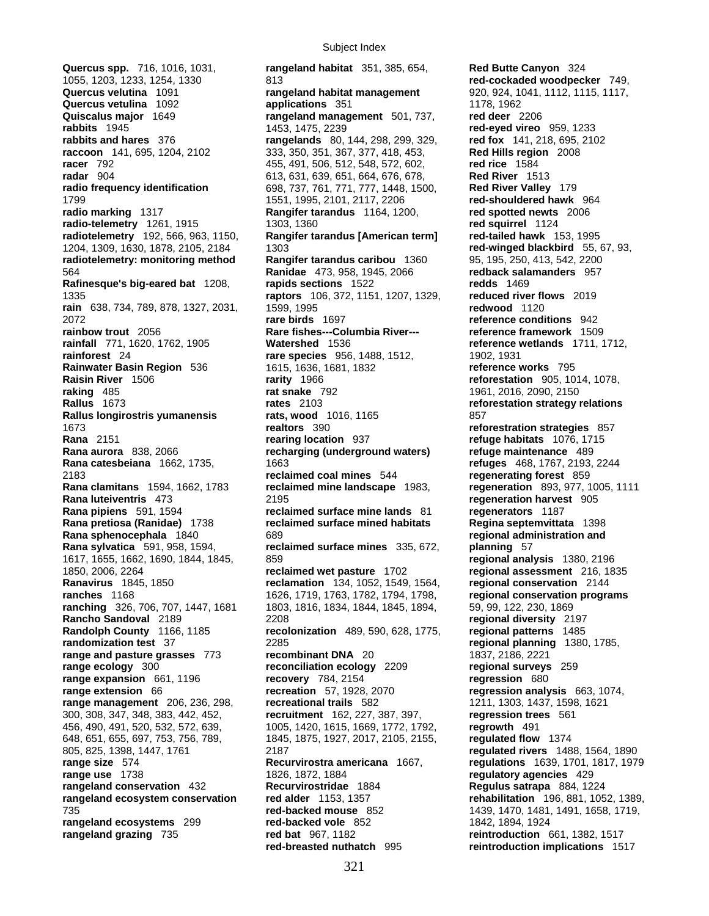**Quercus spp.** 716, 1016, 1031, **rangeland habitat** 351, 385, 654, **Red Butte Canyon** 324 648, 651, 655, 697, 753, 756, 789, 1845, 1875, 1927, 2017, 2105, 2155, 805, 825, 1398, 1447, 1761

1055, 1203, 1233, 1254, 1330 813 **red-cockaded woodpecker** 749, **Quercus velutina** 1091 **rangeland habitat management** 920, 924, 1041, 1112, 1115, 1117, **Quercus vetulina** 1092 **applications** 351 1178, 1962 **Quiscalus major** 1649 **rangeland management** 501, 737, **red deer** 2206 **rabbits** 1945 1453, 1475, 2239 **red-eyed vireo** 959, 1233 **rabbits and hares** 376 **rangelands** 80, 144, 298, 299, 329, **red fox** 141, 218, 695, 2102 **raccoon** 141, 695, 1204, 2102 333, 350, 351, 367, 377, 418, 453, **Red Hills region** 2008 **racer** 792 455, 491, 506, 512, 548, 572, 602, **red rice** 1584 **radar** 904 613, 631, 639, 651, 664, 676, 678, **Red River** 1513 **radio frequency identification** 698, 737, 761, 771, 777, 1448, 1500, **Red River Valley** 179 1799 1551, 1995, 2101, 2117, 2206 **red-shouldered hawk** 964 **radio marking** 1317 **Rangifer tarandus** 1164, 1200, **red spotted newts** 2006 **radio-telemetry** 1261, 1915 1303, 1360 **red squirrel** 1124 **radiotelemetry** 192, 566, 963, 1150, **Rangifer tarandus [American term] red-tailed hawk** 153, 1995 1204, 1309, 1630, 1878, 2105, 2184 1303 **red-winged blackbird** 55, 67, 93, **radiotelemetry: monitoring method Rangifer tarandus caribou** 1360 95, 195, 250, 413, 542, 2200 564 **Ranidae** 473, 958, 1945, 2066 **redback salamanders** 957 **Rafinesque's big-eared bat** 1208, **rapids sections** 1522 **redds** 1469 1335 **raptors** 106, 372, 1151, 1207, 1329, **reduced river flows** 2019 **rain** 638, 734, 789, 878, 1327, 2031, 1599, 1995 **redwood** 1120 2072 **rare birds** 1697 **reference conditions** 942 **rainbow trout** 2056 **Rare fishes---Columbia River--- reference framework** 1509 **rainfall** 771, 1620, 1762, 1905 **Watershed** 1536 **reference wetlands** 1711, 1712, **rainforest** 24 **rare species** 956, 1488, 1512, 1902, 1931 **Rainwater Basin Region** 536 1615, 1636, 1681, 1832 **reference works** 795 **Raisin River** 1506 **rarity** 1966 **reforestation** 905, 1014, 1078, **raking** 485 **rat snake** 792 1961, 2016, 2090, 2150 **Rallus** 1673 **rates** 2103 **reforestation strategy relations Rallus longirostris yumanensis 657 rats, wood** 1016, 1165 **857** 1673 **realtors** 390 **reforestration strategies** 857 **Rana** 2151 **rearing location** 937 **refuge habitats** 1076, 1715 **Rana aurora** 838, 2066 **recharging (underground waters) refuge maintenance** 489 **Rana catesbeiana** 1662, 1735, 1663 **refuges** 468, 1767, 2193, 2244 2183 **reclaimed coal mines** 544 **regenerating forest** 859 **Rana clamitans** 1594, 1662, 1783 **reclaimed mine landscape** 1983, **regeneration** 893, 977, 1005, 1111 **Rana luteiventris** 473 2195 **regeneration harvest** 905 **Rana pipiens** 591, 1594 **reclaimed surface mine lands** 81 **regenerators** 1187 **Rana pretiosa (Ranidae)** 1738 **reclaimed surface mined habitats Regina septemvittata** 1398 **Rana sphenocephala** 1840 689 **regional administration and Rana sylvatica** 591, 958, 1594, **reclaimed surface mines** 335, 672, **planning** 57 1617, 1655, 1662, 1690, 1844, 1845, 859 **regional analysis** 1380, 2196 1850, 2006, 2264 **reclaimed wet pasture** 1702 **regional assessment** 216, 1835 **Ranavirus** 1845, 1850 **reclamation** 134, 1052, 1549, 1564, **regional conservation** 2144 **ranches** 1168 1626, 1719, 1763, 1782, 1794, 1798, **regional conservation programs ranching** 326, 706, 707, 1447, 1681 1803, 1816, 1834, 1844, 1845, 1894, 59, 99, 122, 230, 1869 **Rancho Sandoval** 2189 2208 **regional diversity** 2197 **Randolph County** 1166, 1185 **recolonization** 489, 590, 628, 1775, **regional patterns** 1485 **randomization test** 37 2285 **regional planning** 1380, 1785, **range and pasture grasses** 773 **recombinant DNA** 20 1837, 2186, 2221 **range ecology** 300 **reconciliation ecology** 2209 **regional surveys** 259 **range expansion** 661, 1196 **recovery** 784, 2154 **regression** 680 **range extension** 66 **range regression** analy **range extension** 66 **recreation** 57, 1928, 2070 **regression analysis** 663, 1074, **range management** 206, 236, 298, **recreational trails** 582 1211, 1303, 1437, 1598, 1621 300, 308, 347, 348, 383, 442, 452, **recruitment** 162, 227, 387, 397, **regression trees** 561 456, 490, 491, 520, 532, 572, 639, 1005, 1420, 1615, 1669, 1772, 1792, **regrowth** 491 805, 825, 1398, 1447, 1761 2187 **regulated rivers** 1488, 1564, 1890 **range size** 574 **Recurvirostra americana** 1667, **regulations** 1639, 1701, 1817, 1979 **range use** 1738 1826, 1872, 1884 **regulatory agencies** 429 **rangeland conservation** 432 **Recurvirostridae** 1884 **Regulus satrapa** 884, 1224 **rangeland ecosystem conservation red alder** 1153, 1357 **rehabilitation** 196, 881, 1052, 1389, 735 **red-backed mouse** 852 1439, 1470, 1481, 1491, 1658, 1719, **rangeland ecosystems** 299 **red-backed vole** 852 1842, 1894, 1924 **rangeland grazing** 735 **red bat** 967, 1182 **reintroduction** 661, 1382, 1517 **red-breasted nuthatch** 995 **reintroduction implications** 1517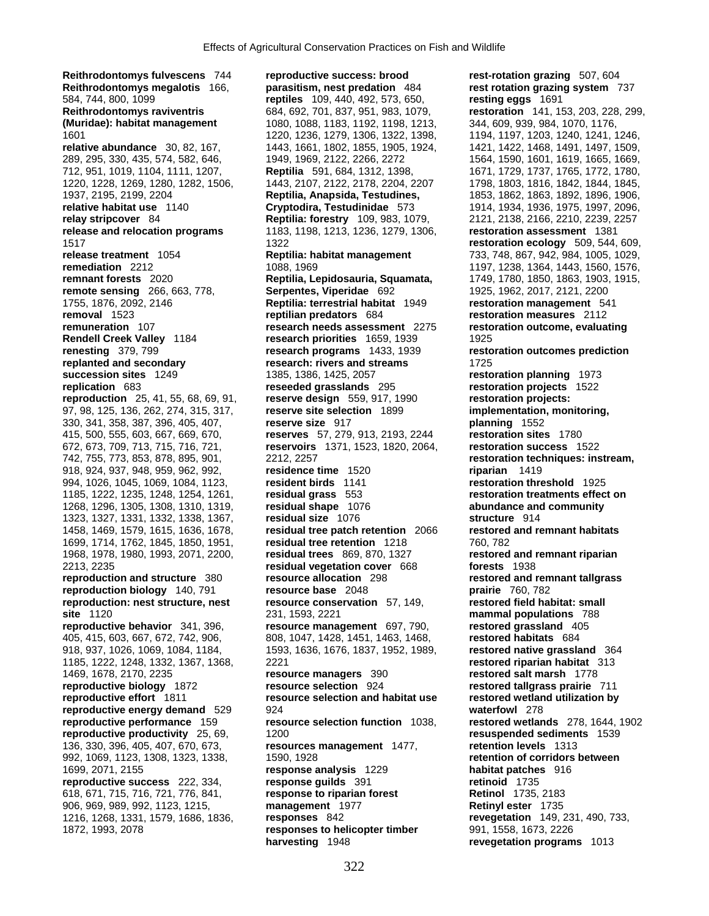**Reithrodontomys fulvescens** 744 **reproductive success: brood rest-rotation grazing** 507, 604 **Reithrodontomys megalotis** 166, **parasitism, nest predation** 484 **rest rotation grazing system** 737 584, 744, 800, 1099 **reptiles** 109, 440, 492, 573, 650, **resting eggs** 1691 **Reithrodontomys raviventris** 684, 692, 701, 837, 951, 983, 1079, **restoration** 141, 153, 203, 228, 299, **relative abundance** 30, 82, 167, 1443, 1661, 1802, 1855, 1905, 1924, 1421, 1422, 1468, 1491, 1497, 1509, 289, 295, 330, 435, 574, 582, 646, 1949, 1969, 2122, 2266, 2272 1564, 1590, 1601, 1619, 1665, 1669, 712, 951, 1019, 1104, 1111, 1207, **Reptilia** 591, 684, 1312, 1398, 1671, 1729, 1737, 1765, 1772, 1780, 1937, 2195, 2199, 2204 **Reptilia, Anapsida, Testudines,** 1853, 1862, 1863, 1892, 1896, 1906, **relative habitat use** 1140 **Cryptodira, Testudinidae** 573 1914, 1934, 1936, 1975, 1997, 2096, **relay stripcover** 84 **Reptilia: forestry** 109, 983, 1079, 2121, 2138, 2166, 2210, 2239, 2257 **release and relocation programs** 1183, 1198, 1213, 1236, 1279, 1306, **restoration assessment** 1381 1517 1322 **restoration ecology** 509, 544, 609, **release treatment** 1054 **Reptilia: habitat management** 733, 748, 867, 942, 984, 1005, 1029, **remediation** 2212 1088, 1969 1088, 1969 1197, 1238, 1364, 1443, 1560, 1576, 1969<br>**Reptilia, Lepidosauria, Squamata, 1988**, 1780, 1850, 1863, 1903, 1915, **remote sensing** 266, 663, 778, **Serpentes, Viperidae** 692 1925, 1962, 2017, 2121, 2200 1755, 1876, 2092, 2146 **Reptilia: terrestrial habitat** 1949 **restoration management** 541 **removal** 1523 **reptilian predators** 684 **restoration measures** 2112 **remuneration** 107 **research needs assessment** 2275 **restoration outcome, evaluating Rendell Creek Valley** 1184 **research priorities** 1659, 1939 1925 **renesting** 379, 799 **research programs** 1433, 1939 **restoration outcomes prediction replanted and secondary research: rivers and streams** 1725 **succession sites** 1249 1385, 1386, 1425, 2057 **restoration planning** 1973 **replication** 683 **reseeded grasslands** 295 **restoration projects** 1522 **reproduction** 25, 41, 55, 68, 69, 91, **reserve design** 559, 917, 1990 **restoration projects:**  97, 98, 125, 136, 262, 274, 315, 317, **reserve site selection** 1899 **implementation, monitoring,**  330, 341, 358, 387, 396, 405, 407, **reserve size** 917 **planning** 1552 415, 500, 555, 603, 667, 669, 670, **reserves** 57, 279, 913, 2193, 2244 **restoration sites** 1780 672, 673, 709, 713, 715, 716, 721, **reservoirs** 1371, 1523, 1820, 2064, **restoration success** 1522 742, 755, 773, 853, 878, 895, 901, 2212, 2257 **restoration techniques: instream,**  918, 924, 937, 948, 959, 962, 992, **residence time** 1520 **riparian** 1419 994, 1026, 1045, 1069, 1084, 1123, **resident birds** 1141 **restoration threshold** 1925 1185, 1222, 1235, 1248, 1254, 1261, **residual grass** 553 **restoration treatments effect on**  1268, 1296, 1305, 1308, 1310, 1319, **residual shape** 1076 **abundance and community**  1323, 1327, 1331, 1332, 1338, 1367, **residual size** 1076 **structure** 914 1458, 1469, 1579, 1615, 1636, 1678, **residual tree patch retention** 2066 **restored and remnant habitats** 1699, 1714, 1762, 1845, 1850, 1951, **residual tree retention** 1218 760, 782 1968, 1978, 1980, 1993, 2071, 2200, **residual trees** 869, 870, 1327 **restored and remnant riparian**  2213, 2235 **residual vegetation cover** 668 **forests** 1938 **reproduction and structure** 380 **resource allocation** 298 **restored and remnant tallgrass reproduction biology** 140, 791 **resource base** 2048 **prairie** 760, 782 **reproduction: nest structure, nest resource conservation** 57, 149, **restored field habitat: small site** 1120 231, 1593, 2221 **mammal populations** 788 **reproductive behavior** 341, 396, **resource management** 697, 790, **restored grassland** 405 405, 415, 603, 667, 672, 742, 906, 808, 1047, 1428, 1451, 1463, 1468, **restored habitats** 684 918, 937, 1026, 1069, 1084, 1184, 1593, 1636, 1676, 1837, 1952, 1989, **restored native grassland** 364 1185, 1222, 1248, 1332, 1367, 1368, 2221 **restored riparian habitat** 313 1469, 1678, 2170, 2235 **resource managers** 390 **restored salt marsh** 1778 **reproductive biology** 1872 **resource selection** 924 **restored tallgrass prairie** 711 **reproductive effort** 1811 **resource selection and habitat use restored wetland utilization by reproductive energy demand** 529 924<br>**reproductive performance 159 resource selection function 1038, a restored wetlan reproductive productivity** 25, 69, 1200 **resuspended sediments** 1539 136, 330, 396, 405, 407, 670, 673, **resources management** 1477, **retention levels** 1313 992, 1069, 1123, 1308, 1323, 1338, 1590, 1928 **retention of corridors between**  1699, 2071, 2155 **response analysis** 1229 **habitat patches** 916 **reproductive success** 222, 334, **response guilds** 391 **retinoid** 1735 618, 671, 715, 716, 721, 776, 841, **response to riparian forest Retinol** 1735, 2183 906, 969, 989, 992, 1123, 1215, **management** 1977 **Retinyl ester** 1735 1216, 1268, 1331, 1579, 1686, 1836, **responses** 842 **revegetation** 149, 231, 490, 733, 1872, 1993, 2078 **responses to helicopter timber** 991, 1558, 1673, 2226

1080, 1088, 1183, 1192, 1198, 1213, 1601 1220, 1236, 1279, 1306, 1322, 1398, 1194, 1197, 1203, 1240, 1241, 1246, 1220, 1228, 1269, 1280, 1282, 1506, 1443, 2107, 2122, 2178, 2204, 2207 1798, 1803, 1816, 1842, 1844, 1845, **resource selection function** 1038, **restored wetlands** 278, 1644, 1902

**remnant forests** 2020 **Reptilia, Lepidosauria, Squamata,** 1749, 1780, 1850, 1863, 1903, 1915, **harvesting** 1948 **revegetation programs** 1013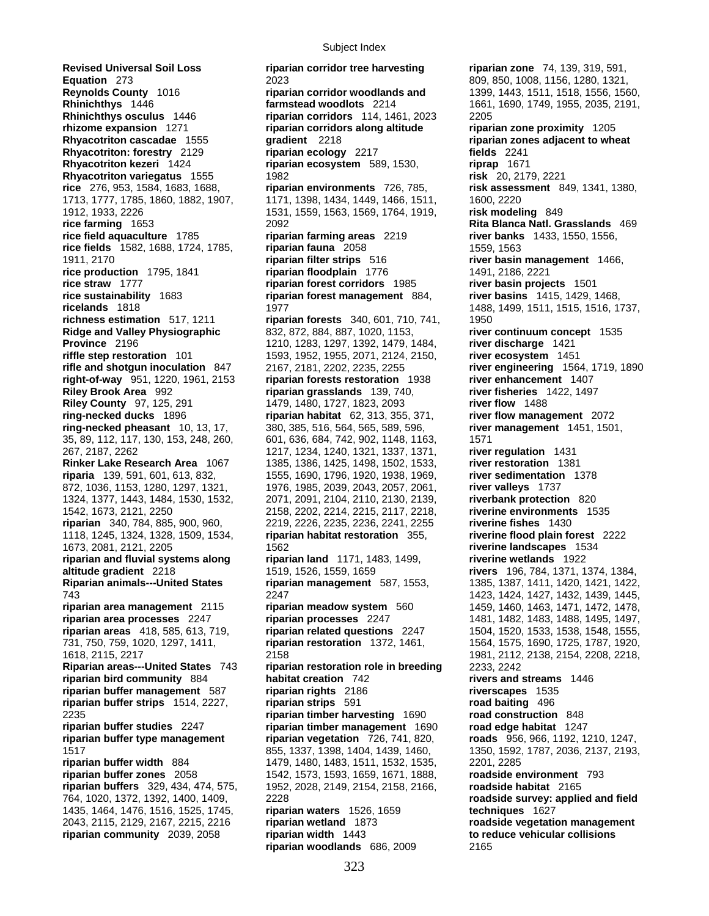**Revised Universal Soil Loss riparian corridor tree harvesting riparian zone** 74, 139, 319, 591, **Equation** 273 2023 2023 2023 **Reynolds County** 1016 2010 2023<br>**Reynolds County** 1016 **riparian corridor woodlands and 2009, 1443, 1511, 1518, 1556, 156 Reynolds County** 1016 **riparian corridor woodlands and** 1399, 1443, 1511, 1518, 1556, 1560, **Rhinichthys** 1446 **farmstead woodlots** 2214 1661, 1690, 1749, 1955, 2035, 2191, **Rhinichthys osculus** 1446 **riparian corridors** 114, 1461, 2023 2205 **rhizome expansion** 1271 **riparian corridors along altitude riparian zone proximity** 1205 **Rhyacotriton cascadae** 1555 **gradient** 2218 **riparian zones adjacent to wheat Rhyacotriton: forestry** 2129 **riparian ecology** 2217 **fields** 2241 **Rhyacotriton kezeri** 1424 **riparian ecosystem** 589, 1530, **riprap** 1671 **Rhyacotriton variegatus** 1555 1982 **risk** 20, 2179, 2221 **rice** 276, 953, 1584, 1683, 1688, **riparian environments** 726, 785, **risk assessment** 849, 1341, 1380, 1713, 1777, 1785, 1860, 1882, 1907, 1171, 1398, 1434, 1449, 1466, 1511, 1600, 2220 **rice farming** 1653 2092 **Rita Blanca Natl. Grasslands** 469 **rice field aquaculture** 1785 **riparian farming areas** 2219 **river banks** 1433, 1550, 1556, **rice fields** 1582, 1688, 1724, 1785, **riparian fauna** 2058 1559, 1563 1911, 2170 **riparian filter strips** 516 **river basin management** 1466, **rice production** 1795, 1841 **riparian floodplain** 1776 1491, 2186, 2221 **rice straw** 1777 **riparian forest corridors** 1985 **river basin projects** 1501 **rice sustainability** 1683 **riparian forest management** 884, **river basins** 1415, 1429, 1468, **ricelands** 1818 1977 1488, 1499, 1511, 1515, 1516, 1737, **richness estimation** 517, 1211 **riparian forests** 340, 601, 710, 741, 1950 **Ridge and Valley Physiographic** 832, 872, 884, 887, 1020, 1153, **river continuum concept** 1535 **Province** 2196 1210, 1283, 1297, 1392, 1479, 1484, **river discharge** 1421 **riffle step restoration** 101 1593, 1952, 1955, 2071, 2124, 2150, **river ecosystem** 1451 **rifle and shotgun inoculation** 847 2167, 2181, 2202, 2235, 2255 **river engineering** 1564, 1719, 1890 **right-of-way** 951, 1220, 1961, 2153 **riparian forests restoration** 1938 **river enhancement** 1407 **Riley County** 97, 125, 291 1479, 1480, 1727, 1823, 2093 **river flow** 1488 **ring-necked ducks** 1896 **riparian habitat** 62, 313, 355, 371, **river flow management** 2072 **ring-necked pheasant** 10, 13, 17, 380, 385, 516, 564, 565, 589, 596, **river management** 1451, 1501, 35, 89, 112, 117, 130, 153, 248, 260, 601, 636, 684, 742, 902, 1148, 1163, 1571 267, 2187, 2262 1217, 1234, 1240, 1321, 1337, 1371, **river regulation** 1431 **Rinker Lake Research Area** 1067 1385, 1386, 1425, 1498, 1502, 1533, **river restoration** 1381 **riparia** 139, 591, 601, 613, 832, 1555, 1690, 1796, 1920, 1938, 1969, **river sedimentation** 1378 872, 1036, 1153, 1280, 1297, 1321, 1976, 1985, 2039, 2043, 2057, 2061, **river valleys** 1737 1324, 1377, 1443, 1484, 1530, 1532, 2071, 2091, 2104, 2110, 2130, 2139, **riverbank protection** 820 1542, 1673, 2121, 2250 2158, 2202, 2214, 2215, 2117, 2218, **riverine environments** 1535 1118, 1245, 1324, 1328, 1509, 1534, **riparian habitat restoration** 355, **riverine flood plain forest** 2222 1673, 2081, 2121, 2205 1562 **riverine landscapes** 1534 **riparian and fluvial systems along riparian land** 1171, 1483, 1499, **riverine wetlands** 1922 **altitude gradient** 2218 1519, 1526, 1559, 1659 **rivers** 196, 784, 1371, 1374, 1384, **Riparian animals---United States riparian management** 587, 1553, 1385, 1387, 1411, 1420, 1421, 1422, 743 2247 1423, 1424, 1427, 1432, 1439, 1445, **riparian area management** 2115 **riparian meadow system** 560 1459, 1460, 1463, 1471, 1472, 1478, **riparian area processes** 2247 **riparian processes** 2247 1481, 1482, 1483, 1488, 1495, 1497, **riparian areas** 418, 585, 613, 719, **riparian related questions** 2247 1504, 1520, 1533, 1538, 1548, 1555, 731, 750, 759, 1020, 1297, 1411, **riparian restoration** 1372, 1461, 1564, 1575, 1690, 1725, 1787, 1920, 1618, 2115, 2217 2158 1981, 2112, 2138, 2154, 2208, 2218, **Riparian areas---United States** 743 **riparian restoration role in breeding** 2233, 2242 **riparian bird community** 884 **habitat creation** 742 **rivers and streams** 1446 **riparian buffer management** 587 **riparian rights** 2186 **riverscapes** 1535 **riparian buffer strips** 1514, 2227, **riparian strips** 591 **road baiting** 496 2235 **riparian timber harvesting** 1690 **road construction** 848 **riparian buffer studies** 2247 **riparian timber management** 1690 **road edge habitat** 1247 **riparian buffer type management riparian vegetation** 726, 741, 820, **roads** 956, 966, 1192, 1210, 1247, 1517 855, 1337, 1398, 1404, 1439, 1460, 1350, 1592, 1787, 2036, 2137, 2193, **riparian buffer width** 884 1479, 1480, 1483, 1511, 1532, 1535, 2201, 2285 **riparian buffer zones** 2058 1542, 1573, 1593, 1659, 1671, 1888, **roadside environment** 793 **riparian buffers** 329, 434, 474, 575, 1952, 2028, 2149, 2154, 2158, 2166, **roadside habitat** 2165 1435, 1464, 1476, 1516, 1525, 1745, **riparian waters** 1526, 1659 **techniques** 1627 2043, 2115, 2129, 2167, 2215, 2216 **riparian wetland** 1873 **roadside vegetation management riparian community** 2039, 2058 **riparian width** 1443 **to reduce vehicular collisions**

1912, 1933, 2226 1531, 1559, 1563, 1569, 1764, 1919, **risk modeling** 849 **riparian grasslands** 139, 740, **river fisheries** 1422, 1497 **riparian** 340, 784, 885, 900, 960, 2219, 2226, 2235, 2236, 2241, 2255 **riverine fishes** 1430 764, 1020, 1372, 1392, 1400, 1409, 2228 **roadside survey: applied and field riparian woodlands** 686, 2009 2165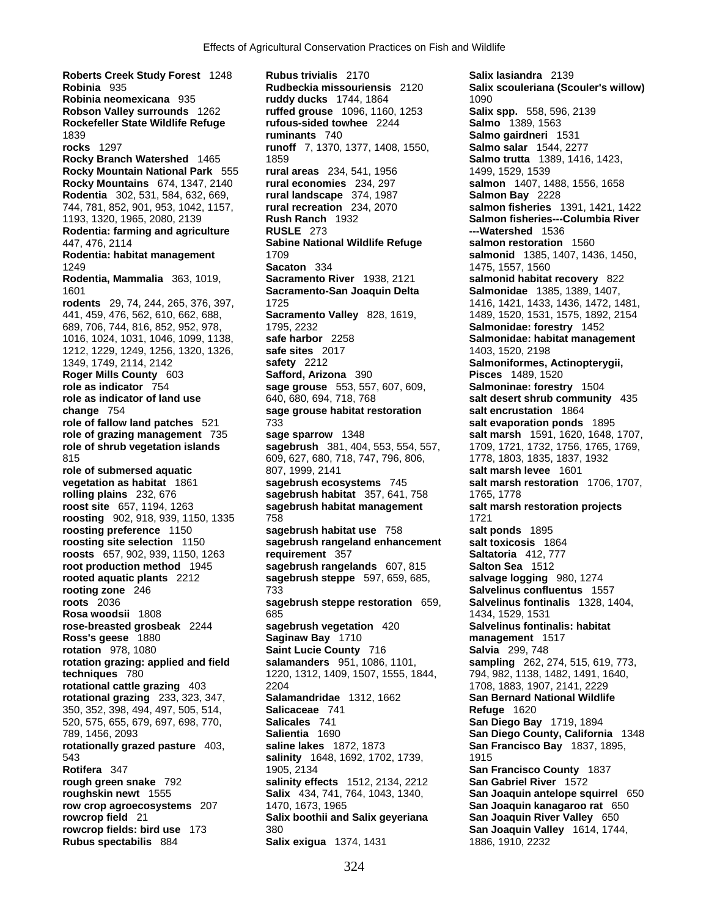**Roberts Creek Study Forest** 1248 **Rubus trivialis** 2170 **Salix lasiandra** 2139 **Robinia** 935 **Rudbeckia missouriensis** 2120 **Salix scouleriana (Scouler's willow) Robinia neomexicana** 935 **ruddy ducks** 1744, 1864 1090 **Robson Valley surrounds** 1262 **ruffed grouse** 1096, 1160, 1253 **Salix spp.** 558, 596, 2139 **Rockefeller State Wildlife Refuge rufous-sided towhee** 2244 **Salmo** 1389, 1563 1839 **ruminants** 740 **Salmo gairdneri** 1531 **rocks** 1297 **runoff** 7, 1370, 1377, 1408, 1550, **Salmo salar** 1544, 2277 **Rocky Branch Watershed** 1465 1859 **Salmo trutta** 1389, 1416, 1423, **Rocky Mountain National Park** 555 **rural areas** 234, 541, 1956 1499, 1529, 1539 **Rocky Mountains** 674, 1347, 2140 **rural economies** 234, 297 **salmon** 1407, 1488, 1556, 1658 **Rodentia** 302, 531, 584, 632, 669, **rural landscape** 374, 1987 **Salmon Bay** 2228 744, 781, 852, 901, 953, 1042, 1157, **rural recreation** 234, 2070 **salmon fisheries** 1391, 1421, 1422 1193, 1320, 1965, 2080, 2139 **Rush Ranch** 1932 **Salmon fisheries---Columbia River Rodentia: farming and agriculture RUSLE** 273 **---Watershed** 1536 447, 476, 2114 **Sabine National Wildlife Refuge salmon restoration** 1560 **Rodentia: habitat management** 1709 **salmonid** 1385, 1407, 1436, 1450, 1249 **Sacaton** 334 1475, 1557, 1560 **Rodentia, Mammalia** 363, 1019, **Sacramento River** 1938, 2121 **salmonid habitat recovery** 822 1601 **Sacramento-San Joaquin Delta Salmonidae** 1385, 1389, 1407, **rodents** 29, 74, 244, 265, 376, 397, 1725 1416, 1421, 1433, 1436, 1472, 1481, 441, 459, 476, 562, 610, 662, 688, **Sacramento Valley** 828, 1619, 1489, 1520, 1531, 1575, 1892, 2154 689, 706, 744, 816, 852, 952, 978, 1795, 2232 **Salmonidae: forestry** 1452 1016, 1024, 1031, 1046, 1099, 1138, **safe harbor** 2258 **Salmonidae: habitat management** 1212, 1229, 1249, 1256, 1320, 1326, **safe sites** 2017 1403, 1520, 2198 1349, 1749, 2114, 2142 **safety** 2212 **Salmoniformes, Actinopterygii, Roger Mills County** 603 **Safford, Arizona** 390 **Pisces** 1489, 1520 **role as indicator** 754 **sage grouse** 553, 557, 607, 609, **Salmoninae: forestry** 1504 **role as indicator of land use** 640, 680, 694, 718, 768 **salt desert shrub community** 435 **change** 754 **sage grouse habitat restoration salt encrustation** 1864 **role of fallow land patches** 521 733 **salt evaporation ponds** 1895 **role of grazing management** 735 **sage sparrow** 1348 **salt marsh** 1591, 1620, 1648, 1707, **role of shrub vegetation islands sagebrush** 381, 404, 553, 554, 557, 1709, 1721, 1732, 1756, 1765, 1769, 815 609, 627, 680, 718, 747, 796, 806, 1778, 1803, 1835, 1837, 1932 **role of submersed aquatic** 807, 1999, 2141 **salt marsh levee** 1601 **vegetation as habitat** 1861 **sagebrush ecosystems** 745 **salt marsh restoration** 1706, 1707, **rolling plains** 232, 676 **sagebrush habitat** 357, 641, 758 1765, 1778 **roost site** 657, 1194, 1263 **sagebrush habitat management salt marsh restoration projects roosting** 902, 918, 939, 1150, 1335 758 1721 **roosting preference** 1150 **sagebrush habitat use** 758 **salt ponds** 1895 **roosting site selection** 1150 **sagebrush rangeland enhancement salt toxicosis** 1864<br>**roosts** 657, 902, 939, 1150, 1263 requirement 357 **Saltatoria** 412, 777 **roosts** 657, 902, 939, 1150, 1263 **requirement** 357 **root production method** 1945 **requirement** 357 **coording** 581 **coording** 512 **rooted aquatic plants** 2212 **sagebrush steppe** 597, 659, 685, **salvage logging** 980, 1274 **rooting zone** 246 **733 Salvelinus confluentus** 155 **roots** 2036 **sagebrush steppe restoration** 659, **Salvelinus fontinalis** 1328, 1404, **Rosa woodsii** 1808 1434, 1529, 1531 **rose-breasted grosbeak** 2244 **sagebrush vegetation** 420 **Salvelinus fontinalis: habitat Ross's geese** 1880 **Saginaw Bay** 1710 **management** 1517 **rotation** 978, 1080 **Saint Lucie County** 716 **Salvia** 299, 748 **rotation grazing: applied and field salamanders** 951, 1086, 1101, **sampling** 262, 274, 515, 619, 773, **techniques** 780 1220, 1312, 1409, 1507, 1555, 1844, 794, 982, 1138, 1482, 1491, 1640, **rotational cattle grazing** 403 2204 1708, 1883, 1907, 2141, 2229 **rotational grazing** 233, 323, 347, **Salamandridae** 1312, 1662 **San Bernard National Wildlife**  350, 352, 398, 494, 497, 505, 514, **Salicaceae** 741 **Refuge** 1620 520, 575, 655, 679, 697, 698, 770, **Salicales** 741 **San Diego Bay** 1719, 1894 789, 1456, 2093 **Salientia** 1690 **San Diego County, California** 1348 **rotationally grazed pasture** 403, **saline lakes** 1872, 1873 **San Francisco Bay** 1837, 1895, 543 **salinity** 1648, 1692, 1702, 1739, 1915 **Rotifera** 347 1905, 2134 **San Francisco County** 1837 **rough green snake** 792 **salinity effects** 1512, 2134, 2212 **San Gabriel River** 1572 **roughskin newt** 1555 **Salix** 434, 741, 764, 1043, 1340, **San Joaquin antelope squirrel** 650 **row crop agroecosystems** 207 1470, 1673, 1965 **San Joaquin kanagaroo rat** 650 **rowcrop field** 21 **Salix boothii and Salix geyeriana San Joaquin River Valley** 650 **rowcrop fields: bird use** 173 380 **San Joaquin Valley** 1614, 1744,

**root production method** 1945 **sagebrush rangelands** 607, 815 **Salton Sea** 1512 **rooting zone** 246 733 **Salvelinus confluentus** 1557 **Rubus spectabilis** 884 **Salix exigua** 1374, 1431 1886, 1910, 2232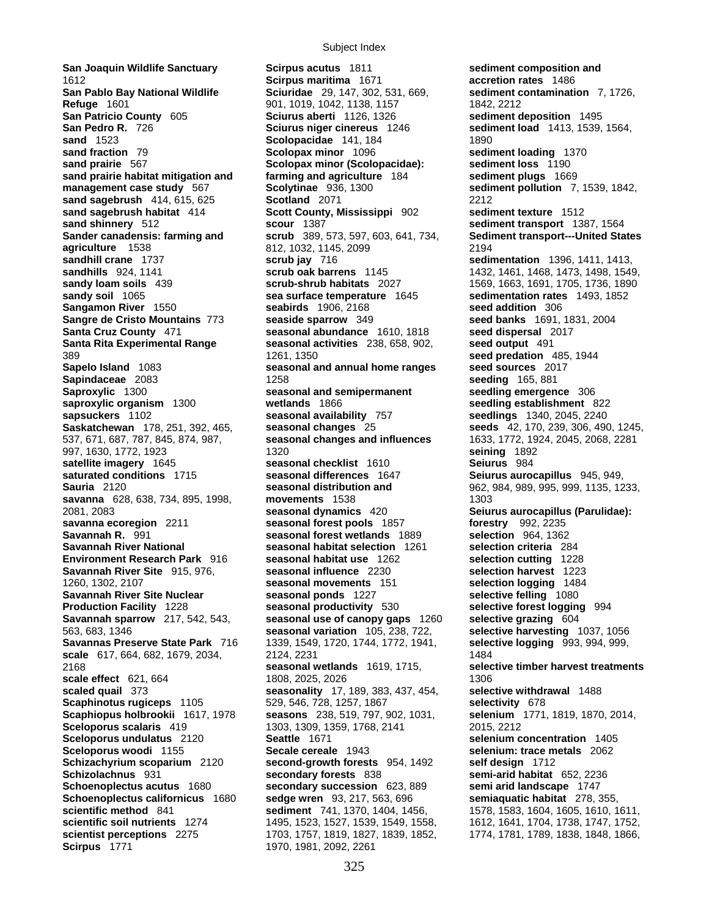**San Joaquin Wildlife Sanctuary Scirpus acutus** 1811 **sediment composition and**  1612 **Scirpus maritima** 1671 **accretion rates** 1486 **San Pablo Bay National Wildlife Sciuridae** 29, 147, 302, 531, 669, **sediment contamination** 7, 1726, **Refuge** 1601 **1842, 2212** 901, 1019, 1042, 1138, 1157 1842, 2212 **San Patricio County** 605 **Sciurus aberti** 1126, 1326 **sediment deposition** 1495 **San Pedro R.** 726 **Sciurus niger cinereus** 1246 **sediment load** 1413, 1539, 1564, **sand** 1523 **Scolopacidae** 141, 184 1890 **sand fraction** 79 **Scolopax minor** 1096 **sediment loading** 1370 **sand prairie** 567 **Scolopax minor (Scolopacidae): sediment loss** 1190 **sand prairie habitat mitigation and farming and agriculture** 184 **sediment plugs** 1669 **management case study** 567 **Scolytinae** 936, 1300 **sediment pollution** 7, 1539, 1842, **sand sagebrush** 414, 615, 625 **Scotland** 2071 2212 **sand sagebrush habitat** 414 **Scott County, Mississippi** 902 **sediment texture** 1512 **sand shinnery** 512 **scour** 1387 **sediment transport** 1387, 1564 **Sander canadensis: farming and scrub** 389, 573, 597, 603, 641, 734, **Sediment transport---United States agriculture** 1538 812, 1032, 1145, 2099 2194 **sandhill crane** 1737 **scrub jay** 716 **sedimentation** 1396, 1411, 1413, **sandhills** 924, 1141 **scrub oak barrens** 1145 1432, 1461, 1468, 1473, 1498, 1549, **sandy loam soils** 439 **scrub-shrub habitats** 2027 1569, 1663, 1691, 1705, 1736, 1890 **sandy soil** 1065 **sea surface temperature** 1645 **sedimentation rates** 1493, 1852 **Sangamon River** 1550 **seabirds** 1906, 2168 **seed addition** 306 **Sangre de Cristo Mountains** 773 **seaside sparrow** 349 **seed banks** 1691, 1831, 2004 **Santa Cruz County 471 <b>seasonal abundance** 1610, 1818 **Santa Rita Experimental Range seasonal activities** 238, 658, 902, **seed output** 491 389 1261, 1350 **seed predation** 485, 1944 **Sapelo Island** 1083 **seasonal and annual home ranges seed sources** 2017 **Sapindaceae** 2083 1258 **seeding** 165, 881 **Saproxylic** 1300 **seasonal and semipermanent seedling emergence** 306 **saproxylic organism** 1300 **wetlands** 1866 **seedling establishment** 822 **sapsuckers** 1102 **seasonal availability** 757 **seedlings** 1340, 2045, 2240 **Saskatchewan** 178, 251, 392, 465, **seasonal changes** 25 **seeds** 42, 170, 239, 306, 490, 1245, 537, 671, 687, 787, 845, 874, 987, **seasonal changes and influences** 1633, 1772, 1924, 2045, 2068, 2281 997, 1630, 1772, 1923 1320 **seining** 1892 **satellite imagery** 1645 **seasonal checklist** 1610 **saturated conditions** 1715 **seasonal differences** 1647 **Seiurus aurocapillus** 945, 949, **Sauria** 2120 **seasonal distribution and** 962, 984, 989, 995, 999, 1135, 1233, **savanna** 628, 638, 734, 895, 1998, **movements** 1538 1303 2081, 2083 **seasonal dynamics** 420 **Seiurus aurocapillus (Parulidae): savanna ecoregion** 2211 **seasonal forest pools** 1857 **forestry** 992, 2235 **Savannah R.** 991 **seasonal forest wetlands** 1889 **selection** 964, 1362 **Savannah River National seasonal habitat selection** 1261 **selection criteria** 284 **Environment Research Park** 916 **seasonal habitat use** 1262 **selection cutting** 1228 **Savannah River Site** 915, 976, **seasonal influence** 2230 1260, 1302, 2107 **seasonal movements** 151 **selection logging** 1484 **Savannah River Site Nuclear Seasonal ponds** 1227 **selective felling** 1080 **Production Facility** 1228 **seasonal productivity** 530 **selective forest logging** 994 **Savannah sparrow** 217, 542, 543, **seasonal use of canopy gaps** 1260 **selective grazing** 604 563, 683, 1346 **seasonal variation** 105, 238, 722, **selective harvesting** 1037, 1056 **Savannas Preserve State Park** 716 1339, 1549, 1720, 1744, 1772, 1941, **selective logging** 993, 994, 999, **scale** 617, 664, 682, 1679, 2034, 2124, 2231 21484 2168 **seasonal wetlands** 1619, 1715, **selective timber harvest treatments scale effect** 621, 664 1808, 2025, 2026 1306 **scaled quail** 373 **seasonality** 17, 189, 383, 437, 454, **selective withdrawal** 1488 **Scaphinotus rugiceps** 1105 529, 546, 728, 1257, 1867 **selectivity** 678 **Scaphiopus holbrookii** 1617, 1978 **seasons** 238, 519, 797, 902, 1031, **selenium** 1771, 1819, 1870, 2014, **Sceloporus scalaris** 419 1303, 1309, 1359, 1768, 2141 2015, 2212 **Sceloporus undulatus** 2120 **Seattle** 1671 **selenium concentration** 1405 **Sceloporus woodi** 1155 **Secale cereale** 1943 **selenium: trace metals** 2062 **Schizachyrium scoparium** 2120 **second-growth forests** 954, 1492 **self design** 1712 **Schizolachnus** 931 **secondary forests** 838 **semi-arid habitat** 652, 2236 **Schoenoplectus acutus** 1680 **secondary succession** 623, 889 **semi arid landscape** 1747 **Schoenoplectus californicus** 1680 **sedge wren** 93, 217, 563, 696 **semiaquatic habitat** 278, 355, **scientific method** 841 **sediment** 741, 1370, 1404, 1456, 1578, 1583, 1604, 1605, 1610, 1611, **scientific soil nutrients** 1274 1495, 1523, 1527, 1539, 1549, 1558, 1612, 1641, 1704, 1738, 1747, 1752, **scientist perceptions** 2275 1703, 1757, 1819, 1827, 1839, 1852, 1774, 1781, 1789, 1838, 1848, 1866, **Scirpus** 1771 1970, 1981, 2092, 2261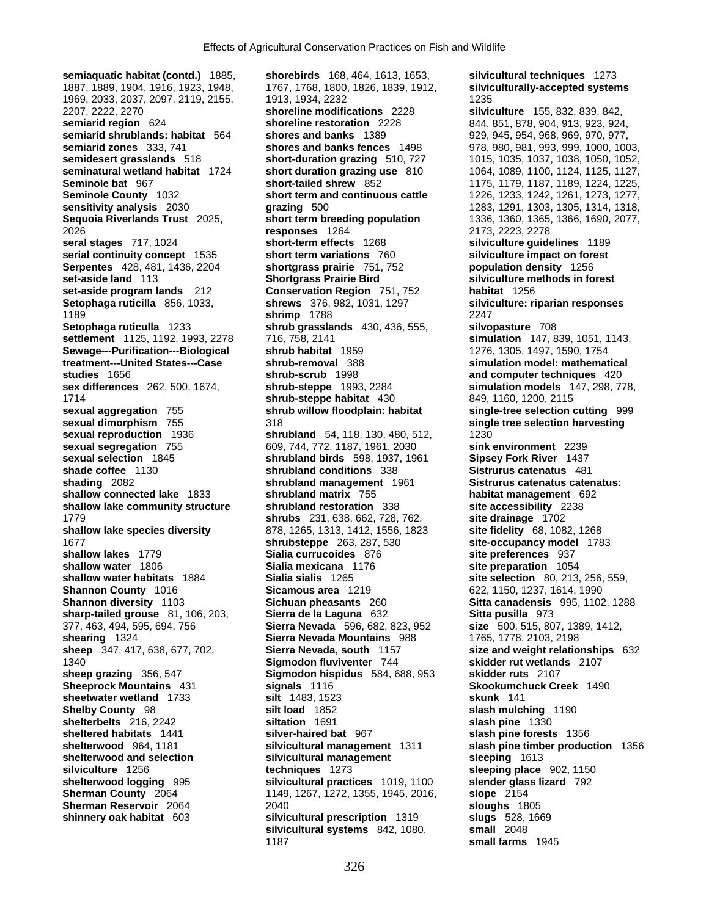2026 **responses** 1264 2173, 2223, 2278 **sheetwater wetland** 1733 **silt** 1483, 1523

**semiaquatic habitat (contd.)** 1885, **shorebirds** 168, 464, 1613, 1653, **silvicultural techniques** 1273 1887, 1889, 1904, 1916, 1923, 1948, 1767, 1768, 1800, 1826, 1839, 1912, **silviculturally-accepted systems** 1969, 2033, 2037, 2097, 2119, 2155, 1913, 1934, 2232<br>2207, 2222, 2270 **1235 1236 1346 1346 1346 1346 1346 1346 1346** 2207, 2222, 2270 **shoreline modifications** 2228 **silviculture** 155, 832, 839, 842, **semiarid region** 624 **shoreline restoration** 2228 844, 851, 878, 904, 913, 923, 924, 844, 851, 878, 904, 913, 923, 924, **semiarid shrublands: habitat** 564 **shores and banks** 1389 929, 945, 954, 968, 969, 970, 977, **semiarid zones** 333, 741 **shores and banks fences** 1498 978, 980, 981, 993, 999, 1000, 1003, **semidesert grasslands** 518 **short-duration grazing** 510, 727 1015, 1035, 1037, 1038, 1050, 1052, **Seminole bat** 967 **short-tailed shrew** 852 1175, 1179, 1187, 1189, 1224, 1225, **Seminole County** 1032 **short term and continuous cattle** 1226, 1233, 1242, 1261, 1273, 1277, **sensitivity analysis** 2030 **grazing** 500 1283, 1291, 1303, 1305, 1314, 1318, **Sequoia Riverlands Trust** 2025, **short term breeding population** 1336, 1360, 1365, 1366, 1690, 2077, **serial continuity concept** 1535 **short term variations** 760 **silviculture impact on forest Serpentes** 428, 481, 1436, 2204 **shortgrass prairie** 751, 752 **population density** 1256 **set-aside land** 113 **Shortgrass Prairie Bird** silviculture methods in forest **set-aside program lands** 212 **Conservation Region** 751, 752 **habitat** 1256 **Conservation Region** 751, 752 **Setophaga ruticilla** 856, 1033, **shrews** 376, 982, 1031, 1297 **silviculture: riparian responses** 1189 **shrimp** 1788 2247 **Setophaga ruticulla** 1233 **shrub grasslands** 430, 436, 555, **silvopasture** 708 **settlement** 1125, 1192, 1993, 2278 716, 758, 2141 **simulation** 147, 839, 1051, 1143, **Sewage---Purification---Biological shrub habitat** 1959 1276, 1305, 1497, 1590, 1754 **shrub-removal 388 shrub-removal 388 simulation model: mathematical studies** 1656 **shrub-scrub** 1998 **and computer techniques** 420 **sex differences** 262, 500, 1674, **shrub-steppe** 1993, 2284 **simulation models** 147, 298, 778, 1714 **shrub-steppe habitat** 430 849, 1160, 1200, 2115 **sexual aggregation** 755 **shrub willow floodplain: habitat single-tree selection cutting** 999 **sexual dimorphism** 755 318 **single tree selection harvesting sexual reproduction** 1936 **shrubland** 54, 118, 130, 480, 512, 1230 **sexual segregation** 755 609, 744, 772, 1187, 1961, 2030 **sink environment** 2239 **sexual selection** 1845 **shrubland birds** 598, 1937, 1961 **Sipsey Fork River** 1437 **shrubland conditions** 338 **shading** 2082 **shrubland management** 1961 **Sistrurus catenatus catenatus: shallow connected lake** 1833 **shrubland matrix** 755 **habitat management** 692 **shallow lake community structure shrubland restoration** 338 **site accessibility** 2238 1779 **shrubs** 231, 638, 662, 728, 762, **site drainage** 1702 **shallow lake species diversity** 878, 1265, 1313, 1412, 1556, 1823 **site fidelity** 68, 1082, 1268 1677 **shrubsteppe** 263, 287, 530 **site-occupancy model** 1783 **shallow lakes** 1779 **Sialia currucoides** 876 **site preferences** 937 **shallow water** 1806 **Sialia mexicana** 1176 **site preparation** 1054<br> **Sialia sialis** 1265 **shallow water habitats** 1884 **Sialia sialis** 1265 **site selection** 80, 213, **Shannon County 1016 68 682 684 684 5 5 682, 1150, 1237, 1614, 1990<br>
<b>Shannon diversity 1103 Sichuan pheasants 260 Sitta canadensis** 995, 1102 **Shannon diversity** 1103 **Sichuan pheasants** 260 **Sitta canadensis** 995, 1102, 1288 **sharp-tailed grouse** 81, 106, 203, **Sierra de la Laguna** 632 **Sitta pusilla** 973 377, 463, 494, 595, 694, 756 **Sierra Nevada** 596, 682, 823, 952 **size** 500, 515, 807, 1389, 1412, **shearing** 1324 **Sierra Nevada Mountains** 988 1765, 1778, 2103, 2198 **sheep** 347, 417, 638, 677, 702, **Sierra Nevada, south** 1157 **size and weight relationships** 632 1340 **Sigmodon fluviventer** 744 **skidder rut wetlands** 2107 **sheep grazing** 356, 547 **Sigmodon hispidus** 584, 688, 953 **skidder ruts** 2107 **Sheeprock Mountains** 431 **signals** 1116 **Skookumchuck Creek** 1490 **Shelby County** 98 **silt load** 1852 **slash mulching** 1190 **shelterbelts** 216, 2242 **siltation** 1691 **slash pine** 1330 **sheltered habitats** 1441 **silver-haired bat** 967 **slash pine forests** 1356 **shelterwood** 964, 1181 **silvicultural management** 1311 **slash pine timber production** 1356 **shelterwood and selection silvicultural management sleeping** 1613 **silviculture** 1256 **techniques** 1273 **sleeping place** 902, 1150 **shelterwood logging** 995 **silvicultural practices** 1019, 1100 **slender glass lizard** 792 **Sherman County** 2064 1149, 1267, 1272, 1355, 1945, 2016, **slope** 2154 **Sherman Reservoir** 2064 2040 **sloughs** 1805 **shinnery oak habitat** 603 **silvicultural prescription** 1319 **slugs** 528, 1669 silvicultural systems 842, 1080, 1187 **small farms** 1945

**seminatural wetland habitat** 1724 **short duration grazing use** 810 1064, 1089, 1100, 1124, 1125, 1127, **silviculture guidelines** 1189 **site selection** 80, 213, 256, 559,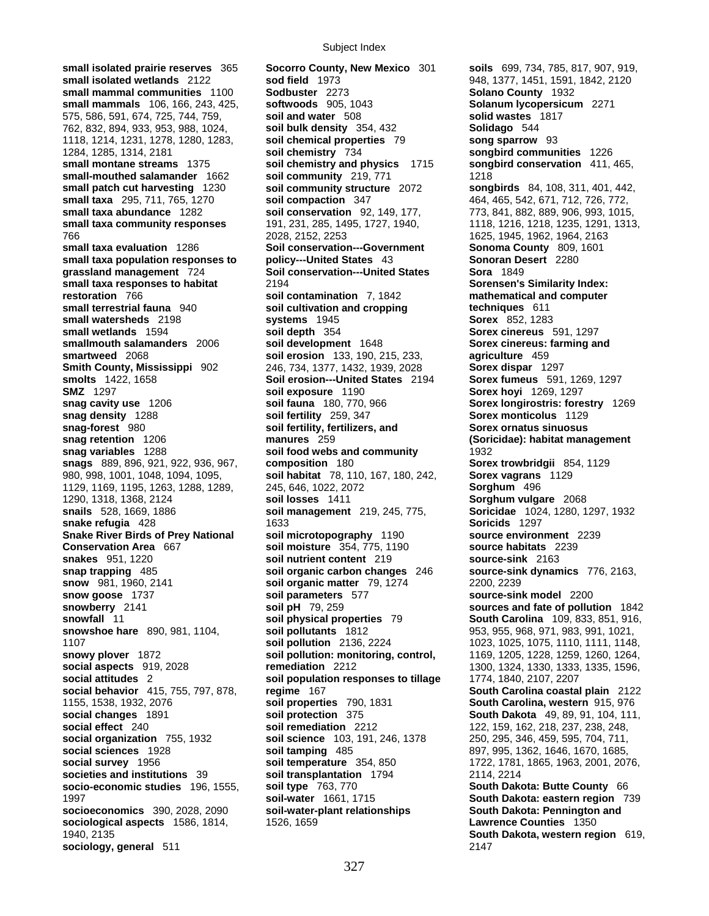**small isolated prairie reserves** 365 **Socorro County, New Mexico** 301 **soils** 699, 734, 785, 817, 907, 919, **small isolated wetlands** 2122 **sod field** 1973 948, 1377, 1451, 1591, 1842, 2120 **small mammal communities** 1100 **Sodbuster** 2273 **Solano County** 1932 **small mammals** 106, 166, 243, 425, **softwoods** 905, 1043 **Solanum lycopersicum** 2271 575, 586, 591, 674, 725, 744, 759, **soil and water** 508 **solid wastes** 1817 762, 832, 894, 933, 953, 988, 1024, **soil bulk density** 354, 432 **Solidago** 544 1118, 1214, 1231, 1278, 1280, 1283, **soil chemical properties** 79 **song sparrow** 93 1284, 1285, 1314, 2181 **soil chemistry** 734 **songbird communities** 1226 **small montane streams** 1375 **soil chemistry and physics** 1715 **songbird conservation** 411, 465, **small-mouthed salamander** 1662 **soil community** 219, 771 1218 **small patch cut harvesting** 1230 **soil community structure** 2072 **songbirds** 84, 108, 311, 401, 442, **small taxa** 295, 711, 765, 1270 **soil compaction** 347 464, 465, 542, 671, 712, 726, 772, **small taxa abundance** 1282 **soil conservation** 92, 149, 177, 773, 841, 882, 889, 906, 993, 1015, small taxa community responses 191, 231, 285, 1495, 1727, 1940, 1118, 1216, 1218, 1235, 1291, 1313, 766 2028, 2152, 2253 1625, 1945, 1962, 1964, 2163 **small taxa evaluation 1286 Soil conservation---Government Sonoma County 809, 1601**<br> **Sonoran Desert 2280**<br> **Sonoran Desert 2280 small taxa population responses to policy---United States** 43 **grassland management** 724 **Soil conservation---United States Sora** 1849 **small taxa responses to habitat** 2194 **Sorensen's Similarity Index: restoration** 766 **soil contamination** 7, 1842 **mathematical and computer small terrestrial fauna** 940 **soil cultivation and cropping techniques** 611 **small watersheds** 2198 **systems** 1945 **Sorex** 852, 1283<br>**small wetlands** 1594 **Sorex** soil depth 354 **Sorex** cinereus to the set of the solution of the solution of the solution of the solution of the solution of the solut **smallmouth salamanders** 2006 **soil development** 1648 **Sorex cinereus: farming and <b>smartweed** 2068 **soll erosion** 133, 190, 215, 233, **sexually** and **smartweed** 2068 **Smith County, Mississippi** 902 246, 734, 1377, 1432, 1939, 2028<br>**Soil erosion---United States** 21 **SMZ** 1297 **soil exposure** 1190 **Sorex hoyi** 1269, 1297 **snag cavity use** 1206 **soil fauna** 180, 770, 966 **Sorex longirostris: forestry** 1269 **snag density** 1288 **soil fertility** 259, 347 **Sorex monticolus** 1129 **snag-forest** 980 **soil fertility, fertilizers, and Sorex ornatus sinuosus snag retention** 1206 **manures** 259 **(Soricidae): habitat management snag variables** 1288 **soil food webs and community** 1932 **snags** 889, 896, 921, 922, 936, 967, **composition** 180 **Sorex trowbridgii** 854, 1129 980, 998, 1001, 1048, 1094, 1095, **soil habitat** 78, 110, 167, 180, 242, **Sorex vagrans** 1129 1129, 1169, 1195, 1263, 1288, 1289, 245, 646, 1022, 2072 **Sorghum** 496 1290, 1318, 1368, 2124 **soil losses** 1411 **Sorghum vulgare** 2068 **snails** 528, 1669, 1886 **soil management** 219, 245, 775, **Soricidae** 1024, 1280, 1297, 1932 **snake refugia** 428 **1633** 1633<br> **Soricids** 1297 **Snake River Birds of Prey National and Soli microtopography 1190 <b>Source environ Snake River Birds of Prey National soil microtopography** 1190 **source environment** 2239 **Conservation Area** 667 **soil moisture** 354, 775, 1190 **source habitats** 2239 **snakes** 951, 1220 **soil nutrient content** 219 **source-sink** 2163 **snap trapping** 485 **soil organic carbon changes** 246 **source-sink dynamics** 776, 2163, **snow** 981, 1960, 2141 **soil organic matter** 79, 1274 2200, 2239 **snow goose** 1737 **soil parameters** 577 **source-sink model** 2200 **snowberry** 2141 **soil pH** 79, 259 **sources and fate of pollution** 1842 **snowfall** 11 **soil physical properties** 79 **South Carolina** 109, 833, 851, 916, **snowshoe hare** 890, 981, 1104, **soil pollutants** 1812 953, 955, 968, 971, 983, 991, 1021, 1107 **soil pollution** 2136, 2224 1023, 1025, 1075, 1110, 1111, 1148, **snowy plover** 1872 **soil pollution: monitoring, control,** 1169, 1205, 1228, 1259, 1260, 1264, **social aspects** 919, 2028 **remediation** 2212 1300, 1324, 1330, 1333, 1335, 1596, **social attitudes** 2 **social attitudes** 2 **social behavior** 415, 755, 797, 878, **regime** 167 **South Carolina coastal plain** 2122 **social changes** 1891 **soil protection** 175 **South Dakota** 49, 89, 91, 104, 111, **social effect** 240 **soil remediation** 2212 122, 159, 162, 218, 237, 238, 248, **social organization** 755, 1932 **soil science** 103, 191, 246, 1378 250, 295, 346, 459, 595, 704, 711, **social sciences** 1928 **soil tamping** 485 897, 995, 1362, 1646, 1670, 1685, **social survey** 1956 **soil temperature** 354, 850 1722, 1781, 1865, 1963, 2001, 2076, **societies and institutions** 39 **soil transplantation** 1794 2114, 2214 **socio-economic studies** 196, 1555, **soil type** 763, 770 **South Dakota: Butte County** 66 1997 **soil-water** 1661, 1715 **South Dakota: eastern region** 739 **socioeconomics** 390, 2028, 2090 **soil-water-plant relationships South Dakota: Pennington and sociological aspects** 1586, 1814, 1526, 1659 **Lawrence Counties** 1350 1940, 2135 **South Dakota, western region** 619, **sociology, general** 511 2147

**small wetlands** 1594 **soil depth** 354 **Sorex cinereus** 591, 1297 **soil erosion** 133, 190, 215, 233, **agriculture** 459<br>246, 734, 1377, 1432, 1939, 2028 **Sorex dispar** 1297 **Soil erosion---United States** 2194 **Sorex fumeus** 591, 1269, 1297<br>**soil exposure** 1190 **Sorex hoyi** 1269, 1297 **soil population responses to tillage 1774, 1840, 2107, 2207 1155, 1538, 1538, 1538, 1538, 1538, 1538, 1538, 1538, 1538, 1538, 1538, 1538, 1538, 1538, 1538, 1538, 1538, 1538, 1538, 1538, 1538, 1538, 1538, 1538, 1549, 1549, 1549, 1549, 1549, 1549, 1549, 1549, 1549, 1549, 1549, 1549, soil remediation** 2212 122, 159, 162, 218, 237, 238, 248,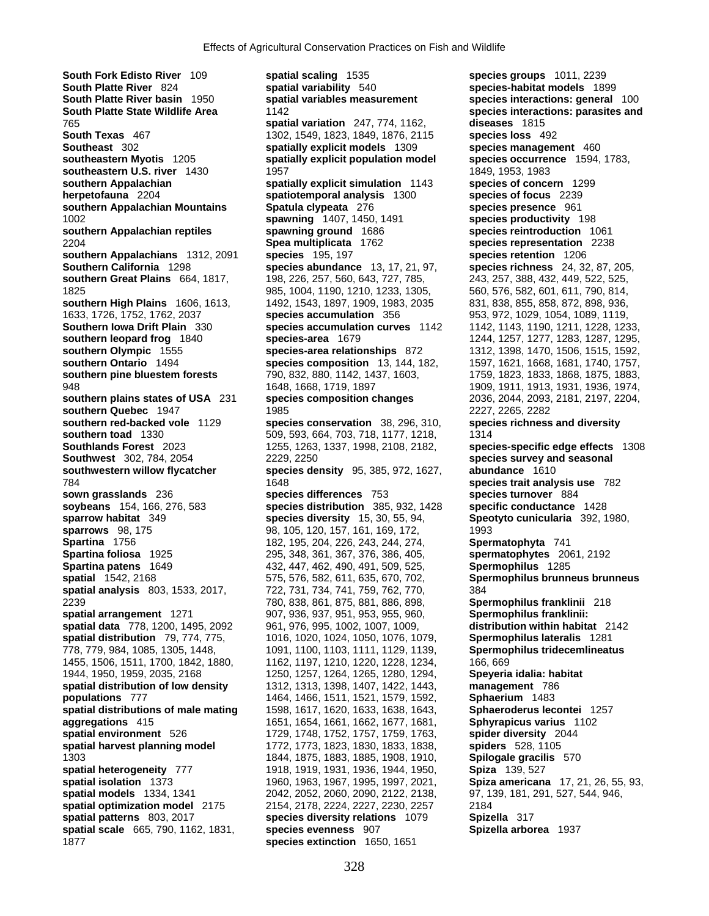**Southern California** 1298 **species abundance** 13, 17, 21, 97, **southern Great Plains** 664, 1817, 198, 226, 257, 560, 643, 727, 785, 1825 985, 1004, 1190, 1210, 1233, 1305, **Spartina foliosa** 1925 295, 348, 361, 367, 376, 386, 405, **Spartina patens** 1649 2061 2072, 447, 462, 490, 491, 509, 525, **spatial environment** 526 1729, 1748, 1752, 1757, 1759, 1763,

**South Fork Edisto River** 109 **spatial scaling** 1535 **species groups** 1011, 2239 **South Platte River** 824 **spatial variability** 540 **species-habitat models** 1899 **South Platte River basin** 1950 **spatial variables measurement species interactions: general** 100 **South Platte State Wildlife Area** 1142 **species interactions: parasites and**  765 **spatial variation** 247, 774, 1162, **diseases** 1815 **South Texas** 467 **1302, 1549, 1823, 1849, 1876, 2115 species loss** 492 **Southeast** 302 **spatially explicit models** 1309 **species management** 460 **southeastern Myotis** 1205 **spatially explicit population model species occurrence** 1594, 1783, **southeastern U.S. river** 1430 1957 1849, 1958, 1963, 1983 **southern Appalachian spatially explicit simulation** 1143 **species of concern** 1299 **herpetofauna** 2204 **spatiotemporal analysis** 1300 **species of focus** 2239 **southern Appalachian Mountains Spatula clypeata** 276 **species presence** 961 1002 **spawning** 1407, 1450, 1491 **species productivity** 198 **southern Appalachian reptiles spawning ground** 1686 **species reintroduction** 1061 2204 **Spea multiplicata** 1762 **species representation** 2238 **southern Appalachians** 1312, 2091 **species** 195, 197 **species retention** 1206 **southern Great Plains** 664, 1817, 198, 226, 257, 560, 643, 727, 785, 243, 257, 388, 432, 449, 522, 525, **southern High Plains** 1606, 1613, 1492, 1543, 1897, 1909, 1983, 2035 831, 838, 855, 858, 872, 898, 936, 1633, 1726, 1752, 1762, 2037 **species accumulation** 356 953, 972, 1029, 1054, 1089, 1119, **Southern Iowa Drift Plain** 330 **species accumulation curves** 1142 1142, 1143, 1190, 1211, 1228, 1233, **southern leopard frog** 1840 **species-area** 1679 1244, 1257, 1277, 1283, 1287, 1285, **southern Olympic** 1555 **species-area relationships** 872 1312, 1398, 1470, 1506, 1515, 1592, **species composition** 13, 144, 182, 1597, 1621, 1668, 1681, 1740, 1757, **southern pine bluestem forests** 790, 832, 880, 1142, 1437, 1603, 1759, 1823, 1833, 1868, 1875, 1883, 948 1648, 1668, 1719, 1897 1909, 1911, 1913, 1931, 1936, 1974, **southern plains states of USA** 231 **species composition changes** 2036, 2044, 2093, 2181, 2197, 2204, **southern Quebec** 1947 1985 2227, 2265, 2282 **southern red-backed vole** 1129 **species conservation** 38, 296, 310, **species richness and diversity southern toad** 1330 509, 593, 664, 703, 718, 1177, 1218, 1314 **Southlands Forest** 2023 1255, 1263, 1337, 1998, 2108, 2182, **species-specific edge effects** 1308 **Southwest** 302, 784, 2054 2229, 2250 **species survey and seasonal southwestern willow flycatcher species density** 95, 385, 972, 1627, **abundance** 1610 784 1648 **species trait analysis use** 782 **sown grasslands** 236 **species differences** 753 **species turnover** 884 **soybeans** 154, 166, 276, 583 **species distribution** 385, 932, 1428 **specific conductance** 1428 **sparrow habitat** 349 **species diversity** 15, 30, 55, 94, **Speotyto cunicularia** 392, 1980, **sparrows** 98, 175 98, 105, 120, 157, 161, 169, 172, 1993 **Spartina** 1756 182, 195, 204, 226, 243, 244, 274, **Spermatophyta** 741<br> **Spartina foliosa** 1925 295, 348, 361, 367, 376, 386, 405, **Spermatophytes** 2061, 2192 **Spartina patens** 1649 432, 447, 462, 490, 491, 509, 525, **Spermophilus** 1285 **spatial** 1542, 2168 575, 576, 582, 611, 635, 670, 702, **Spermophilus brunneus brunneus spatial analysis** 803, 1533, 2017, 722, 731, 734, 741, 759, 762, 770, 384 2239 780, 838, 861, 875, 881, 886, 898, **Spermophilus franklinii** 218 **spatial arrangement** 1271 907, 936, 937, 951, 953, 955, 960, **Spermophilus franklinii: spatial data** 778, 1200, 1495, 2092 961, 976, 995, 1002, 1007, 1009, **distribution within habitat** 2142 **spatial distribution** 79, 774, 775, 1016, 1020, 1024, 1050, 1076, 1079, **Spermophilus lateralis** 1281 778, 779, 984, 1085, 1305, 1448, 1091, 1100, 1103, 1111, 1129, 1139, **Spermophilus tridecemlineatus** 1455, 1506, 1511, 1700, 1842, 1880, 1162, 1197, 1210, 1220, 1228, 1234, 166, 669 1944, 1950, 1959, 2035, 2168 1250, 1257, 1264, 1265, 1280, 1294, **Speyeria idalia: habitat spatial distribution of low density** 1312, 1313, 1398, 1407, 1422, 1443, **management** 786 **populations** 777 1464, 1466, 1511, 1521, 1579, 1592, **Sphaerium** 1483 **spatial distributions of male mating** 1598, 1617, 1620, 1633, 1638, 1643, **Sphaeroderus lecontei** 1257 **aggregations** 415 1651, 1654, 1661, 1662, 1677, 1681, **Sphyrapicus varius** 1102 **spatial harvest planning model** 1772, 1773, 1823, 1830, 1833, 1838, **spiders** 528, 1105 1303 1844, 1875, 1883, 1885, 1908, 1910, **Spilogale gracilis** 570 **spatial heterogeneity** 777 1918, 1919, 1931, 1936, 1944, 1950, **Spiza** 139, 527 **spatial isolation** 1373 1960, 1963, 1967, 1995, 1997, 2021, **Spiza americana** 17, 21, 26, 55, 93, **spatial models** 1334, 1341 2042, 2052, 2060, 2090, 2122, 2138, 97, 139, 181, 291, 527, 544, 946, **spatial optimization model** 2175 2154, 2178, 2224, 2227, 2230, 2257 2184 **spatial patterns** 803, 2017 **species diversity relations** 1079 **Spizella** 317 **spatial scale** 665, 790, 1162, 1831, **species evenness** 907 **Spizella arborea** 1937 1877 **species extinction** 1650, 1651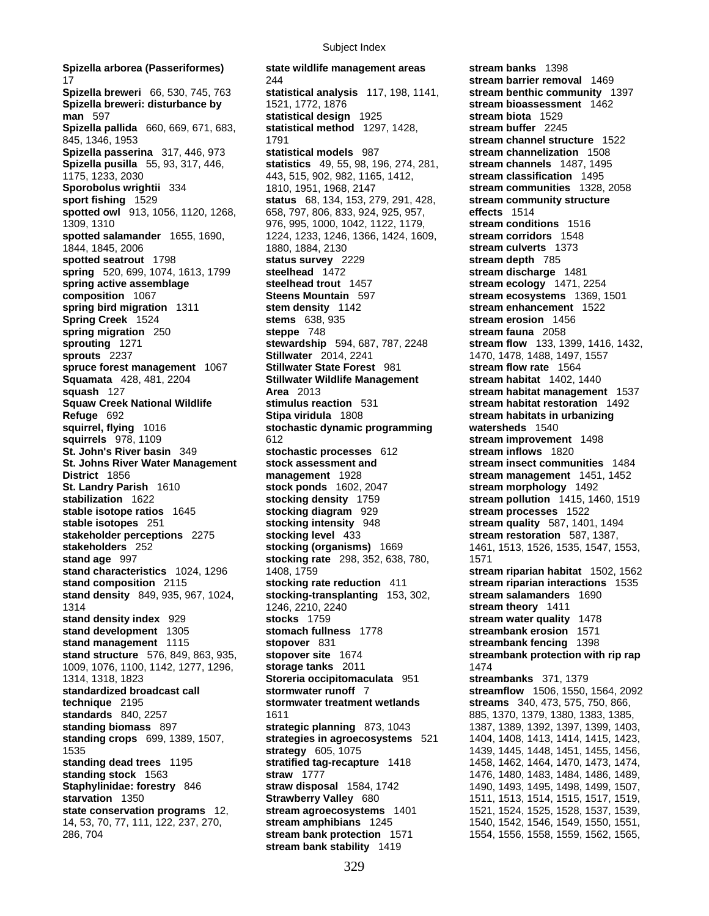**Spizella arborea (Passeriformes) state wildlife management areas stream banks** 1398 17 244 **stream barrier removal** 1469 **Spizella breweri** 66, 530, 745, 763 **statistical analysis** 117, 198, 1141, **stream benthic community** 1397 **Spizella breweri: disturbance by** 1521, 1772, 1876 **stream bioassessment** 1462 **man** 597 **statistical design** 1925 **stream biota** 1529 **Spizella pallida** 660, 669, 671, 683, **statistical method** 1297, 1428, **stream buffer** 2245 845, 1346, 1953 1791 **stream channel structure** 1522 **Spizella passerina** 317, 446, 973 **statistical models** 987 **stream channelization** 1508 **Spizella pusilla** 55, 93, 317, 446, **statistics** 49, 55, 98, 196, 274, 281, 1175, 1233, 2030 443, 515, 902, 982, 1165, 1412, **stream classification** 1495 **Sporobolus wrightii** 334 1810, 1951, 1968, 2147 **stream communities** 1328, 2058 **sport fishing** 1529 **status** 68, 134, 153, 279, 291, 428, **stream community structure spotted owl** 913, 1056, 1120, 1268, 658, 797, 806, 833, 924, 925, 957, **effects** 1514 1309, 1310 976, 995, 1000, 1042, 1122, 1179, **stream conditions** 1516 **spotted salamander** 1655, 1690, 1224, 1233, 1246, 1366, 1424, 1609, **stream corridors** 1548 1844, 1845, 2006 1880, 1884, 2130 **stream culverts** 1373 **spotted seatrout** 1798 **status survey** 2229 **stream depth** 785 **spring** 520, 699, 1074, 1613, 1799 **steelhead** 1472 **stream discharge** 1481 **spring active assemblage steelhead trout** 1457 **stream ecology** 1471, 2254 **composition** 1067 **Steens Mountain** 597 **stream ecosystems** 1369, 1501 **spring bird migration** 1311 **stem density** 1142 **stream enhancement** 1522 **Spring Creek** 1524 **stems** 638, 935 **stream erosion** 1456 **spring migration** 250 **steppe** 748 **stream fauna** 2058 **sprouting** 1271 **stewardship** 594, 687, 787, 2248 **stream flow** 133, 1399, 1416, 1432, **sprouts** 2237 **Stillwater** 2014, 2241 1470, 1478, 1488, 1497, 1557 **spruce forest management** 1067 **Stillwater State Forest** 981 **stream flow rate** 1564 **Squamata** 428, 481, 2204 **Stillwater Wildlife Management stream habitat** 1402, 1440 **squash** 127 **Area** 2013 **stream habitat management** 1537 **Squaw Creek National Wildlife stimulus reaction** 531 **stream habitat restoration** 1492 **Refuge** 692 **Stipa viridula** 1808 **stream habitats in urbanizing squirrel, flying** 1016 **stochastic dynamic programming watersheds** 1540 **squirrels** 978, 1109 612 **stream improvement** 1498 **St. John's River basin** 349 **stochastic processes** 612 **stream inflows** 1820 **St. Johns River Water Management stock assessment and stream insect communities** 1484 **District** 1856 **management** 1928 **stream management** 1451, 1452 **St. Landry Parish** 1610 **stock ponds** 1602, 2047 **stream morphology** 1492 **stabilization** 1622 **stocking density** 1759 **stream pollution** 1415, 1460, 1519 **stable isotope ratios** 1645 **stocking diagram** 929 **stream processes** 1522 **stable isotopes** 251 **stocking intensity** 948 **stream quality** 587, 1401, 1494 **stakeholder perceptions** 2275 **stocking level** 433 **stream restoration** 587, 1387, **stakeholders** 252 **stocking (organisms)** 1669 1461, 1513, 1526, 1535, 1547, 1553, **stand age** 997 **stocking rate** 298, 352, 638, 780, 1571 **stand characteristics** 1024, 1296 1408, 1759 **stream riparian habitat** 1502, 1562 **stand composition** 2115 **stocking rate reduction** 411 **stream riparian interactions** 1535 **stand density** 849, 935, 967, 1024, **stocking-transplanting** 153, 302, **stream salamanders** 1690 1314 1246, 2210, 2240 **stream theory** 1411 **stand density index** 929 **stocks** 1759 **stream water quality** 1478 **stand development** 1305 **stomach fullness** 1778 **streambank erosion** 1571 **stand management** 1115 **stopover** 831 **streambank fencing** 1398 **stand structure** 576, 849, 863, 935, **stopover site** 1674 **streambank protection with rip rap** 1009, 1076, 1100, 1142, 1277, 1296, **storage tanks** 2011 1474 1314, 1318, 1823 **Storeria occipitomaculata** 951 **streambanks** 371, 1379 **standardized broadcast call stormwater runoff** 7 **streamflow** 1506, 1550, 1564, 2092 **technique** 2195 **stormwater treatment wetlands streams** 340, 473, 575, 750, 866, **standards** 840, 2257 1611 1611 885, 1370, 1379, 1380, 1383, 1385, 1385, **standing biomass** 897 **strategic planning** 873, 1043 1387, 1389, 1392, 1397, 1399, 1403, **standing crops** 699, 1389, 1507, **strategies in agroecosystems** 521 1404, 1408, 1413, 1414, 1415, 1423, 1535 **strategy** 605, 1075 1439, 1445, 1448, 1451, 1455, 1456, **standing dead trees** 1195 **stratified tag-recapture** 1418 1458, 1462, 1464, 1470, 1473, 1474, **standing stock** 1563 **straw** 1777 **1476, 1480, 1483, 1484, 1486, 1489, 1486, 1489, 1481, 1486, 1489, 1489, 1489, 1489, 1489, 1489, 1489, 1481, 1481, 1481, 1481, 1481, 1481, 1481, 1481, 1481, 1481, 1481, 1481, 1481, 1481, Staphylinidae: forestry** 846 **straw disposal** 1584, 1742 1490, 1493, 1495, 1498, 1499, 1507, **starvation** 1350 **Strawberry Valley** 680 1511, 1513, 1514, 1515, 1517, 1519, **state conservation programs** 12, **stream agroecosystems** 1401 1521, 1524, 1525, 1528, 1537, 1539, 14, 53, 70, 77, 111, 122, 237, 270, **stream amphibians** 1245 1540, 1542, 1546, 1549, 1550, 1551, 286, 704 **stream bank protection** 1571 1554, 1556, 1558, 1559, 1562, 1565,

**stream bank stability** 1419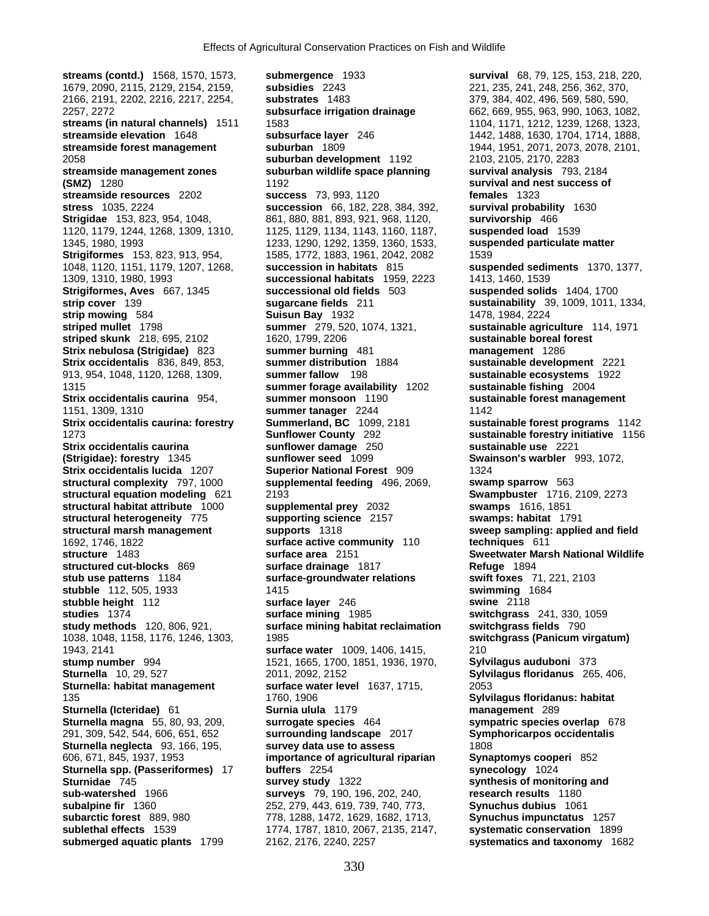**streams (contd.)** 1568, 1570, 1573, **submergence** 1933 **survival** 68, 79, 125, 153, 218, 220, 1679, 2090, 2115, 2129, 2154, 2159, **subsidies** 2243 221, 235, 241, 248, 256, 362, 370, 2166, 2191, 2202, 2216, 2217, 2254, **substrates** 1483 379, 384, 402, 496, 569, 580, 590, 2257, 2272 **subsurface irrigation drainage** 662, 669, 955, 963, 990, 1063, 1082, **streams (in natural channels)** 1511 1583 1104, 1171, 1212, 1239, 1268, 1323, **streamside elevation** 1648 **subsurface layer** 246 1442, 1488, 1630, 1704, 1714, 1888, **streamside forest management suburban** 1809 1944, 1951, 2071, 2073, 2078, 2101, 2058 **suburban development** 1192 2103, 2105, 2170, 2283 **streamside management zones suburban wildlife space planning survival analysis** 793, 2184 **(SMZ)** 1280 **1192** 1192 **1192 survival and nest success of survival and nest success of streamside resources** 2202 **success** 73, 993, 1120 **females** 1323 **stress** 1035, 2224 **succession** 66, 182, 228, 384, 392, **survival probability** 1630 **Strigidae** 153, 823, 954, 1048, 861, 880, 881, 893, 921, 968, 1120, **survivorship** 466 1120, 1179, 1244, 1268, 1309, 1310, 1125, 1129, 1134, 1143, 1160, 1187, **suspended load** 1539 1345, 1980, 1993 1233, 1290, 1292, 1359, 1360, 1533, **suspended particulate matter Strigiformes** 153, 823, 913, 954, 1585, 1772, 1883, 1961, 2042, 2082 1539 1048, 1120, 1151, 1179, 1207, 1268, **succession in habitats** 815 **suspended sediments** 1370, 1377, 1309, 1310, 1980, 1993 **successional habitats** 1959, 2223 1413, 1460, 1539 **Strigiformes, Aves** 667, 1345 **successional old fields** 503 **strip cover** 139 **sugarcane fields** 211 **sustainability** 39, 1009, 1011, 1334, **strip mowing** 584 **Suisun Bay** 1932 1478, 1984, 2224 **striped mullet** 1798 **summer** 279, 520, 1074, 1321, **sustainable agriculture** 114, 1971 **striped skunk** 218, 695, 2102 1620, 1799, 2206 1620, 1799, 2206 **sustainable boreal forest Strix nebulosa (Strigidae)** 823 **summer burning** 481 **management** 1286 **Strix occidentalis** 836, 849, 853, **summer distribution** 1884 **sustainable development** 2221 913, 954, 1048, 1120, 1268, 1309, **summer fallow** 198 **sustainable ecosystems** 1922 1315 **summer forage availability** 1202 **sustainable fishing** 2004 **Strix occidentalis caurina** 954, **summer monsoon** 1190 **sustainable forest management** 1151, 1309, 1310 **summer tanager** 2244 1142 **Strix occidentalis caurina: forestry Summerland, BC** 1099, 2181 **sustainable forest programs** 1142 **(Strigidae): forestry** 1345 **sunflower seed** 1099 **Swainson's warbler** 993, 1072, **structural complexity** 797, 1000 **supplemental feeding** 496, 2069, **swamp sparrow** 563 **structural equation modeling** 621 2193 **Swampbuster** 1716, 2109, 2273 **structural habitat attribute** 1000 **supplemental prey** 2032 **swamps** 1616, 1851 **structural heterogeneity** 775 **supporting science** 2157 **swamps: habitat** 1791 **structural marsh management supports** 1318 **sweep sampling: applied and field**  1692, 1746, 1822 **surface active community** 110 **techniques** 611 **structure** 1483 **surface area** 2151 **Sweetwater Marsh National Wildlife structured cut-blocks** 869 **surface drainage** 1817 **Refuge** 1894 **stub use patterns** 1184 **surface-groundwater relations swift foxes** 71, 221, 2103 **stubble** 112, 505, 1933 1415 **stubble height** 112 **surface layer** 246 **swine** 2118 **studies** 1374 **surface mining** 1985 **switchgrass** 241, 330, 1059 **study methods** 120, 806, 921, **surface mining habitat reclaimation switchgrass fields** 790 1038, 1048, 1158, 1176, 1246, 1303, 1985 **switchgrass (Panicum virgatum)** 1943, 2141 **surface water** 1009, 1406, 1415, 210 **stump number** 994 1521, 1665, 1700, 1851, 1936, 1970, **Sylvilagus auduboni** 373 **Sturnella** 10, 29, 527 2011, 2092, 2152 **Sylvilagus floridanus** 265, 406, **Sturnella: habitat management surface water level** 1637, 1715, 2053 135 1760, 1906 **Sylvilagus floridanus: habitat Sturnella (Icteridae)** 61 **Surnia ulula** 1179 **management** 289 **Sturnella magna** 55, 80, 93, 209, **surrogate species** 464 **sympatric species overlap** 678 291, 309, 542, 544, 606, 651, 652 **surrounding landscape** 2017 **Symphoricarpos occidentalis Sturnella neglecta** 93, 166, 195, **survey data use to assess** 1808 606, 671, 845, 1937, 1953 **importance of agricultural riparian Synaptomys cooperi** 852 **Sturnidae** 745 **survey study** 1322 **synthesis of monitoring and sub-watershed** 1966 **surveys** 79, 190, 196, 202, 240, **research results** 1180 **subalpine fir** 1360 252, 279, 443, 619, 739, 740, 773, **Synuchus dubius** 1061 **subarctic forest** 889, 980 778, 1288, 1472, 1629, 1682, 1713, **Synuchus impunctatus** 1257 **sublethal effects** 1539 1774, 1787, 1810, 2067, 2135, 2147, **systematic conservation** 1899 **submerged aquatic plants** 1799 2162, 2176, 2240, 2257 **systematics and taxonomy** 1682

1273 **Sunflower County** 292 **sustainable forestry initiative** 1156 **Strix occidentalis caurina sunflower damage** 250 **sustainable use** 2221 **Strix occidentalis lucida** 1207 **Superior National Forest** 909 1324 **Sturnella spp. (Passeriformes)** 17 **buffers** 2254 **synecology** 1024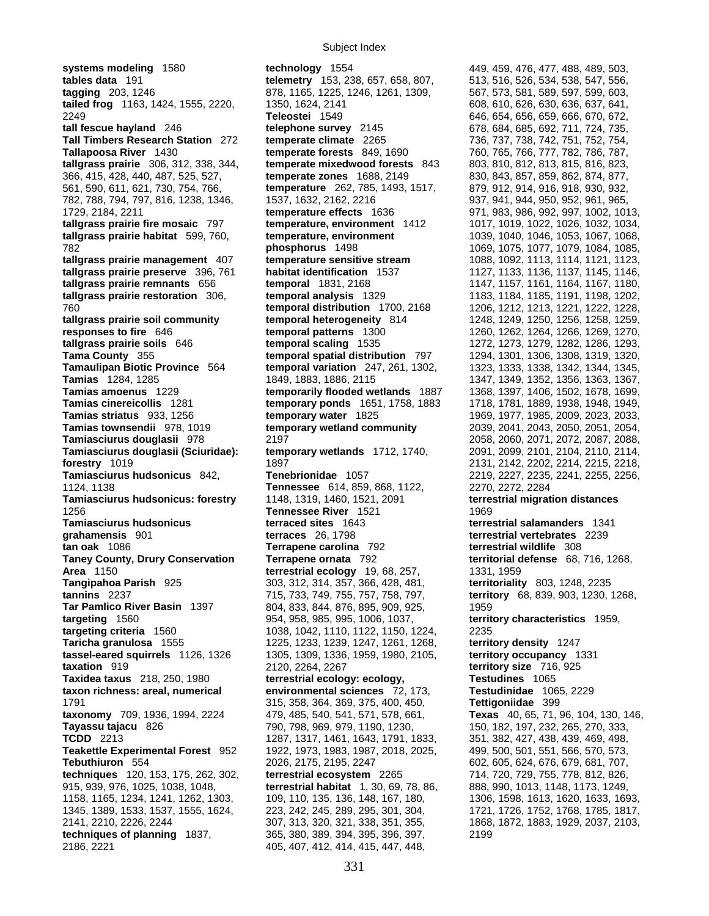**systems modeling** 1580 **technology** 1554 449, 459, 476, 477, 488, 489, 503, **tables data** 191 **telemetry** 153, 238, 657, 658, 807, 513, 516, 526, 534, 538, 547, 556, **tagging** 203, 1246 878, 1165, 1225, 1246, 1261, 1309, 567, 573, 581, 589, 597, 599, 603, **tailed frog** 1163, 1424, 1555, 2220, 1350, 1624, 2141 608, 610, 626, 630, 636, 637, 641, 2249 **Teleostei** 1549 646, 654, 656, 659, 666, 670, 672, **tall fescue hayland** 246 **telephone survey** 2145 678, 684, 685, 692, 711, 724, 735, **Tall Timbers Research Station** 272 **temperate climate** 2265 736, 737, 738, 742, 751, 752, 754, **Tallapoosa River** 1430 **temperate forests** 849, 1690 760, 765, 766, 777, 782, 786, 787, **tallgrass prairie** 306, 312, 338, 344, **temperate mixedwood forests** 843 803, 810, 812, 813, 815, 816, 823, 366, 415, 428, 440, 487, 525, 527, **temperate zones** 1688, 2149 830, 843, 857, 859, 862, 874, 877, 561, 590, 611, 621, 730, 754, 766, **temperature** 262, 785, 1493, 1517, 879, 912, 914, 916, 918, 930, 932, 782, 788, 794, 797, 816, 1238, 1346, 1537, 1632, 2162, 2216 937, 941, 944, 950, 952, 961, 965, 1729, 2184, 2211 **temperature effects** 1636 971, 983, 986, 992, 997, 1002, 1013, **tallgrass prairie fire mosaic** 797 **temperature, environment** 1412 1017, 1019, 1022, 1026, 1032, 1034, **tallgrass prairie habitat** 599, 760, **temperature, environment** 1039, 1040, 1046, 1053, 1067, 1068, 782 **phosphorus** 1498 1069, 1075, 1077, 1079, 1084, 1085, **tallgrass prairie management** 407 **temperature sensitive stream** 1088, 1092, 1113, 1114, 1121, 1123, **tallgrass prairie preserve** 396, 761 **habitat identification** 1537 1127, 1133, 1136, 1137, 1145, 1146, **tallgrass prairie remnants** 656 **temporal** 1831, 2168 1147, 1157, 1161, 1164, 1167, 1180, **tallgrass prairie restoration** 306, **temporal analysis** 1329 1183, 1184, 1185, 1191, 1198, 1202, 760 **temporal distribution** 1700, 2168 1206, 1212, 1213, 1221, 1222, 1228, **tallgrass prairie soil community temporal heterogeneity** 814 1248, 1249, 1250, 1256, 1258, 1259, **responses to fire** 646 **temporal patterns** 1300 1260, 1262, 1264, 1266, 1269, 1270, **tallgrass prairie soils** 646 **temporal scaling** 1535 1272, 1273, 1279, 1282, 1286, 1293, **Tama County** 355 **temporal spatial distribution** 797 1294, 1301, 1306, 1308, 1319, 1320, **Tamaulipan Biotic Province** 564 **temporal variation** 247, 261, 1302, 1323, 1333, 1338, 1342, 1344, 1345, **Tamias** 1284, 1285 1849, 1883, 1886, 2115 1347, 1349, 1352, 1356, 1363, 1367, 1368, 1367, **Tamias amoenus** 1229 **temporarily flooded wetlands** 1887 1368, 1397, 1406, 1502, 1678, 1699, **Tamias cinereicollis** 1281 **temporary ponds** 1651, 1758, 1883 1718, 1781, 1889, 1938, 1948, 1949, **Tamias striatus** 933, 1256 **temporary water** 1825 1969, 1977, 1985, 2009, 2023, 2033, **Tamias townsendii** 978, 1019 **temporary wetland community** 2039, 2041, 2043, 2050, 2051, 2054, **Tamiasciurus douglasii** 978 2197 2058, 2060, 2071, 2072, 2087, 2088, **Tamiasciurus douglasii (Sciuridae): temporary wetlands** 1712, 1740, 2091, 2099, 2101, 2104, 2110, 2114, **forestry** 1019 **1897** 1897 **1897** 2131, 2142, 2202, 2214, 2215, 2218, 2218, 2218, 2218, 2218, 2218, 2218, 2218, 2218, 2218, 2218, 2218, 2218, 2218, 2218, 2218, 2218, 2218, 2218, 2218, 2218, 2218, 2218, 2218, 2218, 2218, 2 **Tamiasciurus hudsonicus** 842, **Tenebrionidae** 1057 2219, 2227, 2235, 2241, 2255, 2256, 1124, 1138 **Tennessee** 614, 859, 868, 1122, 2270, 2272, 2284 **Tamiasciurus hudsonicus: forestry** 1148, 1319, 1460, 1521, 2091 **terrestrial migration distances** 1256 **Tennessee River** 1521 1969 **Tamiasciurus hudsonicus terraced sites** 1643 **terrestrial salamanders** 1341 **grahamensis** 901 **terraces** 26, 1798 **terrestrial vertebrates** 2239 **tan oak** 1086 **Terrapene carolina** 792 **terrestrial wildlife** 308 **Taney County, Drury Conservation Terrapene ornata** 792 **Area** 1150 **terrestrial ecology** 19, 68, 257, 1331, 1959 **Tangipahoa Parish** 925 303, 312, 314, 357, 366, 428, 481, **territoriality** 803, 1248, 2235 **tannins** 2237 715, 733, 749, 755, 757, 758, 797, **territory** 68, 839, 903, 1230, 1268, **Tar Pamlico River Basin** 1397 804, 833, 844, 876, 895, 909, 925, 1959 **targeting** 1560 954, 958, 985, 995, 1006, 1037, **territory characteristics** 1959, **targeting criteria** 1560 1038, 1042, 1110, 1122, 1150, 1224, 2235 **Taricha granulosa** 1555 1225, 1233, 1239, 1247, 1261, 1268, **territory density** 1247 **tassel-eared squirrels** 1126, 1326 1305, 1309, 1336, 1959, 1980, 2105, **territory occupancy** 1331 **taxation** 919 2120, 2264, 2267 **territory size** 716, 925 **Taxidea taxus** 218, 250, 1980 **terrestrial ecology: ecology, Testudines** 1065 **taxon richness: areal, numerical environmental sciences** 72, 173, **Testudinidae** 1065, 2229 1791 315, 358, 364, 369, 375, 400, 450, **Tettigoniidae** 399 **taxonomy** 709, 1936, 1994, 2224 479, 485, 540, 541, 571, 578, 661, **Texas** 40, 65, 71, 96, 104, 130, 146, **Tayassu tajacu** 826 790, 798, 969, 979, 1190, 1230, 150, 182, 197, 232, 265, 270, 333, **TCDD** 2213 1287, 1317, 1461, 1643, 1791, 1833, **Teakettle Experimental Forest** 952 1922, 1973, 1983, 1987, 2018, 2025, 499, 500, 501, 551, 566, 570, 573, **Tebuthiuron** 554 2026, 2175, 2195, 2247 602, 605, 624, 676, 679, 681, 707, **techniques** 120, 153, 175, 262, 302, **terrestrial ecosystem** 2265 714, 720, 729, 755, 778, 812, 826, 915, 939, 976, 1025, 1038, 1048, **terrestrial habitat** 1, 30, 69, 78, 86, 888, 990, 1013, 1148, 1173, 1249, 1158, 1165, 1234, 1241, 1262, 1303, 109, 110, 135, 136, 148, 167, 180, 1306, 1598, 1613, 1620, 1633, 1693, 1345, 1389, 1533, 1537, 1555, 1624, 223, 242, 245, 289, 295, 301, 304, 1721, 1726, 1752, 1768, 1785, 1817, 2141, 2210, 2226, 2244 307, 313, 320, 321, 338, 351, 355, 1868, 1872, 1883, 1929, 2037, 2103, **techniques of planning** 1837, 365, 380, 389, 394, 395, 396, 397, 2199 2186, 2221 405, 407, 412, 414, 415, 447, 448,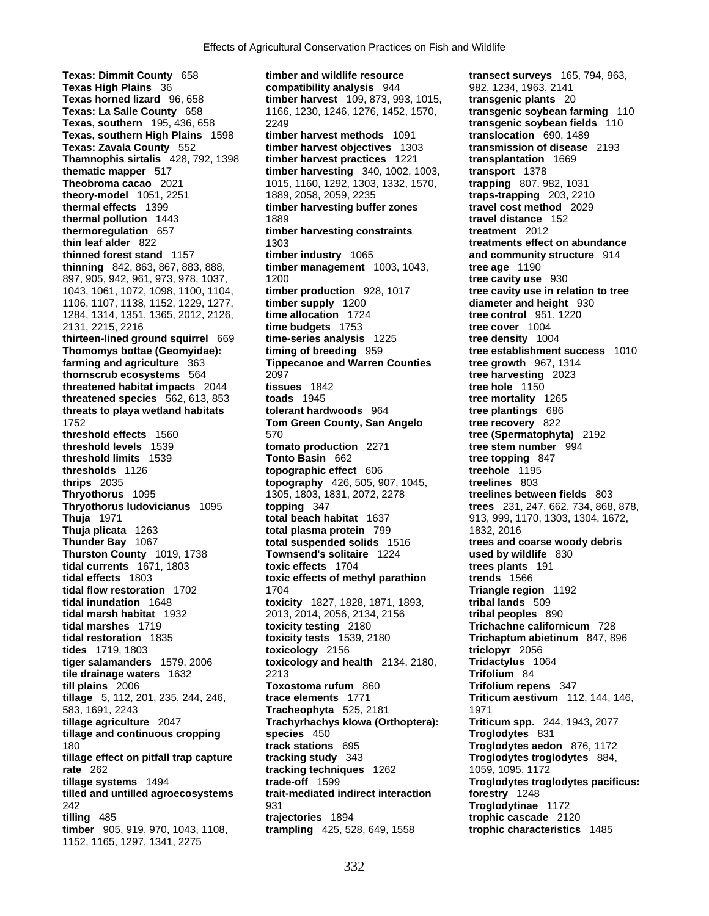**Texas: Dimmit County** 658 **timber and wildlife resource transect surveys** 165, 794, 963, **Texas High Plains** 36 **compatibility analysis** 944 982, 1234, 1963, 2141 **Texas horned lizard** 96, 658 **timber harvest** 109, 873, 993, 1015, **transgenic plants** 20 **Texas: La Salle County** 658 1166, 1230, 1246, 1276, 1452, 1570, **transgenic soybean farming** 110 **Texas, southern** 195, 436, 658 2249 **transgenic soybean fields** 110 **Texas, southern High Plains** 1598 **timber harvest methods** 1091 **translocation** 690, 1489 **Texas: Zavala County** 552 **timber harvest objectives** 1303 **Thamnophis sirtalis** 428, 792, 1398 **timber harvest practices** 1221 **transplantation** 1669 **thematic mapper** 517 **timber harvesting** 340, 1002, 1003, **Theobroma cacao** 2021 1015, 1160, 1292, 1303, 1332, 1570, **trapping** 807, 982, 1031 **theory-model** 1051, 2251 1889, 2058, 2059, 2235 **traps-trapping** 203, 2210 **thermal effects** 1399 **timber harvesting buffer zones travel cost method** 2029 **thermal pollution** 1443 1889 **travel distance** 152 **thermoregulation** 657 **timber harvesting constraints treatment** 2012 **thin leaf alder** 822 1303 **1303 treatments effect on abundance thinned forest stand** 1157 **timber industry** 1065 **and community structure** 914 **thinning** 842, 863, 867, 883, 888, **timber management** 1003, 1043, **tree age** 1190 897, 905, 942, 961, 973, 978, 1037, 1200<br>1043, 1061, 1072, 1098, 1100, 1104, **timber production** 928, 1017 **tree cavity use in relation to tree** 1043, 1061, 1072, 1098, 1100, 1104, **timber production** 928, 1017 1106, 1107, 1138, 1152, 1229, 1277, **timber supply** 1200 **diameter and height** 930 1284, 1314, 1351, 1365, 2012, 2126, **time allocation** 1724 **tree control** 951, 1220 2131, 2215, 2216 **time budgets** 1753 **tree cover** 1004 **thirteen-lined ground squirrel** 669 **time-series analysis** 1225 **tree density** 1004 **Thomomys bottae (Geomyidae): timing of breeding** 959 **tree establishment success** 1010 **farming and agriculture** 363 **Tippecanoe and Warren Counties by tree growth** 967, 1314<br> **thornscrub ecosystems** 564 2097 2023 **thornscrub ecosystems** 564 2097 **tree harvesting** 2023 **threatened habitat impacts** 2044 **tissues** 1842 **tree hole** 1150 **threatened species** 562, 613, 853 **toads** 1945 **threatened species** 562, 613, 853 **toads** 1945 **threats** to playa wetland habitats **the the species** 686 **threats to playa wetland habitats building to the planting of the plantings** 664 1752 **Tom Green County, San Angelo tree recovery** 822 **threshold effects** 1560 570 **tree (Spermatophyta)** 2192 **threshold levels** 1539 **tomato production** 2271 **tree stem number** 994 **threshold limits** 1539 **Tonto Basin** 662 **tree topping** 847<br> **thresholds** 1126 **thresholds** 1126 **three topping three topping**<br> **thrips** 2035 **three topping the topping** 426, 505, 907, 1045, **treelines** 803 **thrips** 2035 **topography** 426, 505, 907, 1045, **Thryothorus** 1095 1305, 1803, 1831, 2072, 2278 **treelines between fields** 803 **Thryothorus ludovicianus** 1095 **topping** 347 **trees** 231, 247, 662, 734, 868, 878, **Thuja** 1971 **total beach habitat** 1637 913, 999, 1170, 1303, 1304, 1672, **Thuja plicata** 1263 **total plasma protein** 799 1832, 2016 **Thurston County** 1019, 1738 **Townsend's solitaire** 1224 used by wildlife 830 **tidal currents** 1671, 1803 **the sylum and the sylum and the sylum and the sylum and the sylum and the sylum and the sylum and the sylum and the tidal currents** 1671, 1803 **toxic effects** 1704 **trees plants tidal effects** 1803 **toxic effects of methyl parathion trends** 1566 **tidal effects** 1803 **toxic effects of methyl parathion**<br> **tidal flow restoration** 1702 1704 **tidal inundation** 1648 **toxicity** 1827, 1828, 1871, 1893, **tribal lands** 509 **tidal marsh habitat** 1932 2013, 2014, 2056, 2134, 2156 **tribal peoples** 890 **tidal marshes** 1719 **toxicity testing** 2180 **Trichachne californicum** 728 **tidal restoration** 1835 **toxicity tests** 1539, 2180 **Trichaptum abietinum** 847, 896 **tides** 1719, 1803 **toxicology** 2156 **triclopyr** 2056 **tiger salamanders** 1579, 2006 **toxicology and health** 2134, 2180, **Tridactylus** 1064 **tile drainage waters** 1632 2213 **Trifolium** 84 **till plains** 2006 **Toxostoma rufum** 860 **Trifolium repens** 347 **tillage** 5, 112, 201, 235, 244, 246, **trace elements** 1771 **Triticum aestivum** 112, 144, 146, 583, 1691, 2243 **Tracheophyta** 525, 2181 1971 **tillage agriculture** 2047 **Trachyrhachys kIowa (Orthoptera): Triticum spp.** 244, 1943, 2077 **tillage and continuous cropping species** 450 **Troglodytes** 831 180 **track stations** 695 **Troglodytes aedon** 876, 1172 **tillage effect on pitfall trap capture tracking study** 343 **rate** 262 **tracking techniques** 1262 1059, 1095, 1172<br> **tillage systems** 1494 **trade-off** 1599 **tracking techniques** 1262 **Troglodytes trog tillage systems** 1494 **trade-off** 1599 **Troglodytes troglodytes pacificus: tilled and untilled agroecosystems trait-mediated indirect interaction forestry** 1248 242 931 **Troglodytinae** 1172 **timber** 905, 919, 970, 1043, 1108, **trampling** 425, 528, 649, 1558 **trophic characteristics** 1485 1152, 1165, 1297, 1341, 2275

**topographic effect** 606 **Thunder Bay** 1067 **total suspended solids** 1516 **trees and coarse woody debris tidal flow restoration** 1702 1704 **Triangle region** 1192 **trajectories** 1894 **trajectories** 1894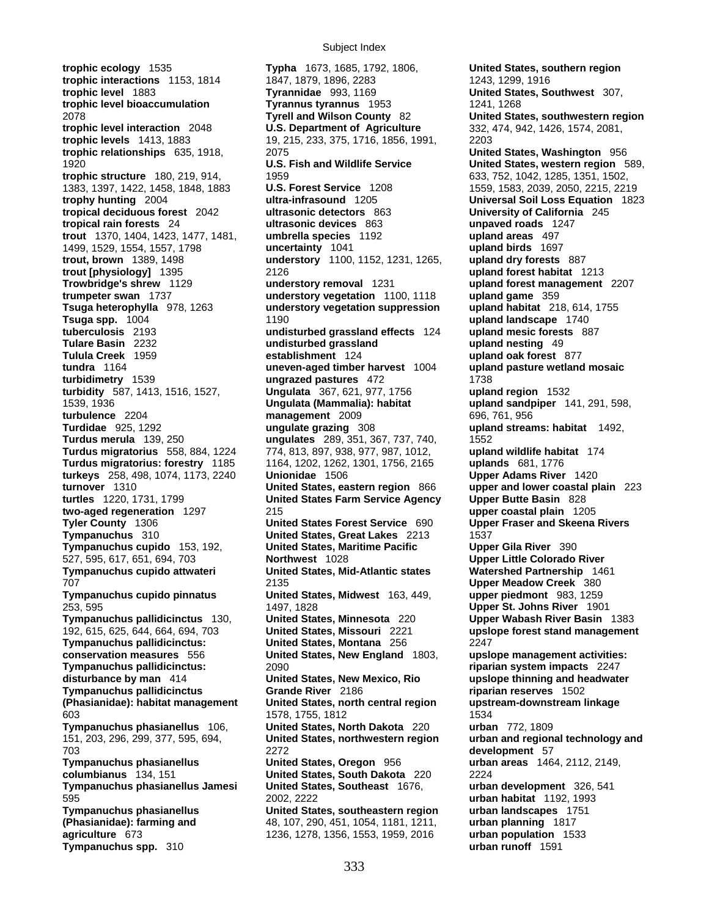**trophic ecology** 1535 **Typha** 1673, 1685, 1792, 1806, **United States, southern region trophic interactions** 1153, 1814 1847, 1879, 1896, 2283 1243, 1243, 1299, 1916 **trophic level** 1883 **Tyrannidae** 993, 1169 **United States, Southwest** 307, **trophic level bioaccumulation Tyrannus tyrannus** 1953 1241, 1268 2078 **Tyrell and Wilson County** 82 **United States, southwestern region trophic level interaction** 2048 **U.S. Department of Agriculture** 332, 474, 942, 1426, 1574, 2081, **trophic levels** 1413, 1883 19, 215, 233, 375, 1716, 1856, 1991, 2203 **trophic relationships** 635, 1918, 2075 **United States, Washington** 956 1920 **U.S. Fish and Wildlife Service United States, western region** 589, **trophic structure** 180, 219, 914, 1959 633, 752, 1042, 1285, 1351, 1502, 1383, 1397, 1422, 1458, 1848, 1883 **U.S. Forest Service** 1208 1559, 1583, 2039, 2050, 2215, 2219 **trophy hunting** 2004 **ultra-infrasound** 1205 **Universal Soil Loss Equation** 1823 **tropical deciduous forest** 2042 **ultrasonic detectors** 863 **University of California** 245 **tropical rain forests** 24 **ultrasonic devices** 863 **unpaved roads** 1247 **trout** 1370, 1404, 1423, 1477, 1481, **umbrella species** 1192 **upland areas** 497 1499, 1529, 1554, 1557, 1798 **uncertainty** 1041 **trout, brown** 1389, 1498 **understory** 1100, 1152, 1231, 1265, **upland dry forests** 887 **trout [physiology]** 1395 2126 **upland forest habitat** 1213 **Trowbridge's shrew** 1129 **understory removal** 1231 **upland forest management** 2207 **trumpeter swan** 1737 **understory vegetation** 1100, 1118 **upland game** 359 **Tsuga heterophylla** 978, 1263 **understory vegetation suppression upland habitat** 218, 614, 1755 **Tsuga spp.** 1004 1190 **upland landscape** 1740 **tuberculosis** 2193 **undisturbed grassland effects** 124 **upland mesic forests** 887 **Tulare Basin** 2232 **undisturbed grassland** upland nesting 49<br> **Tulula Creek** 1959 **by a stablishment** 124 **by a stablishment** 124 **tundra** 1164 **uneven-aged timber harvest** 1004 **upland pasture wetland mosaic turbidity** 587, 1413, 1516, 1527, **Ungulata** 367, 621, 977, 1756 **upland region** 1532 1539, 1936 **Ungulata (Mammalia): habitat upland sandpiper** 141, 291, 598, **turbulence** 2204 **management** 2009 696, 761, 956<br> **Turdidae** 925, 1292 **magulate grazing** 308 **mgulate symbols and stream Turdidae** 925, 1292 **ungulate grazing** 308 **upland streams: habitat** 1492, **Turdus merula** 139, 250 **ungulates** 289, 351, 367, 737, 740, 1552 **Turdus migratorius** 558, 884, 1224 774, 813, 897, 938, 977, 987, 1012, **upland wildlife habitat** 174 **Turdus migratorius: forestry** 1185 1164, 1202, 1262, 1301, 1756, 2165 **uplands** 681, 1776 **turkeys** 258, 498, 1074, 1173, 2240 **Unionidae** 1506 **Upper Adams River** 1420 **turtles** 1220, 1731, 1799 **United States Farm Service Agency Upper Butte Basin** 828 **two-aged regeneration** 1297 215 **upper coastal plain** 1205 **Tyler County** 1306 **United States Forest Service** 690 **Upper Fraser and Skeena Rivers Tympanuchus** 310 **United States, Great Lakes** 2213 1537 **Tympanuchus cupido** 153, 192, **United States, Maritime Pacific Upper Gila River** 390 527, 595, 617, 651, 694, 703 **Northwest** 1028 **Upper Little Colorado River Tympanuchus cupido attwateri <b>Water Lines Contact Partnership** 1461 Mid-Atlantic states 707 2135 **Upper Meadow Creek** 380 **Tympanuchus cupido pinnatus United States, Midwest** 163, 449, **upper piedmont** 983, 1259 253, 595 1497, 1828 **Upper St. Johns River** 1901 **Tympanuchus pallidicinctus** 130, **United States, Minnesota** 220 **Upper Wabash River Basin** 1383 192, 615, 625, 644, 664, 694, 703 **United States, Missouri** 2221 **upslope forest stand management Tympanuchus pallidicinctus: United States, Montana** 256 2247 **conservation measures** 556 **United States, New England** 1803, **upslope management activities: disturbance by man** 414 **United States, New Mexico, Rio upslope thinning and headwater Tympanuchus pallidicinctus Grande River** 2186 **riparian reserves** 1502 **(Phasianidae): habitat management United States, north central region upstream-downstream linkage** 603 1578, 1755, 1812<br>**Tympanuchus phasianellus** 106, **Inited States, North Dakota** 220 **1534** urban 772, 1809 **Tympanuchus phasianellus** 106, **United States, North Dakota** 220 151, 203, 296, 299, 377, 595, 694, **United States, northwestern region urban and regional technology and**  703 2272 **development** 57 **Tympanuchus phasianellus United States, Oregon** 956 **urban areas** 1464, 2112, 2149, **columbianus** 134, 151 **United States, South Dakota** 220 2224 **Tympanuchus phasianellus Jamesi United States, Southeast** 1676, **urban development** 326, 541 595 2002, 2222 **urban habitat** 1192, 1993 **Tympanuchus phasianellus United States, southeastern region urban landscapes** 1751 **(Phasianidae): farming and** 48, 107, 290, 451, 1054, 1181, 1211, **urban planning** 1817 **agriculture** 673 1236, 1278, 1356, 1553, 1959, 2016 **urban population** 1533 **Tympanuchus spp.** 310 **urban runoff** 1591

**ungrazed pastures** 472 1738 **United States, eastern region** 866 **upper and lower coastal plain** 223

**upland oak forest** 877 **Tympanuchus pallidicinctus:** 2090 **riparian system impacts** 2247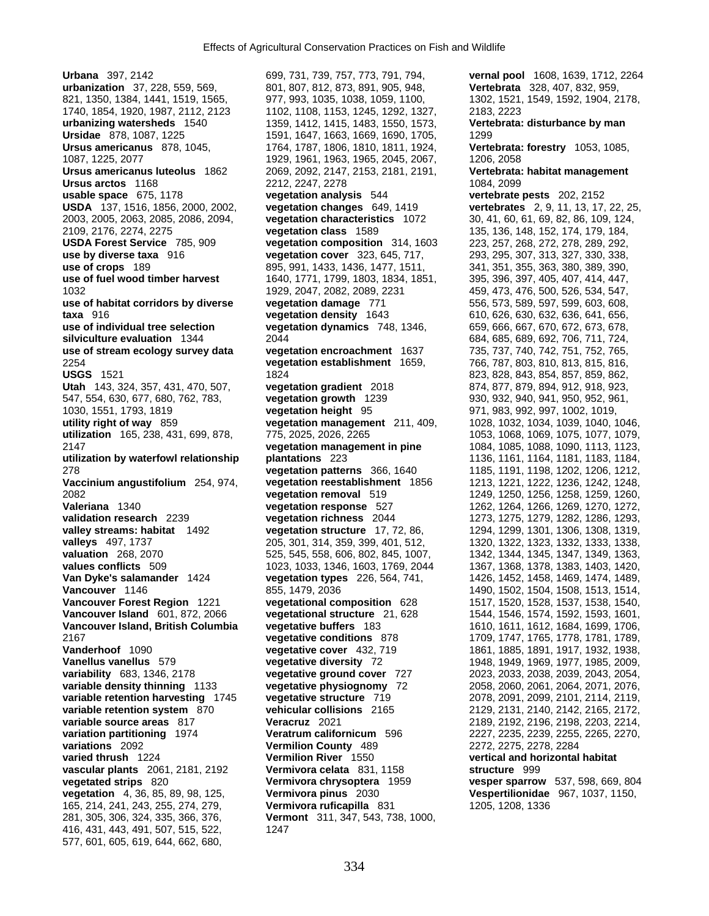**Urbana** 397, 2142 699, 731, 739, 757, 773, 791, 794, **vernal pool** 1608, 1639, 1712, 2264 **urbanization** 37, 228, 559, 569, 801, 807, 812, 873, 891, 905, 948, **Vertebrata** 328, 407, 832, 959, 821, 1350, 1384, 1441, 1519, 1565, 977, 993, 1035, 1038, 1059, 1100, 1302, 1521, 1549, 1592, 1904, 2178, 1740, 1854, 1920, 1987, 2112, 2123 1102, 1108, 1153, 1245, 1292, 1327, 2183, 2223 **urbanizing watersheds** 1540 1359, 1412, 1415, 1483, 1550, 1573, **Vertebrata: disturbance by man Ursidae** 878, 1087, 1225 1591, 1647, 1663, 1669, 1690, 1705, 1299 **Ursus americanus** 878, 1045, 1764, 1787, 1806, 1810, 1811, 1924, **Vertebrata: forestry** 1053, 1085, 1087, 1225, 2077 1929, 1961, 1963, 1965, 2045, 2067, 1206, 2058 **Ursus americanus luteolus** 1862 2069, 2092, 2147, 2153, 2181, 2191, **Vertebrata: habitat management Ursus arctos** 1168 2212, 2247, 2278 1084, 2099 **usable space** 675, 1178 **vegetation analysis** 544 **vertebrate pests** 202, 2152 **USDA** 137, 1516, 1856, 2000, 2002, **vegetation changes** 649, 1419 **vertebrates** 2, 9, 11, 13, 17, 22, 25, 2003, 2005, 2063, 2085, 2086, 2094, **vegetation characteristics** 1072 30, 41, 60, 61, 69, 82, 86, 109, 124, **USDA Forest Service** 785, 909 **vegetation composition** 314, 1603 **use by diverse taxa** 916 **vegetation cover** 323, 645, 717, 293, 295, 307, 313, 327, 330, 338, **use of crops** 189<br> **use of fuel wood timber harvest** 1640, 1771, 1799, 1803, 1834, 1851, 395, 396, 397, 405, 407, 414, 447, 1032 1929, 2047, 2082, 2089, 2231 459, 473, 476, 500, 526, 534, 547, **use of habitat corridors by diverse vegetation damage** 771 556, 573, 589, 597, 599, 603, 608, **taxa** 916 **vegetation density** 1643 610, 626, 630, 632, 636, 641, 656, **use of individual tree selection vegetation dynamics** 748, 1346, 659, 666, 667, 670, 672, 673, 678, **silviculture evaluation** 1344 2044 684, 685, 689, 692, 706, 711, 724, **use of stream ecology survey data vegetation encroachment**  $1637$  735, 737, 740, 742, 751, 752, 765, 2254 **vegetation establishment** 1659, 766, 787, 803, 810, 813, 815, 816, **USGS** 1521 1824 1824 823, 828, 843, 854, 857, 859, 862, **Utah** 143, 324, 357, 431, 470, 507, **vegetation gradient** 2018 874, 877, 879, 894, 912, 918, 923, 547, 554, 630, 677, 680, 762, 783, **vegetation growth** 1239 930, 932, 940, 941, 950, 952, 961, 1030, 1551, 1793, 1819 **vegetation height** 95 971, 983, 992, 997, 1002, 1019, **utility right of way** 859 **vegetation management** 211, 409, 1028, 1032, 1034, 1039, 1040, 1046, **utilization** 165, 238, 431, 699, 878, 775, 2025, 2026, 2265 1053, 1068, 1069, 1075, 1077, 1079, 2147 **vegetation management in pine** 1084, 1085, 1088, 1090, 1113, 1123, **utilization by waterfowl relationship plantations** 223 1136, 1161, 1164, 1181, 1183, 1184, 278 **vegetation patterns** 366, 1640 1185, 1191, 1198, 1202, 1206, 1212, **Vaccinium angustifolium** 254, 974, **vegetation reestablishment** 1856 1213, 1221, 1222, 1236, 1242, 1248, 2082 **vegetation removal** 519 1249, 1250, 1256, 1258, 1259, 1260, **Valeriana** 1340 **vegetation response** 527 1262, 1264, 1266, 1269, 1270, 1272, **validation research** 2239 **vegetation richness** 2044 1273, 1275, 1279, 1282, 1286, 1293, **valley streams: habitat** 1492 **vegetation structure** 17, 72, 86, 1294, 1299, 1301, 1306, 1308, 1319, **valleys** 497, 1737 205, 301, 314, 359, 399, 401, 512, 1320, 1322, 1323, 1332, 1333, 1338, valuation 268, 2070 525, 545, 545, 558, 606, 802, 845, 1007, 1342, 1344, 1345, 1347, 1349, 1363, **values conflicts** 509 1023, 1033, 1346, 1603, 1769, 2044 1367, 1368, 1378, 1383, 1403, 1420, **Van Dyke's salamander** 1424 **vegetation types** 226, 564, 741, 1426, 1452, 1458, 1469, 1474, 1489, **Vancouver Forest Region** 1221 **vegetational composition** 628 1517, 1520, 1528, 1537, 1538, 1540, **Vancouver Island** 601, 872, 2066 **vegetational structure** 21, 628 1544, 1546, 1574, 1592, 1593, 1601, **Vancouver Island, British Columbia vegetative buffers** 183 1610, 1611, 1612, 1684, 1699, 1706, 2167 **vegetative conditions** 878 1709, 1747, 1765, 1778, 1781, 1789, **Vanderhoof** 1090 **vegetative cover** 432, 719 1861, 1885, 1891, 1917, 1932, 1938, **Vanellus vanellus** 579 **vegetative diversity** 72 1948, 1949, 1969, 1977, 1985, 2009, **variability** 683, 1346, 2178 **vegetative ground cover** 727 2023, 2033, 2038, 2039, 2043, 2054, **variable density thinning** 1133 **vegetative physiognomy** 72 2058, 2060, 2061, 2064, 2071, 2076, **variable retention harvesting** 1745 **vegetative structure** 719 2078, 2091, 2099, 2101, 2114, 2119, **variable retention system** 870 **vehicular collisions** 2165 2129, 2131, 2140, 2142, 2165, 2172, **variable source areas** 817 **Veracruz** 2021 2189, 2192, 2196, 2198, 2203, 2214, **variation partitioning** 1974 **Veratrum californicum** 596 2227, 2235, 2239, 2255, 2265, 2270, **variations** 2092 **Vermilion County** 489 2272, 2275, 2278, 2284 **varied thrush** 1224 **Vermilion River** 1550 **vertical and horizontal habitat vascular plants** 2061, 2181, 2192 **Vermivora celata** 831, 1158 **structure** 999 **vegetated strips** 820 **Vermivora chrysoptera** 1959 **vesper sparrow** 537, 598, 669, 804 **vegetation** 4, 36, 85, 89, 98, 125, **Vermivora pinus** 2030 **Vespertilionidae** 967, 1037, 1150, 165, 214, 241, 243, 255, 274, 279, **Vermivora ruficapilla** 831 1205, 1208, 1336 281, 305, 306, 324, 335, 366, 376, **Vermont** 311, 347, 543, 738, 1000, 416, 431, 443, 491, 507, 515, 522, 1247 577, 601, 605, 619, 644, 662, 680,

2109, 2176, 2274, 2275 **vegetation class** 1589 135, 136, 148, 152, 174, 179, 184, **use of fuel wood timber harvest** 1640, 1771, 1799, 1803, 1834, 1851, 395, 396, 397, 405, 407, 414, 447, **Vancouver** 1146 855, 1479, 2036 1490, 1502, 1504, 1508, 1513, 1514,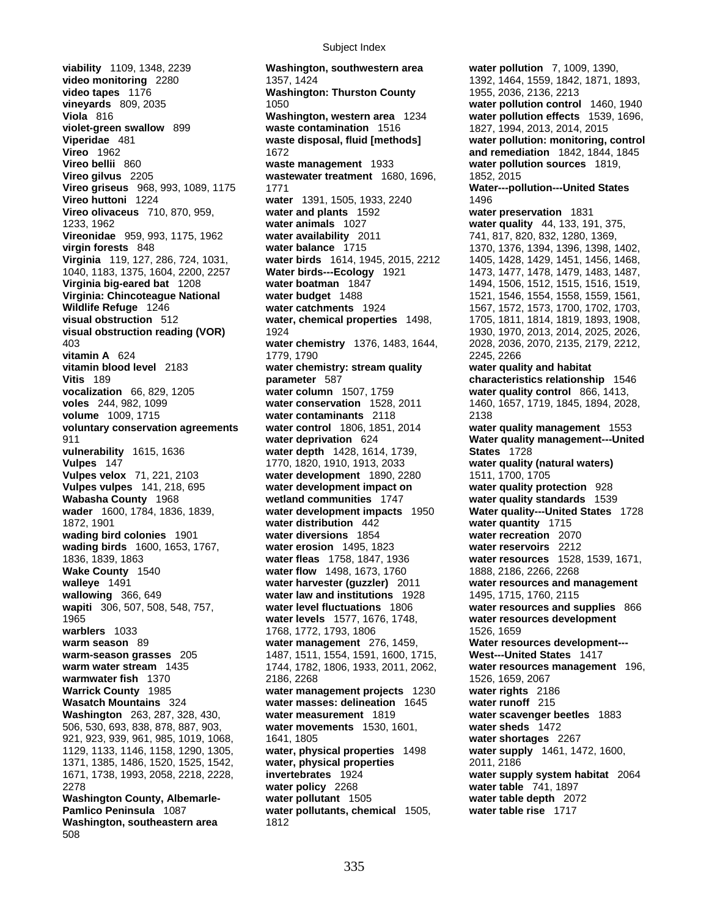**viability** 1109, 1348, 2239 **Washington, southwestern area water pollution** 7, 1009, 1390, **Vireonidae** 959, 993, 1175, 1962 water availability 2011 **1872, 1901 <b>water distribution** 442 **Pamlico Peninsula** 1087 **water pollutants, chemical** 1505, **Washington, southeastern area** 1812 508

**video monitoring** 2280 1357, 1424 1392, 1464, 1559, 1842, 1871, 1893, **video tapes** 1176 **Washington: Thurston County** 1955, 2036, 2136, 2213 **vineyards** 809, 2035 1050 1050 1050 **water pollution control** 1460, 1940 **Viola** 816 **Washington, western area** 1234 **water pollution effects** 1539, 1696, **violet-green swallow** 899 **waste contamination** 1516 1827, 1994, 2013, 2014, 2015 **Viperidae** 481 **waste disposal, fluid [methods] water pollution: monitoring, control Vireo** 1962 **and remediation** 1842, 1844, 1845 **Vireo bellii** 860 **waste management** 1933 **water pollution sources** 1819, **Vireo gilvus** 2205 **wastewater treatment** 1680, 1696, 1852, 2015 **Vireo griseus** 968, 993, 1089, 1175 1771 **Water---pollution---United States**<br> **Vireo huttoni** 1224 **water** 1391, 1505, 1933, 2240 1496 **water** 1391, 1505, 1933, 2240 1496 **Vireo olivaceus** 710, 870, 959, **water and plants** 1592 **water preservation** 1831 1233, 1962 **water animals** 1027 **water quality** 44, 133, 191, 375, **virgin forests** 848 **water balance** 1715 1370, 1376, 1394, 1396, 1398, 1402, **water birds** 1614, 1945, 2015, 2212 1405, 1428, 1429, 1451, 1456, 1468, 1468, 1468, 1487, 1477, 1478, 1479, 1483, 1487, 1040, 1183, 1375, 1604, 2200, 2257 **Water birds---Ecology** 1921 1473, 1477, 1478, 1479, 1483, 1487, **Virginia big-eared bat** 1208 **water boatman** 1847 1494, 1506, 1512, 1515, 1516, 1519, **Virginia: Chincoteague National water budget** 1488 1521, 1546, 1554, 1558, 1559, 1561, **Wildlife Refuge** 1246 **water catchments** 1924 1567, 1572, 1573, 1700, 1702, 1703, **visual obstruction** 512 **water, chemical properties** 1498, 1705, 1811, 1814, 1819, 1893, 1908, **visual obstruction reading (VOR)** 1924 1930, 1970, 2013, 2014, 2025, 2026, 2026, 2003, 2014, 2025, 2026, 2008, 2070, 2135, 2179, 2212, water chemistry 1376, 1483, 1644, **vitamin A** 624 **1779, 1790** 2245, 2266 **vitamin blood level** 2183 **water chemistry: stream quality water quality and habitat Vitis** 189 **parameter** 587 **characteristics relationship** 1546 **vocalization** 66, 829, 1205 **water column** 1507, 1759 **water quality control** 866, 1413, **voles** 244, 982, 1099 **water conservation** 1528, 2011 1460, 1657, 1719, 1845, 1894, 2028, **volume** 1009, 1715 **water contaminants** 2118 2138 **voluntary conservation agreements water control** 1806, 1851, 2014 **water quality management** 1553 911 **water deprivation** 624 **Water quality management---United vulnerability** 1615, 1636 **water depth** 1428, 1614, 1739, **States** 1728 **Vulpes** 147 1770, 1820, 1910, 1913, 2033 **water quality (natural waters) Vulpes velox** 71, 221, 2103 **water development** 1890, 2280 1511, 1700, 1705 **Vulpes vulpes** 141, 218, 695 **water development impact on water quality protection** 928 **Wabasha County** 1968 **wetland communities** 1747 **water quality standards** 1539 **water development impacts** 1950 **Water quality---United States** 1728<br> **water distribution** 442 **water quantity** 1715 **wading bird colonies** 1901 **water diversions** 1854 **water recreation** 2070 **wading birds** 1600, 1653, 1767, **water erosion** 1495, 1823 **water reservoirs** 2212 1836, 1839, 1863 **water fleas** 1758, 1847, 1936 **water resources** 1528, 1539, 1671, **water flow** 1498, 1673, 1760 1888, 2186, 2266, 2268 **walleye** 1491 **water harvester (guzzler)** 2011 **water resources and management wallowing** 366, 649 **water law and institutions** 1928 1495, 1715, 1760, 2115<br>**wapiti** 306, 507, 508, 548, 757, **water level fluctuations** 1806 **water resources and s water level fluctuations** 1806 **water resources and supplies** 866 1965 **water levels** 1577, 1676, 1748, **water resources development warblers** 1033 1768, 1772, 1793, 1806 1526, 1659 **warm season** 89 **water management** 276, 1459, **Water resources development-- warm-season grasses** 205 1487, 1511, 1554, 1591, 1600, 1715, **West---United States** 1417 **warm water stream** 1435 1744, 1782, 1806, 1933, 2011, 2062, **water resources management** 196, **warmwater fish 1370 1526, 2268 1526, 2067<br><b>Warrick County 1985 1526, 2067 1230 1246 water management projects 1230 1326 water rights 21 Warrick County** 1985 **water management projects** 1230 **water rights** 2186 **water masses: delineation** 1645 **water runoff** 215 **Washington** 263, 287, 328, 430, **water measurement** 1819 **water scavenger beetles** 1883 506, 530, 693, 838, 878, 887, 903, **water movements** 1530, 1601, **water sheds** 1472 921, 923, 939, 961, 985, 1019, 1068, 1641, 1805 **water shortages** 2267 1129, 1133, 1146, 1158, 1290, 1305, **water, physical properties** 1498 **water supply** 1461, 1472, 1600, 1371, 1385, 1486, 1520, 1525, 1542, **water, physical properties** 2011, 2186 1671, 1738, 1993, 2058, 2218, 2228, **invertebrates** 1924 **water supply system habitat** 2064 2278 **water policy** 2268 **water table** 741, 1897 **Washington County, Albemarle- water pollutant** 1505 **water table depth** 2072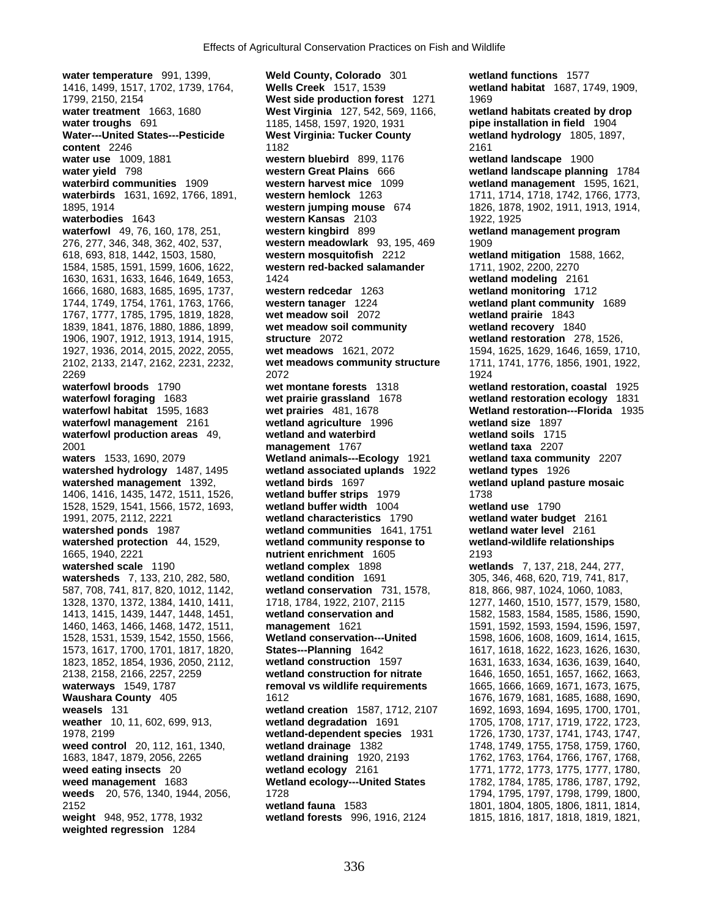**water temperature** 991, 1399, **Weld County, Colorado** 301 **wetland functions** 1577 1416, 1499, 1517, 1702, 1739, 1764, **Wells Creek** 1517, 1539 **wetland habitat** 1687, 1749, 1909, 1799, 2150, 2154 **West side production forest** 1271 1969 **water treatment** 1663, 1680 **West Virginia** 127, 542, 569, 1166, **wetland habitats created by drop Water---United States---Pesticide West Virginia: Tucker County wetland hydrology** 1805, 1897, **content** 2246 2161 **water use** 1009, 1881 **western bluebird** 899, 1176 **wetland landscape** 1900 **water yield** 798 **western Great Plains** 666 **wetland landscape planning** 1784 **waterbird communities** 1909 **western harvest mice** 1099 **wetland management** 1595, 1621, **waterbirds** 1631, 1692, 1766, 1891, **western hemlock** 1263 1711, 1714, 1718, 1742, 1766, 1773, 1895, 1914 **western jumping mouse** 674 1826, 1878, 1902, 1911, 1913, 1914, **waterbodies** 1643 **western Kansas** 2103 1922, 1925 **waterfowl** 49, 76, 160, 178, 251, **western kingbird** 899 **wetland management program** 276, 277, 346, 348, 362, 402, 537, **western meadowlark** 93, 195, 469 1909 618, 693, 818, 1442, 1503, 1580, **western mosquitofish** 2212 **wetland mitigation** 1588, 1662, 1584, 1585, 1591, 1599, 1606, 1622, **western red-backed salamander** 1711, 1902, 2200, 2270 1630, 1631, 1633, 1646, 1649, 1653, 1424 **wetland modeling** 2161 1666, 1680, 1683, 1685, 1695, 1737, **western redcedar** 1263 **wetland monitoring** 1712 1744, 1749, 1754, 1761, 1763, 1766, **western tanager** 1224 **wetland plant community** 1689 1767, 1777, 1785, 1795, 1819, 1828, **wet meadow soil** 2072 **wetland prairie** 1843 1839, 1841, 1876, 1880, 1886, 1899, **wet meadow soil community wetland recovery** 1840 1906, 1907, 1912, 1913, 1914, 1915, **structure** 2072 **wetland restoration** 278, 1526, 1927, 1936, 2014, 2015, 2022, 2055, **wet meadows** 1621, 2072 1594, 1625, 1629, 1646, 1659, 1710, 2102, 2133, 2147, 2162, 2231, 2232, **wet meadows community structure** 1711, 1741, 1776, 1856, 1901, 1922, 2269 2072 1924 **waterfowl broods** 1790 **wet montane forests** 1318 **wetland restoration, coastal** 1925 **waterfowl foraging** 1683 **wet prairie grassland** 1678 **wetland restoration ecology** 1831 **waterfowl habitat** 1595, 1683 **wet prairies** 481, 1678 **Wetland restoration---Florida** 1935 **waterfowl management** 2161 **wetland agriculture** 1996 **wetland size** 1897 **waterfowl production areas** 49, **wetland and waterbird wetland soils** 1715 2001 **management** 1767 **wetland taxa** 2207 **waters** 1533, 1690, 2079 **Wetland animals---Ecology** 1921 **wetland taxa community** 2207 **watershed hydrology** 1487, 1495 **wetland associated uplands** 1922 **wetland types** 1926 **watershed management** 1392, **wetland birds** 1697 **wetland upland pasture mosaic** 1406, 1416, 1435, 1472, 1511, 1526, **wetland buffer strips** 1979 1738 1528, 1529, 1541, 1566, 1572, 1693, **wetland buffer width** 1004 **wetland use** 1790 1991, 2075, 2112, 2221 **wetland characteristics** 1790 **wetland water budget** 2161 **watershed ponds** 1987 **wetland communities** 1641, 1751 **wetland water level** 2161 **watershed protection** 44, 1529, **wetland community response to wetland-wildlife relationships** 1665, 1940, 2221 **nutrient enrichment** 1605 2193 **watershed scale** 1190 **wetland complex** 1898 **wetlands** 7, 137, 218, 244, 277, **watersheds** 7, 133, 210, 282, 580, **wetland condition** 1691 305, 346, 468, 620, 719, 741, 817, 317, 318, 866, 987, 1024, 1060, 1083, 587, 708, 741, 817, 820, 1012, 1142, **wetland conservation** 731, 1578, 1328, 1370, 1372, 1384, 1410, 1411, 1718, 1784, 1922, 2107, 2115 1277, 1460, 1510, 1577, 1579, 1580, 1413, 1415, 1439, 1447, 1448, 1451, **wetland conservation and** 1582, 1583, 1584, 1585, 1586, 1590, 1460, 1463, 1466, 1468, 1472, 1511, **management** 1621 1591, 1592, 1593, 1594, 1596, 1597, 1528, 1531, 1539, 1542, 1550, 1566, **Wetland conservation---United** 1598, 1606, 1608, 1609, 1614, 1615, 1573, 1617, 1700, 1701, 1817, 1820, **States---Planning** 1642 1617, 1618, 1622, 1623, 1626, 1630, 1823, 1852, 1854, 1936, 2050, 2112, **wetland construction** 1597 1631, 1633, 1634, 1636, 1639, 1640, 2138, 2158, 2166, 2257, 2259 **wetland construction for nitrate** 1646, 1650, 1651, 1657, 1662, 1663, **waterways** 1549, 1787 **removal vs wildlife requirements** 1665, 1666, 1669, 1671, 1673, 1675, **Waushara County** 405 1612 1676, 1679, 1681, 1685, 1688, 1690, **weasels** 131 **wetland creation** 1587, 1712, 2107 1692, 1693, 1694, 1695, 1700, 1701, **weather** 10, 11, 602, 699, 913, **wetland degradation** 1691 1705, 1708, 1717, 1719, 1722, 1723, 1978, 2199 **wetland-dependent species** 1931 1726, 1730, 1737, 1741, 1743, 1747, **weed control** 20, 112, 161, 1340, **wetland drainage** 1382 1748, 1749, 1755, 1758, 1759, 1760, 1683, 1847, 1879, 2056, 2265 **wetland draining** 1920, 2193 1762, 1763, 1764, 1766, 1767, 1768, **weed eating insects** 20 **wetland ecology** 2161 1771, 1772, 1773, 1775, 1777, 1780, **weed management** 1683 **Wetland ecology---United States** 1782, 1784, 1785, 1786, 1787, 1792, **weeds** 20, 576, 1340, 1944, 2056, 1728 1795, 1794, 1795, 1797, 1798, 1799, 1800, 2152 **wetland fauna** 1583 1801, 1804, 1805, 1806, 1811, 1814, **weight** 948, 952, 1778, 1932 **wetland forests** 996, 1916, 2124 1815, 1816, 1817, 1818, 1819, 1821, **weighted regression** 1284

**water troughs** 691 1185, 1458, 1597, 1920, 1931 **pipe installation in field** 1904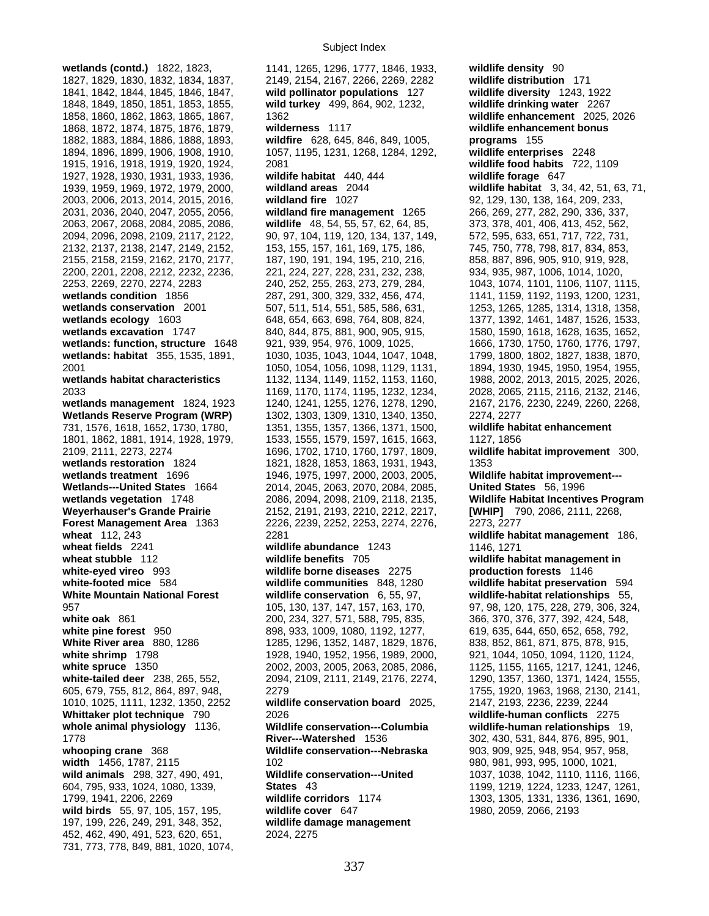**wetlands (contd.)** 1822, 1823, 1141, 1265, 1296, 1777, 1846, 1933, **wildlife density** 90 1827, 1829, 1830, 1832, 1834, 1837, 2149, 2154, 2167, 2266, 2269, 2282 **wildlife distribution** 171 1841, 1842, 1844, 1845, 1846, 1847, **wild pollinator populations** 127 **wildlife diversity** 1243, 1922 1848, 1849, 1850, 1851, 1853, 1855, **wild turkey** 499, 864, 902, 1232, **wildlife drinking water** 2267 1858, 1860, 1862, 1863, 1865, 1867, 1362 **wildlife enhancement** 2025, 2026 1868, 1872, 1874, 1875, 1876, 1879, **wilderness** 1117 **wildlife enhancement bonus**  1882, 1883, 1884, 1886, 1888, 1893, **wildfire** 628, 645, 846, 849, 1005, **programs** 155 1894, 1896, 1899, 1906, 1908, 1910, 1057, 1195, 1231, 1268, 1284, 1292, **wildlife enterprises** 2248 1915, 1916, 1918, 1919, 1920, 1924, 2081 **wildlife food habits** 722, 1109 1927, 1928, 1930, 1931, 1933, 1936, **wildife habitat** 440, 444 **wildlife forage** 647 1939, 1959, 1969, 1972, 1979, 2000, **wildland areas** 2044 **wildlife habitat** 3, 34, 42, 51, 63, 71, 2003, 2006, 2013, 2014, 2015, 2016, **wildland fire** 1027 92, 129, 130, 138, 164, 209, 233, 2031, 2036, 2040, 2047, 2055, 2056, **wildland fire management** 1265 266, 269, 277, 282, 290, 336, 337, 2063, 2067, 2068, 2084, 2085, 2086, **wildlife** 48, 54, 55, 57, 62, 64, 85, 373, 378, 401, 406, 413, 452, 562, 2094, 2096, 2098, 2109, 2117, 2122, 90, 97, 104, 119, 120, 134, 137, 149, 2132, 2137, 2138, 2147, 2149, 2152, 153, 155, 157, 161, 169, 175, 186, 745, 750, 778, 798, 817, 834, 853, 2155, 2158, 2159, 2162, 2170, 2177, 187, 190, 191, 194, 195, 210, 216, 858, 887, 896, 905, 910, 919, 928, 2200, 2201, 2208, 2212, 2232, 2236, 221, 224, 227, 228, 231, 232, 238, 934, 935, 987, 1006, 1014, 1020, 2253, 2269, 2270, 2274, 2283 240, 252, 255, 263, 273, 279, 284, 1043, 1074, 1101, 1106, 1107, 1115, **wetlands condition** 1856 287, 291, 300, 329, 332, 456, 474, 1141, 1159, 1192, 1193, 1200, 1231, **wetlands conservation** 2001 507, 511, 514, 551, 585, 586, 631, 1253, 1265, 1285, 1314, 1318, 1358, **wetlands ecology** 1603 648, 648, 654, 663, 698, 764, 808, 824, 1377, 1392, 1461, 1487, 1526, 1533, **wetlands excavation** 1747 840, 844, 875, 881, 900, 905, 915, 1580, 1590, 1618, 1628, 1635, 1652, **wetlands: function, structure** 1648 921, 939, 954, 976, 1009, 1025, 1666, 1730, 1750, 1760, 1776, 1797, **wetlands: habitat** 355, 1535, 1891, 1030, 1035, 1043, 1044, 1047, 1048, 1799, 1800, 1802, 1827, 1838, 1870, 2001 1050, 1054, 1056, 1098, 1129, 1131, 1894, 1930, 1945, 1950, 1954, 1955, **wetlands habitat characteristics** 1132, 1134, 1149, 1152, 1153, 1160, 1988, 2002, 2013, 2015, 2025, 2026, 2033 1169, 1170, 1174, 1195, 1232, 1234, 2028, 2065, 2115, 2116, 2132, 2146, **wetlands management** 1824, 1923 1240, 1241, 1255, 1276, 1278, 1290, 2167, 2176, 2230, 2249, 2260, 2268, **Wetlands Reserve Program (WRP)** 1302, 1303, 1309, 1310, 1340, 1350, 2274, 2277 731, 1576, 1618, 1652, 1730, 1780, 1351, 1355, 1357, 1366, 1371, 1500, **wildlife habitat enhancement** 1801, 1862, 1881, 1914, 1928, 1979, 1533, 1555, 1579, 1597, 1615, 1663, 1127, 1856 2109, 2111, 2273, 2274 1696, 1702, 1710, 1760, 1797, 1809, **wildlife habitat improvement** 300, **wetlands restoration** 1824 1821, 1828, 1853, 1863, 1931, 1943, 1353 **wetlands treatment** 1696 1946, 1975, 1997, 2000, 2003, 2005, **Wildlife habitat improvement--- Wetlands---United States** 1664 2014, 2045, 2063, 2070, 2084, 2085, **United States** 56, 1996 **wetlands vegetation** 1748 2086, 2094, 2098, 2109, 2118, 2135, **Wildlife Habitat Incentives Program Weyerhauser's Grande Prairie** 2152, 2191, 2193, 2210, 2212, 2217, **[WHIP]** 790, 2086, 2111, 2268, **Forest Management Area** 1363 2226, 2239, 2252, 2253, 2274, 2276, 2273, 2277 **wheat** 112, 243 2281 **wildlife habitat management** 186, **wheat fields** 2241 **wildlife abundance** 1243 1146, 1271 **wheat stubble** 112 **wildlife benefits** 705 **wildlife habitat management in white-eyed vireo** 993 **wildlife borne diseases** 2275 **production forests** 1146 **white-footed mice** 584 **wildlife communities** 848, 1280 **wildlife habitat preservation** 594 **White Mountain National Forest wildlife conservation** 6, 55, 97, **wildlife-habitat relationships** 55, 957 105, 130, 137, 147, 157, 163, 170, 97, 98, 120, 175, 228, 279, 306, 324, white oak 861 200, 234, 327, 571, 588, 795, 835, 366, 370, 376, 377, 392, 424, 548, 389, 376, 377, 392, 424, 548, **white pine forest** 950 898, 933, 1009, 1080, 1192, 1277, 619, 635, 644, 650, 652, 658, 792, White River area 880, 1286 1296, 1296, 1352, 1487, 1829, 1876, 838, 852, 861, 871, 875, 878, 915, **white shrimp** 1798 1928, 1940, 1952, 1956, 1989, 2000, 921, 1044, 1050, 1094, 1120, 1124, 1958, 1124, 1246, 1970, 1124, 1246, 1970, 1124, 1246, 1217, 1241, 1246, 1217, 1241, 1246, 1217, 1241, 1246, 1217, 1241, 1246, 1217, **white-tailed deer** 238, 265, 552, 2094, 2109, 2111, 2149, 2176, 2274, 1290, 1357, 1360, 1371, 1424, 1555, 605, 679, 755, 812, 864, 897, 948, 2279 1755, 1920, 1963, 1968, 2130, 2141, 1010, 1025, 1111, 1232, 1350, 2252 **wildlife conservation board** 2025, 2147, 2193, 2236, 2239, 2244 **Whittaker plot technique** 790 2026 **wildlife-human conflicts** 2275 **whole animal physiology** 1136, **Wildlife conservation---Columbia wildlife-human relationships** 19, 1778 **River---Watershed** 1536 302, 430, 531, 844, 876, 895, 901, **whooping crane** 368 **Wildlife conservation---Nebraska** 903, 909, 925, 948, 954, 957, 958, **width** 1456, 1787, 2115 102 102 102 102 102 102 102 103 104 103 11 102 11 103 11 103 11 103 11 103 11 104 11 10 **wild animals** 298, 327, 490, 491, **Wildlife conservation---United** 1037, 1038, 1042, 1110, 1116, 1166, 604, 795, 933, 1024, 1080, 1339, **States** 43 1199, 1219, 1224, 1233, 1247, 1261, 1799, 1941, 2206, 2269 **wildlife corridors** 1174 1303, 1305, 1331, 1336, 1361, 1690, **wild birds** 55, 97, 105, 157, 195, **wildlife cover** 647 1980, 2059, 2066, 2193 197, 199, 226, 249, 291, 348, 352, **wildlife damage management** 452, 462, 490, 491, 523, 620, 651, 2024, 2275 731, 773, 778, 849, 881, 1020, 1074,

**white spruce** 1350 2002, 2003, 2005, 2063, 2085, 2086, 1125, 1155, 1165, 1217, 1241, 1246,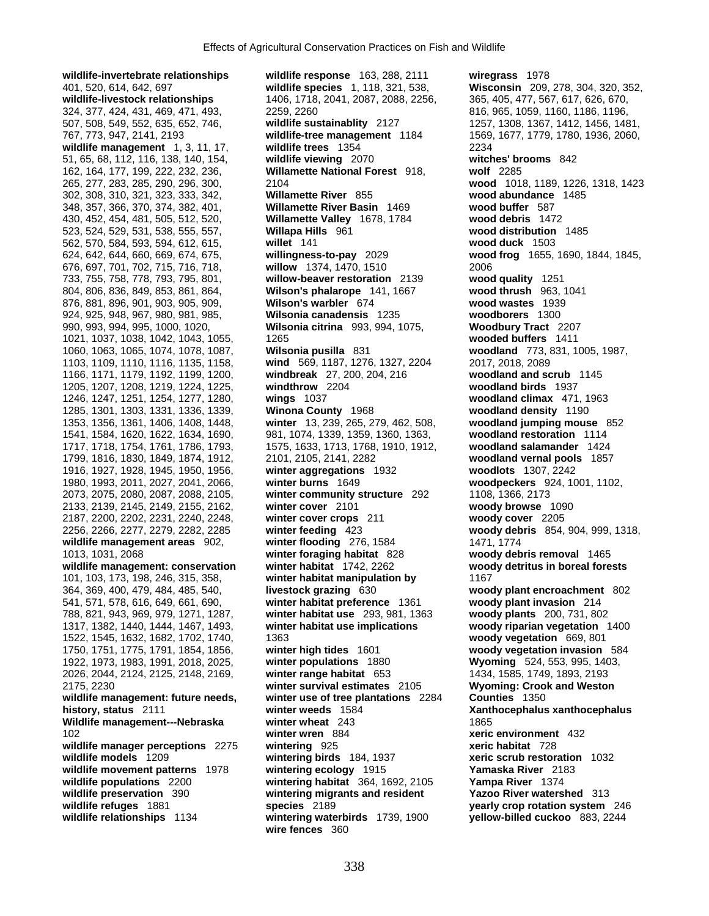**wildlife-invertebrate relationships wildlife response** 163, 288, 2111 **wiregrass** 1978 401, 520, 614, 642, 697 **wildlife species** 1, 118, 321, 538, **Wisconsin** 209, 278, 304, 320, 352, **wildlife-livestock relationships** 1406, 1718, 2041, 2087, 2088, 2256, 365, 405, 477, 567, 617, 626, 670, 324, 377, 424, 431, 469, 471, 493, 2259, 2260 816, 965, 1059, 1160, 1186, 1196, 507, 508, 549, 552, 635, 652, 746, **wildlife sustainablity** 2127 1257, 1308, 1367, 1412, 1456, 1481, 767, 773, 947, 2141, 2193 **wildlife-tree management** 1184 1569, 1677, 1779, 1780, 1936, 2060, **wildlife management** 1, 3, 11, 17, **wildlife trees** 1354 2234 51, 65, 68, 112, 116, 138, 140, 154, **wildlife viewing** 2070 **witches' brooms** 842 265, 277, 283, 285, 290, 296, 300, 2104 **wood** 1018, 1189, 1226, 1318, 1423 302, 308, 310, 321, 323, 333, 342, **Willamette River** 855 **wood abundance** 1485 348, 357, 366, 370, 374, 382, 401, **Willamette River Basin** 1469 **wood buffer** 587 430, 452, 454, 481, 505, 512, 520, **Willamette Valley** 1678, 1784 **wood debris** 1472 523, 524, 529, 531, 538, 555, 557, **Willapa Hills** 961 **wood distribution** 1485 562, 570, 584, 593, 594, 612, 615, **willet** 141 **wood duck** 1503 624, 642, 644, 660, 669, 674, 675, **willingness-to-pay** 2029 **wood frog** 1655, 1690, 1844, 1845, 676, 697, 701, 702, 715, 716, 718, **willow** 1374, 1470, 1510 2006 733, 755, 758, 778, 793, 795, 801, **willow-beaver restoration** 2139 **wood quality** 1251 804, 806, 836, 849, 853, 861, 864, **Wilson's phalarope** 141, 1667 **wood thrush** 963, 1041 876, 881, 896, 901, 903, 905, 909, **Wilson's warbler** 674 **wood wastes** 1939 924, 925, 948, 967, 980, 981, 985, **Wilsonia canadensis** 1235 **woodborers** 1300 990, 993, 994, 995, 1000, 1020, **Wilsonia citrina** 993, 994, 1075, **Woodbury Tract** 2207 1717, 1718, 1754, 1761, 1786, 1793, <sup>157</sup>5, 1633, 1713, 1768, 1910, 1912, 1910, 1912, **1588, 1910, 1912**, **woodlang salaman** 1980, 1993, 2011, 2027, 2041, 2066, **winter burns** 1649 **woodpeckers** 924, 1001, 1102, 2073, 2075, 2080, 2087, 2088, 2105, **winter community structure** 292 1108, 1366, 2173 2133, 2139, 2145, 2149, 2155, 2162, **winter cover** 2101 **woody browse** 1090 2187, 2200, 2202, 2231, 2240, 2248, **winter cover crops** 211 **woody cover** 2205 2256, 2266, 2277, 2279, 2282, 2285 **winter feeding** 423 **woody debris** 854, 904, 999, 1318, **wildlife management areas** 902, **winter flooding** 276, 1584 1471, 1774 1013, 1031, 2068 **winter foraging habitat** 828 **woody debris removal** 1465 **wildlife management: conservation winter habitat** 1742, 2262 **woody detritus in boreal forests** 101, 103, 173, 198, 246, 315, 358, **winter habitat manipulation by** 1167 364, 369, 400, 479, 484, 485, 540, **livestock grazing** 630 **woody plant encroachment** 802 541, 571, 578, 616, 649, 661, 690, **winter habitat preference** 1361 **woody plant invasion** 214 788, 821, 943, 969, 979, 1271, 1287, **winter habitat use** 293, 981, 1363 **woody plants** 200, 731, 802 1317, 1382, 1440, 1444, 1467, 1493, **winter habitat use implications woody riparian vegetation** 1400 1522, 1545, 1632, 1682, 1702, 1740, 1363 **woody vegetation** 669, 801 1750, 1751, 1775, 1791, 1854, 1856, **winter high tides** 1601 **woody vegetation invasion** 584 1922, 1973, 1983, 1991, 2018, 2025, **winter populations** 1880 **Wyoming** 524, 553, 995, 1403, 2026, 2044, 2124, 2125, 2148, 2169, **winter range habitat** 653 1434, 1585, 1749, 1893, 2193 2175, 2230 **winter survival estimates** 2105 **Wyoming: Crook and Weston wildlife management: future needs, winter use of tree plantations** 2284 **Counties** 1350 **history, status** 2111 **winter weeds** 1584 **Xanthocephalus xanthocephalus Wildlife management---Nebraska winter wheat** 243 **1865**<br>102 **winter wren** 884 **xeric wildlife manager perceptions** 2275 **wintering** 925 **xeric habitat** 728 **wildlife models** 1209 **wintering birds** 184, 1937 **xeric scrub restoration** 1032 **wildlife preservation** 390 **wintering migrants and resident Yazoo River watershed** 313 **wildlife refuges** 1881 **species** 2189 **yearly crop rotation system** 246 **wildlife relationships** 1134 **wintering waterbirds** 1739, 1900 **yellow-billed cuckoo** 883, 2244

162, 164, 177, 199, 222, 232, 236, **Willamette National Forest** 918, **wolf** 2285 1021, 1037, 1038, 1042, 1043, 1055, 1265 **wooded buffers** 1411 1060, 1063, 1065, 1074, 1078, 1087, **Wilsonia pusilla** 831 **woodland** 773, 831, 1005, 1987, 1103, 1109, 1110, 1116, 1135, 1158, **wind** 569, 1187, 1276, 1327, 2204 2017, 2018, 2089 1166, 1171, 1179, 1192, 1199, 1200, **windbreak** 27, 200, 204, 216 **woodland and scrub** 1145 1205, 1207, 1208, 1219, 1224, 1225, **windthrow** 2204 **woodland birds** 1937 1246, 1247, 1251, 1254, 1277, 1280, **wings** 1037 **woodland climax** 471, 1963 1285, 1301, 1303, 1331, 1336, 1339, **Winona County** 1968 **woodland density** 1190 1353, 1356, 1361, 1406, 1408, 1448, **winter** 13, 239, 265, 279, 462, 508, **woodland jumping mouse** 852 1541, 1584, 1620, 1622, 1634, 1690, 981, 1074, 1339, 1359, 1360, 1363, **woodland restoration** 1114 1799, 1816, 1830, 1849, 1874, 1912, 2101, 2105, 2141, 2282 **woodland vernal pools** 1857 1916, 1927, 1928, 1945, 1950, 1956, **winter aggregations** 1932 **woodlots** 1307, 2242 102 **winter wren** 884 **xeric environment** 432 **wildlife movement patterns** 1978 **wintering ecology** 1915 **Yamaska River** 2183 **wildlife populations** 2200 **wintering habitat** 364, 1692, 2105 **Yampa River** 1374 **wire fences** 360